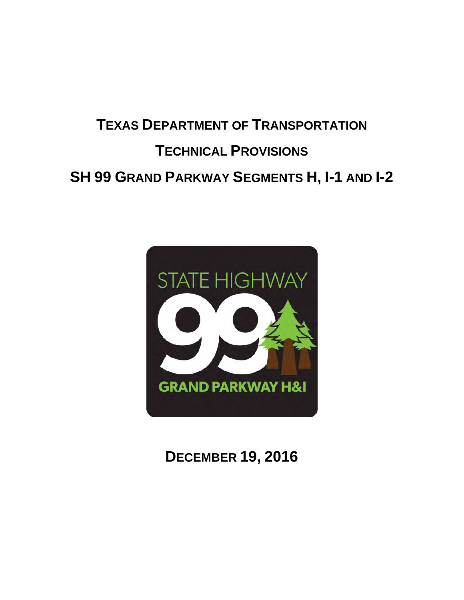# **TEXAS DEPARTMENT OF TRANSPORTATION TECHNICAL PROVISIONS SH 99 GRAND PARKWAY SEGMENTS H, I-1 AND I-2**



# **DECEMBER 19, 2016**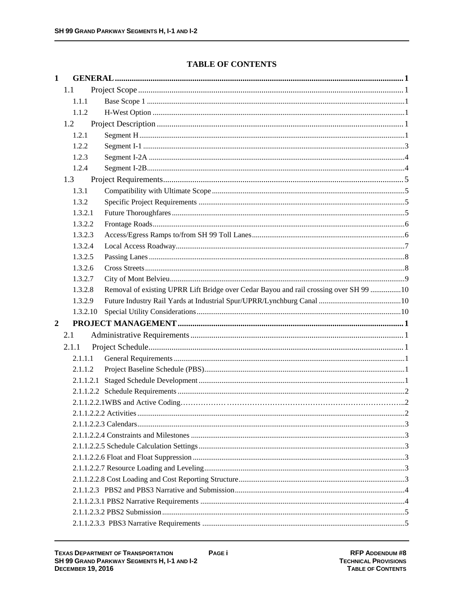# **TABLE OF CONTENTS**

| $\mathbf{1}$   |          |                                                                                        |  |
|----------------|----------|----------------------------------------------------------------------------------------|--|
|                | 1.1      |                                                                                        |  |
|                | 1.1.1    |                                                                                        |  |
|                | 1.1.2    |                                                                                        |  |
|                | 1.2      |                                                                                        |  |
|                | 1.2.1    |                                                                                        |  |
|                | 1.2.2    |                                                                                        |  |
|                | 1.2.3    |                                                                                        |  |
|                | 1.2.4    |                                                                                        |  |
|                | 1.3      |                                                                                        |  |
|                | 1.3.1    |                                                                                        |  |
|                | 1.3.2    |                                                                                        |  |
|                | 1.3.2.1  |                                                                                        |  |
|                | 1.3.2.2  |                                                                                        |  |
|                | 1.3.2.3  |                                                                                        |  |
|                | 1.3.2.4  |                                                                                        |  |
|                | 1.3.2.5  |                                                                                        |  |
|                | 1.3.2.6  |                                                                                        |  |
|                | 1.3.2.7  |                                                                                        |  |
|                | 1.3.2.8  | Removal of existing UPRR Lift Bridge over Cedar Bayou and rail crossing over SH 99  10 |  |
|                | 1.3.2.9  |                                                                                        |  |
|                | 1.3.2.10 |                                                                                        |  |
| $\overline{2}$ |          |                                                                                        |  |
|                | 2.1      |                                                                                        |  |
|                | 2.1.1    |                                                                                        |  |
|                | 2.1.1.1  |                                                                                        |  |
|                | 2.1.1.2  |                                                                                        |  |
|                |          |                                                                                        |  |
|                |          |                                                                                        |  |
|                |          |                                                                                        |  |
|                |          |                                                                                        |  |
|                |          |                                                                                        |  |
|                |          |                                                                                        |  |
|                |          |                                                                                        |  |
|                |          |                                                                                        |  |
|                |          |                                                                                        |  |
|                |          |                                                                                        |  |
|                |          |                                                                                        |  |
|                |          |                                                                                        |  |
|                |          |                                                                                        |  |
|                |          |                                                                                        |  |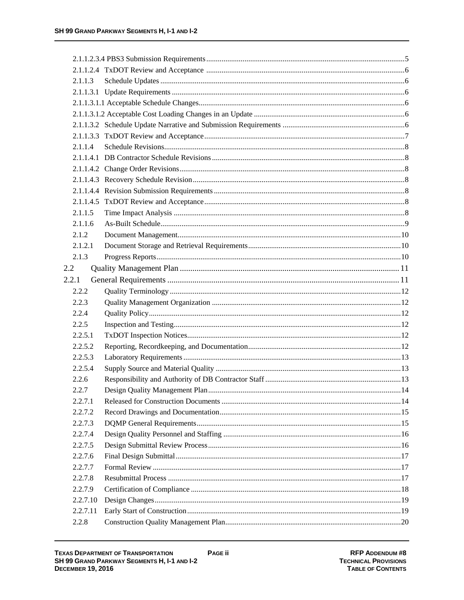| 2.1.1.3  |  |
|----------|--|
|          |  |
|          |  |
|          |  |
|          |  |
|          |  |
| 2.1.1.4  |  |
|          |  |
|          |  |
|          |  |
|          |  |
|          |  |
| 2.1.1.5  |  |
| 2.1.1.6  |  |
| 2.1.2    |  |
| 2.1.2.1  |  |
| 2.1.3    |  |
| 2.2      |  |
| 2.2.1    |  |
| 2.2.2    |  |
| 2.2.3    |  |
| 2.2.4    |  |
| 2.2.5    |  |
| 2.2.5.1  |  |
| 2.2.5.2  |  |
| 2.2.5.3  |  |
| 2.2.5.4  |  |
| 2.2.6    |  |
| 2.2.7    |  |
| 2.2.7.1  |  |
| 2.2.7.2  |  |
| 2.2.7.3  |  |
| 2.2.7.4  |  |
| 2.2.7.5  |  |
| 2.2.7.6  |  |
| 2.2.7.7  |  |
| 2.2.7.8  |  |
| 2.2.7.9  |  |
| 2.2.7.10 |  |
| 2.2.7.11 |  |
| 2.2.8    |  |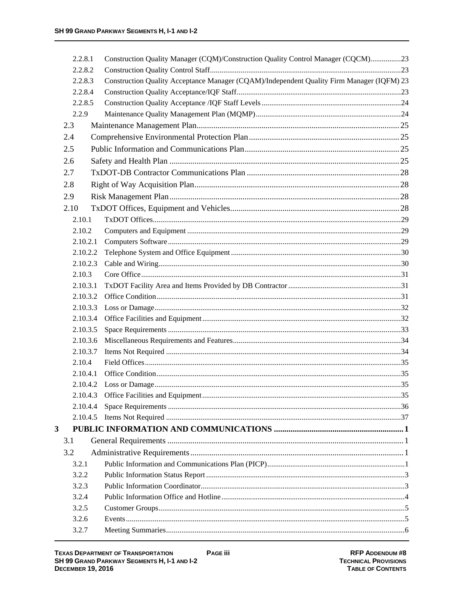|   | 2.2.8.1            | Construction Quality Manager (CQM)/Construction Quality Control Manager (CQCM)23          |  |
|---|--------------------|-------------------------------------------------------------------------------------------|--|
|   | 2.2.8.2            |                                                                                           |  |
|   | 2.2.8.3            | Construction Quality Acceptance Manager (CQAM)/Independent Quality Firm Manager (IQFM) 23 |  |
|   | 2.2.8.4            |                                                                                           |  |
|   | 2.2.8.5            |                                                                                           |  |
|   | 2.2.9              |                                                                                           |  |
|   | 2.3                |                                                                                           |  |
|   | 2.4                |                                                                                           |  |
|   | 2.5                |                                                                                           |  |
|   | 2.6                |                                                                                           |  |
|   | 2.7                |                                                                                           |  |
|   | 2.8                |                                                                                           |  |
|   | 2.9                |                                                                                           |  |
|   | 2.10               |                                                                                           |  |
|   | 2.10.1             |                                                                                           |  |
|   | 2.10.2             |                                                                                           |  |
|   | 2.10.2.1           |                                                                                           |  |
|   | 2.10.2.2           |                                                                                           |  |
|   | 2.10.2.3           |                                                                                           |  |
|   | 2.10.3             |                                                                                           |  |
|   | 2.10.3.1           |                                                                                           |  |
|   | 2.10.3.2           |                                                                                           |  |
|   | 2.10.3.3           |                                                                                           |  |
|   | 2.10.3.4           |                                                                                           |  |
|   | 2.10.3.5           |                                                                                           |  |
|   | 2.10.3.6           |                                                                                           |  |
|   | 2.10.3.7           |                                                                                           |  |
|   | 2.10.4<br>2.10.4.1 |                                                                                           |  |
|   |                    |                                                                                           |  |
|   | 2.10.4.3           |                                                                                           |  |
|   | 2.10.4.4           |                                                                                           |  |
|   | 2.10.4.5           |                                                                                           |  |
| 3 |                    |                                                                                           |  |
|   | 3.1                |                                                                                           |  |
|   | 3.2                |                                                                                           |  |
|   | 3.2.1              |                                                                                           |  |
|   | 3.2.2              |                                                                                           |  |
|   | 3.2.3              |                                                                                           |  |
|   | 3.2.4              |                                                                                           |  |
|   | 3.2.5              |                                                                                           |  |
|   | 3.2.6              |                                                                                           |  |
|   | 3.2.7              |                                                                                           |  |
|   |                    |                                                                                           |  |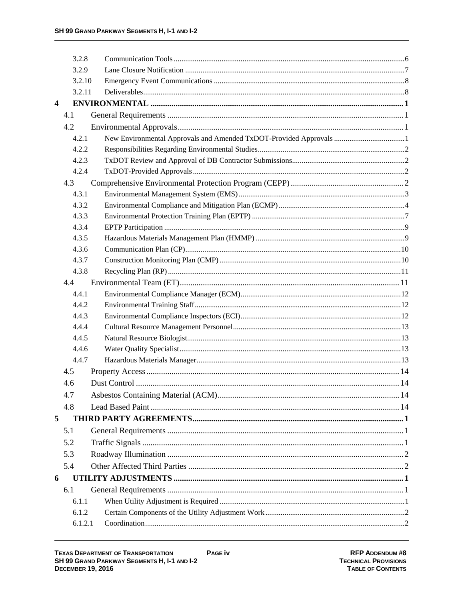|                         | 3.2.8   |                                                                    |  |
|-------------------------|---------|--------------------------------------------------------------------|--|
|                         | 3.2.9   |                                                                    |  |
|                         | 3.2.10  |                                                                    |  |
|                         | 3.2.11  |                                                                    |  |
| $\overline{\mathbf{4}}$ |         |                                                                    |  |
|                         | 4.1     |                                                                    |  |
|                         | 4.2     |                                                                    |  |
|                         | 4.2.1   | New Environmental Approvals and Amended TxDOT-Provided Approvals 1 |  |
|                         | 4.2.2   |                                                                    |  |
|                         | 4.2.3   |                                                                    |  |
|                         | 4.2.4   |                                                                    |  |
|                         | 4.3     |                                                                    |  |
|                         | 4.3.1   |                                                                    |  |
|                         | 4.3.2   |                                                                    |  |
|                         | 4.3.3   |                                                                    |  |
|                         | 4.3.4   |                                                                    |  |
|                         | 4.3.5   |                                                                    |  |
|                         | 4.3.6   |                                                                    |  |
|                         | 4.3.7   |                                                                    |  |
|                         | 4.3.8   |                                                                    |  |
|                         | 4.4     |                                                                    |  |
|                         | 4.4.1   |                                                                    |  |
|                         | 4.4.2   |                                                                    |  |
|                         | 4.4.3   |                                                                    |  |
|                         | 4.4.4   |                                                                    |  |
|                         | 4.4.5   |                                                                    |  |
|                         | 4.4.6   |                                                                    |  |
|                         | 4.4.7   |                                                                    |  |
|                         | 4.5     |                                                                    |  |
|                         | 4.6     |                                                                    |  |
|                         | 4.7     |                                                                    |  |
|                         | 4.8     |                                                                    |  |
| 5                       |         |                                                                    |  |
|                         | 5.1     |                                                                    |  |
|                         | 5.2     |                                                                    |  |
|                         | 5.3     |                                                                    |  |
|                         | 5.4     |                                                                    |  |
| 6                       |         |                                                                    |  |
|                         | 6.1     |                                                                    |  |
|                         | 6.1.1   |                                                                    |  |
|                         | 6.1.2   |                                                                    |  |
|                         | 6.1.2.1 |                                                                    |  |
|                         |         |                                                                    |  |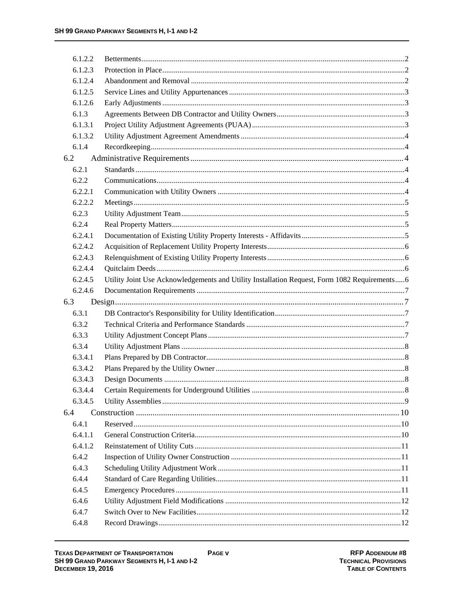| 6.1.2.2 |                                                                                              |  |
|---------|----------------------------------------------------------------------------------------------|--|
| 6.1.2.3 |                                                                                              |  |
| 6.1.2.4 |                                                                                              |  |
| 6.1.2.5 |                                                                                              |  |
| 6.1.2.6 |                                                                                              |  |
| 6.1.3   |                                                                                              |  |
| 6.1.3.1 |                                                                                              |  |
| 6.1.3.2 |                                                                                              |  |
| 6.1.4   |                                                                                              |  |
| 6.2     |                                                                                              |  |
| 6.2.1   |                                                                                              |  |
| 6.2.2   |                                                                                              |  |
| 6.2.2.1 |                                                                                              |  |
| 6.2.2.2 |                                                                                              |  |
| 6.2.3   |                                                                                              |  |
| 6.2.4   |                                                                                              |  |
| 6.2.4.1 |                                                                                              |  |
| 6.2.4.2 |                                                                                              |  |
| 6.2.4.3 |                                                                                              |  |
| 6.2.4.4 |                                                                                              |  |
| 6.2.4.5 | Utility Joint Use Acknowledgements and Utility Installation Request, Form 1082 Requirements6 |  |
| 6.2.4.6 |                                                                                              |  |
| 6.3     |                                                                                              |  |
| 6.3.1   |                                                                                              |  |
| 6.3.2   |                                                                                              |  |
| 6.3.3   |                                                                                              |  |
| 6.3.4   |                                                                                              |  |
| 6.3.4.1 |                                                                                              |  |
| 6.3.4.2 |                                                                                              |  |
| 6.3.4.3 |                                                                                              |  |
| 6.3.4.4 |                                                                                              |  |
| 6.3.4.5 |                                                                                              |  |
| 6.4     |                                                                                              |  |
| 6.4.1   |                                                                                              |  |
| 6.4.1.1 |                                                                                              |  |
| 6.4.1.2 |                                                                                              |  |
| 6.4.2   |                                                                                              |  |
| 6.4.3   |                                                                                              |  |
| 6.4.4   |                                                                                              |  |
| 6.4.5   |                                                                                              |  |
| 6.4.6   |                                                                                              |  |
| 6.4.7   |                                                                                              |  |
| 6.4.8   |                                                                                              |  |
|         |                                                                                              |  |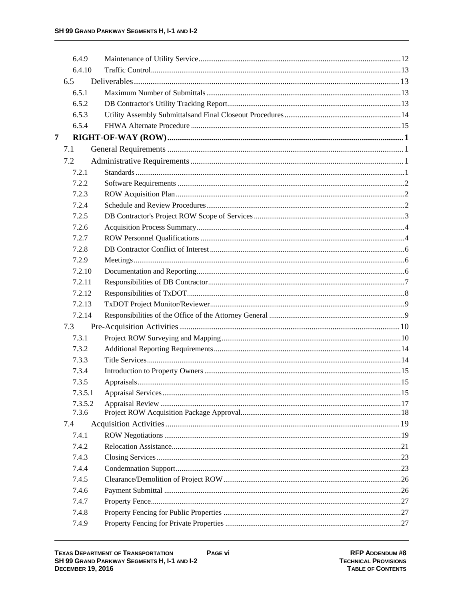|   | 6.4.9   |  |
|---|---------|--|
|   | 6.4.10  |  |
|   | 6.5     |  |
|   | 6.5.1   |  |
|   | 6.5.2   |  |
|   | 6.5.3   |  |
|   | 6.5.4   |  |
| 7 |         |  |
|   | 7.1     |  |
|   | 7.2     |  |
|   | 7.2.1   |  |
|   | 7.2.2   |  |
|   | 7.2.3   |  |
|   | 7.2.4   |  |
|   | 7.2.5   |  |
|   | 7.2.6   |  |
|   | 7.2.7   |  |
|   | 7.2.8   |  |
|   | 7.2.9   |  |
|   | 7.2.10  |  |
|   | 7.2.11  |  |
|   | 7.2.12  |  |
|   | 7.2.13  |  |
|   | 7.2.14  |  |
|   | 7.3     |  |
|   | 7.3.1   |  |
|   | 7.3.2   |  |
|   | 7.3.3   |  |
|   | 7.3.4   |  |
|   | 7.3.5   |  |
|   | 7.3.5.1 |  |
|   | 7.3.5.2 |  |
|   | 7.3.6   |  |
|   | 7.4     |  |
|   | 7.4.1   |  |
|   | 7.4.2   |  |
|   | 7.4.3   |  |
|   | 7.4.4   |  |
|   | 7.4.5   |  |
|   | 7.4.6   |  |
|   | 7.4.7   |  |
|   | 7.4.8   |  |
|   | 7.4.9   |  |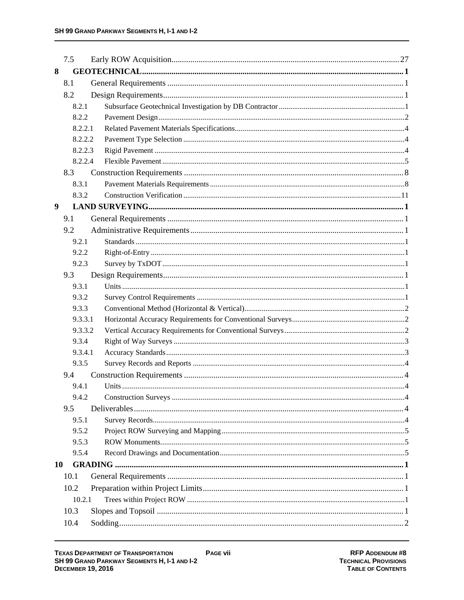|           | 7.5     |  |  |
|-----------|---------|--|--|
| 8         |         |  |  |
|           | 8.1     |  |  |
|           | 8.2     |  |  |
|           | 8.2.1   |  |  |
|           | 8.2.2   |  |  |
|           | 8.2.2.1 |  |  |
|           | 8.2.2.2 |  |  |
|           | 8.2.2.3 |  |  |
|           | 8.2.2.4 |  |  |
|           | 8.3     |  |  |
|           | 8.3.1   |  |  |
|           | 8.3.2   |  |  |
| 9         |         |  |  |
|           | 9.1     |  |  |
|           | 9.2     |  |  |
|           | 9.2.1   |  |  |
|           | 9.2.2   |  |  |
|           | 9.2.3   |  |  |
|           | 9.3     |  |  |
|           | 9.3.1   |  |  |
|           | 9.3.2   |  |  |
|           | 9.3.3   |  |  |
|           | 9.3.3.1 |  |  |
|           | 9.3.3.2 |  |  |
|           | 9.3.4   |  |  |
|           | 9.3.4.1 |  |  |
|           | 9.3.5   |  |  |
|           | 9.4     |  |  |
|           | 9.4.1   |  |  |
|           | 9.4.2   |  |  |
|           | 9.5     |  |  |
|           | 9.5.1   |  |  |
|           | 9.5.2   |  |  |
|           | 9.5.3   |  |  |
|           | 9.5.4   |  |  |
| <b>10</b> |         |  |  |
|           | 10.1    |  |  |
|           | 10.2    |  |  |
|           | 10.2.1  |  |  |
|           | 10.3    |  |  |
|           | 10.4    |  |  |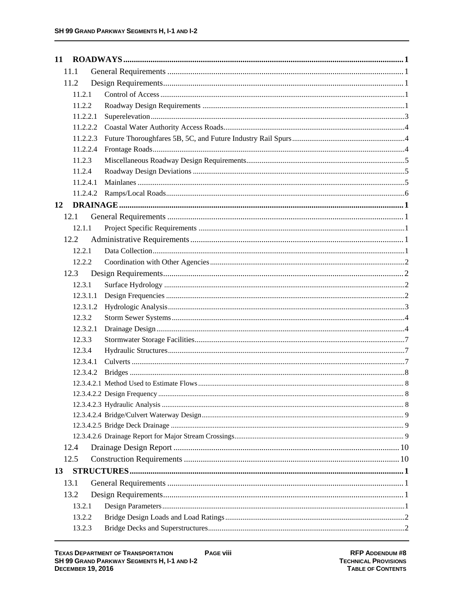| 11       |  |
|----------|--|
| 11.1     |  |
| 11.2     |  |
| 11.2.1   |  |
| 11.2.2   |  |
| 11.2.2.1 |  |
| 11.2.2.2 |  |
| 11.2.2.3 |  |
| 11.2.2.4 |  |
| 11.2.3   |  |
| 11.2.4   |  |
| 11.2.4.1 |  |
| 11.2.4.2 |  |
| 12       |  |
| 12.1     |  |
| 12.1.1   |  |
| 12.2     |  |
| 12.2.1   |  |
| 12.2.2   |  |
| 12.3     |  |
| 12.3.1   |  |
| 12.3.1.1 |  |
| 12.3.1.2 |  |
| 12.3.2   |  |
| 12.3.2.1 |  |
| 12.3.3   |  |
| 12.3.4   |  |
| 12.3.4.1 |  |
| 12.3.4.2 |  |
|          |  |
|          |  |
|          |  |
|          |  |
|          |  |
| 12.4     |  |
| 12.5     |  |
| 13       |  |
|          |  |
| 13.1     |  |
| 13.2     |  |
| 13.2.1   |  |
| 13.2.2   |  |
| 13.2.3   |  |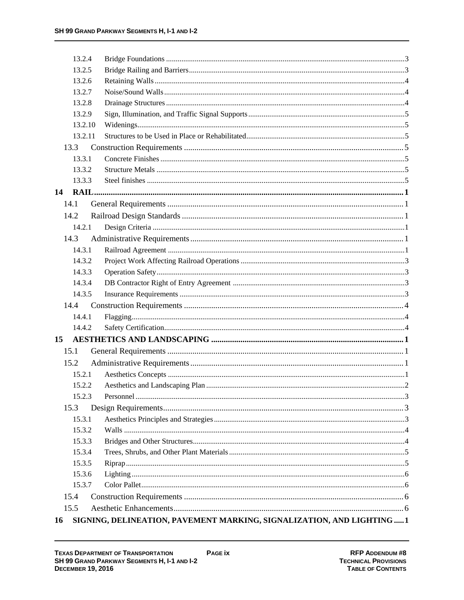| 13.2.4  |                                                                        |  |
|---------|------------------------------------------------------------------------|--|
| 13.2.5  |                                                                        |  |
| 13.2.6  |                                                                        |  |
| 13.2.7  |                                                                        |  |
| 13.2.8  |                                                                        |  |
| 13.2.9  |                                                                        |  |
| 13.2.10 |                                                                        |  |
| 13.2.11 |                                                                        |  |
| 13.3    |                                                                        |  |
| 13.3.1  |                                                                        |  |
| 13.3.2  |                                                                        |  |
| 13.3.3  |                                                                        |  |
| 14      |                                                                        |  |
| 14.1    |                                                                        |  |
| 14.2    |                                                                        |  |
| 14.2.1  |                                                                        |  |
| 14.3    |                                                                        |  |
| 14.3.1  |                                                                        |  |
| 14.3.2  |                                                                        |  |
| 14.3.3  |                                                                        |  |
| 14.3.4  |                                                                        |  |
| 14.3.5  |                                                                        |  |
| 14.4    |                                                                        |  |
| 14.4.1  |                                                                        |  |
| 14.4.2  |                                                                        |  |
| 15      |                                                                        |  |
| 15.1    |                                                                        |  |
| 15.2    |                                                                        |  |
| 15.2.1  |                                                                        |  |
| 15.2.2  |                                                                        |  |
| 15.2.3  |                                                                        |  |
| 15.3    |                                                                        |  |
| 15.3.1  |                                                                        |  |
| 15.3.2  |                                                                        |  |
| 15.3.3  |                                                                        |  |
| 15.3.4  |                                                                        |  |
| 15.3.5  |                                                                        |  |
| 15.3.6  |                                                                        |  |
| 15.3.7  |                                                                        |  |
| 15.4    |                                                                        |  |
| 15.5    |                                                                        |  |
| 16      | SIGNING, DELINEATION, PAVEMENT MARKING, SIGNALIZATION, AND LIGHTING  1 |  |
|         |                                                                        |  |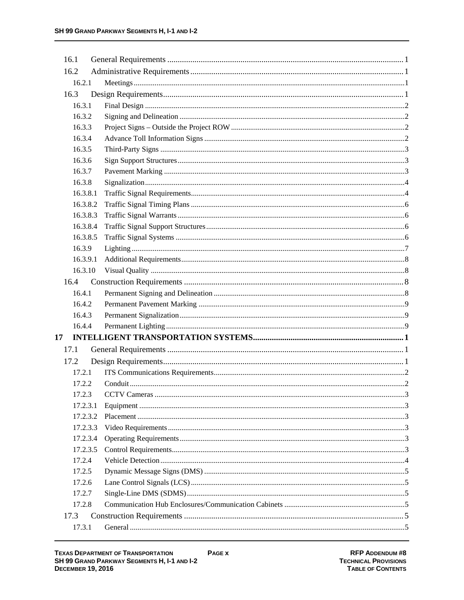| 16.1 |          |  |
|------|----------|--|
| 16.2 |          |  |
|      | 16.2.1   |  |
| 16.3 |          |  |
|      | 16.3.1   |  |
|      | 16.3.2   |  |
|      | 16.3.3   |  |
|      | 16.3.4   |  |
|      | 16.3.5   |  |
|      | 16.3.6   |  |
|      | 16.3.7   |  |
|      | 16.3.8   |  |
|      | 16.3.8.1 |  |
|      | 16.3.8.2 |  |
|      | 16.3.8.3 |  |
|      | 16.3.8.4 |  |
|      | 16.3.8.5 |  |
|      | 16.3.9   |  |
|      | 16.3.9.1 |  |
|      | 16.3.10  |  |
| 16.4 |          |  |
|      | 16.4.1   |  |
|      | 16.4.2   |  |
|      | 16.4.3   |  |
|      | 16.4.4   |  |
| 17   |          |  |
| 17.1 |          |  |
| 17.2 |          |  |
|      | 17.2.1   |  |
|      | 17.2.2   |  |
|      |          |  |
|      | 17.2.3.1 |  |
|      | 17.2.3.2 |  |
|      | 17.2.3.3 |  |
|      | 17.2.3.4 |  |
|      | 17.2.3.5 |  |
|      | 17.2.4   |  |
|      | 17.2.5   |  |
|      | 17.2.6   |  |
|      | 17.2.7   |  |
|      | 17.2.8   |  |
| 17.3 |          |  |
|      | 17.3.1   |  |
|      |          |  |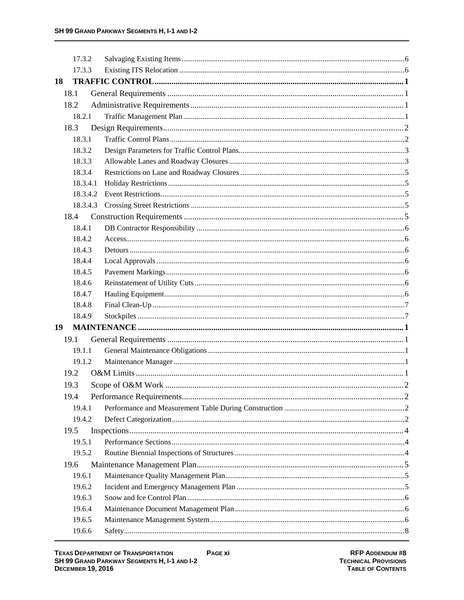| 17.3.2   |  |
|----------|--|
| 17.3.3   |  |
| 18       |  |
| 18.1     |  |
| 18.2     |  |
| 18.2.1   |  |
| 18.3     |  |
| 18.3.1   |  |
| 18.3.2   |  |
| 18.3.3   |  |
| 18.3.4   |  |
| 18.3.4.1 |  |
| 18.3.4.2 |  |
| 18.3.4.3 |  |
| 18.4     |  |
| 18.4.1   |  |
| 18.4.2   |  |
| 18.4.3   |  |
| 18.4.4   |  |
| 18.4.5   |  |
| 18.4.6   |  |
| 18.4.7   |  |
| 18.4.8   |  |
| 18.4.9   |  |
| 19       |  |
| 19.1     |  |
| 19.1.1   |  |
| 19.1.2   |  |
| 19.2     |  |
| 19.3     |  |
| 19.4     |  |
| 19.4.1   |  |
| 19.4.2   |  |
| 19.5     |  |
| 19.5.1   |  |
| 19.5.2   |  |
| 19.6     |  |
| 19.6.1   |  |
| 19.6.2   |  |
| 19.6.3   |  |
| 19.6.4   |  |
| 19.6.5   |  |
| 19.6.6   |  |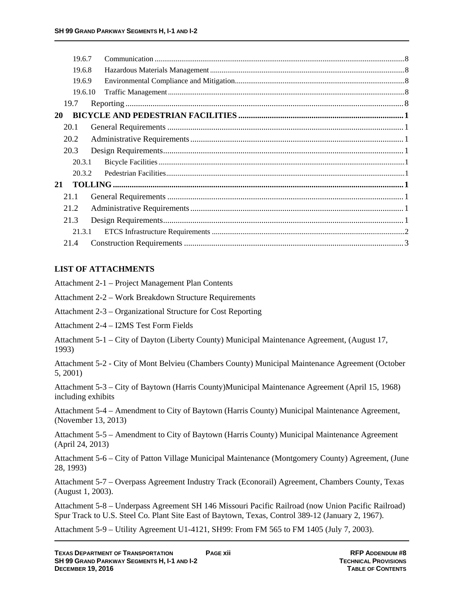# **LIST OF ATTACHMENTS**

Attachment 2-1 – Project Management Plan Contents

Attachment 2-2 – Work Breakdown Structure Requirements

Attachment 2-3 – Organizational Structure for Cost Reporting

Attachment 2-4 – I2MS Test Form Fields

Attachment 5-1 – City of Dayton (Liberty County) Municipal Maintenance Agreement, (August 17, 1993)

Attachment 5-2 - City of Mont Belvieu (Chambers County) Municipal Maintenance Agreement (October 5, 2001)

Attachment 5-3 – City of Baytown (Harris County)Municipal Maintenance Agreement (April 15, 1968) including exhibits

Attachment 5-4 – Amendment to City of Baytown (Harris County) Municipal Maintenance Agreement, (November 13, 2013)

Attachment 5-5 – Amendment to City of Baytown (Harris County) Municipal Maintenance Agreement (April 24, 2013)

Attachment 5-6 – City of Patton Village Municipal Maintenance (Montgomery County) Agreement, (June 28, 1993)

Attachment 5-7 – Overpass Agreement Industry Track (Econorail) Agreement, Chambers County, Texas (August 1, 2003).

Attachment 5-8 – Underpass Agreement SH 146 Missouri Pacific Railroad (now Union Pacific Railroad) Spur Track to U.S. Steel Co. Plant Site East of Baytown, Texas, Control 389-12 (January 2, 1967).

Attachment 5-9 – Utility Agreement U1-4121, SH99: From FM 565 to FM 1405 (July 7, 2003).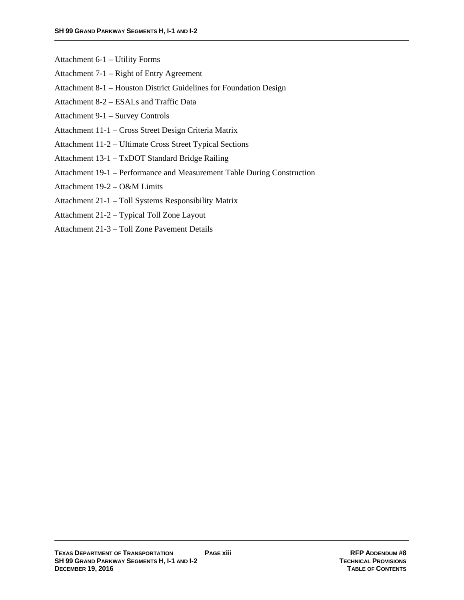- Attachment 6-1 Utility Forms
- Attachment 7-1 Right of Entry Agreement
- Attachment 8-1 Houston District Guidelines for Foundation Design
- Attachment 8-2 ESALs and Traffic Data
- Attachment 9-1 Survey Controls
- Attachment 11-1 Cross Street Design Criteria Matrix
- Attachment 11-2 Ultimate Cross Street Typical Sections
- Attachment 13-1 TxDOT Standard Bridge Railing
- Attachment 19-1 Performance and Measurement Table During Construction
- Attachment 19-2 O&M Limits
- Attachment 21-1 Toll Systems Responsibility Matrix
- Attachment 21-2 Typical Toll Zone Layout
- Attachment 21-3 Toll Zone Pavement Details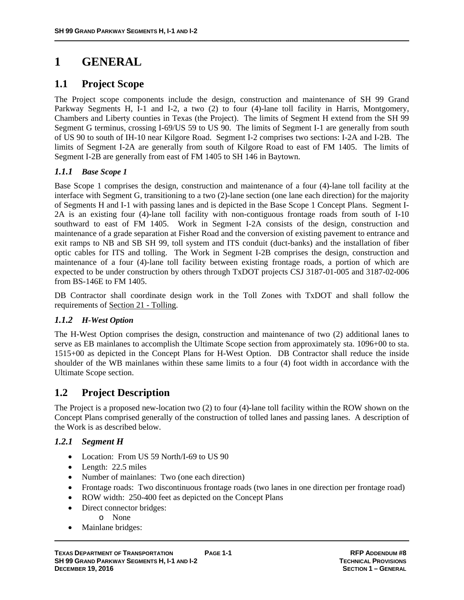# **1 GENERAL**

# **1.1 Project Scope**

The Project scope components include the design, construction and maintenance of SH 99 Grand Parkway Segments H, I-1 and I-2, a two (2) to four (4)-lane toll facility in Harris, Montgomery, Chambers and Liberty counties in Texas (the Project). The limits of Segment H extend from the SH 99 Segment G terminus, crossing I-69/US 59 to US 90. The limits of Segment I-1 are generally from south of US 90 to south of IH-10 near Kilgore Road. Segment I-2 comprises two sections: I-2A and I-2B. The limits of Segment I-2A are generally from south of Kilgore Road to east of FM 1405. The limits of Segment I-2B are generally from east of FM 1405 to SH 146 in Baytown.

#### *1.1.1 Base Scope 1*

Base Scope 1 comprises the design, construction and maintenance of a four (4)-lane toll facility at the interface with Segment G, transitioning to a two (2)-lane section (one lane each direction) for the majority of Segments H and I-1 with passing lanes and is depicted in the Base Scope 1 Concept Plans. Segment I-2A is an existing four (4)-lane toll facility with non-contiguous frontage roads from south of I-10 southward to east of FM 1405. Work in Segment I-2A consists of the design, construction and maintenance of a grade separation at Fisher Road and the conversion of existing pavement to entrance and exit ramps to NB and SB SH 99, toll system and ITS conduit (duct-banks) and the installation of fiber optic cables for ITS and tolling. The Work in Segment I-2B comprises the design, construction and maintenance of a four (4)-lane toll facility between existing frontage roads, a portion of which are expected to be under construction by others through TxDOT projects CSJ 3187-01-005 and 3187-02-006 from BS-146E to FM 1405.

DB Contractor shall coordinate design work in the Toll Zones with TxDOT and shall follow the requirements of Section 21 - Tolling.

#### *1.1.2 H-West Option*

The H-West Option comprises the design, construction and maintenance of two (2) additional lanes to serve as EB mainlanes to accomplish the Ultimate Scope section from approximately sta. 1096+00 to sta. 1515+00 as depicted in the Concept Plans for H-West Option. DB Contractor shall reduce the inside shoulder of the WB mainlanes within these same limits to a four (4) foot width in accordance with the Ultimate Scope section.

# **1.2 Project Description**

The Project is a proposed new-location two (2) to four (4)-lane toll facility within the ROW shown on the Concept Plans comprised generally of the construction of tolled lanes and passing lanes. A description of the Work is as described below.

#### *1.2.1 Segment H*

- Location: From US 59 North/I-69 to US 90
- Length: 22.5 miles
- Number of mainlanes: Two (one each direction)
- Frontage roads: Two discontinuous frontage roads (two lanes in one direction per frontage road)
- ROW width: 250-400 feet as depicted on the Concept Plans
- Direct connector bridges:
	- o None
- Mainlane bridges: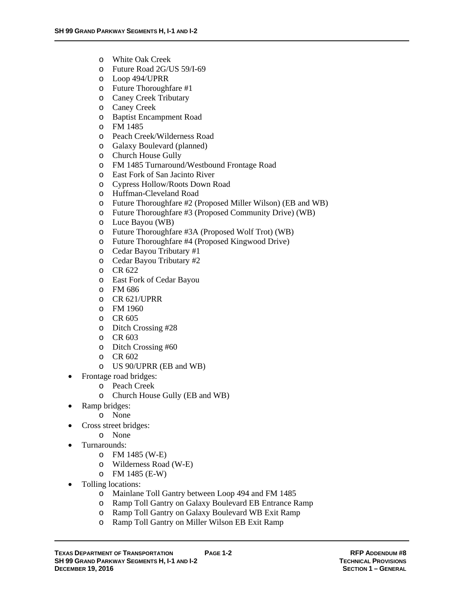- o White Oak Creek
- o Future Road 2G/US 59/I-69
- o Loop 494/UPRR
- o Future Thoroughfare #1
- o Caney Creek Tributary
- o Caney Creek
- o Baptist Encampment Road
- o FM 1485
- o Peach Creek/Wilderness Road
- o Galaxy Boulevard (planned)
- o Church House Gully
- o FM 1485 Turnaround/Westbound Frontage Road
- o East Fork of San Jacinto River
- o Cypress Hollow/Roots Down Road
- o Huffman-Cleveland Road
- o Future Thoroughfare #2 (Proposed Miller Wilson) (EB and WB)
- o Future Thoroughfare #3 (Proposed Community Drive) (WB)
- o Luce Bayou (WB)
- o Future Thoroughfare #3A (Proposed Wolf Trot) (WB)
- o Future Thoroughfare #4 (Proposed Kingwood Drive)
- o Cedar Bayou Tributary #1
- o Cedar Bayou Tributary #2
- o CR 622
- o East Fork of Cedar Bayou
- o FM 686
- o CR 621/UPRR
- o FM 1960
- o CR 605
- o Ditch Crossing #28
- o CR 603
- o Ditch Crossing #60
- o CR 602
- o US 90/UPRR (EB and WB)
- Frontage road bridges:
	- o Peach Creek
	- o Church House Gully (EB and WB)
	- Ramp bridges:
		- o None
- Cross street bridges:
	- o None
	- Turnarounds:
		- o FM 1485 (W-E)
		- o Wilderness Road (W-E)
		- o FM 1485 (E-W)
- Tolling locations:
	- o Mainlane Toll Gantry between Loop 494 and FM 1485
	- o Ramp Toll Gantry on Galaxy Boulevard EB Entrance Ramp
	- o Ramp Toll Gantry on Galaxy Boulevard WB Exit Ramp
	- o Ramp Toll Gantry on Miller Wilson EB Exit Ramp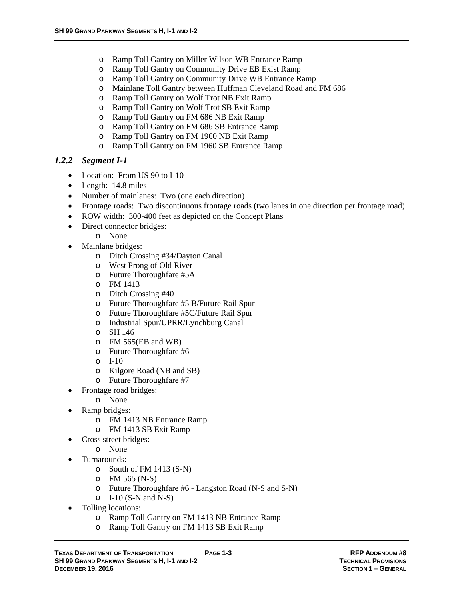- o Ramp Toll Gantry on Miller Wilson WB Entrance Ramp
- o Ramp Toll Gantry on Community Drive EB Exist Ramp
- o Ramp Toll Gantry on Community Drive WB Entrance Ramp
- o Mainlane Toll Gantry between Huffman Cleveland Road and FM 686
- o Ramp Toll Gantry on Wolf Trot NB Exit Ramp
- o Ramp Toll Gantry on Wolf Trot SB Exit Ramp
- o Ramp Toll Gantry on FM 686 NB Exit Ramp
- o Ramp Toll Gantry on FM 686 SB Entrance Ramp
- o Ramp Toll Gantry on FM 1960 NB Exit Ramp
- o Ramp Toll Gantry on FM 1960 SB Entrance Ramp

#### *1.2.2 Segment I-1*

- Location: From US 90 to I-10
- Length: 14.8 miles
- Number of mainlanes: Two (one each direction)
- Frontage roads: Two discontinuous frontage roads (two lanes in one direction per frontage road)
- ROW width: 300-400 feet as depicted on the Concept Plans
- Direct connector bridges:
	- o None
- Mainlane bridges:
	- o Ditch Crossing #34/Dayton Canal
	- o West Prong of Old River
	- o Future Thoroughfare #5A
	- o FM 1413
	- o Ditch Crossing #40
	- o Future Thoroughfare #5 B/Future Rail Spur
	- o Future Thoroughfare #5C/Future Rail Spur
	- o Industrial Spur/UPRR/Lynchburg Canal
	- o SH 146
	- o FM 565(EB and WB)
	- o Future Thoroughfare #6
	- o I-10
	- o Kilgore Road (NB and SB)
	- o Future Thoroughfare #7
- Frontage road bridges:
	- o None
	- Ramp bridges:
		- o FM 1413 NB Entrance Ramp
		- o FM 1413 SB Exit Ramp
- Cross street bridges:
	- o None
- Turnarounds:
	- o South of FM 1413 (S-N)
	- o FM 565 (N-S)
	- o Future Thoroughfare #6 Langston Road (N-S and S-N)
	- $O$  I-10 (S-N and N-S)
- Tolling locations:
	- o Ramp Toll Gantry on FM 1413 NB Entrance Ramp
	- o Ramp Toll Gantry on FM 1413 SB Exit Ramp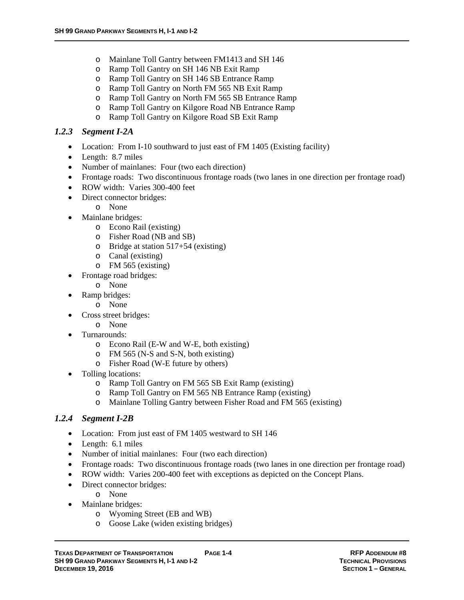- o Mainlane Toll Gantry between FM1413 and SH 146
- o Ramp Toll Gantry on SH 146 NB Exit Ramp
- o Ramp Toll Gantry on SH 146 SB Entrance Ramp
- o Ramp Toll Gantry on North FM 565 NB Exit Ramp
- o Ramp Toll Gantry on North FM 565 SB Entrance Ramp
- o Ramp Toll Gantry on Kilgore Road NB Entrance Ramp
- o Ramp Toll Gantry on Kilgore Road SB Exit Ramp

# *1.2.3 Segment I-2A*

- Location: From I-10 southward to just east of FM 1405 (Existing facility)
- Length: 8.7 miles
- Number of mainlanes: Four (two each direction)
- Frontage roads: Two discontinuous frontage roads (two lanes in one direction per frontage road)
- ROW width: Varies 300-400 feet
- Direct connector bridges:
	- o None
- Mainlane bridges:
	- o Econo Rail (existing)
	- o Fisher Road (NB and SB)
	- o Bridge at station 517+54 (existing)
	- o Canal (existing)
	- o FM 565 (existing)
- Frontage road bridges:
	- o None
- Ramp bridges:
	- o None
- Cross street bridges:
	- o None
	- Turnarounds:
		- o Econo Rail (E-W and W-E, both existing)
		- o FM 565 (N-S and S-N, both existing)
		- o Fisher Road (W-E future by others)
- Tolling locations:
	- o Ramp Toll Gantry on FM 565 SB Exit Ramp (existing)
	- o Ramp Toll Gantry on FM 565 NB Entrance Ramp (existing)
	- o Mainlane Tolling Gantry between Fisher Road and FM 565 (existing)

# *1.2.4 Segment I-2B*

- Location: From just east of FM 1405 westward to SH 146
- Length: 6.1 miles
- Number of initial mainlanes: Four (two each direction)
- Frontage roads: Two discontinuous frontage roads (two lanes in one direction per frontage road)
- ROW width: Varies 200-400 feet with exceptions as depicted on the Concept Plans.
- Direct connector bridges:
	- o None
- Mainlane bridges:
	- o Wyoming Street (EB and WB)
	- o Goose Lake (widen existing bridges)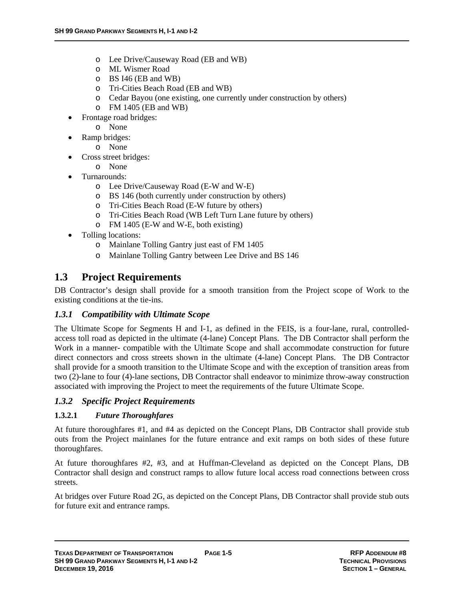- o Lee Drive/Causeway Road (EB and WB)
- o ML Wismer Road
- o BS I46 (EB and WB)
- o Tri-Cities Beach Road (EB and WB)
- o Cedar Bayou (one existing, one currently under construction by others)
- o FM 1405 (EB and WB)
- Frontage road bridges:
	- o None
- Ramp bridges:
	- o None
- Cross street bridges:
	- o None
- Turnarounds:
	- o Lee Drive/Causeway Road (E-W and W-E)
	- o BS 146 (both currently under construction by others)
	- o Tri-Cities Beach Road (E-W future by others)
	- o Tri-Cities Beach Road (WB Left Turn Lane future by others)
	- o FM 1405 (E-W and W-E, both existing)
- Tolling locations:
	- o Mainlane Tolling Gantry just east of FM 1405
	- o Mainlane Tolling Gantry between Lee Drive and BS 146

# **1.3 Project Requirements**

DB Contractor's design shall provide for a smooth transition from the Project scope of Work to the existing conditions at the tie-ins.

# *1.3.1 Compatibility with Ultimate Scope*

The Ultimate Scope for Segments H and I-1, as defined in the FEIS, is a four-lane, rural, controlledaccess toll road as depicted in the ultimate (4-lane) Concept Plans. The DB Contractor shall perform the Work in a manner- compatible with the Ultimate Scope and shall accommodate construction for future direct connectors and cross streets shown in the ultimate (4-lane) Concept Plans. The DB Contractor shall provide for a smooth transition to the Ultimate Scope and with the exception of transition areas from two (2)-lane to four (4)-lane sections, DB Contractor shall endeavor to minimize throw-away construction associated with improving the Project to meet the requirements of the future Ultimate Scope.

# *1.3.2 Specific Project Requirements*

# **1.3.2.1** *Future Thoroughfares*

At future thoroughfares #1, and #4 as depicted on the Concept Plans, DB Contractor shall provide stub outs from the Project mainlanes for the future entrance and exit ramps on both sides of these future thoroughfares.

At future thoroughfares #2, #3, and at Huffman-Cleveland as depicted on the Concept Plans, DB Contractor shall design and construct ramps to allow future local access road connections between cross streets.

At bridges over Future Road 2G, as depicted on the Concept Plans, DB Contractor shall provide stub outs for future exit and entrance ramps.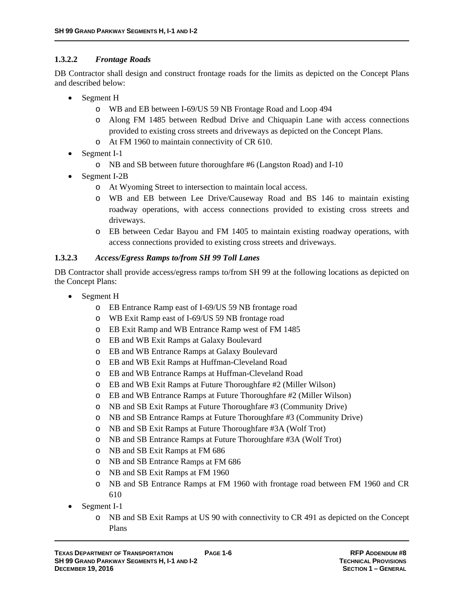#### **1.3.2.2** *Frontage Roads*

DB Contractor shall design and construct frontage roads for the limits as depicted on the Concept Plans and described below:

- Segment H
	- o WB and EB between I-69/US 59 NB Frontage Road and Loop 494
	- o Along FM 1485 between Redbud Drive and Chiquapin Lane with access connections provided to existing cross streets and driveways as depicted on the Concept Plans.
	- o At FM 1960 to maintain connectivity of CR 610.
- Segment I-1
	- o NB and SB between future thoroughfare #6 (Langston Road) and I-10
- Segment I-2B
	- o At Wyoming Street to intersection to maintain local access.
	- o WB and EB between Lee Drive/Causeway Road and BS 146 to maintain existing roadway operations, with access connections provided to existing cross streets and driveways.
	- o EB between Cedar Bayou and FM 1405 to maintain existing roadway operations, with access connections provided to existing cross streets and driveways.

#### **1.3.2.3** *Access/Egress Ramps to/from SH 99 Toll Lanes*

DB Contractor shall provide access/egress ramps to/from SH 99 at the following locations as depicted on the Concept Plans:

- Segment H
	- o EB Entrance Ramp east of I-69/US 59 NB frontage road
	- o WB Exit Ramp east of I-69/US 59 NB frontage road
	- o EB Exit Ramp and WB Entrance Ramp west of FM 1485
	- o EB and WB Exit Ramps at Galaxy Boulevard
	- o EB and WB Entrance Ramps at Galaxy Boulevard
	- o EB and WB Exit Ramps at Huffman-Cleveland Road
	- o EB and WB Entrance Ramps at Huffman-Cleveland Road
	- o EB and WB Exit Ramps at Future Thoroughfare #2 (Miller Wilson)
	- o EB and WB Entrance Ramps at Future Thoroughfare #2 (Miller Wilson)
	- o NB and SB Exit Ramps at Future Thoroughfare #3 (Community Drive)
	- o NB and SB Entrance Ramps at Future Thoroughfare #3 (Community Drive)
	- o NB and SB Exit Ramps at Future Thoroughfare #3A (Wolf Trot)
	- o NB and SB Entrance Ramps at Future Thoroughfare #3A (Wolf Trot)
	- o NB and SB Exit Ramps at FM 686
	- o NB and SB Entrance Ramps at FM 686
	- o NB and SB Exit Ramps at FM 1960
	- o NB and SB Entrance Ramps at FM 1960 with frontage road between FM 1960 and CR 610
- Segment I-1
	- o NB and SB Exit Ramps at US 90 with connectivity to CR 491 as depicted on the Concept Plans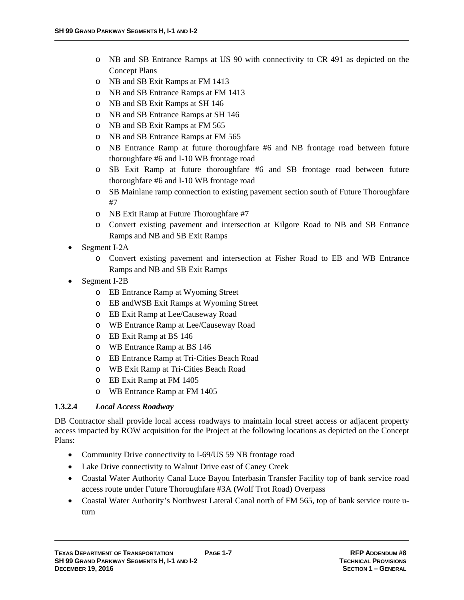- o NB and SB Entrance Ramps at US 90 with connectivity to CR 491 as depicted on the Concept Plans
- o NB and SB Exit Ramps at FM 1413
- o NB and SB Entrance Ramps at FM 1413
- o NB and SB Exit Ramps at SH 146
- o NB and SB Entrance Ramps at SH 146
- o NB and SB Exit Ramps at FM 565
- o NB and SB Entrance Ramps at FM 565
- o NB Entrance Ramp at future thoroughfare #6 and NB frontage road between future thoroughfare #6 and I-10 WB frontage road
- o SB Exit Ramp at future thoroughfare #6 and SB frontage road between future thoroughfare #6 and I-10 WB frontage road
- o SB Mainlane ramp connection to existing pavement section south of Future Thoroughfare #7
- o NB Exit Ramp at Future Thoroughfare #7
- o Convert existing pavement and intersection at Kilgore Road to NB and SB Entrance Ramps and NB and SB Exit Ramps
- Segment I-2A
	- o Convert existing pavement and intersection at Fisher Road to EB and WB Entrance Ramps and NB and SB Exit Ramps
- Segment I-2B
	- o EB Entrance Ramp at Wyoming Street
	- o EB andWSB Exit Ramps at Wyoming Street
	- o EB Exit Ramp at Lee/Causeway Road
	- o WB Entrance Ramp at Lee/Causeway Road
	- o EB Exit Ramp at BS 146
	- o WB Entrance Ramp at BS 146
	- o EB Entrance Ramp at Tri-Cities Beach Road
	- o WB Exit Ramp at Tri-Cities Beach Road
	- o EB Exit Ramp at FM 1405
	- o WB Entrance Ramp at FM 1405

#### **1.3.2.4** *Local Access Roadway*

DB Contractor shall provide local access roadways to maintain local street access or adjacent property access impacted by ROW acquisition for the Project at the following locations as depicted on the Concept Plans:

- Community Drive connectivity to I-69/US 59 NB frontage road
- Lake Drive connectivity to Walnut Drive east of Caney Creek
- Coastal Water Authority Canal Luce Bayou Interbasin Transfer Facility top of bank service road access route under Future Thoroughfare #3A (Wolf Trot Road) Overpass
- Coastal Water Authority's Northwest Lateral Canal north of FM 565, top of bank service route uturn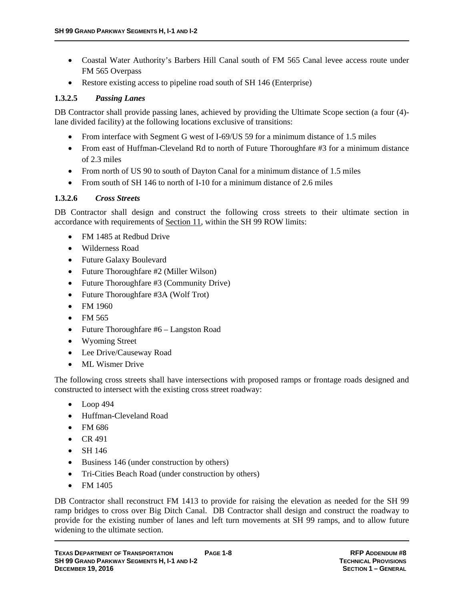- Coastal Water Authority's Barbers Hill Canal south of FM 565 Canal levee access route under FM 565 Overpass
- Restore existing access to pipeline road south of SH 146 (Enterprise)

#### **1.3.2.5** *Passing Lanes*

DB Contractor shall provide passing lanes, achieved by providing the Ultimate Scope section (a four (4) lane divided facility) at the following locations exclusive of transitions:

- From interface with Segment G west of I-69/US 59 for a minimum distance of 1.5 miles
- From east of Huffman-Cleveland Rd to north of Future Thoroughfare #3 for a minimum distance of 2.3 miles
- From north of US 90 to south of Dayton Canal for a minimum distance of 1.5 miles
- From south of SH 146 to north of I-10 for a minimum distance of 2.6 miles

#### **1.3.2.6** *Cross Streets*

DB Contractor shall design and construct the following cross streets to their ultimate section in accordance with requirements of Section 11, within the SH 99 ROW limits:

- FM 1485 at Redbud Drive
- Wilderness Road
- Future Galaxy Boulevard
- Future Thoroughfare #2 (Miller Wilson)
- Future Thoroughfare #3 (Community Drive)
- Future Thoroughfare #3A (Wolf Trot)
- FM 1960
- $\bullet$  FM 565
- Future Thoroughfare #6 Langston Road
- Wyoming Street
- Lee Drive/Causeway Road
- ML Wismer Drive

The following cross streets shall have intersections with proposed ramps or frontage roads designed and constructed to intersect with the existing cross street roadway:

- $\bullet$  Loop 494
- Huffman-Cleveland Road
- FM 686
- $\bullet$  CR 491
- $\bullet$  SH 146
- Business 146 (under construction by others)
- Tri-Cities Beach Road (under construction by others)
- $\bullet$  FM 1405

DB Contractor shall reconstruct FM 1413 to provide for raising the elevation as needed for the SH 99 ramp bridges to cross over Big Ditch Canal. DB Contractor shall design and construct the roadway to provide for the existing number of lanes and left turn movements at SH 99 ramps, and to allow future widening to the ultimate section.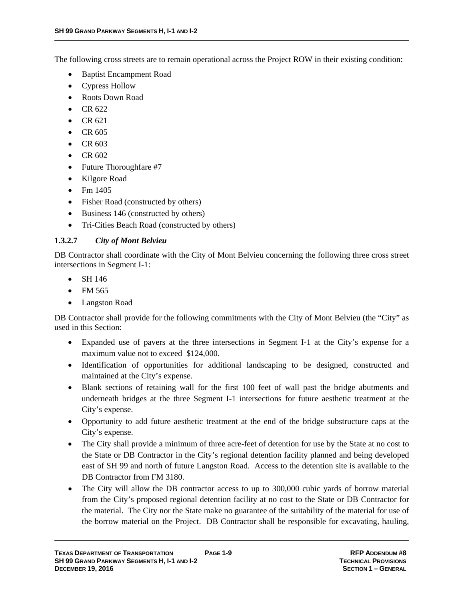The following cross streets are to remain operational across the Project ROW in their existing condition:

- Baptist Encampment Road
- Cypress Hollow
- Roots Down Road
- $\bullet$  CR 622
- $\bullet$  CR 621
- $\bullet$  CR 605
- $\text{CR } 603$
- $\bullet$  CR 602
- Future Thoroughfare #7
- Kilgore Road
- $\bullet$  Fm 1405
- Fisher Road (constructed by others)
- Business 146 (constructed by others)
- Tri-Cities Beach Road (constructed by others)

# **1.3.2.7** *City of Mont Belvieu*

DB Contractor shall coordinate with the City of Mont Belvieu concerning the following three cross street intersections in Segment I-1:

- $\bullet$  SH 146
- $\bullet$  FM 565
- Langston Road

DB Contractor shall provide for the following commitments with the City of Mont Belvieu (the "City" as used in this Section:

- Expanded use of pavers at the three intersections in Segment I-1 at the City's expense for a maximum value not to exceed \$124,000.
- Identification of opportunities for additional landscaping to be designed, constructed and maintained at the City's expense.
- Blank sections of retaining wall for the first 100 feet of wall past the bridge abutments and underneath bridges at the three Segment I-1 intersections for future aesthetic treatment at the City's expense.
- Opportunity to add future aesthetic treatment at the end of the bridge substructure caps at the City's expense.
- The City shall provide a minimum of three acre-feet of detention for use by the State at no cost to the State or DB Contractor in the City's regional detention facility planned and being developed east of SH 99 and north of future Langston Road. Access to the detention site is available to the DB Contractor from FM 3180.
- The City will allow the DB contractor access to up to 300,000 cubic yards of borrow material from the City's proposed regional detention facility at no cost to the State or DB Contractor for the material. The City nor the State make no guarantee of the suitability of the material for use of the borrow material on the Project. DB Contractor shall be responsible for excavating, hauling,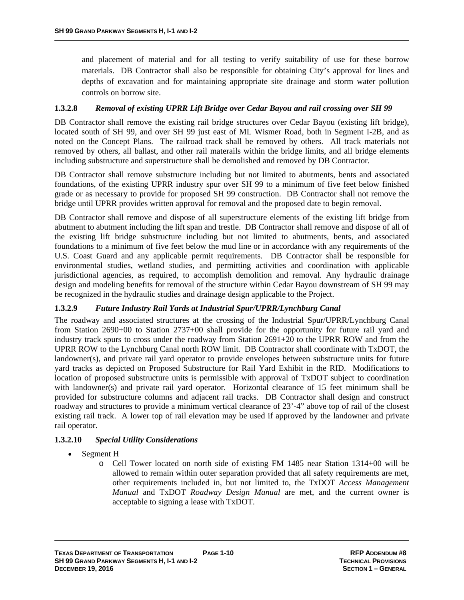and placement of material and for all testing to verify suitability of use for these borrow materials. DB Contractor shall also be responsible for obtaining City's approval for lines and depths of excavation and for maintaining appropriate site drainage and storm water pollution controls on borrow site.

#### **1.3.2.8** *Removal of existing UPRR Lift Bridge over Cedar Bayou and rail crossing over SH 99*

DB Contractor shall remove the existing rail bridge structures over Cedar Bayou (existing lift bridge), located south of SH 99, and over SH 99 just east of ML Wismer Road, both in Segment I-2B, and as noted on the Concept Plans. The railroad track shall be removed by others. All track materials not removed by others, all ballast, and other rail materails within the bridge limits, and all bridge elements including substructure and superstructure shall be demolished and removed by DB Contractor.

DB Contractor shall remove substructure including but not limited to abutments, bents and associated foundations, of the existing UPRR industry spur over SH 99 to a minimum of five feet below finished grade or as necessary to provide for proposed SH 99 construction. DB Contractor shall not remove the bridge until UPRR provides written approval for removal and the proposed date to begin removal.

DB Contractor shall remove and dispose of all superstructure elements of the existing lift bridge from abutment to abutment including the lift span and trestle. DB Contractor shall remove and dispose of all of the existing lift bridge substructure including but not limited to abutments, bents, and associated foundations to a minimum of five feet below the mud line or in accordance with any requirements of the U.S. Coast Guard and any applicable permit requirements. DB Contractor shall be responsible for environmental studies, wetland studies, and permitting activities and coordination with applicable jurisdictional agencies, as required, to accomplish demolition and removal. Any hydraulic drainage design and modeling benefits for removal of the structure within Cedar Bayou downstream of SH 99 may be recognized in the hydraulic studies and drainage design applicable to the Project.

#### **1.3.2.9** *Future Industry Rail Yards at Industrial Spur/UPRR/Lynchburg Canal*

The roadway and associated structures at the crossing of the Industrial Spur/UPRR/Lynchburg Canal from Station 2690+00 to Station 2737+00 shall provide for the opportunity for future rail yard and industry track spurs to cross under the roadway from Station 2691+20 to the UPRR ROW and from the UPRR ROW to the Lynchburg Canal north ROW limit. DB Contractor shall coordinate with TxDOT, the landowner(s), and private rail yard operator to provide envelopes between substructure units for future yard tracks as depicted on Proposed Substructure for Rail Yard Exhibit in the RID. Modifications to location of proposed substructure units is permissible with approval of TxDOT subject to coordination with landowner(s) and private rail yard operator. Horizontal clearance of 15 feet minimum shall be provided for substructure columns and adjacent rail tracks. DB Contractor shall design and construct roadway and structures to provide a minimum vertical clearance of 23'-4" above top of rail of the closest existing rail track. A lower top of rail elevation may be used if approved by the landowner and private rail operator.

#### **1.3.2.10** *Special Utility Considerations*

- Segment H
	- o Cell Tower located on north side of existing FM 1485 near Station 1314+00 will be allowed to remain within outer separation provided that all safety requirements are met, other requirements included in, but not limited to, the TxDOT *Access Management Manual* and TxDOT *Roadway Design Manual* are met, and the current owner is acceptable to signing a lease with TxDOT.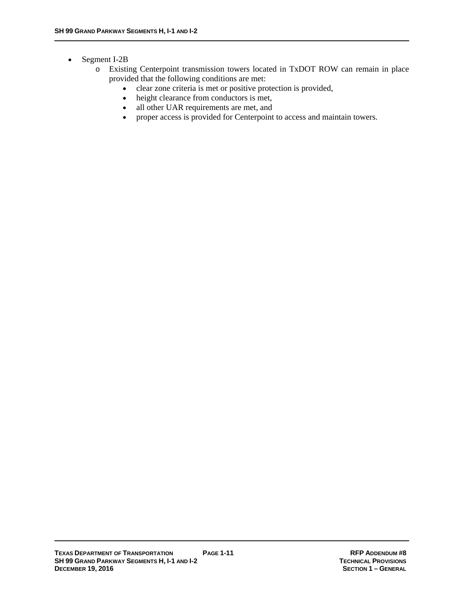#### • Segment I-2B

- o Existing Centerpoint transmission towers located in TxDOT ROW can remain in place provided that the following conditions are met:
	- clear zone criteria is met or positive protection is provided,
	- height clearance from conductors is met,
	- all other UAR requirements are met, and
	- proper access is provided for Centerpoint to access and maintain towers.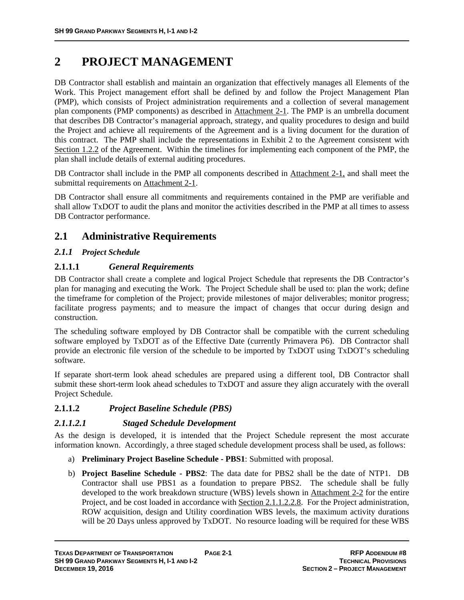# **2 PROJECT MANAGEMENT**

DB Contractor shall establish and maintain an organization that effectively manages all Elements of the Work. This Project management effort shall be defined by and follow the Project Management Plan (PMP), which consists of Project administration requirements and a collection of several management plan components (PMP components) as described in Attachment 2-1. The PMP is an umbrella document that describes DB Contractor's managerial approach, strategy, and quality procedures to design and build the Project and achieve all requirements of the Agreement and is a living document for the duration of this contract. The PMP shall include the representations in Exhibit 2 to the Agreement consistent with Section 1.2.2 of the Agreement. Within the timelines for implementing each component of the PMP, the plan shall include details of external auditing procedures.

DB Contractor shall include in the PMP all components described in Attachment 2-1, and shall meet the submittal requirements on Attachment 2-1.

DB Contractor shall ensure all commitments and requirements contained in the PMP are verifiable and shall allow TxDOT to audit the plans and monitor the activities described in the PMP at all times to assess DB Contractor performance.

# **2.1 Administrative Requirements**

# *2.1.1 Project Schedule*

# **2.1.1.1** *General Requirements*

DB Contractor shall create a complete and logical Project Schedule that represents the DB Contractor's plan for managing and executing the Work. The Project Schedule shall be used to: plan the work; define the timeframe for completion of the Project; provide milestones of major deliverables; monitor progress; facilitate progress payments; and to measure the impact of changes that occur during design and construction.

The scheduling software employed by DB Contractor shall be compatible with the current scheduling software employed by TxDOT as of the Effective Date (currently Primavera P6). DB Contractor shall provide an electronic file version of the schedule to be imported by TxDOT using TxDOT's scheduling software.

If separate short-term look ahead schedules are prepared using a different tool, DB Contractor shall submit these short-term look ahead schedules to TxDOT and assure they align accurately with the overall Project Schedule.

# **2.1.1.2** *Project Baseline Schedule (PBS)*

# *2.1.1.2.1 Staged Schedule Development*

As the design is developed, it is intended that the Project Schedule represent the most accurate information known. Accordingly, a three staged schedule development process shall be used, as follows:

- a) **Preliminary Project Baseline Schedule PBS1**: Submitted with proposal.
- b) **Project Baseline Schedule PBS2**: The data date for PBS2 shall be the date of NTP1. DB Contractor shall use PBS1 as a foundation to prepare PBS2. The schedule shall be fully developed to the work breakdown structure (WBS) levels shown in Attachment 2-2 for the entire Project, and be cost loaded in accordance with Section 2.1.1.2.2.8. For the Project administration, ROW acquisition, design and Utility coordination WBS levels, the maximum activity durations will be 20 Days unless approved by TxDOT. No resource loading will be required for these WBS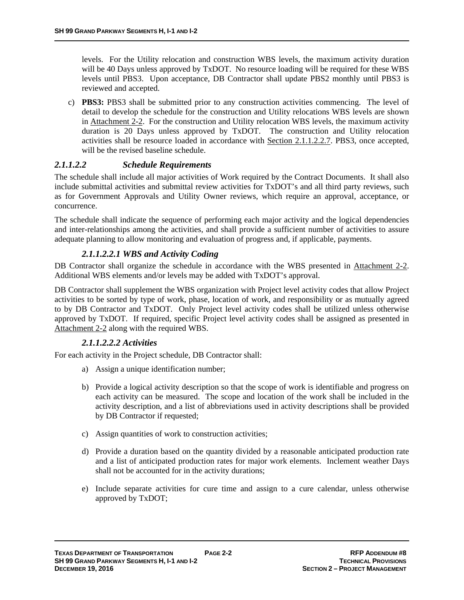levels. For the Utility relocation and construction WBS levels, the maximum activity duration will be 40 Days unless approved by TxDOT. No resource loading will be required for these WBS levels until PBS3. Upon acceptance, DB Contractor shall update PBS2 monthly until PBS3 is reviewed and accepted.

c) **PBS3:** PBS3 shall be submitted prior to any construction activities commencing. The level of detail to develop the schedule for the construction and Utility relocations WBS levels are shown in Attachment 2-2. For the construction and Utility relocation WBS levels, the maximum activity duration is 20 Days unless approved by TxDOT. The construction and Utility relocation activities shall be resource loaded in accordance with Section 2.1.1.2.2.7. PBS3, once accepted, will be the revised baseline schedule.

# *2.1.1.2.2 Schedule Requirements*

The schedule shall include all major activities of Work required by the Contract Documents. It shall also include submittal activities and submittal review activities for TxDOT's and all third party reviews, such as for Government Approvals and Utility Owner reviews, which require an approval, acceptance, or concurrence.

The schedule shall indicate the sequence of performing each major activity and the logical dependencies and inter-relationships among the activities, and shall provide a sufficient number of activities to assure adequate planning to allow monitoring and evaluation of progress and, if applicable, payments.

#### *2.1.1.2.2.1 WBS and Activity Coding*

DB Contractor shall organize the schedule in accordance with the WBS presented in Attachment 2-2. Additional WBS elements and/or levels may be added with TxDOT's approval.

DB Contractor shall supplement the WBS organization with Project level activity codes that allow Project activities to be sorted by type of work, phase, location of work, and responsibility or as mutually agreed to by DB Contractor and TxDOT. Only Project level activity codes shall be utilized unless otherwise approved by TxDOT. If required, specific Project level activity codes shall be assigned as presented in Attachment 2-2 along with the required WBS.

# *2.1.1.2.2.2 Activities*

For each activity in the Project schedule, DB Contractor shall:

- a) Assign a unique identification number;
- b) Provide a logical activity description so that the scope of work is identifiable and progress on each activity can be measured. The scope and location of the work shall be included in the activity description, and a list of abbreviations used in activity descriptions shall be provided by DB Contractor if requested;
- c) Assign quantities of work to construction activities;
- d) Provide a duration based on the quantity divided by a reasonable anticipated production rate and a list of anticipated production rates for major work elements. Inclement weather Days shall not be accounted for in the activity durations;
- e) Include separate activities for cure time and assign to a cure calendar, unless otherwise approved by TxDOT;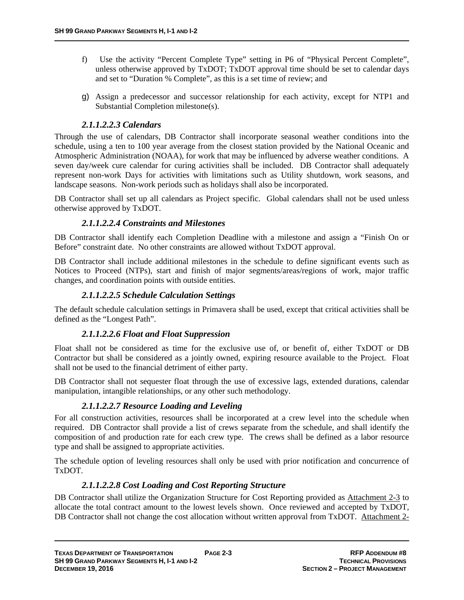- f) Use the activity "Percent Complete Type" setting in P6 of "Physical Percent Complete", unless otherwise approved by TxDOT; TxDOT approval time should be set to calendar days and set to "Duration % Complete", as this is a set time of review; and
- g) Assign a predecessor and successor relationship for each activity, except for NTP1 and Substantial Completion milestone(s).

# *2.1.1.2.2.3 Calendars*

Through the use of calendars, DB Contractor shall incorporate seasonal weather conditions into the schedule, using a ten to 100 year average from the closest station provided by the National Oceanic and Atmospheric Administration (NOAA), for work that may be influenced by adverse weather conditions. A seven day/week cure calendar for curing activities shall be included. DB Contractor shall adequately represent non-work Days for activities with limitations such as Utility shutdown, work seasons, and landscape seasons. Non-work periods such as holidays shall also be incorporated.

DB Contractor shall set up all calendars as Project specific. Global calendars shall not be used unless otherwise approved by TxDOT.

# *2.1.1.2.2.4 Constraints and Milestones*

DB Contractor shall identify each Completion Deadline with a milestone and assign a "Finish On or Before" constraint date. No other constraints are allowed without TxDOT approval.

DB Contractor shall include additional milestones in the schedule to define significant events such as Notices to Proceed (NTPs), start and finish of major segments/areas/regions of work, major traffic changes, and coordination points with outside entities.

# *2.1.1.2.2.5 Schedule Calculation Settings*

The default schedule calculation settings in Primavera shall be used, except that critical activities shall be defined as the "Longest Path".

# *2.1.1.2.2.6 Float and Float Suppression*

Float shall not be considered as time for the exclusive use of, or benefit of, either TxDOT or DB Contractor but shall be considered as a jointly owned, expiring resource available to the Project. Float shall not be used to the financial detriment of either party.

DB Contractor shall not sequester float through the use of excessive lags, extended durations, calendar manipulation, intangible relationships, or any other such methodology.

# *2.1.1.2.2.7 Resource Loading and Leveling*

For all construction activities, resources shall be incorporated at a crew level into the schedule when required. DB Contractor shall provide a list of crews separate from the schedule, and shall identify the composition of and production rate for each crew type. The crews shall be defined as a labor resource type and shall be assigned to appropriate activities.

The schedule option of leveling resources shall only be used with prior notification and concurrence of TxDOT.

# *2.1.1.2.2.8 Cost Loading and Cost Reporting Structure*

DB Contractor shall utilize the Organization Structure for Cost Reporting provided as Attachment 2-3 to allocate the total contract amount to the lowest levels shown. Once reviewed and accepted by TxDOT, DB Contractor shall not change the cost allocation without written approval from TxDOT. Attachment 2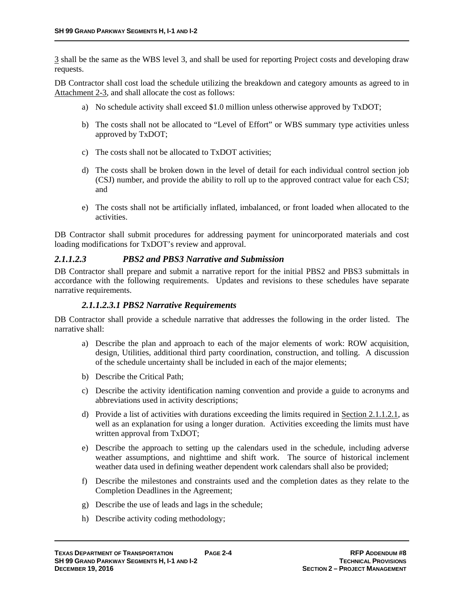3 shall be the same as the WBS level 3, and shall be used for reporting Project costs and developing draw requests.

DB Contractor shall cost load the schedule utilizing the breakdown and category amounts as agreed to in Attachment 2-3, and shall allocate the cost as follows:

- a) No schedule activity shall exceed \$1.0 million unless otherwise approved by TxDOT;
- b) The costs shall not be allocated to "Level of Effort" or WBS summary type activities unless approved by TxDOT;
- c) The costs shall not be allocated to TxDOT activities;
- d) The costs shall be broken down in the level of detail for each individual control section job (CSJ) number, and provide the ability to roll up to the approved contract value for each CSJ; and
- e) The costs shall not be artificially inflated, imbalanced, or front loaded when allocated to the activities.

DB Contractor shall submit procedures for addressing payment for unincorporated materials and cost loading modifications for TxDOT's review and approval.

#### *2.1.1.2.3 PBS2 and PBS3 Narrative and Submission*

DB Contractor shall prepare and submit a narrative report for the initial PBS2 and PBS3 submittals in accordance with the following requirements. Updates and revisions to these schedules have separate narrative requirements.

#### *2.1.1.2.3.1 PBS2 Narrative Requirements*

DB Contractor shall provide a schedule narrative that addresses the following in the order listed. The narrative shall:

- a) Describe the plan and approach to each of the major elements of work: ROW acquisition, design, Utilities, additional third party coordination, construction, and tolling. A discussion of the schedule uncertainty shall be included in each of the major elements;
- b) Describe the Critical Path;
- c) Describe the activity identification naming convention and provide a guide to acronyms and abbreviations used in activity descriptions;
- d) Provide a list of activities with durations exceeding the limits required in Section 2.1.1.2.1, as well as an explanation for using a longer duration. Activities exceeding the limits must have written approval from TxDOT;
- e) Describe the approach to setting up the calendars used in the schedule, including adverse weather assumptions, and nighttime and shift work. The source of historical inclement weather data used in defining weather dependent work calendars shall also be provided;
- f) Describe the milestones and constraints used and the completion dates as they relate to the Completion Deadlines in the Agreement;
- g) Describe the use of leads and lags in the schedule;
- h) Describe activity coding methodology;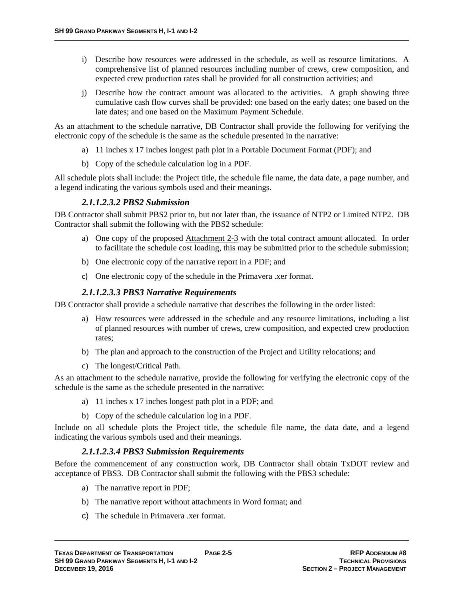- i) Describe how resources were addressed in the schedule, as well as resource limitations. A comprehensive list of planned resources including number of crews, crew composition, and expected crew production rates shall be provided for all construction activities; and
- j) Describe how the contract amount was allocated to the activities. A graph showing three cumulative cash flow curves shall be provided: one based on the early dates; one based on the late dates; and one based on the Maximum Payment Schedule.

As an attachment to the schedule narrative, DB Contractor shall provide the following for verifying the electronic copy of the schedule is the same as the schedule presented in the narrative:

- a) 11 inches x 17 inches longest path plot in a Portable Document Format (PDF); and
- b) Copy of the schedule calculation log in a PDF.

All schedule plots shall include: the Project title, the schedule file name, the data date, a page number, and a legend indicating the various symbols used and their meanings.

#### *2.1.1.2.3.2 PBS2 Submission*

DB Contractor shall submit PBS2 prior to, but not later than, the issuance of NTP2 or Limited NTP2. DB Contractor shall submit the following with the PBS2 schedule:

- a) One copy of the proposed Attachment 2-3 with the total contract amount allocated. In order to facilitate the schedule cost loading, this may be submitted prior to the schedule submission;
- b) One electronic copy of the narrative report in a PDF; and
- c) One electronic copy of the schedule in the Primavera .xer format.

#### *2.1.1.2.3.3 PBS3 Narrative Requirements*

DB Contractor shall provide a schedule narrative that describes the following in the order listed:

- a) How resources were addressed in the schedule and any resource limitations, including a list of planned resources with number of crews, crew composition, and expected crew production rates;
- b) The plan and approach to the construction of the Project and Utility relocations; and
- c) The longest/Critical Path.

As an attachment to the schedule narrative, provide the following for verifying the electronic copy of the schedule is the same as the schedule presented in the narrative:

- a) 11 inches x 17 inches longest path plot in a PDF; and
- b) Copy of the schedule calculation log in a PDF.

Include on all schedule plots the Project title, the schedule file name, the data date, and a legend indicating the various symbols used and their meanings.

#### *2.1.1.2.3.4 PBS3 Submission Requirements*

Before the commencement of any construction work, DB Contractor shall obtain TxDOT review and acceptance of PBS3. DB Contractor shall submit the following with the PBS3 schedule:

- a) The narrative report in PDF;
- b) The narrative report without attachments in Word format; and
- c) The schedule in Primavera .xer format.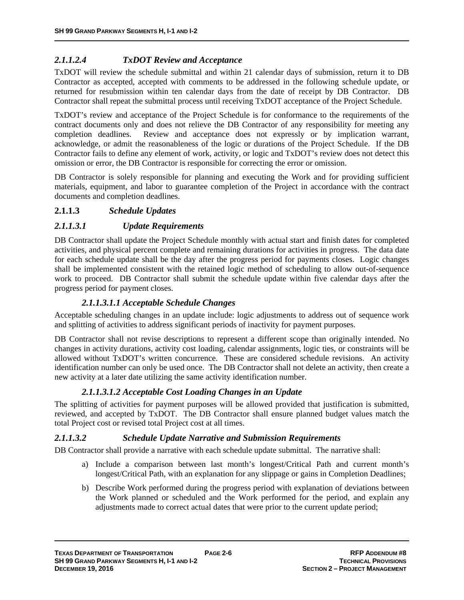# *2.1.1.2.4 TxDOT Review and Acceptance*

TxDOT will review the schedule submittal and within 21 calendar days of submission, return it to DB Contractor as accepted, accepted with comments to be addressed in the following schedule update, or returned for resubmission within ten calendar days from the date of receipt by DB Contractor. DB Contractor shall repeat the submittal process until receiving TxDOT acceptance of the Project Schedule.

TxDOT's review and acceptance of the Project Schedule is for conformance to the requirements of the contract documents only and does not relieve the DB Contractor of any responsibility for meeting any completion deadlines. Review and acceptance does not expressly or by implication warrant, acknowledge, or admit the reasonableness of the logic or durations of the Project Schedule. If the DB Contractor fails to define any element of work, activity, or logic and TxDOT's review does not detect this omission or error, the DB Contractor is responsible for correcting the error or omission.

DB Contractor is solely responsible for planning and executing the Work and for providing sufficient materials, equipment, and labor to guarantee completion of the Project in accordance with the contract documents and completion deadlines.

# **2.1.1.3** *Schedule Updates*

#### *2.1.1.3.1 Update Requirements*

DB Contractor shall update the Project Schedule monthly with actual start and finish dates for completed activities, and physical percent complete and remaining durations for activities in progress. The data date for each schedule update shall be the day after the progress period for payments closes. Logic changes shall be implemented consistent with the retained logic method of scheduling to allow out-of-sequence work to proceed. DB Contractor shall submit the schedule update within five calendar days after the progress period for payment closes.

#### *2.1.1.3.1.1 Acceptable Schedule Changes*

Acceptable scheduling changes in an update include: logic adjustments to address out of sequence work and splitting of activities to address significant periods of inactivity for payment purposes.

DB Contractor shall not revise descriptions to represent a different scope than originally intended. No changes in activity durations, activity cost loading, calendar assignments, logic ties, or constraints will be allowed without TxDOT's written concurrence. These are considered schedule revisions. An activity identification number can only be used once. The DB Contractor shall not delete an activity, then create a new activity at a later date utilizing the same activity identification number.

# *2.1.1.3.1.2 Acceptable Cost Loading Changes in an Update*

The splitting of activities for payment purposes will be allowed provided that justification is submitted, reviewed, and accepted by TxDOT. The DB Contractor shall ensure planned budget values match the total Project cost or revised total Project cost at all times.

#### *2.1.1.3.2 Schedule Update Narrative and Submission Requirements*

DB Contractor shall provide a narrative with each schedule update submittal. The narrative shall:

- a) Include a comparison between last month's longest/Critical Path and current month's longest/Critical Path, with an explanation for any slippage or gains in Completion Deadlines;
- b) Describe Work performed during the progress period with explanation of deviations between the Work planned or scheduled and the Work performed for the period, and explain any adjustments made to correct actual dates that were prior to the current update period;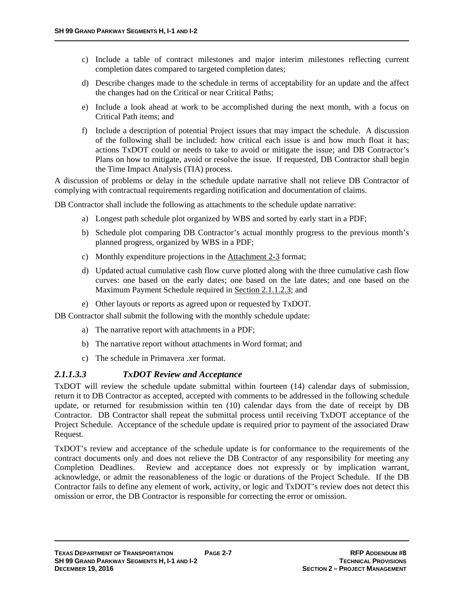- c) Include a table of contract milestones and major interim milestones reflecting current completion dates compared to targeted completion dates;
- d) Describe changes made to the schedule in terms of acceptability for an update and the affect the changes had on the Critical or near Critical Paths;
- e) Include a look ahead at work to be accomplished during the next month, with a focus on Critical Path items; and
- f) Include a description of potential Project issues that may impact the schedule. A discussion of the following shall be included: how critical each issue is and how much float it has; actions TxDOT could or needs to take to avoid or mitigate the issue; and DB Contractor's Plans on how to mitigate, avoid or resolve the issue. If requested, DB Contractor shall begin the Time Impact Analysis (TIA) process.

A discussion of problems or delay in the schedule update narrative shall not relieve DB Contractor of complying with contractual requirements regarding notification and documentation of claims.

DB Contractor shall include the following as attachments to the schedule update narrative:

- a) Longest path schedule plot organized by WBS and sorted by early start in a PDF;
- b) Schedule plot comparing DB Contractor's actual monthly progress to the previous month's planned progress, organized by WBS in a PDF;
- c) Monthly expenditure projections in the Attachment 2-3 format;
- d) Updated actual cumulative cash flow curve plotted along with the three cumulative cash flow curves: one based on the early dates; one based on the late dates; and one based on the Maximum Payment Schedule required in Section 2.1.1.2.3; and
- e) Other layouts or reports as agreed upon or requested by TxDOT.

DB Contractor shall submit the following with the monthly schedule update:

- a) The narrative report with attachments in a PDF;
- b) The narrative report without attachments in Word format; and
- c) The schedule in Primavera .xer format.

#### *2.1.1.3.3 TxDOT Review and Acceptance*

TxDOT will review the schedule update submittal within fourteen (14) calendar days of submission, return it to DB Contractor as accepted, accepted with comments to be addressed in the following schedule update, or returned for resubmission within ten (10) calendar days from the date of receipt by DB Contractor. DB Contractor shall repeat the submittal process until receiving TxDOT acceptance of the Project Schedule. Acceptance of the schedule update is required prior to payment of the associated Draw Request.

TxDOT's review and acceptance of the schedule update is for conformance to the requirements of the contract documents only and does not relieve the DB Contractor of any responsibility for meeting any Completion Deadlines. Review and acceptance does not expressly or by implication warrant, acknowledge, or admit the reasonableness of the logic or durations of the Project Schedule. If the DB Contractor fails to define any element of work, activity, or logic and TxDOT's review does not detect this omission or error, the DB Contractor is responsible for correcting the error or omission.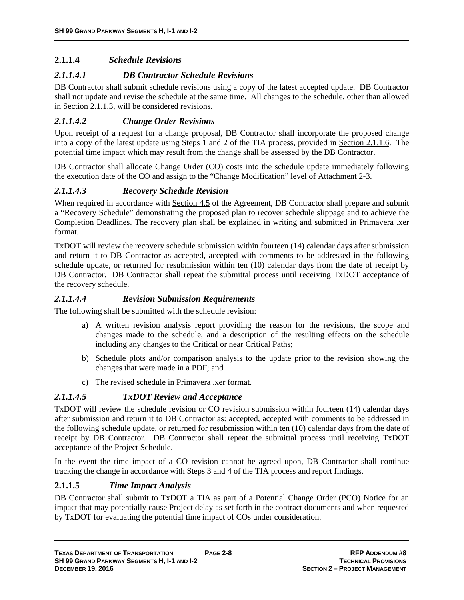# **2.1.1.4** *Schedule Revisions*

# *2.1.1.4.1 DB Contractor Schedule Revisions*

DB Contractor shall submit schedule revisions using a copy of the latest accepted update. DB Contractor shall not update and revise the schedule at the same time. All changes to the schedule, other than allowed in Section 2.1.1.3, will be considered revisions.

# *2.1.1.4.2 Change Order Revisions*

Upon receipt of a request for a change proposal, DB Contractor shall incorporate the proposed change into a copy of the latest update using Steps 1 and 2 of the TIA process, provided in Section 2.1.1.6. The potential time impact which may result from the change shall be assessed by the DB Contractor.

DB Contractor shall allocate Change Order (CO) costs into the schedule update immediately following the execution date of the CO and assign to the "Change Modification" level of Attachment 2-3.

#### *2.1.1.4.3 Recovery Schedule Revision*

When required in accordance with Section 4.5 of the Agreement, DB Contractor shall prepare and submit a "Recovery Schedule" demonstrating the proposed plan to recover schedule slippage and to achieve the Completion Deadlines. The recovery plan shall be explained in writing and submitted in Primavera .xer format.

TxDOT will review the recovery schedule submission within fourteen (14) calendar days after submission and return it to DB Contractor as accepted, accepted with comments to be addressed in the following schedule update, or returned for resubmission within ten (10) calendar days from the date of receipt by DB Contractor. DB Contractor shall repeat the submittal process until receiving TxDOT acceptance of the recovery schedule.

#### *2.1.1.4.4 Revision Submission Requirements*

The following shall be submitted with the schedule revision:

- a) A written revision analysis report providing the reason for the revisions, the scope and changes made to the schedule, and a description of the resulting effects on the schedule including any changes to the Critical or near Critical Paths;
- b) Schedule plots and/or comparison analysis to the update prior to the revision showing the changes that were made in a PDF; and
- c) The revised schedule in Primavera .xer format.

# *2.1.1.4.5 TxDOT Review and Acceptance*

TxDOT will review the schedule revision or CO revision submission within fourteen (14) calendar days after submission and return it to DB Contractor as: accepted, accepted with comments to be addressed in the following schedule update, or returned for resubmission within ten (10) calendar days from the date of receipt by DB Contractor. DB Contractor shall repeat the submittal process until receiving TxDOT acceptance of the Project Schedule.

In the event the time impact of a CO revision cannot be agreed upon, DB Contractor shall continue tracking the change in accordance with Steps 3 and 4 of the TIA process and report findings.

# **2.1.1.5** *Time Impact Analysis*

DB Contractor shall submit to TxDOT a TIA as part of a Potential Change Order (PCO) Notice for an impact that may potentially cause Project delay as set forth in the contract documents and when requested by TxDOT for evaluating the potential time impact of COs under consideration.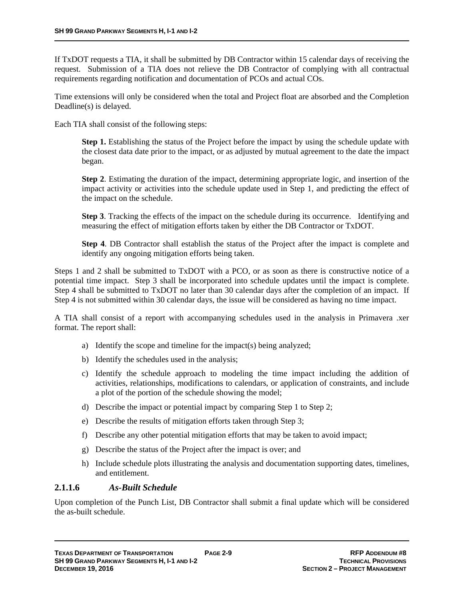If TxDOT requests a TIA, it shall be submitted by DB Contractor within 15 calendar days of receiving the request. Submission of a TIA does not relieve the DB Contractor of complying with all contractual requirements regarding notification and documentation of PCOs and actual COs.

Time extensions will only be considered when the total and Project float are absorbed and the Completion Deadline(s) is delayed.

Each TIA shall consist of the following steps:

**Step 1.** Establishing the status of the Project before the impact by using the schedule update with the closest data date prior to the impact, or as adjusted by mutual agreement to the date the impact began.

**Step 2**. Estimating the duration of the impact, determining appropriate logic, and insertion of the impact activity or activities into the schedule update used in Step 1, and predicting the effect of the impact on the schedule.

**Step 3**. Tracking the effects of the impact on the schedule during its occurrence. Identifying and measuring the effect of mitigation efforts taken by either the DB Contractor or TxDOT.

**Step 4**. DB Contractor shall establish the status of the Project after the impact is complete and identify any ongoing mitigation efforts being taken.

Steps 1 and 2 shall be submitted to TxDOT with a PCO, or as soon as there is constructive notice of a potential time impact. Step 3 shall be incorporated into schedule updates until the impact is complete. Step 4 shall be submitted to TxDOT no later than 30 calendar days after the completion of an impact. If Step 4 is not submitted within 30 calendar days, the issue will be considered as having no time impact.

A TIA shall consist of a report with accompanying schedules used in the analysis in Primavera .xer format. The report shall:

- a) Identify the scope and timeline for the impact(s) being analyzed;
- b) Identify the schedules used in the analysis;
- c) Identify the schedule approach to modeling the time impact including the addition of activities, relationships, modifications to calendars, or application of constraints, and include a plot of the portion of the schedule showing the model;
- d) Describe the impact or potential impact by comparing Step 1 to Step 2;
- e) Describe the results of mitigation efforts taken through Step 3;
- f) Describe any other potential mitigation efforts that may be taken to avoid impact;
- g) Describe the status of the Project after the impact is over; and
- h) Include schedule plots illustrating the analysis and documentation supporting dates, timelines, and entitlement.

#### **2.1.1.6** *As-Built Schedule*

Upon completion of the Punch List, DB Contractor shall submit a final update which will be considered the as-built schedule.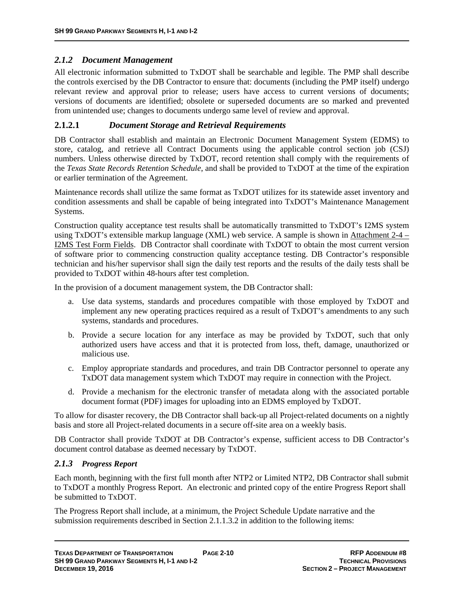# *2.1.2 Document Management*

All electronic information submitted to TxDOT shall be searchable and legible. The PMP shall describe the controls exercised by the DB Contractor to ensure that: documents (including the PMP itself) undergo relevant review and approval prior to release; users have access to current versions of documents; versions of documents are identified; obsolete or superseded documents are so marked and prevented from unintended use; changes to documents undergo same level of review and approval.

#### **2.1.2.1** *Document Storage and Retrieval Requirements*

DB Contractor shall establish and maintain an Electronic Document Management System (EDMS) to store, catalog, and retrieve all Contract Documents using the applicable control section job (CSJ) numbers. Unless otherwise directed by TxDOT, record retention shall comply with the requirements of the *Texas State Records Retention Schedule*, and shall be provided to TxDOT at the time of the expiration or earlier termination of the Agreement.

Maintenance records shall utilize the same format as TxDOT utilizes for its statewide asset inventory and condition assessments and shall be capable of being integrated into TxDOT's Maintenance Management Systems.

Construction quality acceptance test results shall be automatically transmitted to TxDOT's I2MS system using TxDOT's extensible markup language (XML) web service. A sample is shown in Attachment 2-4 – I2MS Test Form Fields. DB Contractor shall coordinate with TxDOT to obtain the most current version of software prior to commencing construction quality acceptance testing. DB Contractor's responsible technician and his/her supervisor shall sign the daily test reports and the results of the daily tests shall be provided to TxDOT within 48-hours after test completion.

In the provision of a document management system, the DB Contractor shall:

- a. Use data systems, standards and procedures compatible with those employed by TxDOT and implement any new operating practices required as a result of TxDOT's amendments to any such systems, standards and procedures.
- b. Provide a secure location for any interface as may be provided by TxDOT, such that only authorized users have access and that it is protected from loss, theft, damage, unauthorized or malicious use.
- c. Employ appropriate standards and procedures, and train DB Contractor personnel to operate any TxDOT data management system which TxDOT may require in connection with the Project.
- d. Provide a mechanism for the electronic transfer of metadata along with the associated portable document format (PDF) images for uploading into an EDMS employed by TxDOT.

To allow for disaster recovery, the DB Contractor shall back-up all Project-related documents on a nightly basis and store all Project-related documents in a secure off-site area on a weekly basis.

DB Contractor shall provide TxDOT at DB Contractor's expense, sufficient access to DB Contractor's document control database as deemed necessary by TxDOT.

# *2.1.3 Progress Report*

Each month, beginning with the first full month after NTP2 or Limited NTP2, DB Contractor shall submit to TxDOT a monthly Progress Report. An electronic and printed copy of the entire Progress Report shall be submitted to TxDOT.

The Progress Report shall include, at a minimum, the Project Schedule Update narrative and the submission requirements described in Section 2.1.1.3.2 in addition to the following items: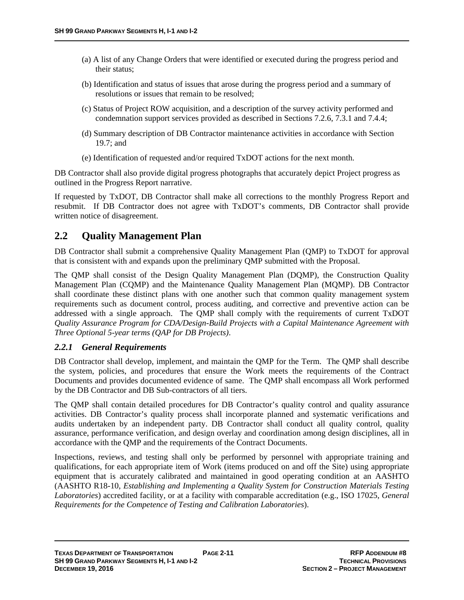- (a) A list of any Change Orders that were identified or executed during the progress period and their status;
- (b) Identification and status of issues that arose during the progress period and a summary of resolutions or issues that remain to be resolved;
- (c) Status of Project ROW acquisition, and a description of the survey activity performed and condemnation support services provided as described in Sections 7.2.6, 7.3.1 and 7.4.4;
- (d) Summary description of DB Contractor maintenance activities in accordance with Section 19.7; and
- (e) Identification of requested and/or required TxDOT actions for the next month.

DB Contractor shall also provide digital progress photographs that accurately depict Project progress as outlined in the Progress Report narrative.

If requested by TxDOT, DB Contractor shall make all corrections to the monthly Progress Report and resubmit. If DB Contractor does not agree with TxDOT's comments, DB Contractor shall provide written notice of disagreement.

# **2.2 Quality Management Plan**

DB Contractor shall submit a comprehensive Quality Management Plan (QMP) to TxDOT for approval that is consistent with and expands upon the preliminary QMP submitted with the Proposal.

The QMP shall consist of the Design Quality Management Plan (DQMP), the Construction Quality Management Plan (CQMP) and the Maintenance Quality Management Plan (MQMP). DB Contractor shall coordinate these distinct plans with one another such that common quality management system requirements such as document control, process auditing, and corrective and preventive action can be addressed with a single approach. The QMP shall comply with the requirements of current TxDOT *Quality Assurance Program for CDA/Design-Build Projects with a Capital Maintenance Agreement with Three Optional 5-year terms (QAP for DB Projects)*.

#### *2.2.1 General Requirements*

DB Contractor shall develop, implement, and maintain the QMP for the Term. The QMP shall describe the system, policies, and procedures that ensure the Work meets the requirements of the Contract Documents and provides documented evidence of same. The QMP shall encompass all Work performed by the DB Contractor and DB Sub-contractors of all tiers.

The QMP shall contain detailed procedures for DB Contractor's quality control and quality assurance activities. DB Contractor's quality process shall incorporate planned and systematic verifications and audits undertaken by an independent party. DB Contractor shall conduct all quality control, quality assurance, performance verification, and design overlay and coordination among design disciplines, all in accordance with the QMP and the requirements of the Contract Documents.

Inspections, reviews, and testing shall only be performed by personnel with appropriate training and qualifications, for each appropriate item of Work (items produced on and off the Site) using appropriate equipment that is accurately calibrated and maintained in good operating condition at an AASHTO (AASHTO R18-10, *Establishing and Implementing a Quality System for Construction Materials Testing Laboratories*) accredited facility, or at a facility with comparable accreditation (e.g., ISO 17025, *General Requirements for the Competence of Testing and Calibration Laboratories*).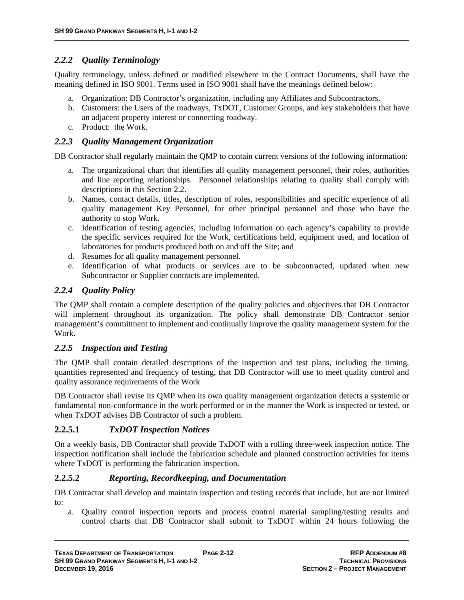## *2.2.2 Quality Terminology*

Quality terminology, unless defined or modified elsewhere in the Contract Documents, shall have the meaning defined in ISO 9001. Terms used in ISO 9001 shall have the meanings defined below:

- a. Organization: DB Contractor's organization, including any Affiliates and Subcontractors.
- b. Customers: the Users of the roadways, TxDOT, Customer Groups, and key stakeholders that have an adjacent property interest or connecting roadway.
- c. Product: the Work.

## *2.2.3 Quality Management Organization*

DB Contractor shall regularly maintain the QMP to contain current versions of the following information:

- a. The organizational chart that identifies all quality management personnel, their roles, authorities and line reporting relationships. Personnel relationships relating to quality shall comply with descriptions in this Section 2.2.
- b. Names, contact details, titles, description of roles, responsibilities and specific experience of all quality management Key Personnel, for other principal personnel and those who have the authority to stop Work.
- c. Identification of testing agencies, including information on each agency's capability to provide the specific services required for the Work, certifications held, equipment used, and location of laboratories for products produced both on and off the Site; and
- d. Resumes for all quality management personnel.
- e. Identification of what products or services are to be subcontracted, updated when new Subcontractor or Supplier contracts are implemented.

## *2.2.4 Quality Policy*

The QMP shall contain a complete description of the quality policies and objectives that DB Contractor will implement throughout its organization. The policy shall demonstrate DB Contractor senior management's commitment to implement and continually improve the quality management system for the Work.

## *2.2.5 Inspection and Testing*

The QMP shall contain detailed descriptions of the inspection and test plans, including the timing, quantities represented and frequency of testing, that DB Contractor will use to meet quality control and quality assurance requirements of the Work

DB Contractor shall revise its QMP when its own quality management organization detects a systemic or fundamental non-conformance in the work performed or in the manner the Work is inspected or tested, or when TxDOT advises DB Contractor of such a problem.

## **2.2.5.1** *TxDOT Inspection Notices*

On a weekly basis, DB Contractor shall provide TxDOT with a rolling three-week inspection notice. The inspection notification shall include the fabrication schedule and planned construction activities for items where  $Tx$ DOT is performing the fabrication inspection.

## **2.2.5.2** *Reporting, Recordkeeping, and Documentation*

DB Contractor shall develop and maintain inspection and testing records that include, but are not limited to:

a. Quality control inspection reports and process control material sampling/testing results and control charts that DB Contractor shall submit to TxDOT within 24 hours following the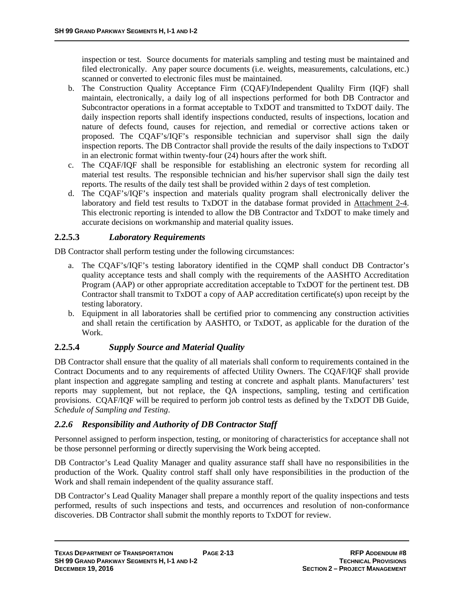inspection or test. Source documents for materials sampling and testing must be maintained and filed electronically. Any paper source documents (i.e. weights, measurements, calculations, etc.) scanned or converted to electronic files must be maintained.

- b. The Construction Quality Acceptance Firm (CQAF)/Independent Qualilty Firm (IQF) shall maintain, electronically, a daily log of all inspections performed for both DB Contractor and Subcontractor operations in a format acceptable to TxDOT and transmitted to TxDOT daily. The daily inspection reports shall identify inspections conducted, results of inspections, location and nature of defects found, causes for rejection, and remedial or corrective actions taken or proposed. The CQAF's/IQF's responsible technician and supervisor shall sign the daily inspection reports. The DB Contractor shall provide the results of the daily inspections to TxDOT in an electronic format within twenty-four (24) hours after the work shift.
- c. The CQAF/IQF shall be responsible for establishing an electronic system for recording all material test results. The responsible technician and his/her supervisor shall sign the daily test reports. The results of the daily test shall be provided within 2 days of test completion.
- d. The CQAF's/IQF's inspection and materials quality program shall electronically deliver the laboratory and field test results to TxDOT in the database format provided in Attachment 2-4. This electronic reporting is intended to allow the DB Contractor and TxDOT to make timely and accurate decisions on workmanship and material quality issues.

## **2.2.5.3** *Laboratory Requirements*

DB Contractor shall perform testing under the following circumstances:

- a. The CQAF's/IQF's testing laboratory identified in the CQMP shall conduct DB Contractor's quality acceptance tests and shall comply with the requirements of the AASHTO Accreditation Program (AAP) or other appropriate accreditation acceptable to TxDOT for the pertinent test. DB Contractor shall transmit to TxDOT a copy of AAP accreditation certificate(s) upon receipt by the testing laboratory.
- b. Equipment in all laboratories shall be certified prior to commencing any construction activities and shall retain the certification by AASHTO, or TxDOT, as applicable for the duration of the Work.

## **2.2.5.4** *Supply Source and Material Quality*

DB Contractor shall ensure that the quality of all materials shall conform to requirements contained in the Contract Documents and to any requirements of affected Utility Owners. The CQAF/IQF shall provide plant inspection and aggregate sampling and testing at concrete and asphalt plants. Manufacturers' test reports may supplement, but not replace, the QA inspections, sampling, testing and certification provisions. CQAF/IQF will be required to perform job control tests as defined by the TxDOT DB Guide, *Schedule of Sampling and Testing*.

## *2.2.6 Responsibility and Authority of DB Contractor Staff*

Personnel assigned to perform inspection, testing, or monitoring of characteristics for acceptance shall not be those personnel performing or directly supervising the Work being accepted.

DB Contractor's Lead Quality Manager and quality assurance staff shall have no responsibilities in the production of the Work. Quality control staff shall only have responsibilities in the production of the Work and shall remain independent of the quality assurance staff.

DB Contractor's Lead Quality Manager shall prepare a monthly report of the quality inspections and tests performed, results of such inspections and tests, and occurrences and resolution of non-conformance discoveries. DB Contractor shall submit the monthly reports to TxDOT for review.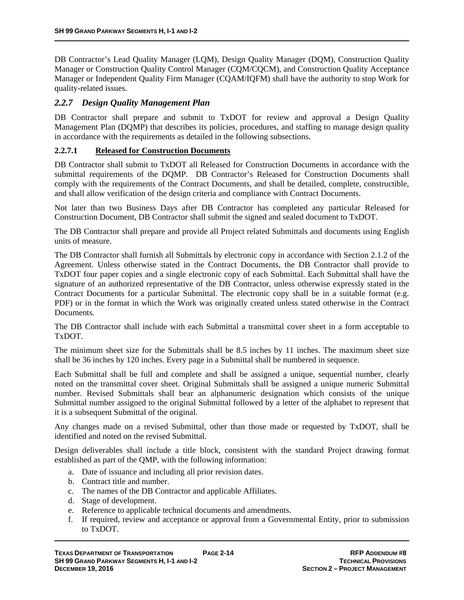DB Contractor's Lead Quality Manager (LQM), Design Quality Manager (DQM), Construction Quality Manager or Construction Quality Control Manager (CQM/CQCM), and Construction Quality Acceptance Manager or Independent Quality Firm Manager (CQAM/IQFM) shall have the authority to stop Work for quality-related issues.

## *2.2.7 Design Quality Management Plan*

DB Contractor shall prepare and submit to TxDOT for review and approval a Design Quality Management Plan (DQMP) that describes its policies, procedures, and staffing to manage design quality in accordance with the requirements as detailed in the following subsections.

#### **2.2.7.1 Released for Construction Documents**

DB Contractor shall submit to TxDOT all Released for Construction Documents in accordance with the submittal requirements of the DQMP. DB Contractor's Released for Construction Documents shall comply with the requirements of the Contract Documents, and shall be detailed, complete, constructible, and shall allow verification of the design criteria and compliance with Contract Documents.

Not later than two Business Days after DB Contractor has completed any particular Released for Construction Document, DB Contractor shall submit the signed and sealed document to TxDOT.

The DB Contractor shall prepare and provide all Project related Submittals and documents using English units of measure.

The DB Contractor shall furnish all Submittals by electronic copy in accordance with Section 2.1.2 of the Agreement. Unless otherwise stated in the Contract Documents, the DB Contractor shall provide to TxDOT four paper copies and a single electronic copy of each Submittal. Each Submittal shall have the signature of an authorized representative of the DB Contractor, unless otherwise expressly stated in the Contract Documents for a particular Submittal. The electronic copy shall be in a suitable format (e.g. PDF) or in the format in which the Work was originally created unless stated otherwise in the Contract Documents.

The DB Contractor shall include with each Submittal a transmittal cover sheet in a form acceptable to TxDOT.

The minimum sheet size for the Submittals shall be 8.5 inches by 11 inches. The maximum sheet size shall be 36 inches by 120 inches. Every page in a Submittal shall be numbered in sequence.

Each Submittal shall be full and complete and shall be assigned a unique, sequential number, clearly noted on the transmittal cover sheet. Original Submittals shall be assigned a unique numeric Submittal number. Revised Submittals shall bear an alphanumeric designation which consists of the unique Submittal number assigned to the original Submittal followed by a letter of the alphabet to represent that it is a subsequent Submittal of the original.

Any changes made on a revised Submittal, other than those made or requested by TxDOT, shall be identified and noted on the revised Submittal.

Design deliverables shall include a title block, consistent with the standard Project drawing format established as part of the QMP, with the following information:

- a. Date of issuance and including all prior revision dates.
- b. Contract title and number.
- c. The names of the DB Contractor and applicable Affiliates.
- d. Stage of development.
- e. Reference to applicable technical documents and amendments.
- f. If required, review and acceptance or approval from a Governmental Entity, prior to submission to TxDOT.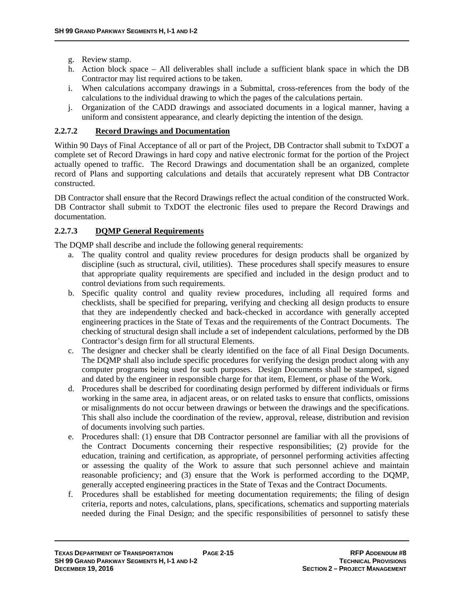- g. Review stamp.
- h. Action block space All deliverables shall include a sufficient blank space in which the DB Contractor may list required actions to be taken.
- i. When calculations accompany drawings in a Submittal, cross-references from the body of the calculations to the individual drawing to which the pages of the calculations pertain.
- j. Organization of the CADD drawings and associated documents in a logical manner, having a uniform and consistent appearance, and clearly depicting the intention of the design.

## **2.2.7.2 Record Drawings and Documentation**

Within 90 Days of Final Acceptance of all or part of the Project, DB Contractor shall submit to TxDOT a complete set of Record Drawings in hard copy and native electronic format for the portion of the Project actually opened to traffic. The Record Drawings and documentation shall be an organized, complete record of Plans and supporting calculations and details that accurately represent what DB Contractor constructed.

DB Contractor shall ensure that the Record Drawings reflect the actual condition of the constructed Work. DB Contractor shall submit to TxDOT the electronic files used to prepare the Record Drawings and documentation.

## **2.2.7.3 DQMP General Requirements**

The DQMP shall describe and include the following general requirements:

- a. The quality control and quality review procedures for design products shall be organized by discipline (such as structural, civil, utilities). These procedures shall specify measures to ensure that appropriate quality requirements are specified and included in the design product and to control deviations from such requirements.
- b. Specific quality control and quality review procedures, including all required forms and checklists, shall be specified for preparing, verifying and checking all design products to ensure that they are independently checked and back-checked in accordance with generally accepted engineering practices in the State of Texas and the requirements of the Contract Documents. The checking of structural design shall include a set of independent calculations, performed by the DB Contractor's design firm for all structural Elements.
- c. The designer and checker shall be clearly identified on the face of all Final Design Documents. The DQMP shall also include specific procedures for verifying the design product along with any computer programs being used for such purposes. Design Documents shall be stamped, signed and dated by the engineer in responsible charge for that item, Element, or phase of the Work.
- d. Procedures shall be described for coordinating design performed by different individuals or firms working in the same area, in adjacent areas, or on related tasks to ensure that conflicts, omissions or misalignments do not occur between drawings or between the drawings and the specifications. This shall also include the coordination of the review, approval, release, distribution and revision of documents involving such parties.
- e. Procedures shall: (1) ensure that DB Contractor personnel are familiar with all the provisions of the Contract Documents concerning their respective responsibilities; (2) provide for the education, training and certification, as appropriate, of personnel performing activities affecting or assessing the quality of the Work to assure that such personnel achieve and maintain reasonable proficiency; and (3) ensure that the Work is performed according to the DQMP, generally accepted engineering practices in the State of Texas and the Contract Documents.
- f. Procedures shall be established for meeting documentation requirements; the filing of design criteria, reports and notes, calculations, plans, specifications, schematics and supporting materials needed during the Final Design; and the specific responsibilities of personnel to satisfy these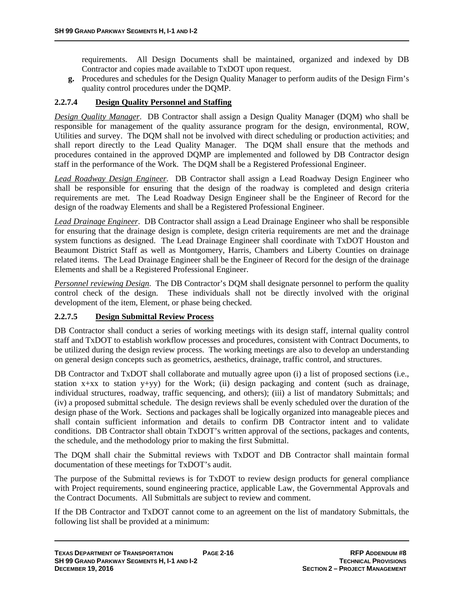requirements. All Design Documents shall be maintained, organized and indexed by DB Contractor and copies made available to TxDOT upon request.

**g.** Procedures and schedules for the Design Quality Manager to perform audits of the Design Firm's quality control procedures under the DQMP.

## **2.2.7.4 Design Quality Personnel and Staffing**

*Design Quality Manager*. DB Contractor shall assign a Design Quality Manager (DQM) who shall be responsible for management of the quality assurance program for the design, environmental, ROW, Utilities and survey. The DQM shall not be involved with direct scheduling or production activities; and shall report directly to the Lead Quality Manager. The DQM shall ensure that the methods and procedures contained in the approved DQMP are implemented and followed by DB Contractor design staff in the performance of the Work. The DQM shall be a Registered Professional Engineer.

*Lead Roadway Design Engineer*. DB Contractor shall assign a Lead Roadway Design Engineer who shall be responsible for ensuring that the design of the roadway is completed and design criteria requirements are met. The Lead Roadway Design Engineer shall be the Engineer of Record for the design of the roadway Elements and shall be a Registered Professional Engineer.

*Lead Drainage Engineer*. DB Contractor shall assign a Lead Drainage Engineer who shall be responsible for ensuring that the drainage design is complete, design criteria requirements are met and the drainage system functions as designed. The Lead Drainage Engineer shall coordinate with TxDOT Houston and Beaumont District Staff as well as Montgomery, Harris, Chambers and Liberty Counties on drainage related items. The Lead Drainage Engineer shall be the Engineer of Record for the design of the drainage Elements and shall be a Registered Professional Engineer.

*Personnel reviewing Design*. The DB Contractor's DQM shall designate personnel to perform the quality control check of the design. These individuals shall not be directly involved with the original development of the item, Element, or phase being checked.

#### **2.2.7.5 Design Submittal Review Process**

DB Contractor shall conduct a series of working meetings with its design staff, internal quality control staff and TxDOT to establish workflow processes and procedures, consistent with Contract Documents, to be utilized during the design review process. The working meetings are also to develop an understanding on general design concepts such as geometrics, aesthetics, drainage, traffic control, and structures.

DB Contractor and TxDOT shall collaborate and mutually agree upon (i) a list of proposed sections (i.e., station x+xx to station y+yy) for the Work; (ii) design packaging and content (such as drainage, individual structures, roadway, traffic sequencing, and others); (iii) a list of mandatory Submittals; and (iv) a proposed submittal schedule. The design reviews shall be evenly scheduled over the duration of the design phase of the Work. Sections and packages shall be logically organized into manageable pieces and shall contain sufficient information and details to confirm DB Contractor intent and to validate conditions. DB Contractor shall obtain TxDOT's written approval of the sections, packages and contents, the schedule, and the methodology prior to making the first Submittal.

The DQM shall chair the Submittal reviews with TxDOT and DB Contractor shall maintain formal documentation of these meetings for TxDOT's audit.

The purpose of the Submittal reviews is for TxDOT to review design products for general compliance with Project requirements, sound engineering practice, applicable Law, the Governmental Approvals and the Contract Documents. All Submittals are subject to review and comment.

If the DB Contractor and TxDOT cannot come to an agreement on the list of mandatory Submittals, the following list shall be provided at a minimum: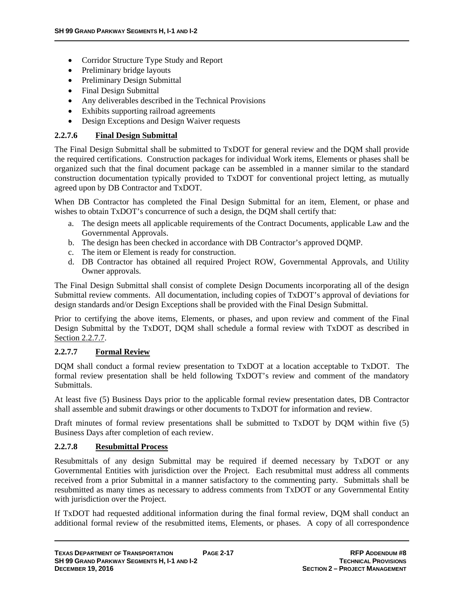- Corridor Structure Type Study and Report
- Preliminary bridge layouts
- Preliminary Design Submittal
- Final Design Submittal
- Any deliverables described in the Technical Provisions
- Exhibits supporting railroad agreements
- Design Exceptions and Design Waiver requests

#### **2.2.7.6 Final Design Submittal**

The Final Design Submittal shall be submitted to TxDOT for general review and the DQM shall provide the required certifications. Construction packages for individual Work items, Elements or phases shall be organized such that the final document package can be assembled in a manner similar to the standard construction documentation typically provided to TxDOT for conventional project letting, as mutually agreed upon by DB Contractor and TxDOT.

When DB Contractor has completed the Final Design Submittal for an item, Element, or phase and wishes to obtain TxDOT's concurrence of such a design, the DQM shall certify that:

- a. The design meets all applicable requirements of the Contract Documents, applicable Law and the Governmental Approvals.
- b. The design has been checked in accordance with DB Contractor's approved DQMP.
- c. The item or Element is ready for construction.
- d. DB Contractor has obtained all required Project ROW, Governmental Approvals, and Utility Owner approvals.

The Final Design Submittal shall consist of complete Design Documents incorporating all of the design Submittal review comments. All documentation, including copies of TxDOT's approval of deviations for design standards and/or Design Exceptions shall be provided with the Final Design Submittal.

Prior to certifying the above items, Elements, or phases, and upon review and comment of the Final Design Submittal by the TxDOT, DQM shall schedule a formal review with TxDOT as described in Section 2.2.7.7.

## **2.2.7.7 Formal Review**

DQM shall conduct a formal review presentation to TxDOT at a location acceptable to TxDOT. The formal review presentation shall be held following TxDOT's review and comment of the mandatory Submittals.

At least five (5) Business Days prior to the applicable formal review presentation dates, DB Contractor shall assemble and submit drawings or other documents to TxDOT for information and review.

Draft minutes of formal review presentations shall be submitted to TxDOT by DOM within five (5) Business Days after completion of each review.

#### **2.2.7.8 Resubmittal Process**

Resubmittals of any design Submittal may be required if deemed necessary by TxDOT or any Governmental Entities with jurisdiction over the Project. Each resubmittal must address all comments received from a prior Submittal in a manner satisfactory to the commenting party. Submittals shall be resubmitted as many times as necessary to address comments from TxDOT or any Governmental Entity with jurisdiction over the Project.

If TxDOT had requested additional information during the final formal review, DQM shall conduct an additional formal review of the resubmitted items, Elements, or phases. A copy of all correspondence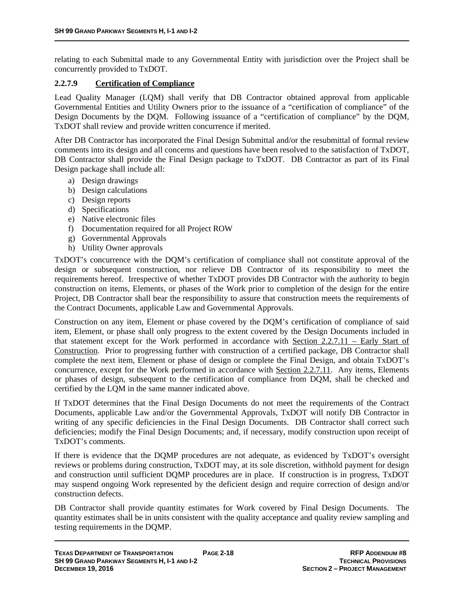relating to each Submittal made to any Governmental Entity with jurisdiction over the Project shall be concurrently provided to TxDOT.

#### **2.2.7.9 Certification of Compliance**

Lead Quality Manager (LQM) shall verify that DB Contractor obtained approval from applicable Governmental Entities and Utility Owners prior to the issuance of a "certification of compliance" of the Design Documents by the DQM. Following issuance of a "certification of compliance" by the DQM, TxDOT shall review and provide written concurrence if merited.

After DB Contractor has incorporated the Final Design Submittal and/or the resubmittal of formal review comments into its design and all concerns and questions have been resolved to the satisfaction of TxDOT, DB Contractor shall provide the Final Design package to TxDOT. DB Contractor as part of its Final Design package shall include all:

- a) Design drawings
- b) Design calculations
- c) Design reports
- d) Specifications
- e) Native electronic files
- f) Documentation required for all Project ROW
- g) Governmental Approvals
- h) Utility Owner approvals

TxDOT's concurrence with the DQM's certification of compliance shall not constitute approval of the design or subsequent construction, nor relieve DB Contractor of its responsibility to meet the requirements hereof. Irrespective of whether TxDOT provides DB Contractor with the authority to begin construction on items, Elements, or phases of the Work prior to completion of the design for the entire Project, DB Contractor shall bear the responsibility to assure that construction meets the requirements of the Contract Documents, applicable Law and Governmental Approvals.

Construction on any item, Element or phase covered by the DQM's certification of compliance of said item, Element, or phase shall only progress to the extent covered by the Design Documents included in that statement except for the Work performed in accordance with Section 2.2.7.11 – Early Start of Construction. Prior to progressing further with construction of a certified package, DB Contractor shall complete the next item, Element or phase of design or complete the Final Design, and obtain TxDOT's concurrence, except for the Work performed in accordance with Section 2.2.7.11. Any items, Elements or phases of design, subsequent to the certification of compliance from DQM, shall be checked and certified by the LQM in the same manner indicated above.

If TxDOT determines that the Final Design Documents do not meet the requirements of the Contract Documents, applicable Law and/or the Governmental Approvals, TxDOT will notify DB Contractor in writing of any specific deficiencies in the Final Design Documents. DB Contractor shall correct such deficiencies; modify the Final Design Documents; and, if necessary, modify construction upon receipt of TxDOT's comments.

If there is evidence that the DQMP procedures are not adequate, as evidenced by TxDOT's oversight reviews or problems during construction, TxDOT may, at its sole discretion, withhold payment for design and construction until sufficient DQMP procedures are in place. If construction is in progress, TxDOT may suspend ongoing Work represented by the deficient design and require correction of design and/or construction defects.

DB Contractor shall provide quantity estimates for Work covered by Final Design Documents. The quantity estimates shall be in units consistent with the quality acceptance and quality review sampling and testing requirements in the DQMP.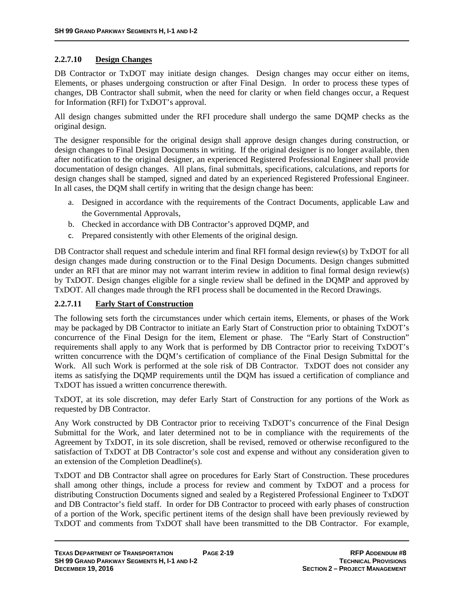## **2.2.7.10 Design Changes**

DB Contractor or TxDOT may initiate design changes. Design changes may occur either on items, Elements, or phases undergoing construction or after Final Design. In order to process these types of changes, DB Contractor shall submit, when the need for clarity or when field changes occur, a Request for Information (RFI) for TxDOT's approval.

All design changes submitted under the RFI procedure shall undergo the same DQMP checks as the original design.

The designer responsible for the original design shall approve design changes during construction, or design changes to Final Design Documents in writing. If the original designer is no longer available, then after notification to the original designer, an experienced Registered Professional Engineer shall provide documentation of design changes. All plans, final submittals, specifications, calculations, and reports for design changes shall be stamped, signed and dated by an experienced Registered Professional Engineer. In all cases, the DQM shall certify in writing that the design change has been:

- a. Designed in accordance with the requirements of the Contract Documents, applicable Law and the Governmental Approvals,
- b. Checked in accordance with DB Contractor's approved DQMP, and
- c. Prepared consistently with other Elements of the original design.

DB Contractor shall request and schedule interim and final RFI formal design review(s) by TxDOT for all design changes made during construction or to the Final Design Documents. Design changes submitted under an RFI that are minor may not warrant interim review in addition to final formal design review(s) by TxDOT. Design changes eligible for a single review shall be defined in the DQMP and approved by TxDOT. All changes made through the RFI process shall be documented in the Record Drawings.

## **2.2.7.11 Early Start of Construction**

The following sets forth the circumstances under which certain items, Elements, or phases of the Work may be packaged by DB Contractor to initiate an Early Start of Construction prior to obtaining TxDOT's concurrence of the Final Design for the item, Element or phase. The "Early Start of Construction" requirements shall apply to any Work that is performed by DB Contractor prior to receiving TxDOT's written concurrence with the DQM's certification of compliance of the Final Design Submittal for the Work. All such Work is performed at the sole risk of DB Contractor. TxDOT does not consider any items as satisfying the DQMP requirements until the DQM has issued a certification of compliance and TxDOT has issued a written concurrence therewith.

TxDOT, at its sole discretion, may defer Early Start of Construction for any portions of the Work as requested by DB Contractor.

Any Work constructed by DB Contractor prior to receiving TxDOT's concurrence of the Final Design Submittal for the Work, and later determined not to be in compliance with the requirements of the Agreement by TxDOT, in its sole discretion, shall be revised, removed or otherwise reconfigured to the satisfaction of TxDOT at DB Contractor's sole cost and expense and without any consideration given to an extension of the Completion Deadline(s).

TxDOT and DB Contractor shall agree on procedures for Early Start of Construction. These procedures shall among other things, include a process for review and comment by TxDOT and a process for distributing Construction Documents signed and sealed by a Registered Professional Engineer to TxDOT and DB Contractor's field staff. In order for DB Contractor to proceed with early phases of construction of a portion of the Work, specific pertinent items of the design shall have been previously reviewed by TxDOT and comments from TxDOT shall have been transmitted to the DB Contractor. For example,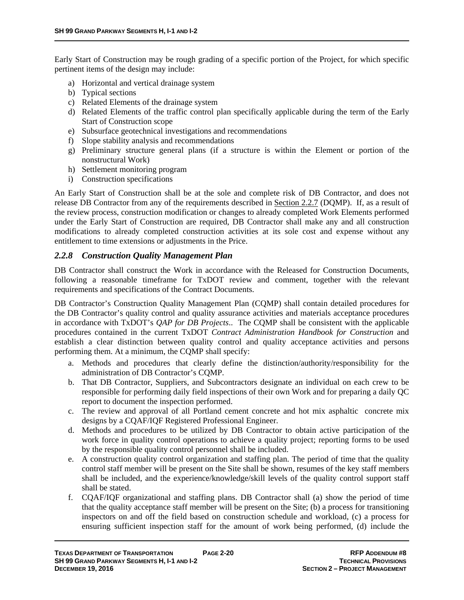Early Start of Construction may be rough grading of a specific portion of the Project, for which specific pertinent items of the design may include:

- a) Horizontal and vertical drainage system
- b) Typical sections
- c) Related Elements of the drainage system
- d) Related Elements of the traffic control plan specifically applicable during the term of the Early Start of Construction scope
- e) Subsurface geotechnical investigations and recommendations
- f) Slope stability analysis and recommendations
- g) Preliminary structure general plans (if a structure is within the Element or portion of the nonstructural Work)
- h) Settlement monitoring program
- i) Construction specifications

An Early Start of Construction shall be at the sole and complete risk of DB Contractor, and does not release DB Contractor from any of the requirements described in Section 2.2.7 (DQMP). If, as a result of the review process, construction modification or changes to already completed Work Elements performed under the Early Start of Construction are required, DB Contractor shall make any and all construction modifications to already completed construction activities at its sole cost and expense without any entitlement to time extensions or adjustments in the Price.

#### *2.2.8 Construction Quality Management Plan*

DB Contractor shall construct the Work in accordance with the Released for Construction Documents, following a reasonable timeframe for TxDOT review and comment, together with the relevant requirements and specifications of the Contract Documents.

DB Contractor's Construction Quality Management Plan (CQMP) shall contain detailed procedures for the DB Contractor's quality control and quality assurance activities and materials acceptance procedures in accordance with TxDOT's *QAP for DB Projects*.. The CQMP shall be consistent with the applicable procedures contained in the current TxDOT *Contract Administration Handbook for Construction* and establish a clear distinction between quality control and quality acceptance activities and persons performing them. At a minimum, the CQMP shall specify:

- a. Methods and procedures that clearly define the distinction/authority/responsibility for the administration of DB Contractor's CQMP.
- b. That DB Contractor, Suppliers, and Subcontractors designate an individual on each crew to be responsible for performing daily field inspections of their own Work and for preparing a daily QC report to document the inspection performed.
- c. The review and approval of all Portland cement concrete and hot mix asphaltic concrete mix designs by a CQAF/IQF Registered Professional Engineer.
- d. Methods and procedures to be utilized by DB Contractor to obtain active participation of the work force in quality control operations to achieve a quality project; reporting forms to be used by the responsible quality control personnel shall be included.
- e. A construction quality control organization and staffing plan. The period of time that the quality control staff member will be present on the Site shall be shown, resumes of the key staff members shall be included, and the experience/knowledge/skill levels of the quality control support staff shall be stated.
- f. CQAF/IQF organizational and staffing plans. DB Contractor shall (a) show the period of time that the quality acceptance staff member will be present on the Site; (b) a process for transitioning inspectors on and off the field based on construction schedule and workload, (c) a process for ensuring sufficient inspection staff for the amount of work being performed, (d) include the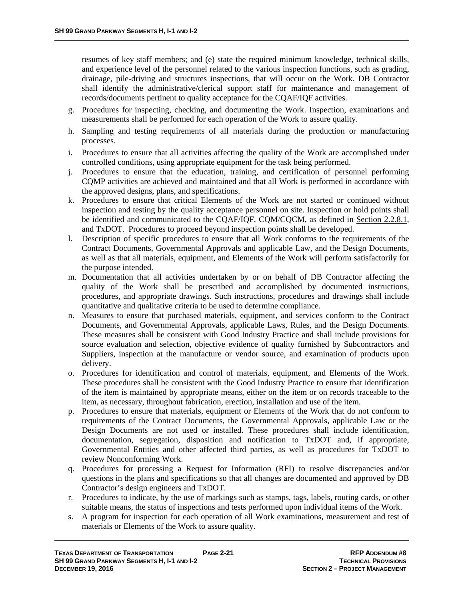resumes of key staff members; and (e) state the required minimum knowledge, technical skills, and experience level of the personnel related to the various inspection functions, such as grading, drainage, pile-driving and structures inspections, that will occur on the Work. DB Contractor shall identify the administrative/clerical support staff for maintenance and management of records/documents pertinent to quality acceptance for the CQAF/IQF activities.

- g. Procedures for inspecting, checking, and documenting the Work. Inspection, examinations and measurements shall be performed for each operation of the Work to assure quality.
- h. Sampling and testing requirements of all materials during the production or manufacturing processes.
- i. Procedures to ensure that all activities affecting the quality of the Work are accomplished under controlled conditions, using appropriate equipment for the task being performed.
- j. Procedures to ensure that the education, training, and certification of personnel performing CQMP activities are achieved and maintained and that all Work is performed in accordance with the approved designs, plans, and specifications.
- k. Procedures to ensure that critical Elements of the Work are not started or continued without inspection and testing by the quality acceptance personnel on site. Inspection or hold points shall be identified and communicated to the CQAF/IQF, CQM/CQCM, as defined in Section 2.2.8.1, and TxDOT. Procedures to proceed beyond inspection points shall be developed.
- l. Description of specific procedures to ensure that all Work conforms to the requirements of the Contract Documents, Governmental Approvals and applicable Law, and the Design Documents, as well as that all materials, equipment, and Elements of the Work will perform satisfactorily for the purpose intended.
- m. Documentation that all activities undertaken by or on behalf of DB Contractor affecting the quality of the Work shall be prescribed and accomplished by documented instructions, procedures, and appropriate drawings. Such instructions, procedures and drawings shall include quantitative and qualitative criteria to be used to determine compliance.
- n. Measures to ensure that purchased materials, equipment, and services conform to the Contract Documents, and Governmental Approvals, applicable Laws, Rules, and the Design Documents. These measures shall be consistent with Good Industry Practice and shall include provisions for source evaluation and selection, objective evidence of quality furnished by Subcontractors and Suppliers, inspection at the manufacture or vendor source, and examination of products upon delivery.
- o. Procedures for identification and control of materials, equipment, and Elements of the Work. These procedures shall be consistent with the Good Industry Practice to ensure that identification of the item is maintained by appropriate means, either on the item or on records traceable to the item, as necessary, throughout fabrication, erection, installation and use of the item.
- p. Procedures to ensure that materials, equipment or Elements of the Work that do not conform to requirements of the Contract Documents, the Governmental Approvals, applicable Law or the Design Documents are not used or installed. These procedures shall include identification, documentation, segregation, disposition and notification to TxDOT and, if appropriate, Governmental Entities and other affected third parties, as well as procedures for TxDOT to review Nonconforming Work.
- q. Procedures for processing a Request for Information (RFI) to resolve discrepancies and/or questions in the plans and specifications so that all changes are documented and approved by DB Contractor's design engineers and TxDOT.
- r. Procedures to indicate, by the use of markings such as stamps, tags, labels, routing cards, or other suitable means, the status of inspections and tests performed upon individual items of the Work.
- s. A program for inspection for each operation of all Work examinations, measurement and test of materials or Elements of the Work to assure quality.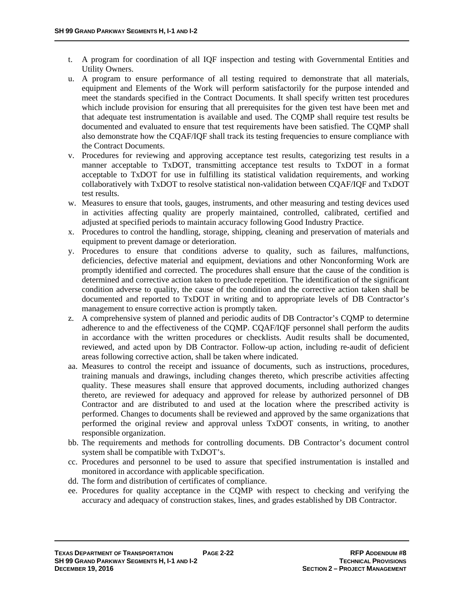- t. A program for coordination of all IQF inspection and testing with Governmental Entities and Utility Owners.
- u. A program to ensure performance of all testing required to demonstrate that all materials, equipment and Elements of the Work will perform satisfactorily for the purpose intended and meet the standards specified in the Contract Documents. It shall specify written test procedures which include provision for ensuring that all prerequisites for the given test have been met and that adequate test instrumentation is available and used. The CQMP shall require test results be documented and evaluated to ensure that test requirements have been satisfied. The CQMP shall also demonstrate how the CQAF/IQF shall track its testing frequencies to ensure compliance with the Contract Documents.
- v. Procedures for reviewing and approving acceptance test results, categorizing test results in a manner acceptable to TxDOT, transmitting acceptance test results to TxDOT in a format acceptable to TxDOT for use in fulfilling its statistical validation requirements, and working collaboratively with TxDOT to resolve statistical non-validation between CQAF/IQF and TxDOT test results.
- w. Measures to ensure that tools, gauges, instruments, and other measuring and testing devices used in activities affecting quality are properly maintained, controlled, calibrated, certified and adjusted at specified periods to maintain accuracy following Good Industry Practice.
- x. Procedures to control the handling, storage, shipping, cleaning and preservation of materials and equipment to prevent damage or deterioration.
- y. Procedures to ensure that conditions adverse to quality, such as failures, malfunctions, deficiencies, defective material and equipment, deviations and other Nonconforming Work are promptly identified and corrected. The procedures shall ensure that the cause of the condition is determined and corrective action taken to preclude repetition. The identification of the significant condition adverse to quality, the cause of the condition and the corrective action taken shall be documented and reported to TxDOT in writing and to appropriate levels of DB Contractor's management to ensure corrective action is promptly taken.
- z. A comprehensive system of planned and periodic audits of DB Contractor's CQMP to determine adherence to and the effectiveness of the CQMP. CQAF/IQF personnel shall perform the audits in accordance with the written procedures or checklists. Audit results shall be documented, reviewed, and acted upon by DB Contractor. Follow-up action, including re-audit of deficient areas following corrective action, shall be taken where indicated.
- aa. Measures to control the receipt and issuance of documents, such as instructions, procedures, training manuals and drawings, including changes thereto, which prescribe activities affecting quality. These measures shall ensure that approved documents, including authorized changes thereto, are reviewed for adequacy and approved for release by authorized personnel of DB Contractor and are distributed to and used at the location where the prescribed activity is performed. Changes to documents shall be reviewed and approved by the same organizations that performed the original review and approval unless TxDOT consents, in writing, to another responsible organization.
- bb. The requirements and methods for controlling documents. DB Contractor's document control system shall be compatible with TxDOT's.
- cc. Procedures and personnel to be used to assure that specified instrumentation is installed and monitored in accordance with applicable specification.
- dd. The form and distribution of certificates of compliance.
- ee. Procedures for quality acceptance in the CQMP with respect to checking and verifying the accuracy and adequacy of construction stakes, lines, and grades established by DB Contractor.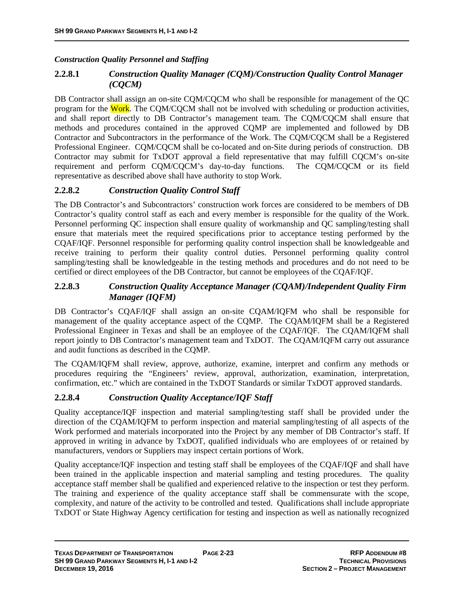## *Construction Quality Personnel and Staffing*

## **2.2.8.1** *Construction Quality Manager (CQM)/Construction Quality Control Manager (CQCM)*

DB Contractor shall assign an on-site CQM/CQCM who shall be responsible for management of the QC program for the Work. The CQM/CQCM shall not be involved with scheduling or production activities, and shall report directly to DB Contractor's management team. The CQM/CQCM shall ensure that methods and procedures contained in the approved CQMP are implemented and followed by DB Contractor and Subcontractors in the performance of the Work. The CQM/CQCM shall be a Registered Professional Engineer. CQM/CQCM shall be co-located and on-Site during periods of construction. DB Contractor may submit for TxDOT approval a field representative that may fulfill CQCM's on-site requirement and perform CQM/CQCM's day-to-day functions. The CQM/CQCM or its field representative as described above shall have authority to stop Work.

## **2.2.8.2** *Construction Quality Control Staff*

The DB Contractor's and Subcontractors' construction work forces are considered to be members of DB Contractor's quality control staff as each and every member is responsible for the quality of the Work. Personnel performing QC inspection shall ensure quality of workmanship and QC sampling/testing shall ensure that materials meet the required specifications prior to acceptance testing performed by the CQAF/IQF. Personnel responsible for performing quality control inspection shall be knowledgeable and receive training to perform their quality control duties. Personnel performing quality control sampling/testing shall be knowledgeable in the testing methods and procedures and do not need to be certified or direct employees of the DB Contractor, but cannot be employees of the CQAF/IQF.

## **2.2.8.3** *Construction Quality Acceptance Manager (CQAM)/Independent Quality Firm Manager (IQFM)*

DB Contractor's CQAF/IQF shall assign an on-site CQAM/IQFM who shall be responsible for management of the quality acceptance aspect of the CQMP. The CQAM/IQFM shall be a Registered Professional Engineer in Texas and shall be an employee of the CQAF/IQF. The CQAM/IQFM shall report jointly to DB Contractor's management team and TxDOT. The CQAM/IQFM carry out assurance and audit functions as described in the CQMP.

The CQAM/IQFM shall review, approve, authorize, examine, interpret and confirm any methods or procedures requiring the "Engineers' review, approval, authorization, examination, interpretation, confirmation, etc." which are contained in the TxDOT Standards or similar TxDOT approved standards.

## **2.2.8.4** *Construction Quality Acceptance/IQF Staff*

Quality acceptance/IQF inspection and material sampling/testing staff shall be provided under the direction of the CQAM/IQFM to perform inspection and material sampling/testing of all aspects of the Work performed and materials incorporated into the Project by any member of DB Contractor's staff. If approved in writing in advance by TxDOT, qualified individuals who are employees of or retained by manufacturers, vendors or Suppliers may inspect certain portions of Work.

Quality acceptance/IQF inspection and testing staff shall be employees of the CQAF/IQF and shall have been trained in the applicable inspection and material sampling and testing procedures. The quality acceptance staff member shall be qualified and experienced relative to the inspection or test they perform. The training and experience of the quality acceptance staff shall be commensurate with the scope, complexity, and nature of the activity to be controlled and tested. Qualifications shall include appropriate TxDOT or State Highway Agency certification for testing and inspection as well as nationally recognized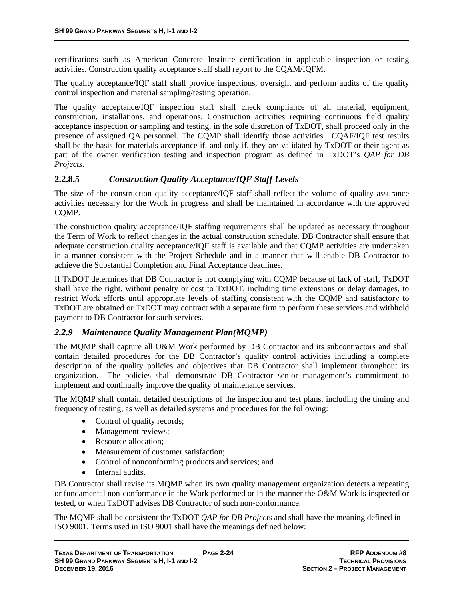certifications such as American Concrete Institute certification in applicable inspection or testing activities. Construction quality acceptance staff shall report to the CQAM/IQFM.

The quality acceptance/IQF staff shall provide inspections, oversight and perform audits of the quality control inspection and material sampling/testing operation.

The quality acceptance/IQF inspection staff shall check compliance of all material, equipment, construction, installations, and operations. Construction activities requiring continuous field quality acceptance inspection or sampling and testing, in the sole discretion of TxDOT, shall proceed only in the presence of assigned QA personnel. The CQMP shall identify those activities. CQAF/IQF test results shall be the basis for materials acceptance if, and only if, they are validated by TxDOT or their agent as part of the owner verification testing and inspection program as defined in TxDOT's *QAP for DB Projects*.

## **2.2.8.5** *Construction Quality Acceptance/IQF Staff Levels*

The size of the construction quality acceptance/IQF staff shall reflect the volume of quality assurance activities necessary for the Work in progress and shall be maintained in accordance with the approved CQMP.

The construction quality acceptance/IQF staffing requirements shall be updated as necessary throughout the Term of Work to reflect changes in the actual construction schedule. DB Contractor shall ensure that adequate construction quality acceptance/IQF staff is available and that CQMP activities are undertaken in a manner consistent with the Project Schedule and in a manner that will enable DB Contractor to achieve the Substantial Completion and Final Acceptance deadlines.

If TxDOT determines that DB Contractor is not complying with CQMP because of lack of staff, TxDOT shall have the right, without penalty or cost to TxDOT, including time extensions or delay damages, to restrict Work efforts until appropriate levels of staffing consistent with the CQMP and satisfactory to TxDOT are obtained or TxDOT may contract with a separate firm to perform these services and withhold payment to DB Contractor for such services.

#### *2.2.9 Maintenance Quality Management Plan(MQMP)*

The MQMP shall capture all O&M Work performed by DB Contractor and its subcontractors and shall contain detailed procedures for the DB Contractor's quality control activities including a complete description of the quality policies and objectives that DB Contractor shall implement throughout its organization. The policies shall demonstrate DB Contractor senior management's commitment to implement and continually improve the quality of maintenance services.

The MQMP shall contain detailed descriptions of the inspection and test plans, including the timing and frequency of testing, as well as detailed systems and procedures for the following:

- Control of quality records;
- Management reviews;
- Resource allocation:
- Measurement of customer satisfaction:
- Control of nonconforming products and services; and
- Internal audits.

DB Contractor shall revise its MQMP when its own quality management organization detects a repeating or fundamental non-conformance in the Work performed or in the manner the O&M Work is inspected or tested, or when TxDOT advises DB Contractor of such non-conformance.

The MQMP shall be consistent the TxDOT *QAP for DB Projects* and shall have the meaning defined in ISO 9001. Terms used in ISO 9001 shall have the meanings defined below: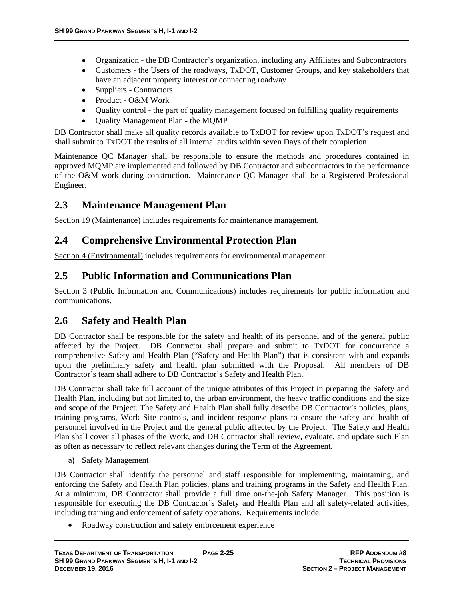- Organization the DB Contractor's organization, including any Affiliates and Subcontractors
- Customers the Users of the roadways, TxDOT, Customer Groups, and key stakeholders that have an adjacent property interest or connecting roadway
- Suppliers Contractors
- Product O&M Work
- Quality control the part of quality management focused on fulfilling quality requirements
- Quality Management Plan the MQMP

DB Contractor shall make all quality records available to TxDOT for review upon TxDOT's request and shall submit to TxDOT the results of all internal audits within seven Days of their completion.

Maintenance QC Manager shall be responsible to ensure the methods and procedures contained in approved MQMP are implemented and followed by DB Contractor and subcontractors in the performance of the O&M work during construction. Maintenance QC Manager shall be a Registered Professional Engineer.

# **2.3 Maintenance Management Plan**

Section 19 (Maintenance) includes requirements for maintenance management.

# **2.4 Comprehensive Environmental Protection Plan**

Section 4 (Environmental) includes requirements for environmental management.

# **2.5 Public Information and Communications Plan**

Section 3 (Public Information and Communications) includes requirements for public information and communications.

## **2.6 Safety and Health Plan**

DB Contractor shall be responsible for the safety and health of its personnel and of the general public affected by the Project. DB Contractor shall prepare and submit to TxDOT for concurrence a comprehensive Safety and Health Plan ("Safety and Health Plan") that is consistent with and expands upon the preliminary safety and health plan submitted with the Proposal. All members of DB Contractor's team shall adhere to DB Contractor's Safety and Health Plan.

DB Contractor shall take full account of the unique attributes of this Project in preparing the Safety and Health Plan, including but not limited to, the urban environment, the heavy traffic conditions and the size and scope of the Project. The Safety and Health Plan shall fully describe DB Contractor's policies, plans, training programs, Work Site controls, and incident response plans to ensure the safety and health of personnel involved in the Project and the general public affected by the Project. The Safety and Health Plan shall cover all phases of the Work, and DB Contractor shall review, evaluate, and update such Plan as often as necessary to reflect relevant changes during the Term of the Agreement.

a) Safety Management

DB Contractor shall identify the personnel and staff responsible for implementing, maintaining, and enforcing the Safety and Health Plan policies, plans and training programs in the Safety and Health Plan. At a minimum, DB Contractor shall provide a full time on-the-job Safety Manager. This position is responsible for executing the DB Contractor's Safety and Health Plan and all safety-related activities, including training and enforcement of safety operations. Requirements include:

• Roadway construction and safety enforcement experience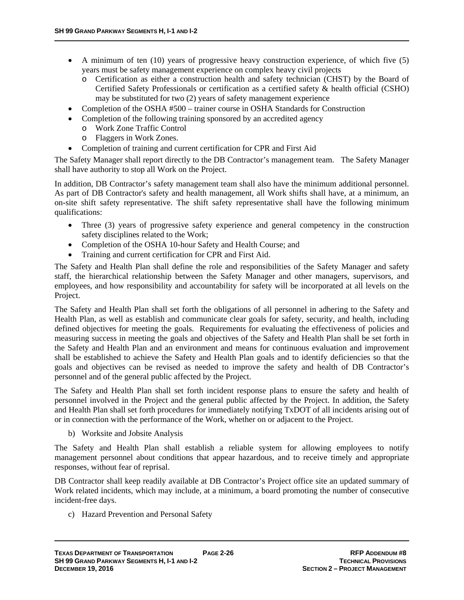- A minimum of ten (10) years of progressive heavy construction experience, of which five (5) years must be safety management experience on complex heavy civil projects
	- o Certification as either a construction health and safety technician (CHST) by the Board of Certified Safety Professionals or certification as a certified safety & health official (CSHO) may be substituted for two (2) years of safety management experience
- Completion of the OSHA #500 trainer course in OSHA Standards for Construction
- Completion of the following training sponsored by an accredited agency
	- o Work Zone Traffic Control
	- o Flaggers in Work Zones.
- Completion of training and current certification for CPR and First Aid

The Safety Manager shall report directly to the DB Contractor's management team. The Safety Manager shall have authority to stop all Work on the Project.

In addition, DB Contractor's safety management team shall also have the minimum additional personnel. As part of DB Contractor's safety and health management, all Work shifts shall have, at a minimum, an on-site shift safety representative. The shift safety representative shall have the following minimum qualifications:

- Three (3) years of progressive safety experience and general competency in the construction safety disciplines related to the Work;
- Completion of the OSHA 10-hour Safety and Health Course; and
- Training and current certification for CPR and First Aid.

The Safety and Health Plan shall define the role and responsibilities of the Safety Manager and safety staff, the hierarchical relationship between the Safety Manager and other managers, supervisors, and employees, and how responsibility and accountability for safety will be incorporated at all levels on the Project.

The Safety and Health Plan shall set forth the obligations of all personnel in adhering to the Safety and Health Plan, as well as establish and communicate clear goals for safety, security, and health, including defined objectives for meeting the goals. Requirements for evaluating the effectiveness of policies and measuring success in meeting the goals and objectives of the Safety and Health Plan shall be set forth in the Safety and Health Plan and an environment and means for continuous evaluation and improvement shall be established to achieve the Safety and Health Plan goals and to identify deficiencies so that the goals and objectives can be revised as needed to improve the safety and health of DB Contractor's personnel and of the general public affected by the Project.

The Safety and Health Plan shall set forth incident response plans to ensure the safety and health of personnel involved in the Project and the general public affected by the Project. In addition, the Safety and Health Plan shall set forth procedures for immediately notifying TxDOT of all incidents arising out of or in connection with the performance of the Work, whether on or adjacent to the Project.

b) Worksite and Jobsite Analysis

The Safety and Health Plan shall establish a reliable system for allowing employees to notify management personnel about conditions that appear hazardous, and to receive timely and appropriate responses, without fear of reprisal.

DB Contractor shall keep readily available at DB Contractor's Project office site an updated summary of Work related incidents, which may include, at a minimum, a board promoting the number of consecutive incident-free days.

c) Hazard Prevention and Personal Safety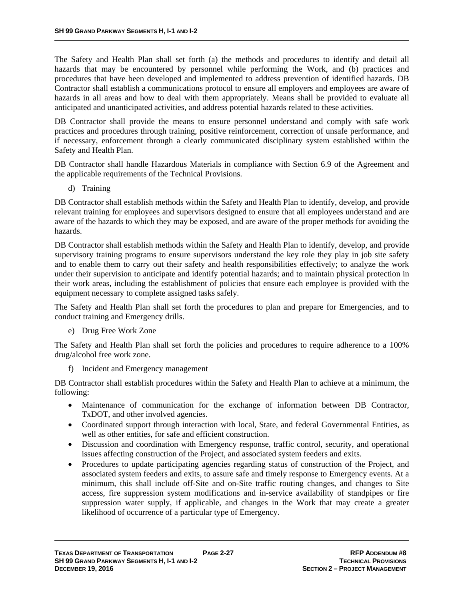The Safety and Health Plan shall set forth (a) the methods and procedures to identify and detail all hazards that may be encountered by personnel while performing the Work, and (b) practices and procedures that have been developed and implemented to address prevention of identified hazards. DB Contractor shall establish a communications protocol to ensure all employers and employees are aware of hazards in all areas and how to deal with them appropriately. Means shall be provided to evaluate all anticipated and unanticipated activities, and address potential hazards related to these activities.

DB Contractor shall provide the means to ensure personnel understand and comply with safe work practices and procedures through training, positive reinforcement, correction of unsafe performance, and if necessary, enforcement through a clearly communicated disciplinary system established within the Safety and Health Plan.

DB Contractor shall handle Hazardous Materials in compliance with Section 6.9 of the Agreement and the applicable requirements of the Technical Provisions.

d) Training

DB Contractor shall establish methods within the Safety and Health Plan to identify, develop, and provide relevant training for employees and supervisors designed to ensure that all employees understand and are aware of the hazards to which they may be exposed, and are aware of the proper methods for avoiding the hazards.

DB Contractor shall establish methods within the Safety and Health Plan to identify, develop, and provide supervisory training programs to ensure supervisors understand the key role they play in job site safety and to enable them to carry out their safety and health responsibilities effectively; to analyze the work under their supervision to anticipate and identify potential hazards; and to maintain physical protection in their work areas, including the establishment of policies that ensure each employee is provided with the equipment necessary to complete assigned tasks safely.

The Safety and Health Plan shall set forth the procedures to plan and prepare for Emergencies, and to conduct training and Emergency drills.

e) Drug Free Work Zone

The Safety and Health Plan shall set forth the policies and procedures to require adherence to a 100% drug/alcohol free work zone.

f) Incident and Emergency management

DB Contractor shall establish procedures within the Safety and Health Plan to achieve at a minimum, the following:

- Maintenance of communication for the exchange of information between DB Contractor, TxDOT, and other involved agencies.
- Coordinated support through interaction with local, State, and federal Governmental Entities, as well as other entities, for safe and efficient construction.
- Discussion and coordination with Emergency response, traffic control, security, and operational issues affecting construction of the Project, and associated system feeders and exits.
- Procedures to update participating agencies regarding status of construction of the Project, and associated system feeders and exits, to assure safe and timely response to Emergency events. At a minimum, this shall include off-Site and on-Site traffic routing changes, and changes to Site access, fire suppression system modifications and in-service availability of standpipes or fire suppression water supply, if applicable, and changes in the Work that may create a greater likelihood of occurrence of a particular type of Emergency.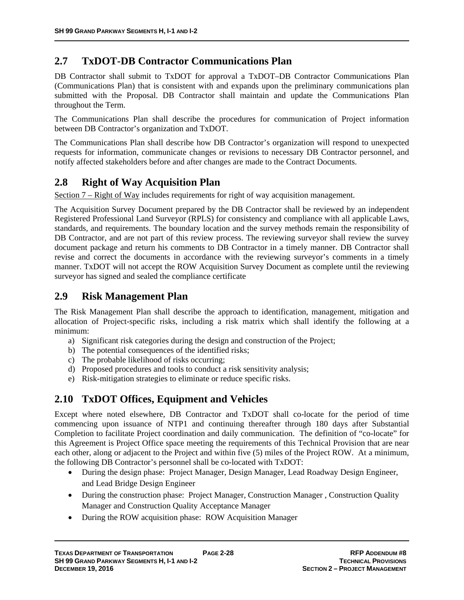# **2.7 TxDOT-DB Contractor Communications Plan**

DB Contractor shall submit to TxDOT for approval a TxDOT–DB Contractor Communications Plan (Communications Plan) that is consistent with and expands upon the preliminary communications plan submitted with the Proposal. DB Contractor shall maintain and update the Communications Plan throughout the Term.

The Communications Plan shall describe the procedures for communication of Project information between DB Contractor's organization and TxDOT.

The Communications Plan shall describe how DB Contractor's organization will respond to unexpected requests for information, communicate changes or revisions to necessary DB Contractor personnel, and notify affected stakeholders before and after changes are made to the Contract Documents.

# **2.8 Right of Way Acquisition Plan**

Section 7 – Right of Way includes requirements for right of way acquisition management.

The Acquisition Survey Document prepared by the DB Contractor shall be reviewed by an independent Registered Professional Land Surveyor (RPLS) for consistency and compliance with all applicable Laws, standards, and requirements. The boundary location and the survey methods remain the responsibility of DB Contractor, and are not part of this review process. The reviewing surveyor shall review the survey document package and return his comments to DB Contractor in a timely manner. DB Contractor shall revise and correct the documents in accordance with the reviewing surveyor's comments in a timely manner. TxDOT will not accept the ROW Acquisition Survey Document as complete until the reviewing surveyor has signed and sealed the compliance certificate

# **2.9 Risk Management Plan**

The Risk Management Plan shall describe the approach to identification, management, mitigation and allocation of Project-specific risks, including a risk matrix which shall identify the following at a minimum:

- a) Significant risk categories during the design and construction of the Project;
- b) The potential consequences of the identified risks;
- c) The probable likelihood of risks occurring;
- d) Proposed procedures and tools to conduct a risk sensitivity analysis;
- e) Risk-mitigation strategies to eliminate or reduce specific risks.

# **2.10 TxDOT Offices, Equipment and Vehicles**

Except where noted elsewhere, DB Contractor and TxDOT shall co-locate for the period of time commencing upon issuance of NTP1 and continuing thereafter through 180 days after Substantial Completion to facilitate Project coordination and daily communication. The definition of "co-locate" for this Agreement is Project Office space meeting the requirements of this Technical Provision that are near each other, along or adjacent to the Project and within five (5) miles of the Project ROW. At a minimum, the following DB Contractor's personnel shall be co-located with TxDOT:

- During the design phase: Project Manager, Design Manager, Lead Roadway Design Engineer, and Lead Bridge Design Engineer
- During the construction phase: Project Manager, Construction Manager, Construction Quality Manager and Construction Quality Acceptance Manager
- During the ROW acquisition phase: ROW Acquisition Manager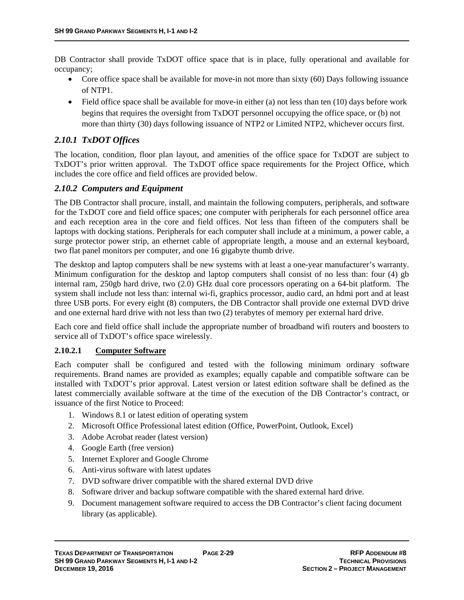DB Contractor shall provide TxDOT office space that is in place, fully operational and available for occupancy;

- Core office space shall be available for move-in not more than sixty  $(60)$  Days following issuance of NTP1.
- $\bullet$  Field office space shall be available for move-in either (a) not less than ten (10) days before work begins that requires the oversight from TxDOT personnel occupying the office space, or (b) not more than thirty (30) days following issuance of NTP2 or Limited NTP2, whichever occurs first.

## *2.10.1 TxDOT Offices*

The location, condition, floor plan layout, and amenities of the office space for TxDOT are subject to TxDOT's prior written approval. The TxDOT office space requirements for the Project Office, which includes the core office and field offices are provided below.

## *2.10.2 Computers and Equipment*

The DB Contractor shall procure, install, and maintain the following computers, peripherals, and software for the TxDOT core and field office spaces; one computer with peripherals for each personnel office area and each reception area in the core and field offices. Not less than fifteen of the computers shall be laptops with docking stations. Peripherals for each computer shall include at a minimum, a power cable, a surge protector power strip, an ethernet cable of appropriate length, a mouse and an external keyboard, two flat panel monitors per computer, and one 16 gigabyte thumb drive.

The desktop and laptop computers shall be new systems with at least a one-year manufacturer's warranty. Minimum configuration for the desktop and laptop computers shall consist of no less than: four (4) gb internal ram, 250gb hard drive, two (2.0) GHz dual core processors operating on a 64-bit platform. The system shall include not less than: internal wi-fi, graphics processor, audio card, an hdmi port and at least three USB ports. For every eight (8) computers, the DB Contractor shall provide one external DVD drive and one external hard drive with not less than two (2) terabytes of memory per external hard drive.

Each core and field office shall include the appropriate number of broadband wifi routers and boosters to service all of TxDOT's office space wirelessly.

#### **2.10.2.1 Computer Software**

Each computer shall be configured and tested with the following minimum ordinary software requirements. Brand names are provided as examples; equally capable and compatible software can be installed with TxDOT's prior approval. Latest version or latest edition software shall be defined as the latest commercially available software at the time of the execution of the DB Contractor's contract, or issuance of the first Notice to Proceed:

- 1. Windows 8.1 or latest edition of operating system
- 2. Microsoft Office Professional latest edition (Office, PowerPoint, Outlook, Excel)
- 3. Adobe Acrobat reader (latest version)
- 4. Google Earth (free version)
- 5. Internet Explorer and Google Chrome
- 6. Anti-virus software with latest updates
- 7. DVD software driver compatible with the shared external DVD drive
- 8. Software driver and backup software compatible with the shared external hard drive.
- 9. Document management software required to access the DB Contractor's client facing document library (as applicable).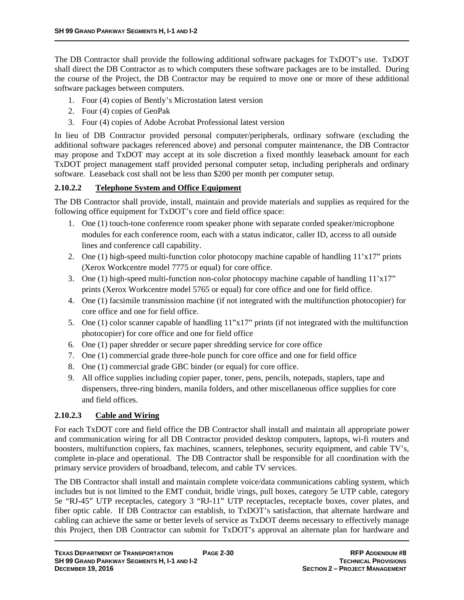The DB Contractor shall provide the following additional software packages for TxDOT's use. TxDOT shall direct the DB Contractor as to which computers these software packages are to be installed. During the course of the Project, the DB Contractor may be required to move one or more of these additional software packages between computers.

- 1. Four (4) copies of Bently's Microstation latest version
- 2. Four (4) copies of GeoPak
- 3. Four (4) copies of Adobe Acrobat Professional latest version

In lieu of DB Contractor provided personal computer/peripherals, ordinary software (excluding the additional software packages referenced above) and personal computer maintenance, the DB Contractor may propose and TxDOT may accept at its sole discretion a fixed monthly leaseback amount for each TxDOT project management staff provided personal computer setup, including peripherals and ordinary software. Leaseback cost shall not be less than \$200 per month per computer setup.

#### **2.10.2.2 Telephone System and Office Equipment**

The DB Contractor shall provide, install, maintain and provide materials and supplies as required for the following office equipment for TxDOT's core and field office space:

- 1. One (1) touch-tone conference room speaker phone with separate corded speaker/microphone modules for each conference room, each with a status indicator, caller ID, access to all outside lines and conference call capability.
- 2. One (1) high-speed multi-function color photocopy machine capable of handling  $11'x17''$  prints (Xerox Workcentre model 7775 or equal) for core office.
- 3. One (1) high-speed multi-function non-color photocopy machine capable of handling 11'x17" prints (Xerox Workcentre model 5765 or equal) for core office and one for field office.
- 4. One (1) facsimile transmission machine (if not integrated with the multifunction photocopier) for core office and one for field office.
- 5. One (1) color scanner capable of handling 11"x17" prints (if not integrated with the multifunction photocopier) for core office and one for field office
- 6. One (1) paper shredder or secure paper shredding service for core office
- 7. One (1) commercial grade three-hole punch for core office and one for field office
- 8. One (1) commercial grade GBC binder (or equal) for core office.
- 9. All office supplies including copier paper, toner, pens, pencils, notepads, staplers, tape and dispensers, three-ring binders, manila folders, and other miscellaneous office supplies for core and field offices.

#### **2.10.2.3 Cable and Wiring**

For each TxDOT core and field office the DB Contractor shall install and maintain all appropriate power and communication wiring for all DB Contractor provided desktop computers, laptops, wi-fi routers and boosters, multifunction copiers, fax machines, scanners, telephones, security equipment, and cable TV's, complete in-place and operational. The DB Contractor shall be responsible for all coordination with the primary service providers of broadband, telecom, and cable TV services.

The DB Contractor shall install and maintain complete voice/data communications cabling system, which includes but is not limited to the EMT conduit, bridle \rings, pull boxes, category 5e UTP cable, category 5e "RJ-45" UTP receptacles, category 3 "RJ-11" UTP receptacles, receptacle boxes, cover plates, and fiber optic cable. If DB Contractor can establish, to TxDOT's satisfaction, that alternate hardware and cabling can achieve the same or better levels of service as TxDOT deems necessary to effectively manage this Project, then DB Contractor can submit for TxDOT's approval an alternate plan for hardware and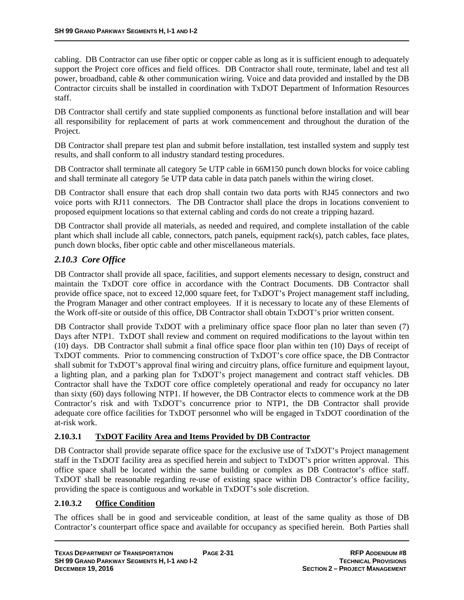cabling. DB Contractor can use fiber optic or copper cable as long as it is sufficient enough to adequately support the Project core offices and field offices. DB Contractor shall route, terminate, label and test all power, broadband, cable & other communication wiring. Voice and data provided and installed by the DB Contractor circuits shall be installed in coordination with TxDOT Department of Information Resources staff.

DB Contractor shall certify and state supplied components as functional before installation and will bear all responsibility for replacement of parts at work commencement and throughout the duration of the Project.

DB Contractor shall prepare test plan and submit before installation, test installed system and supply test results, and shall conform to all industry standard testing procedures.

DB Contractor shall terminate all category 5e UTP cable in 66M150 punch down blocks for voice cabling and shall terminate all category 5e UTP data cable in data patch panels within the wiring closet.

DB Contractor shall ensure that each drop shall contain two data ports with RJ45 connectors and two voice ports with RJ11 connectors. The DB Contractor shall place the drops in locations convenient to proposed equipment locations so that external cabling and cords do not create a tripping hazard.

DB Contractor shall provide all materials, as needed and required, and complete installation of the cable plant which shall include all cable, connectors, patch panels, equipment rack(s), patch cables, face plates, punch down blocks, fiber optic cable and other miscellaneous materials.

## *2.10.3 Core Office*

DB Contractor shall provide all space, facilities, and support elements necessary to design, construct and maintain the TxDOT core office in accordance with the Contract Documents. DB Contractor shall provide office space, not to exceed 12,000 square feet, for TxDOT's Project management staff including, the Program Manager and other contract employees. If it is necessary to locate any of these Elements of the Work off-site or outside of this office, DB Contractor shall obtain TxDOT's prior written consent.

DB Contractor shall provide TxDOT with a preliminary office space floor plan no later than seven (7) Days after NTP1. TxDOT shall review and comment on required modifications to the layout within ten (10) days. DB Contractor shall submit a final office space floor plan within ten (10) Days of receipt of TxDOT comments. Prior to commencing construction of TxDOT's core office space, the DB Contractor shall submit for TxDOT's approval final wiring and circuitry plans, office furniture and equipment layout, a lighting plan, and a parking plan for TxDOT's project management and contract staff vehicles. DB Contractor shall have the TxDOT core office completely operational and ready for occupancy no later than sixty (60) days following NTP1. If however, the DB Contractor elects to commence work at the DB Contractor's risk and with TxDOT's concurrence prior to NTP1, the DB Contractor shall provide adequate core office facilities for TxDOT personnel who will be engaged in TxDOT coordination of the at-risk work.

#### **2.10.3.1 TxDOT Facility Area and Items Provided by DB Contractor**

DB Contractor shall provide separate office space for the exclusive use of TxDOT's Project management staff in the TxDOT facility area as specified herein and subject to TxDOT's prior written approval. This office space shall be located within the same building or complex as DB Contractor's office staff. TxDOT shall be reasonable regarding re-use of existing space within DB Contractor's office facility, providing the space is contiguous and workable in TxDOT's sole discretion.

#### **2.10.3.2 Office Condition**

The offices shall be in good and serviceable condition, at least of the same quality as those of DB Contractor's counterpart office space and available for occupancy as specified herein. Both Parties shall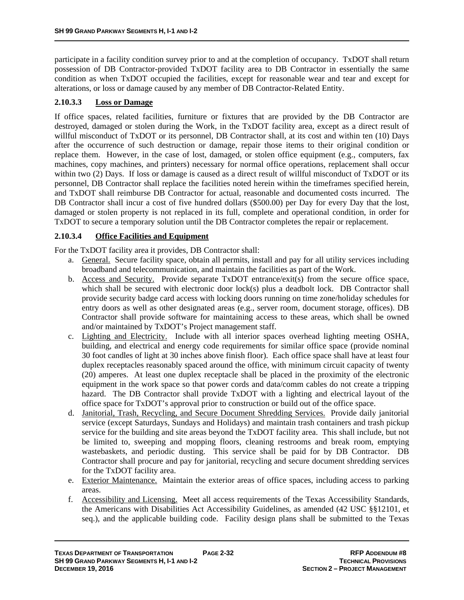participate in a facility condition survey prior to and at the completion of occupancy. TxDOT shall return possession of DB Contractor-provided TxDOT facility area to DB Contractor in essentially the same condition as when TxDOT occupied the facilities, except for reasonable wear and tear and except for alterations, or loss or damage caused by any member of DB Contractor-Related Entity.

## **2.10.3.3 Loss or Damage**

If office spaces, related facilities, furniture or fixtures that are provided by the DB Contractor are destroyed, damaged or stolen during the Work, in the TxDOT facility area, except as a direct result of willful misconduct of TxDOT or its personnel, DB Contractor shall, at its cost and within ten (10) Days after the occurrence of such destruction or damage, repair those items to their original condition or replace them. However, in the case of lost, damaged, or stolen office equipment (e.g., computers, fax machines, copy machines, and printers) necessary for normal office operations, replacement shall occur within two (2) Days. If loss or damage is caused as a direct result of willful misconduct of TxDOT or its personnel, DB Contractor shall replace the facilities noted herein within the timeframes specified herein, and TxDOT shall reimburse DB Contractor for actual, reasonable and documented costs incurred. The DB Contractor shall incur a cost of five hundred dollars (\$500.00) per Day for every Day that the lost, damaged or stolen property is not replaced in its full, complete and operational condition, in order for TxDOT to secure a temporary solution until the DB Contractor completes the repair or replacement.

#### **2.10.3.4 Office Facilities and Equipment**

For the TxDOT facility area it provides, DB Contractor shall:

- a. General. Secure facility space, obtain all permits, install and pay for all utility services including broadband and telecommunication, and maintain the facilities as part of the Work.
- b. Access and Security. Provide separate TxDOT entrance/exit(s) from the secure office space, which shall be secured with electronic door lock(s) plus a deadbolt lock. DB Contractor shall provide security badge card access with locking doors running on time zone/holiday schedules for entry doors as well as other designated areas (e.g., server room, document storage, offices). DB Contractor shall provide software for maintaining access to these areas, which shall be owned and/or maintained by TxDOT's Project management staff.
- c. Lighting and Electricity. Include with all interior spaces overhead lighting meeting OSHA, building, and electrical and energy code requirements for similar office space (provide nominal 30 foot candles of light at 30 inches above finish floor). Each office space shall have at least four duplex receptacles reasonably spaced around the office, with minimum circuit capacity of twenty (20) amperes. At least one duplex receptacle shall be placed in the proximity of the electronic equipment in the work space so that power cords and data/comm cables do not create a tripping hazard. The DB Contractor shall provide TxDOT with a lighting and electrical layout of the office space for TxDOT's approval prior to construction or build out of the office space.
- d. Janitorial, Trash, Recycling, and Secure Document Shredding Services. Provide daily janitorial service (except Saturdays, Sundays and Holidays) and maintain trash containers and trash pickup service for the building and site areas beyond the TxDOT facility area. This shall include, but not be limited to, sweeping and mopping floors, cleaning restrooms and break room, emptying wastebaskets, and periodic dusting. This service shall be paid for by DB Contractor. DB Contractor shall procure and pay for janitorial, recycling and secure document shredding services for the TxDOT facility area.
- e. Exterior Maintenance. Maintain the exterior areas of office spaces, including access to parking areas.
- f. Accessibility and Licensing. Meet all access requirements of the Texas Accessibility Standards, the Americans with Disabilities Act Accessibility Guidelines, as amended (42 USC §§12101, et seq.), and the applicable building code. Facility design plans shall be submitted to the Texas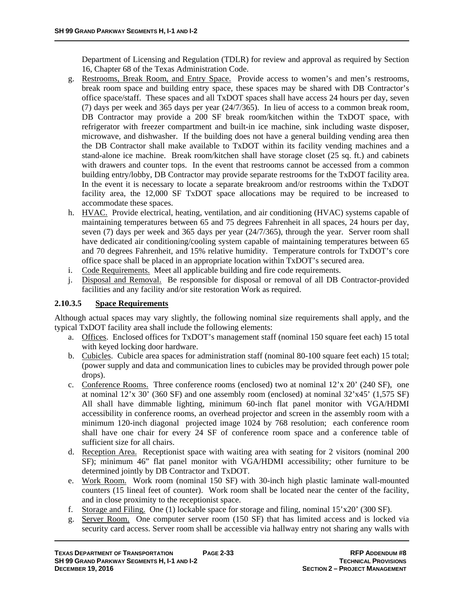Department of Licensing and Regulation (TDLR) for review and approval as required by Section 16, Chapter 68 of the Texas Administration Code.

- g. Restrooms, Break Room, and Entry Space. Provide access to women's and men's restrooms, break room space and building entry space, these spaces may be shared with DB Contractor's office space/staff. These spaces and all TxDOT spaces shall have access 24 hours per day, seven (7) days per week and 365 days per year (24/7/365). In lieu of access to a common break room, DB Contractor may provide a 200 SF break room/kitchen within the TxDOT space, with refrigerator with freezer compartment and built-in ice machine, sink including waste disposer, microwave, and dishwasher. If the building does not have a general building vending area then the DB Contractor shall make available to TxDOT within its facility vending machines and a stand-alone ice machine. Break room/kitchen shall have storage closet (25 sq. ft.) and cabinets with drawers and counter tops. In the event that restrooms cannot be accessed from a common building entry/lobby, DB Contractor may provide separate restrooms for the TxDOT facility area. In the event it is necessary to locate a separate breakroom and/or restrooms within the TxDOT facility area, the 12,000 SF TxDOT space allocations may be required to be increased to accommodate these spaces.
- h. HVAC. Provide electrical, heating, ventilation, and air conditioning (HVAC) systems capable of maintaining temperatures between 65 and 75 degrees Fahrenheit in all spaces, 24 hours per day, seven (7) days per week and 365 days per year (24/7/365), through the year. Server room shall have dedicated air conditioning/cooling system capable of maintaining temperatures between 65 and 70 degrees Fahrenheit, and 15% relative humidity. Temperature controls for TxDOT's core office space shall be placed in an appropriate location within TxDOT's secured area.
- i. Code Requirements. Meet all applicable building and fire code requirements.
- j. Disposal and Removal. Be responsible for disposal or removal of all DB Contractor-provided facilities and any facility and/or site restoration Work as required.

#### **2.10.3.5 Space Requirements**

Although actual spaces may vary slightly, the following nominal size requirements shall apply, and the typical TxDOT facility area shall include the following elements:

- a. Offices. Enclosed offices for TxDOT's management staff (nominal 150 square feet each) 15 total with keyed locking door hardware.
- b. Cubicles. Cubicle area spaces for administration staff (nominal 80-100 square feet each) 15 total; (power supply and data and communication lines to cubicles may be provided through power pole drops).
- c. Conference Rooms. Three conference rooms (enclosed) two at nominal 12'x 20' (240 SF), one at nominal  $12'x 30'$  (360 SF) and one assembly room (enclosed) at nominal  $32'x45'$  (1,575 SF) All shall have dimmable lighting, minimum 60-inch flat panel monitor with VGA/HDMI accessibility in conference rooms, an overhead projector and screen in the assembly room with a minimum 120-inch diagonal projected image 1024 by 768 resolution; each conference room shall have one chair for every 24 SF of conference room space and a conference table of sufficient size for all chairs.
- d. Reception Area. Receptionist space with waiting area with seating for 2 visitors (nominal 200 SF); minimum 46" flat panel monitor with VGA/HDMI accessibility; other furniture to be determined jointly by DB Contractor and TxDOT.
- e. Work Room. Work room (nominal 150 SF) with 30-inch high plastic laminate wall-mounted counters (15 lineal feet of counter). Work room shall be located near the center of the facility, and in close proximity to the receptionist space.
- f. Storage and Filing. One (1) lockable space for storage and filing, nominal  $15'x20'$  (300 SF).
- g. Server Room. One computer server room (150 SF) that has limited access and is locked via security card access. Server room shall be accessible via hallway entry not sharing any walls with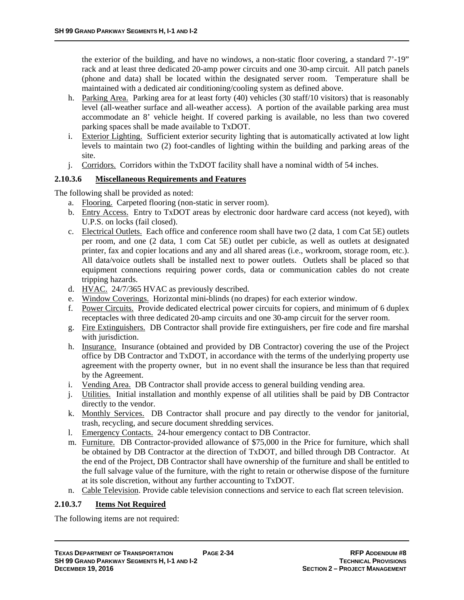the exterior of the building, and have no windows, a non-static floor covering, a standard 7'-19" rack and at least three dedicated 20-amp power circuits and one 30-amp circuit. All patch panels (phone and data) shall be located within the designated server room. Temperature shall be maintained with a dedicated air conditioning/cooling system as defined above.

- h. Parking Area. Parking area for at least forty (40) vehicles (30 staff/10 visitors) that is reasonably level (all-weather surface and all-weather access). A portion of the available parking area must accommodate an 8' vehicle height. If covered parking is available, no less than two covered parking spaces shall be made available to TxDOT.
- i. Exterior Lighting. Sufficient exterior security lighting that is automatically activated at low light levels to maintain two (2) foot-candles of lighting within the building and parking areas of the site.
- j. Corridors. Corridors within the TxDOT facility shall have a nominal width of 54 inches.

## **2.10.3.6 Miscellaneous Requirements and Features**

The following shall be provided as noted:

- a. Flooring. Carpeted flooring (non-static in server room).
- b. Entry Access. Entry to TxDOT areas by electronic door hardware card access (not keyed), with U.P.S. on locks (fail closed).
- c. Electrical Outlets. Each office and conference room shall have two (2 data, 1 com Cat 5E) outlets per room, and one (2 data, 1 com Cat 5E) outlet per cubicle, as well as outlets at designated printer, fax and copier locations and any and all shared areas (i.e., workroom, storage room, etc.). All data/voice outlets shall be installed next to power outlets. Outlets shall be placed so that equipment connections requiring power cords, data or communication cables do not create tripping hazards.
- d. HVAC. 24/7/365 HVAC as previously described.
- e. Window Coverings. Horizontal mini-blinds (no drapes) for each exterior window.
- f. Power Circuits. Provide dedicated electrical power circuits for copiers, and minimum of 6 duplex receptacles with three dedicated 20-amp circuits and one 30-amp circuit for the server room.
- g. Fire Extinguishers. DB Contractor shall provide fire extinguishers, per fire code and fire marshal with jurisdiction.
- h. Insurance. Insurance (obtained and provided by DB Contractor) covering the use of the Project office by DB Contractor and TxDOT, in accordance with the terms of the underlying property use agreement with the property owner, but in no event shall the insurance be less than that required by the Agreement.
- i. Vending Area. DB Contractor shall provide access to general building vending area.
- j. Utilities. Initial installation and monthly expense of all utilities shall be paid by DB Contractor directly to the vendor.
- k. Monthly Services. DB Contractor shall procure and pay directly to the vendor for janitorial, trash, recycling, and secure document shredding services.
- l. Emergency Contacts. 24-hour emergency contact to DB Contractor.
- m. Furniture. DB Contractor-provided allowance of \$75,000 in the Price for furniture, which shall be obtained by DB Contractor at the direction of TxDOT, and billed through DB Contractor. At the end of the Project, DB Contractor shall have ownership of the furniture and shall be entitled to the full salvage value of the furniture, with the right to retain or otherwise dispose of the furniture at its sole discretion, without any further accounting to TxDOT.
- n. Cable Television. Provide cable television connections and service to each flat screen television.

## **2.10.3.7 Items Not Required**

The following items are not required: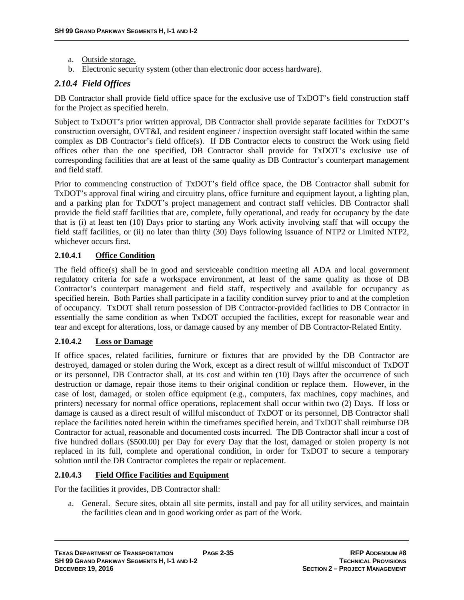- a. Outside storage.
- b. Electronic security system (other than electronic door access hardware).

## *2.10.4 Field Offices*

DB Contractor shall provide field office space for the exclusive use of TxDOT's field construction staff for the Project as specified herein.

Subject to TxDOT's prior written approval, DB Contractor shall provide separate facilities for TxDOT's construction oversight, OVT&I, and resident engineer / inspection oversight staff located within the same complex as DB Contractor's field office(s). If DB Contractor elects to construct the Work using field offices other than the one specified, DB Contractor shall provide for TxDOT's exclusive use of corresponding facilities that are at least of the same quality as DB Contractor's counterpart management and field staff.

Prior to commencing construction of TxDOT's field office space, the DB Contractor shall submit for TxDOT's approval final wiring and circuitry plans, office furniture and equipment layout, a lighting plan, and a parking plan for TxDOT's project management and contract staff vehicles. DB Contractor shall provide the field staff facilities that are, complete, fully operational, and ready for occupancy by the date that is (i) at least ten (10) Days prior to starting any Work activity involving staff that will occupy the field staff facilities, or (ii) no later than thirty (30) Days following issuance of NTP2 or Limited NTP2, whichever occurs first.

## **2.10.4.1 Office Condition**

The field office(s) shall be in good and serviceable condition meeting all ADA and local government regulatory criteria for safe a workspace environment, at least of the same quality as those of DB Contractor's counterpart management and field staff, respectively and available for occupancy as specified herein. Both Parties shall participate in a facility condition survey prior to and at the completion of occupancy. TxDOT shall return possession of DB Contractor-provided facilities to DB Contractor in essentially the same condition as when TxDOT occupied the facilities, except for reasonable wear and tear and except for alterations, loss, or damage caused by any member of DB Contractor-Related Entity.

#### **2.10.4.2 Loss or Damage**

If office spaces, related facilities, furniture or fixtures that are provided by the DB Contractor are destroyed, damaged or stolen during the Work, except as a direct result of willful misconduct of TxDOT or its personnel, DB Contractor shall, at its cost and within ten (10) Days after the occurrence of such destruction or damage, repair those items to their original condition or replace them. However, in the case of lost, damaged, or stolen office equipment (e.g., computers, fax machines, copy machines, and printers) necessary for normal office operations, replacement shall occur within two (2) Days. If loss or damage is caused as a direct result of willful misconduct of TxDOT or its personnel, DB Contractor shall replace the facilities noted herein within the timeframes specified herein, and TxDOT shall reimburse DB Contractor for actual, reasonable and documented costs incurred. The DB Contractor shall incur a cost of five hundred dollars (\$500.00) per Day for every Day that the lost, damaged or stolen property is not replaced in its full, complete and operational condition, in order for TxDOT to secure a temporary solution until the DB Contractor completes the repair or replacement.

#### **2.10.4.3 Field Office Facilities and Equipment**

For the facilities it provides, DB Contractor shall:

a. General. Secure sites, obtain all site permits, install and pay for all utility services, and maintain the facilities clean and in good working order as part of the Work.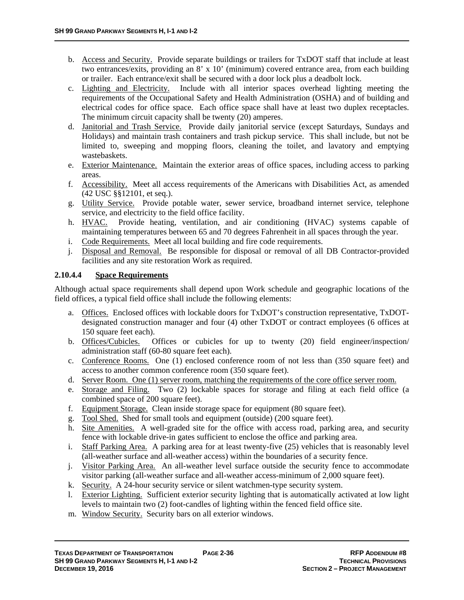- b. Access and Security. Provide separate buildings or trailers for TxDOT staff that include at least two entrances/exits, providing an 8' x 10' (minimum) covered entrance area, from each building or trailer. Each entrance/exit shall be secured with a door lock plus a deadbolt lock.
- c. Lighting and Electricity. Include with all interior spaces overhead lighting meeting the requirements of the Occupational Safety and Health Administration (OSHA) and of building and electrical codes for office space. Each office space shall have at least two duplex receptacles. The minimum circuit capacity shall be twenty (20) amperes.
- d. Janitorial and Trash Service. Provide daily janitorial service (except Saturdays, Sundays and Holidays) and maintain trash containers and trash pickup service. This shall include, but not be limited to, sweeping and mopping floors, cleaning the toilet, and lavatory and emptying wastebaskets.
- e. Exterior Maintenance. Maintain the exterior areas of office spaces, including access to parking areas.
- f. Accessibility. Meet all access requirements of the Americans with Disabilities Act, as amended (42 USC §§12101, et seq.).
- g. Utility Service. Provide potable water, sewer service, broadband internet service, telephone service, and electricity to the field office facility.
- h. HVAC. Provide heating, ventilation, and air conditioning (HVAC) systems capable of maintaining temperatures between 65 and 70 degrees Fahrenheit in all spaces through the year.
- i. Code Requirements. Meet all local building and fire code requirements.
- j. Disposal and Removal. Be responsible for disposal or removal of all DB Contractor-provided facilities and any site restoration Work as required.

## **2.10.4.4 Space Requirements**

Although actual space requirements shall depend upon Work schedule and geographic locations of the field offices, a typical field office shall include the following elements:

- a. Offices. Enclosed offices with lockable doors for TxDOT's construction representative, TxDOTdesignated construction manager and four (4) other TxDOT or contract employees (6 offices at 150 square feet each).
- b. Offices/Cubicles. Offices or cubicles for up to twenty (20) field engineer/inspection/ administration staff (60-80 square feet each).
- c. Conference Rooms. One (1) enclosed conference room of not less than (350 square feet) and access to another common conference room (350 square feet).
- d. Server Room. One (1) server room, matching the requirements of the core office server room.
- e. Storage and Filing. Two (2) lockable spaces for storage and filing at each field office (a combined space of 200 square feet).
- f. Equipment Storage. Clean inside storage space for equipment (80 square feet).
- g. Tool Shed. Shed for small tools and equipment (outside) (200 square feet).
- h. Site Amenities. A well-graded site for the office with access road, parking area, and security fence with lockable drive-in gates sufficient to enclose the office and parking area.
- i. Staff Parking Area. A parking area for at least twenty-five (25) vehicles that is reasonably level (all-weather surface and all-weather access) within the boundaries of a security fence.
- j. Visitor Parking Area. An all-weather level surface outside the security fence to accommodate visitor parking (all-weather surface and all-weather access-minimum of 2,000 square feet).
- k. Security. A 24-hour security service or silent watchmen-type security system.
- l. Exterior Lighting. Sufficient exterior security lighting that is automatically activated at low light levels to maintain two (2) foot-candles of lighting within the fenced field office site.
- m. Window Security. Security bars on all exterior windows.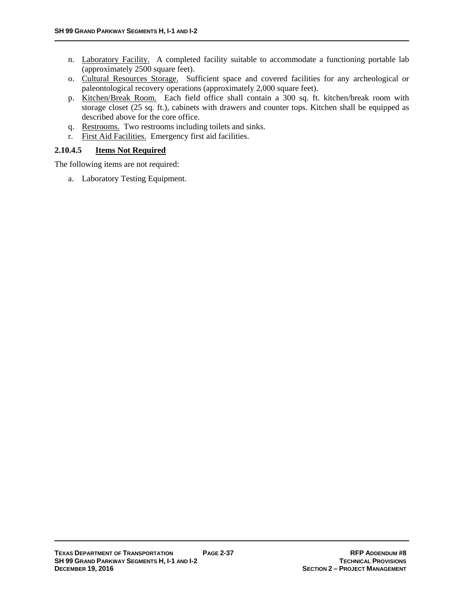- n. Laboratory Facility. A completed facility suitable to accommodate a functioning portable lab (approximately 2500 square feet).
- o. Cultural Resources Storage. Sufficient space and covered facilities for any archeological or paleontological recovery operations (approximately 2,000 square feet).
- p. Kitchen/Break Room. Each field office shall contain a 300 sq. ft. kitchen/break room with storage closet (25 sq. ft.), cabinets with drawers and counter tops. Kitchen shall be equipped as described above for the core office.
- q. Restrooms. Two restrooms including toilets and sinks.
- r. First Aid Facilities. Emergency first aid facilities.

## **2.10.4.5 Items Not Required**

The following items are not required:

a. Laboratory Testing Equipment.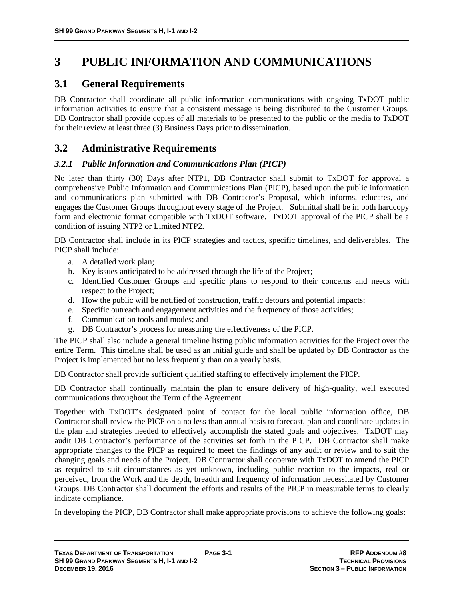# **3 PUBLIC INFORMATION AND COMMUNICATIONS**

# **3.1 General Requirements**

DB Contractor shall coordinate all public information communications with ongoing TxDOT public information activities to ensure that a consistent message is being distributed to the Customer Groups. DB Contractor shall provide copies of all materials to be presented to the public or the media to TxDOT for their review at least three (3) Business Days prior to dissemination.

# **3.2 Administrative Requirements**

## *3.2.1 Public Information and Communications Plan (PICP)*

No later than thirty (30) Days after NTP1, DB Contractor shall submit to TxDOT for approval a comprehensive Public Information and Communications Plan (PICP), based upon the public information and communications plan submitted with DB Contractor's Proposal, which informs, educates, and engages the Customer Groups throughout every stage of the Project. Submittal shall be in both hardcopy form and electronic format compatible with TxDOT software. TxDOT approval of the PICP shall be a condition of issuing NTP2 or Limited NTP2.

DB Contractor shall include in its PICP strategies and tactics, specific timelines, and deliverables. The PICP shall include:

- a. A detailed work plan;
- b. Key issues anticipated to be addressed through the life of the Project;
- c. Identified Customer Groups and specific plans to respond to their concerns and needs with respect to the Project;
- d. How the public will be notified of construction, traffic detours and potential impacts;
- e. Specific outreach and engagement activities and the frequency of those activities;
- f. Communication tools and modes; and
- g. DB Contractor's process for measuring the effectiveness of the PICP.

The PICP shall also include a general timeline listing public information activities for the Project over the entire Term. This timeline shall be used as an initial guide and shall be updated by DB Contractor as the Project is implemented but no less frequently than on a yearly basis.

DB Contractor shall provide sufficient qualified staffing to effectively implement the PICP.

DB Contractor shall continually maintain the plan to ensure delivery of high-quality, well executed communications throughout the Term of the Agreement.

Together with TxDOT's designated point of contact for the local public information office, DB Contractor shall review the PICP on a no less than annual basis to forecast, plan and coordinate updates in the plan and strategies needed to effectively accomplish the stated goals and objectives. TxDOT may audit DB Contractor's performance of the activities set forth in the PICP. DB Contractor shall make appropriate changes to the PICP as required to meet the findings of any audit or review and to suit the changing goals and needs of the Project. DB Contractor shall cooperate with TxDOT to amend the PICP as required to suit circumstances as yet unknown, including public reaction to the impacts, real or perceived, from the Work and the depth, breadth and frequency of information necessitated by Customer Groups. DB Contractor shall document the efforts and results of the PICP in measurable terms to clearly indicate compliance.

In developing the PICP, DB Contractor shall make appropriate provisions to achieve the following goals: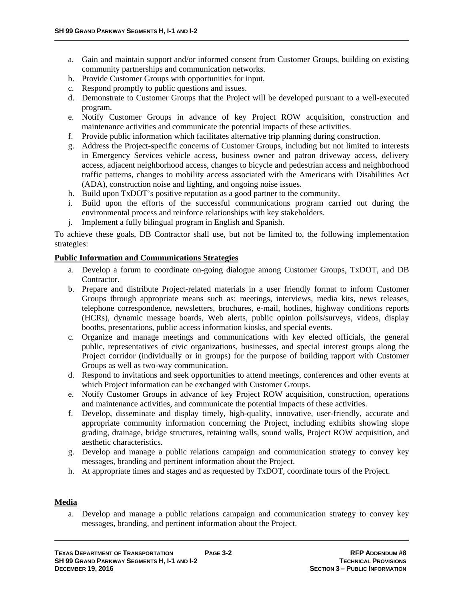- a. Gain and maintain support and/or informed consent from Customer Groups, building on existing community partnerships and communication networks.
- b. Provide Customer Groups with opportunities for input.
- c. Respond promptly to public questions and issues.
- d. Demonstrate to Customer Groups that the Project will be developed pursuant to a well-executed program.
- e. Notify Customer Groups in advance of key Project ROW acquisition, construction and maintenance activities and communicate the potential impacts of these activities.
- f. Provide public information which facilitates alternative trip planning during construction.
- g. Address the Project-specific concerns of Customer Groups, including but not limited to interests in Emergency Services vehicle access, business owner and patron driveway access, delivery access, adjacent neighborhood access, changes to bicycle and pedestrian access and neighborhood traffic patterns, changes to mobility access associated with the Americans with Disabilities Act (ADA), construction noise and lighting, and ongoing noise issues.
- h. Build upon TxDOT's positive reputation as a good partner to the community.
- i. Build upon the efforts of the successful communications program carried out during the environmental process and reinforce relationships with key stakeholders.
- j. Implement a fully bilingual program in English and Spanish.

To achieve these goals, DB Contractor shall use, but not be limited to, the following implementation strategies:

#### **Public Information and Communications Strategies**

- a. Develop a forum to coordinate on-going dialogue among Customer Groups, TxDOT, and DB Contractor.
- b. Prepare and distribute Project-related materials in a user friendly format to inform Customer Groups through appropriate means such as: meetings, interviews, media kits, news releases, telephone correspondence, newsletters, brochures, e-mail, hotlines, highway conditions reports (HCRs), dynamic message boards, Web alerts, public opinion polls/surveys, videos, display booths, presentations, public access information kiosks, and special events.
- c. Organize and manage meetings and communications with key elected officials, the general public, representatives of civic organizations, businesses, and special interest groups along the Project corridor (individually or in groups) for the purpose of building rapport with Customer Groups as well as two-way communication.
- d. Respond to invitations and seek opportunities to attend meetings, conferences and other events at which Project information can be exchanged with Customer Groups.
- e. Notify Customer Groups in advance of key Project ROW acquisition, construction, operations and maintenance activities, and communicate the potential impacts of these activities.
- f. Develop, disseminate and display timely, high-quality, innovative, user-friendly, accurate and appropriate community information concerning the Project, including exhibits showing slope grading, drainage, bridge structures, retaining walls, sound walls, Project ROW acquisition, and aesthetic characteristics.
- g. Develop and manage a public relations campaign and communication strategy to convey key messages, branding and pertinent information about the Project.
- h. At appropriate times and stages and as requested by TxDOT, coordinate tours of the Project.

#### **Media**

a. Develop and manage a public relations campaign and communication strategy to convey key messages, branding, and pertinent information about the Project.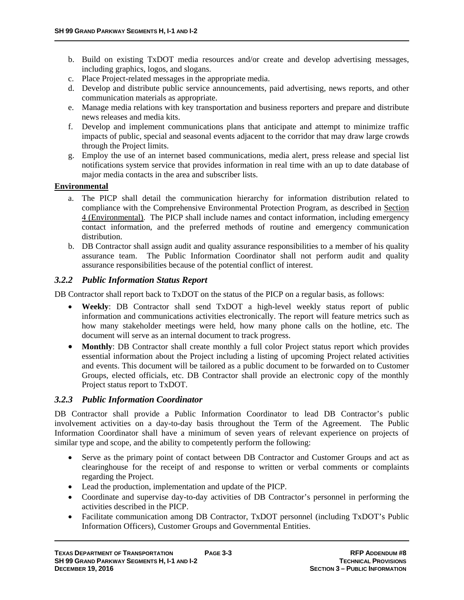- b. Build on existing TxDOT media resources and/or create and develop advertising messages, including graphics, logos, and slogans.
- c. Place Project-related messages in the appropriate media.
- d. Develop and distribute public service announcements, paid advertising, news reports, and other communication materials as appropriate.
- e. Manage media relations with key transportation and business reporters and prepare and distribute news releases and media kits.
- f. Develop and implement communications plans that anticipate and attempt to minimize traffic impacts of public, special and seasonal events adjacent to the corridor that may draw large crowds through the Project limits.
- g. Employ the use of an internet based communications, media alert, press release and special list notifications system service that provides information in real time with an up to date database of major media contacts in the area and subscriber lists.

#### **Environmental**

- a. The PICP shall detail the communication hierarchy for information distribution related to compliance with the Comprehensive Environmental Protection Program, as described in Section 4 (Environmental). The PICP shall include names and contact information, including emergency contact information, and the preferred methods of routine and emergency communication distribution.
- b. DB Contractor shall assign audit and quality assurance responsibilities to a member of his quality assurance team. The Public Information Coordinator shall not perform audit and quality assurance responsibilities because of the potential conflict of interest.

#### *3.2.2 Public Information Status Report*

DB Contractor shall report back to TxDOT on the status of the PICP on a regular basis, as follows:

- **Weekly**: DB Contractor shall send TxDOT a high-level weekly status report of public information and communications activities electronically. The report will feature metrics such as how many stakeholder meetings were held, how many phone calls on the hotline, etc. The document will serve as an internal document to track progress.
- **Monthly**: DB Contractor shall create monthly a full color Project status report which provides essential information about the Project including a listing of upcoming Project related activities and events. This document will be tailored as a public document to be forwarded on to Customer Groups, elected officials, etc. DB Contractor shall provide an electronic copy of the monthly Project status report to TxDOT.

#### *3.2.3 Public Information Coordinator*

DB Contractor shall provide a Public Information Coordinator to lead DB Contractor's public involvement activities on a day-to-day basis throughout the Term of the Agreement. The Public Information Coordinator shall have a minimum of seven years of relevant experience on projects of similar type and scope, and the ability to competently perform the following:

- Serve as the primary point of contact between DB Contractor and Customer Groups and act as clearinghouse for the receipt of and response to written or verbal comments or complaints regarding the Project.
- Lead the production, implementation and update of the PICP.
- Coordinate and supervise day-to-day activities of DB Contractor's personnel in performing the activities described in the PICP.
- Facilitate communication among DB Contractor, TxDOT personnel (including TxDOT's Public Information Officers), Customer Groups and Governmental Entities.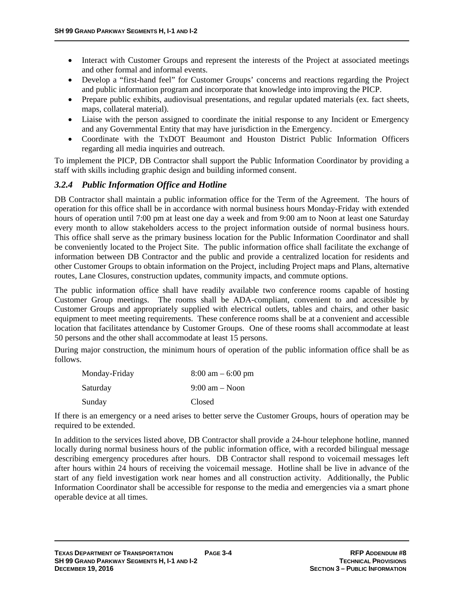- Interact with Customer Groups and represent the interests of the Project at associated meetings and other formal and informal events.
- Develop a "first-hand feel" for Customer Groups' concerns and reactions regarding the Project and public information program and incorporate that knowledge into improving the PICP.
- Prepare public exhibits, audiovisual presentations, and regular updated materials (ex. fact sheets, maps, collateral material).
- Liaise with the person assigned to coordinate the initial response to any Incident or Emergency and any Governmental Entity that may have jurisdiction in the Emergency.
- Coordinate with the TxDOT Beaumont and Houston District Public Information Officers regarding all media inquiries and outreach.

To implement the PICP, DB Contractor shall support the Public Information Coordinator by providing a staff with skills including graphic design and building informed consent.

## *3.2.4 Public Information Office and Hotline*

DB Contractor shall maintain a public information office for the Term of the Agreement. The hours of operation for this office shall be in accordance with normal business hours Monday-Friday with extended hours of operation until 7:00 pm at least one day a week and from 9:00 am to Noon at least one Saturday every month to allow stakeholders access to the project information outside of normal business hours. This office shall serve as the primary business location for the Public Information Coordinator and shall be conveniently located to the Project Site. The public information office shall facilitate the exchange of information between DB Contractor and the public and provide a centralized location for residents and other Customer Groups to obtain information on the Project, including Project maps and Plans, alternative routes, Lane Closures, construction updates, community impacts, and commute options.

The public information office shall have readily available two conference rooms capable of hosting Customer Group meetings. The rooms shall be ADA-compliant, convenient to and accessible by Customer Groups and appropriately supplied with electrical outlets, tables and chairs, and other basic equipment to meet meeting requirements. These conference rooms shall be at a convenient and accessible location that facilitates attendance by Customer Groups. One of these rooms shall accommodate at least 50 persons and the other shall accommodate at least 15 persons.

During major construction, the minimum hours of operation of the public information office shall be as follows.

| Monday-Friday | $8:00 \text{ am} - 6:00 \text{ pm}$ |
|---------------|-------------------------------------|
| Saturday      | $9:00 \text{ am} - \text{Noon}$     |
| Sunday        | Closed                              |

If there is an emergency or a need arises to better serve the Customer Groups, hours of operation may be required to be extended.

In addition to the services listed above, DB Contractor shall provide a 24-hour telephone hotline, manned locally during normal business hours of the public information office, with a recorded bilingual message describing emergency procedures after hours. DB Contractor shall respond to voicemail messages left after hours within 24 hours of receiving the voicemail message. Hotline shall be live in advance of the start of any field investigation work near homes and all construction activity. Additionally, the Public Information Coordinator shall be accessible for response to the media and emergencies via a smart phone operable device at all times.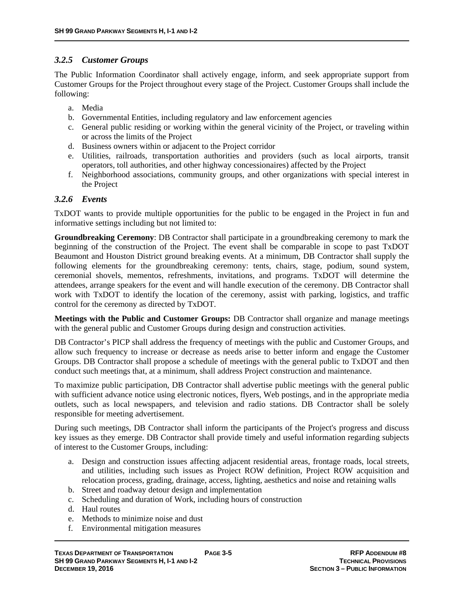## *3.2.5 Customer Groups*

The Public Information Coordinator shall actively engage, inform, and seek appropriate support from Customer Groups for the Project throughout every stage of the Project. Customer Groups shall include the following:

- a. Media
- b. Governmental Entities, including regulatory and law enforcement agencies
- c. General public residing or working within the general vicinity of the Project, or traveling within or across the limits of the Project
- d. Business owners within or adjacent to the Project corridor
- e. Utilities, railroads, transportation authorities and providers (such as local airports, transit operators, toll authorities, and other highway concessionaires) affected by the Project
- f. Neighborhood associations, community groups, and other organizations with special interest in the Project

## *3.2.6 Events*

TxDOT wants to provide multiple opportunities for the public to be engaged in the Project in fun and informative settings including but not limited to:

**Groundbreaking Ceremony**: DB Contractor shall participate in a groundbreaking ceremony to mark the beginning of the construction of the Project. The event shall be comparable in scope to past TxDOT Beaumont and Houston District ground breaking events. At a minimum, DB Contractor shall supply the following elements for the groundbreaking ceremony: tents, chairs, stage, podium, sound system, ceremonial shovels, mementos, refreshments, invitations, and programs. TxDOT will determine the attendees, arrange speakers for the event and will handle execution of the ceremony. DB Contractor shall work with TxDOT to identify the location of the ceremony, assist with parking, logistics, and traffic control for the ceremony as directed by TxDOT.

**Meetings with the Public and Customer Groups:** DB Contractor shall organize and manage meetings with the general public and Customer Groups during design and construction activities.

DB Contractor's PICP shall address the frequency of meetings with the public and Customer Groups, and allow such frequency to increase or decrease as needs arise to better inform and engage the Customer Groups. DB Contractor shall propose a schedule of meetings with the general public to TxDOT and then conduct such meetings that, at a minimum, shall address Project construction and maintenance.

To maximize public participation, DB Contractor shall advertise public meetings with the general public with sufficient advance notice using electronic notices, flyers, Web postings, and in the appropriate media outlets, such as local newspapers, and television and radio stations. DB Contractor shall be solely responsible for meeting advertisement.

During such meetings, DB Contractor shall inform the participants of the Project's progress and discuss key issues as they emerge. DB Contractor shall provide timely and useful information regarding subjects of interest to the Customer Groups, including:

- a. Design and construction issues affecting adjacent residential areas, frontage roads, local streets, and utilities, including such issues as Project ROW definition, Project ROW acquisition and relocation process, grading, drainage, access, lighting, aesthetics and noise and retaining walls
- b. Street and roadway detour design and implementation
- c. Scheduling and duration of Work, including hours of construction
- d. Haul routes
- e. Methods to minimize noise and dust
- f. Environmental mitigation measures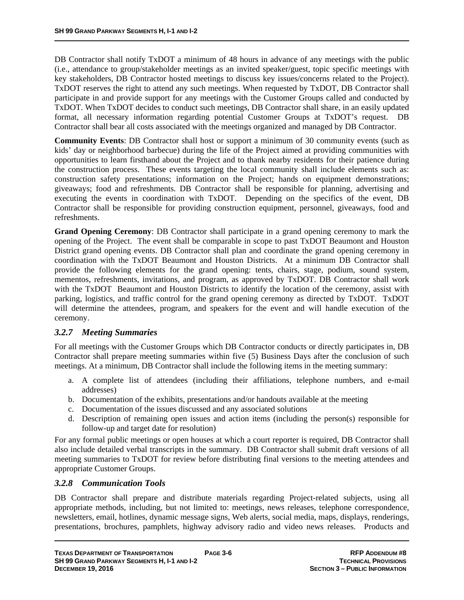DB Contractor shall notify TxDOT a minimum of 48 hours in advance of any meetings with the public (i.e., attendance to group/stakeholder meetings as an invited speaker/guest, topic specific meetings with key stakeholders, DB Contractor hosted meetings to discuss key issues/concerns related to the Project). TxDOT reserves the right to attend any such meetings. When requested by TxDOT, DB Contractor shall participate in and provide support for any meetings with the Customer Groups called and conducted by TxDOT. When TxDOT decides to conduct such meetings, DB Contractor shall share, in an easily updated format, all necessary information regarding potential Customer Groups at TxDOT's request. DB Contractor shall bear all costs associated with the meetings organized and managed by DB Contractor.

**Community Events**: DB Contractor shall host or support a minimum of 30 community events (such as kids' day or neighborhood barbecue) during the life of the Project aimed at providing communities with opportunities to learn firsthand about the Project and to thank nearby residents for their patience during the construction process. These events targeting the local community shall include elements such as: construction safety presentations; information on the Project; hands on equipment demonstrations; giveaways; food and refreshments. DB Contractor shall be responsible for planning, advertising and executing the events in coordination with TxDOT. Depending on the specifics of the event, DB Contractor shall be responsible for providing construction equipment, personnel, giveaways, food and refreshments.

**Grand Opening Ceremony**: DB Contractor shall participate in a grand opening ceremony to mark the opening of the Project. The event shall be comparable in scope to past TxDOT Beaumont and Houston District grand opening events. DB Contractor shall plan and coordinate the grand opening ceremony in coordination with the TxDOT Beaumont and Houston Districts. At a minimum DB Contractor shall provide the following elements for the grand opening: tents, chairs, stage, podium, sound system, mementos, refreshments, invitations, and program, as approved by TxDOT. DB Contractor shall work with the TxDOT Beaumont and Houston Districts to identify the location of the ceremony, assist with parking, logistics, and traffic control for the grand opening ceremony as directed by TxDOT. TxDOT will determine the attendees, program, and speakers for the event and will handle execution of the ceremony.

## *3.2.7 Meeting Summaries*

For all meetings with the Customer Groups which DB Contractor conducts or directly participates in, DB Contractor shall prepare meeting summaries within five (5) Business Days after the conclusion of such meetings. At a minimum, DB Contractor shall include the following items in the meeting summary:

- a. A complete list of attendees (including their affiliations, telephone numbers, and e-mail addresses)
- b. Documentation of the exhibits, presentations and/or handouts available at the meeting
- c. Documentation of the issues discussed and any associated solutions
- d. Description of remaining open issues and action items (including the person(s) responsible for follow-up and target date for resolution)

For any formal public meetings or open houses at which a court reporter is required, DB Contractor shall also include detailed verbal transcripts in the summary. DB Contractor shall submit draft versions of all meeting summaries to TxDOT for review before distributing final versions to the meeting attendees and appropriate Customer Groups.

#### *3.2.8 Communication Tools*

DB Contractor shall prepare and distribute materials regarding Project-related subjects, using all appropriate methods, including, but not limited to: meetings, news releases, telephone correspondence, newsletters, email, hotlines, dynamic message signs, Web alerts, social media, maps, displays, renderings, presentations, brochures, pamphlets, highway advisory radio and video news releases. Products and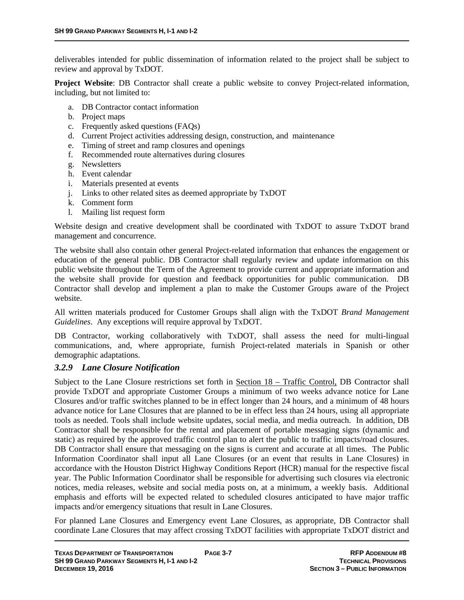deliverables intended for public dissemination of information related to the project shall be subject to review and approval by TxDOT.

**Project Website**: DB Contractor shall create a public website to convey Project-related information, including, but not limited to:

- a. DB Contractor contact information
- b. Project maps
- c. Frequently asked questions (FAQs)
- d. Current Project activities addressing design, construction, and maintenance
- e. Timing of street and ramp closures and openings
- f. Recommended route alternatives during closures
- g. Newsletters
- h. Event calendar
- i. Materials presented at events
- j. Links to other related sites as deemed appropriate by TxDOT
- k. Comment form
- l. Mailing list request form

Website design and creative development shall be coordinated with TxDOT to assure TxDOT brand management and concurrence.

The website shall also contain other general Project-related information that enhances the engagement or education of the general public. DB Contractor shall regularly review and update information on this public website throughout the Term of the Agreement to provide current and appropriate information and the website shall provide for question and feedback opportunities for public communication. DB Contractor shall develop and implement a plan to make the Customer Groups aware of the Project website.

All written materials produced for Customer Groups shall align with the TxDOT *Brand Management Guidelines*. Any exceptions will require approval by TxDOT.

DB Contractor, working collaboratively with TxDOT, shall assess the need for multi-lingual communications, and, where appropriate, furnish Project-related materials in Spanish or other demographic adaptations.

#### *3.2.9 Lane Closure Notification*

Subject to the Lane Closure restrictions set forth in Section  $18$  – Traffic Control, DB Contractor shall provide TxDOT and appropriate Customer Groups a minimum of two weeks advance notice for Lane Closures and/or traffic switches planned to be in effect longer than 24 hours, and a minimum of 48 hours advance notice for Lane Closures that are planned to be in effect less than 24 hours, using all appropriate tools as needed. Tools shall include website updates, social media, and media outreach. In addition, DB Contractor shall be responsible for the rental and placement of portable messaging signs (dynamic and static) as required by the approved traffic control plan to alert the public to traffic impacts/road closures. DB Contractor shall ensure that messaging on the signs is current and accurate at all times. The Public Information Coordinator shall input all Lane Closures (or an event that results in Lane Closures) in accordance with the Houston District Highway Conditions Report (HCR) manual for the respective fiscal year. The Public Information Coordinator shall be responsible for advertising such closures via electronic notices, media releases, website and social media posts on, at a minimum, a weekly basis. Additional emphasis and efforts will be expected related to scheduled closures anticipated to have major traffic impacts and/or emergency situations that result in Lane Closures.

For planned Lane Closures and Emergency event Lane Closures, as appropriate, DB Contractor shall coordinate Lane Closures that may affect crossing TxDOT facilities with appropriate TxDOT district and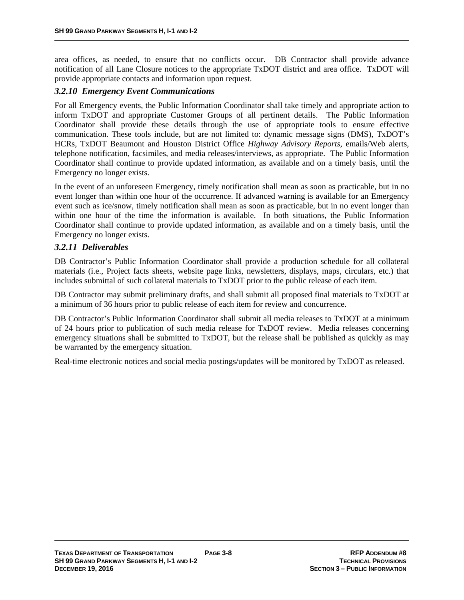area offices, as needed, to ensure that no conflicts occur. DB Contractor shall provide advance notification of all Lane Closure notices to the appropriate TxDOT district and area office. TxDOT will provide appropriate contacts and information upon request.

## *3.2.10 Emergency Event Communications*

For all Emergency events, the Public Information Coordinator shall take timely and appropriate action to inform TxDOT and appropriate Customer Groups of all pertinent details. The Public Information Coordinator shall provide these details through the use of appropriate tools to ensure effective communication. These tools include, but are not limited to: dynamic message signs (DMS), TxDOT's HCRs, TxDOT Beaumont and Houston District Office *Highway Advisory Reports*, emails/Web alerts, telephone notification, facsimiles, and media releases/interviews, as appropriate. The Public Information Coordinator shall continue to provide updated information, as available and on a timely basis, until the Emergency no longer exists.

In the event of an unforeseen Emergency, timely notification shall mean as soon as practicable, but in no event longer than within one hour of the occurrence. If advanced warning is available for an Emergency event such as ice/snow, timely notification shall mean as soon as practicable, but in no event longer than within one hour of the time the information is available. In both situations, the Public Information Coordinator shall continue to provide updated information, as available and on a timely basis, until the Emergency no longer exists.

## *3.2.11 Deliverables*

DB Contractor's Public Information Coordinator shall provide a production schedule for all collateral materials (i.e., Project facts sheets, website page links, newsletters, displays, maps, circulars, etc.) that includes submittal of such collateral materials to TxDOT prior to the public release of each item.

DB Contractor may submit preliminary drafts, and shall submit all proposed final materials to TxDOT at a minimum of 36 hours prior to public release of each item for review and concurrence.

DB Contractor's Public Information Coordinator shall submit all media releases to TxDOT at a minimum of 24 hours prior to publication of such media release for TxDOT review. Media releases concerning emergency situations shall be submitted to TxDOT, but the release shall be published as quickly as may be warranted by the emergency situation.

Real-time electronic notices and social media postings/updates will be monitored by TxDOT as released.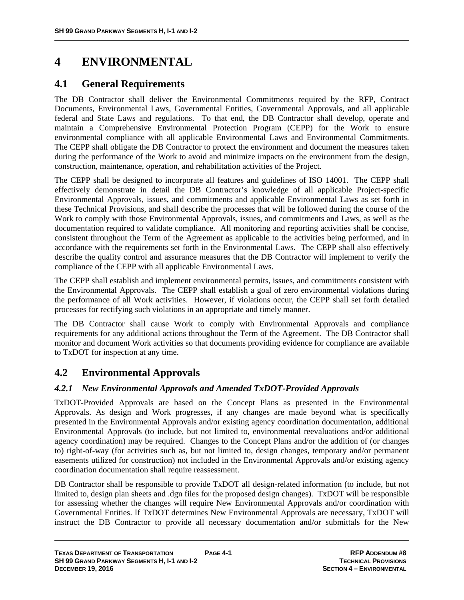# **4 ENVIRONMENTAL**

# **4.1 General Requirements**

The DB Contractor shall deliver the Environmental Commitments required by the RFP, Contract Documents, Environmental Laws, Governmental Entities, Governmental Approvals, and all applicable federal and State Laws and regulations. To that end, the DB Contractor shall develop, operate and maintain a Comprehensive Environmental Protection Program (CEPP) for the Work to ensure environmental compliance with all applicable Environmental Laws and Environmental Commitments. The CEPP shall obligate the DB Contractor to protect the environment and document the measures taken during the performance of the Work to avoid and minimize impacts on the environment from the design, construction, maintenance, operation, and rehabilitation activities of the Project.

The CEPP shall be designed to incorporate all features and guidelines of ISO 14001. The CEPP shall effectively demonstrate in detail the DB Contractor's knowledge of all applicable Project-specific Environmental Approvals, issues, and commitments and applicable Environmental Laws as set forth in these Technical Provisions, and shall describe the processes that will be followed during the course of the Work to comply with those Environmental Approvals, issues, and commitments and Laws, as well as the documentation required to validate compliance. All monitoring and reporting activities shall be concise, consistent throughout the Term of the Agreement as applicable to the activities being performed, and in accordance with the requirements set forth in the Environmental Laws. The CEPP shall also effectively describe the quality control and assurance measures that the DB Contractor will implement to verify the compliance of the CEPP with all applicable Environmental Laws.

The CEPP shall establish and implement environmental permits, issues, and commitments consistent with the Environmental Approvals. The CEPP shall establish a goal of zero environmental violations during the performance of all Work activities. However, if violations occur, the CEPP shall set forth detailed processes for rectifying such violations in an appropriate and timely manner.

The DB Contractor shall cause Work to comply with Environmental Approvals and compliance requirements for any additional actions throughout the Term of the Agreement. The DB Contractor shall monitor and document Work activities so that documents providing evidence for compliance are available to TxDOT for inspection at any time.

# **4.2 Environmental Approvals**

## *4.2.1 New Environmental Approvals and Amended TxDOT-Provided Approvals*

TxDOT-Provided Approvals are based on the Concept Plans as presented in the Environmental Approvals. As design and Work progresses, if any changes are made beyond what is specifically presented in the Environmental Approvals and/or existing agency coordination documentation, additional Environmental Approvals (to include, but not limited to, environmental reevaluations and/or additional agency coordination) may be required. Changes to the Concept Plans and/or the addition of (or changes to) right-of-way (for activities such as, but not limited to, design changes, temporary and/or permanent easements utilized for construction) not included in the Environmental Approvals and/or existing agency coordination documentation shall require reassessment.

DB Contractor shall be responsible to provide TxDOT all design-related information (to include, but not limited to, design plan sheets and .dgn files for the proposed design changes). TxDOT will be responsible for assessing whether the changes will require New Environmental Approvals and/or coordination with Governmental Entities. If TxDOT determines New Environmental Approvals are necessary, TxDOT will instruct the DB Contractor to provide all necessary documentation and/or submittals for the New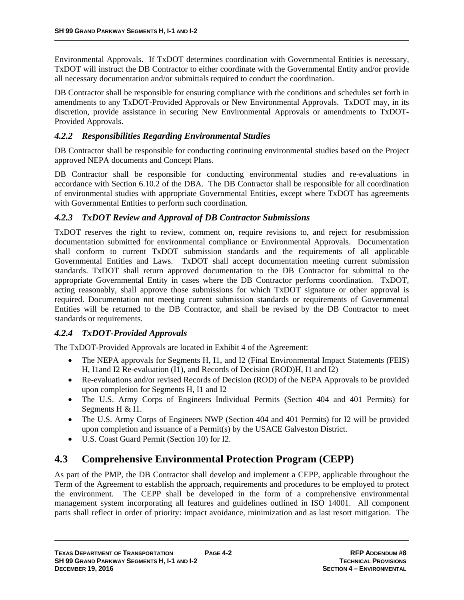Environmental Approvals. If TxDOT determines coordination with Governmental Entities is necessary, TxDOT will instruct the DB Contractor to either coordinate with the Governmental Entity and/or provide all necessary documentation and/or submittals required to conduct the coordination.

DB Contractor shall be responsible for ensuring compliance with the conditions and schedules set forth in amendments to any TxDOT-Provided Approvals or New Environmental Approvals. TxDOT may, in its discretion, provide assistance in securing New Environmental Approvals or amendments to TxDOT-Provided Approvals.

## *4.2.2 Responsibilities Regarding Environmental Studies*

DB Contractor shall be responsible for conducting continuing environmental studies based on the Project approved NEPA documents and Concept Plans.

DB Contractor shall be responsible for conducting environmental studies and re-evaluations in accordance with Section 6.10.2 of the DBA. The DB Contractor shall be responsible for all coordination of environmental studies with appropriate Governmental Entities, except where TxDOT has agreements with Governmental Entities to perform such coordination.

## *4.2.3 TxDOT Review and Approval of DB Contractor Submissions*

TxDOT reserves the right to review, comment on, require revisions to, and reject for resubmission documentation submitted for environmental compliance or Environmental Approvals. Documentation shall conform to current TxDOT submission standards and the requirements of all applicable Governmental Entities and Laws. TxDOT shall accept documentation meeting current submission standards. TxDOT shall return approved documentation to the DB Contractor for submittal to the appropriate Governmental Entity in cases where the DB Contractor performs coordination. TxDOT, acting reasonably, shall approve those submissions for which TxDOT signature or other approval is required. Documentation not meeting current submission standards or requirements of Governmental Entities will be returned to the DB Contractor, and shall be revised by the DB Contractor to meet standards or requirements.

## *4.2.4 TxDOT-Provided Approvals*

The TxDOT-Provided Approvals are located in Exhibit 4 of the Agreement:

- The NEPA approvals for Segments H, I1, and I2 (Final Environmental Impact Statements (FEIS) H, I1and I2 Re-evaluation (I1), and Records of Decision (ROD)H, I1 and I2)
- Re-evaluations and/or revised Records of Decision (ROD) of the NEPA Approvals to be provided upon completion for Segments H, I1 and I2
- The U.S. Army Corps of Engineers Individual Permits (Section 404 and 401 Permits) for Segments H & I1.
- The U.S. Army Corps of Engineers NWP (Section 404 and 401 Permits) for I2 will be provided upon completion and issuance of a Permit(s) by the USACE Galveston District.
- U.S. Coast Guard Permit (Section 10) for I2.

# **4.3 Comprehensive Environmental Protection Program (CEPP)**

As part of the PMP, the DB Contractor shall develop and implement a CEPP, applicable throughout the Term of the Agreement to establish the approach, requirements and procedures to be employed to protect the environment. The CEPP shall be developed in the form of a comprehensive environmental management system incorporating all features and guidelines outlined in ISO 14001. All component parts shall reflect in order of priority: impact avoidance, minimization and as last resort mitigation. The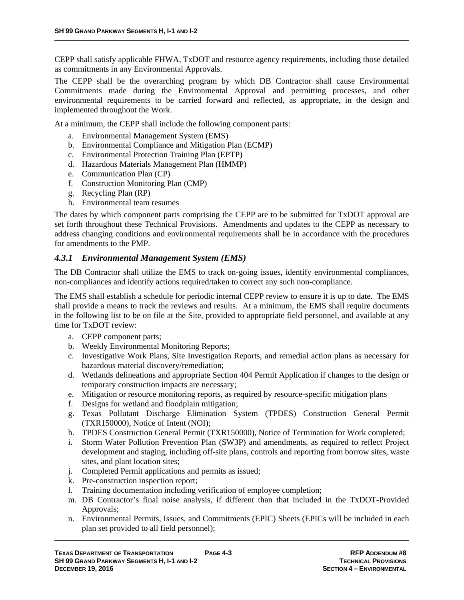CEPP shall satisfy applicable FHWA, TxDOT and resource agency requirements, including those detailed as commitments in any Environmental Approvals.

The CEPP shall be the overarching program by which DB Contractor shall cause Environmental Commitments made during the Environmental Approval and permitting processes, and other environmental requirements to be carried forward and reflected, as appropriate, in the design and implemented throughout the Work.

At a minimum, the CEPP shall include the following component parts:

- a. Environmental Management System (EMS)
- b. Environmental Compliance and Mitigation Plan (ECMP)
- c. Environmental Protection Training Plan (EPTP)
- d. Hazardous Materials Management Plan (HMMP)
- e. Communication Plan (CP)
- f. Construction Monitoring Plan (CMP)
- g. Recycling Plan (RP)
- h. Environmental team resumes

The dates by which component parts comprising the CEPP are to be submitted for TxDOT approval are set forth throughout these Technical Provisions. Amendments and updates to the CEPP as necessary to address changing conditions and environmental requirements shall be in accordance with the procedures for amendments to the PMP.

#### *4.3.1 Environmental Management System (EMS)*

The DB Contractor shall utilize the EMS to track on-going issues, identify environmental compliances, non-compliances and identify actions required/taken to correct any such non-compliance.

The EMS shall establish a schedule for periodic internal CEPP review to ensure it is up to date. The EMS shall provide a means to track the reviews and results. At a minimum, the EMS shall require documents in the following list to be on file at the Site, provided to appropriate field personnel, and available at any time for TxDOT review:

- a. CEPP component parts;
- b. Weekly Environmental Monitoring Reports;
- c. Investigative Work Plans, Site Investigation Reports, and remedial action plans as necessary for hazardous material discovery/remediation;
- d. Wetlands delineations and appropriate Section 404 Permit Application if changes to the design or temporary construction impacts are necessary;
- e. Mitigation or resource monitoring reports, as required by resource-specific mitigation plans
- f. Designs for wetland and floodplain mitigation;
- g. Texas Pollutant Discharge Elimination System (TPDES) Construction General Permit (TXR150000), Notice of Intent (NOI);
- h. TPDES Construction General Permit (TXR150000), Notice of Termination for Work completed;
- i. Storm Water Pollution Prevention Plan (SW3P) and amendments, as required to reflect Project development and staging, including off-site plans, controls and reporting from borrow sites, waste sites, and plant location sites;
- j. Completed Permit applications and permits as issued;
- k. Pre-construction inspection report;
- l. Training documentation including verification of employee completion;
- m. DB Contractor's final noise analysis, if different than that included in the TxDOT-Provided Approvals;
- n. Environmental Permits, Issues, and Commitments (EPIC) Sheets (EPICs will be included in each plan set provided to all field personnel);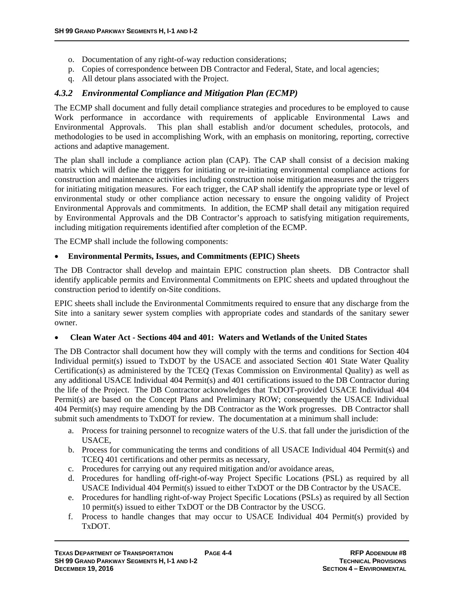- o. Documentation of any right-of-way reduction considerations;
- p. Copies of correspondence between DB Contractor and Federal, State, and local agencies;
- q. All detour plans associated with the Project.

#### *4.3.2 Environmental Compliance and Mitigation Plan (ECMP)*

The ECMP shall document and fully detail compliance strategies and procedures to be employed to cause Work performance in accordance with requirements of applicable Environmental Laws and Environmental Approvals. This plan shall establish and/or document schedules, protocols, and methodologies to be used in accomplishing Work, with an emphasis on monitoring, reporting, corrective actions and adaptive management.

The plan shall include a compliance action plan (CAP). The CAP shall consist of a decision making matrix which will define the triggers for initiating or re-initiating environmental compliance actions for construction and maintenance activities including construction noise mitigation measures and the triggers for initiating mitigation measures. For each trigger, the CAP shall identify the appropriate type or level of environmental study or other compliance action necessary to ensure the ongoing validity of Project Environmental Approvals and commitments. In addition, the ECMP shall detail any mitigation required by Environmental Approvals and the DB Contractor's approach to satisfying mitigation requirements, including mitigation requirements identified after completion of the ECMP.

The ECMP shall include the following components:

#### **Environmental Permits, Issues, and Commitments (EPIC) Sheets**

The DB Contractor shall develop and maintain EPIC construction plan sheets. DB Contractor shall identify applicable permits and Environmental Commitments on EPIC sheets and updated throughout the construction period to identify on-Site conditions.

EPIC sheets shall include the Environmental Commitments required to ensure that any discharge from the Site into a sanitary sewer system complies with appropriate codes and standards of the sanitary sewer owner.

#### **Clean Water Act - Sections 404 and 401: Waters and Wetlands of the United States**

The DB Contractor shall document how they will comply with the terms and conditions for Section 404 Individual permit(s) issued to TxDOT by the USACE and associated Section 401 State Water Quality Certification(s) as administered by the TCEQ (Texas Commission on Environmental Quality) as well as any additional USACE Individual 404 Permit(s) and 401 certifications issued to the DB Contractor during the life of the Project. The DB Contractor acknowledges that TxDOT-provided USACE Individual 404 Permit(s) are based on the Concept Plans and Preliminary ROW; consequently the USACE Individual 404 Permit(s) may require amending by the DB Contractor as the Work progresses. DB Contractor shall submit such amendments to TxDOT for review. The documentation at a minimum shall include:

- a. Process for training personnel to recognize waters of the U.S. that fall under the jurisdiction of the USACE,
- b. Process for communicating the terms and conditions of all USACE Individual 404 Permit(s) and TCEQ 401 certifications and other permits as necessary,
- c. Procedures for carrying out any required mitigation and/or avoidance areas,
- d. Procedures for handling off-right-of-way Project Specific Locations (PSL) as required by all USACE Individual 404 Permit(s) issued to either TxDOT or the DB Contractor by the USACE.
- e. Procedures for handling right-of-way Project Specific Locations (PSLs) as required by all Section 10 permit(s) issued to either TxDOT or the DB Contractor by the USCG.
- f. Process to handle changes that may occur to USACE Individual 404 Permit(s) provided by TxDOT.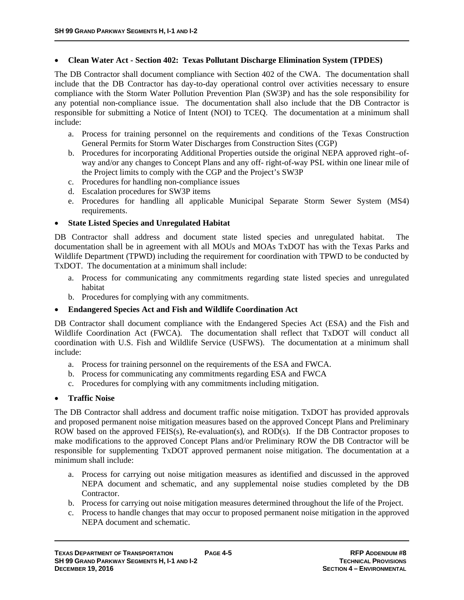#### **Clean Water Act - Section 402: Texas Pollutant Discharge Elimination System (TPDES)**

The DB Contractor shall document compliance with Section 402 of the CWA. The documentation shall include that the DB Contractor has day-to-day operational control over activities necessary to ensure compliance with the Storm Water Pollution Prevention Plan (SW3P) and has the sole responsibility for any potential non-compliance issue. The documentation shall also include that the DB Contractor is responsible for submitting a Notice of Intent (NOI) to TCEQ. The documentation at a minimum shall include:

- a. Process for training personnel on the requirements and conditions of the Texas Construction General Permits for Storm Water Discharges from Construction Sites (CGP)
- b. Procedures for incorporating Additional Properties outside the original NEPA approved right–ofway and/or any changes to Concept Plans and any off- right-of-way PSL within one linear mile of the Project limits to comply with the CGP and the Project's SW3P
- c. Procedures for handling non-compliance issues
- d. Escalation procedures for SW3P items
- e. Procedures for handling all applicable Municipal Separate Storm Sewer System (MS4) requirements.

#### **State Listed Species and Unregulated Habitat**

DB Contractor shall address and document state listed species and unregulated habitat. The documentation shall be in agreement with all MOUs and MOAs TxDOT has with the Texas Parks and Wildlife Department (TPWD) including the requirement for coordination with TPWD to be conducted by TxDOT. The documentation at a minimum shall include:

- a. Process for communicating any commitments regarding state listed species and unregulated habitat
- b. Procedures for complying with any commitments.

#### **Endangered Species Act and Fish and Wildlife Coordination Act**

DB Contractor shall document compliance with the Endangered Species Act (ESA) and the Fish and Wildlife Coordination Act (FWCA). The documentation shall reflect that TxDOT will conduct all coordination with U.S. Fish and Wildlife Service (USFWS). The documentation at a minimum shall include:

- a. Process for training personnel on the requirements of the ESA and FWCA.
- b. Process for communicating any commitments regarding ESA and FWCA
- c. Procedures for complying with any commitments including mitigation.

#### **Traffic Noise**

The DB Contractor shall address and document traffic noise mitigation. TxDOT has provided approvals and proposed permanent noise mitigation measures based on the approved Concept Plans and Preliminary ROW based on the approved FEIS(s), Re-evaluation(s), and ROD(s). If the DB Contractor proposes to make modifications to the approved Concept Plans and/or Preliminary ROW the DB Contractor will be responsible for supplementing TxDOT approved permanent noise mitigation. The documentation at a minimum shall include:

- a. Process for carrying out noise mitigation measures as identified and discussed in the approved NEPA document and schematic, and any supplemental noise studies completed by the DB Contractor.
- b. Process for carrying out noise mitigation measures determined throughout the life of the Project.
- c. Process to handle changes that may occur to proposed permanent noise mitigation in the approved NEPA document and schematic.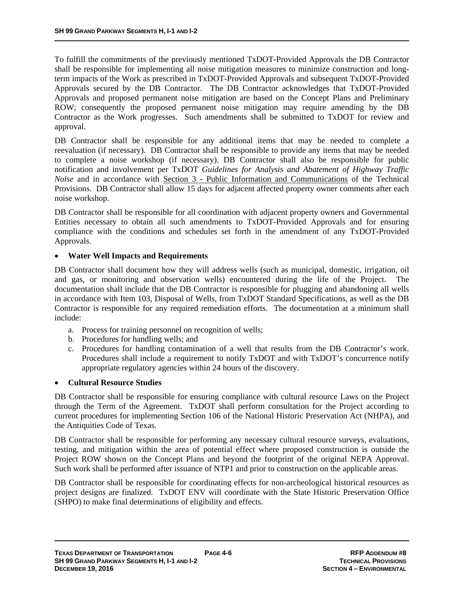To fulfill the commitments of the previously mentioned TxDOT-Provided Approvals the DB Contractor shall be responsible for implementing all noise mitigation measures to minimize construction and longterm impacts of the Work as prescribed in TxDOT-Provided Approvals and subsequent TxDOT-Provided Approvals secured by the DB Contractor. The DB Contractor acknowledges that TxDOT-Provided Approvals and proposed permanent noise mitigation are based on the Concept Plans and Preliminary ROW; consequently the proposed permanent noise mitigation may require amending by the DB Contractor as the Work progresses. Such amendments shall be submitted to TxDOT for review and approval.

DB Contractor shall be responsible for any additional items that may be needed to complete a reevaluation (if necessary). DB Contractor shall be responsible to provide any items that may be needed to complete a noise workshop (if necessary). DB Contractor shall also be responsible for public notification and involvement per TxDOT *Guidelines for Analysis and Abatement of Highway Traffic Noise* and in accordance with Section 3 - Public Information and Communications of the Technical Provisions. DB Contractor shall allow 15 days for adjacent affected property owner comments after each noise workshop.

DB Contractor shall be responsible for all coordination with adjacent property owners and Governmental Entities necessary to obtain all such amendments to TxDOT-Provided Approvals and for ensuring compliance with the conditions and schedules set forth in the amendment of any TxDOT-Provided Approvals.

#### **Water Well Impacts and Requirements**

DB Contractor shall document how they will address wells (such as municipal, domestic, irrigation, oil and gas, or monitoring and observation wells) encountered during the life of the Project. The documentation shall include that the DB Contractor is responsible for plugging and abandoning all wells in accordance with Item 103, Disposal of Wells, from TxDOT Standard Specifications, as well as the DB Contractor is responsible for any required remediation efforts. The documentation at a minimum shall include:

- a. Process for training personnel on recognition of wells;
- b. Procedures for handling wells; and
- c. Procedures for handling contamination of a well that results from the DB Contractor's work. Procedures shall include a requirement to notify TxDOT and with TxDOT's concurrence notify appropriate regulatory agencies within 24 hours of the discovery.

#### **Cultural Resource Studies**

DB Contractor shall be responsible for ensuring compliance with cultural resource Laws on the Project through the Term of the Agreement. TxDOT shall perform consultation for the Project according to current procedures for implementing Section 106 of the National Historic Preservation Act (NHPA), and the Antiquities Code of Texas.

DB Contractor shall be responsible for performing any necessary cultural resource surveys, evaluations, testing, and mitigation within the area of potential effect where proposed construction is outside the Project ROW shown on the Concept Plans and beyond the footprint of the original NEPA Approval. Such work shall be performed after issuance of NTP1 and prior to construction on the applicable areas.

DB Contractor shall be responsible for coordinating effects for non-archeological historical resources as project designs are finalized. TxDOT ENV will coordinate with the State Historic Preservation Office (SHPO) to make final determinations of eligibility and effects.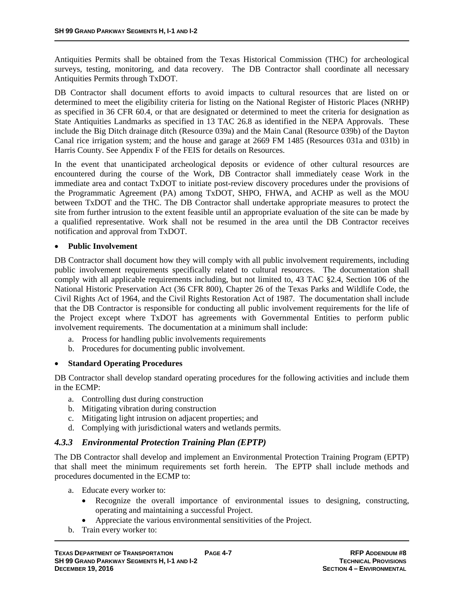Antiquities Permits shall be obtained from the Texas Historical Commission (THC) for archeological surveys, testing, monitoring, and data recovery. The DB Contractor shall coordinate all necessary Antiquities Permits through TxDOT.

DB Contractor shall document efforts to avoid impacts to cultural resources that are listed on or determined to meet the eligibility criteria for listing on the National Register of Historic Places (NRHP) as specified in 36 CFR 60.4, or that are designated or determined to meet the criteria for designation as State Antiquities Landmarks as specified in 13 TAC 26.8 as identified in the NEPA Approvals. These include the Big Ditch drainage ditch (Resource 039a) and the Main Canal (Resource 039b) of the Dayton Canal rice irrigation system; and the house and garage at 2669 FM 1485 (Resources 031a and 031b) in Harris County. See Appendix F of the FEIS for details on Resources.

In the event that unanticipated archeological deposits or evidence of other cultural resources are encountered during the course of the Work, DB Contractor shall immediately cease Work in the immediate area and contact TxDOT to initiate post-review discovery procedures under the provisions of the Programmatic Agreement (PA) among TxDOT, SHPO, FHWA, and ACHP as well as the MOU between TxDOT and the THC. The DB Contractor shall undertake appropriate measures to protect the site from further intrusion to the extent feasible until an appropriate evaluation of the site can be made by a qualified representative. Work shall not be resumed in the area until the DB Contractor receives notification and approval from TxDOT.

#### **Public Involvement**

DB Contractor shall document how they will comply with all public involvement requirements, including public involvement requirements specifically related to cultural resources. The documentation shall comply with all applicable requirements including, but not limited to, 43 TAC §2.4, Section 106 of the National Historic Preservation Act (36 CFR 800), Chapter 26 of the Texas Parks and Wildlife Code, the Civil Rights Act of 1964, and the Civil Rights Restoration Act of 1987. The documentation shall include that the DB Contractor is responsible for conducting all public involvement requirements for the life of the Project except where TxDOT has agreements with Governmental Entities to perform public involvement requirements. The documentation at a minimum shall include:

- a. Process for handling public involvements requirements
- b. Procedures for documenting public involvement.

#### **Standard Operating Procedures**

DB Contractor shall develop standard operating procedures for the following activities and include them in the ECMP:

- a. Controlling dust during construction
- b. Mitigating vibration during construction
- c. Mitigating light intrusion on adjacent properties; and
- d. Complying with jurisdictional waters and wetlands permits.

#### *4.3.3 Environmental Protection Training Plan (EPTP)*

The DB Contractor shall develop and implement an Environmental Protection Training Program (EPTP) that shall meet the minimum requirements set forth herein. The EPTP shall include methods and procedures documented in the ECMP to:

- a. Educate every worker to:
	- Recognize the overall importance of environmental issues to designing, constructing, operating and maintaining a successful Project.
	- Appreciate the various environmental sensitivities of the Project.
- b. Train every worker to: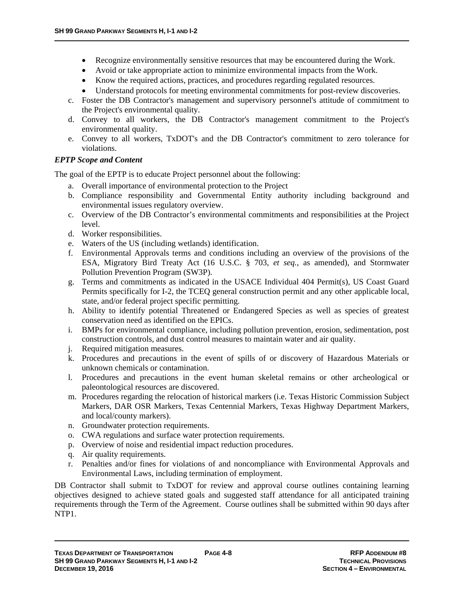- Recognize environmentally sensitive resources that may be encountered during the Work.
- Avoid or take appropriate action to minimize environmental impacts from the Work.
- Know the required actions, practices, and procedures regarding regulated resources.
- Understand protocols for meeting environmental commitments for post-review discoveries.
- c. Foster the DB Contractor's management and supervisory personnel's attitude of commitment to the Project's environmental quality.
- d. Convey to all workers, the DB Contractor's management commitment to the Project's environmental quality.
- e. Convey to all workers, TxDOT's and the DB Contractor's commitment to zero tolerance for violations.

#### *EPTP Scope and Content*

The goal of the EPTP is to educate Project personnel about the following:

- a. Overall importance of environmental protection to the Project
- b. Compliance responsibility and Governmental Entity authority including background and environmental issues regulatory overview.
- c. Overview of the DB Contractor's environmental commitments and responsibilities at the Project level.
- d. Worker responsibilities.
- e. Waters of the US (including wetlands) identification.
- f. Environmental Approvals terms and conditions including an overview of the provisions of the ESA, Migratory Bird Treaty Act (16 U.S.C. § 703, *et seq.*, as amended), and Stormwater Pollution Prevention Program (SW3P).
- g. Terms and commitments as indicated in the USACE Individual 404 Permit(s), US Coast Guard Permits specifically for I-2, the TCEQ general construction permit and any other applicable local, state, and/or federal project specific permitting.
- h. Ability to identify potential Threatened or Endangered Species as well as species of greatest conservation need as identified on the EPICs.
- i. BMPs for environmental compliance, including pollution prevention, erosion, sedimentation, post construction controls, and dust control measures to maintain water and air quality.
- j. Required mitigation measures.
- k. Procedures and precautions in the event of spills of or discovery of Hazardous Materials or unknown chemicals or contamination.
- l. Procedures and precautions in the event human skeletal remains or other archeological or paleontological resources are discovered.
- m. Procedures regarding the relocation of historical markers (i.e. Texas Historic Commission Subject Markers, DAR OSR Markers, Texas Centennial Markers, Texas Highway Department Markers, and local/county markers).
- n. Groundwater protection requirements.
- o. CWA regulations and surface water protection requirements.
- p. Overview of noise and residential impact reduction procedures.
- q. Air quality requirements.
- r. Penalties and/or fines for violations of and noncompliance with Environmental Approvals and Environmental Laws, including termination of employment.

DB Contractor shall submit to TxDOT for review and approval course outlines containing learning objectives designed to achieve stated goals and suggested staff attendance for all anticipated training requirements through the Term of the Agreement. Course outlines shall be submitted within 90 days after NTP1.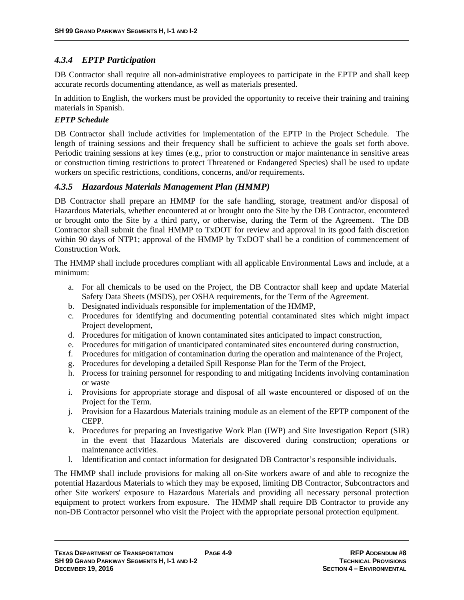# *4.3.4 EPTP Participation*

DB Contractor shall require all non-administrative employees to participate in the EPTP and shall keep accurate records documenting attendance, as well as materials presented.

In addition to English, the workers must be provided the opportunity to receive their training and training materials in Spanish.

#### *EPTP Schedule*

DB Contractor shall include activities for implementation of the EPTP in the Project Schedule. The length of training sessions and their frequency shall be sufficient to achieve the goals set forth above. Periodic training sessions at key times (e.g., prior to construction or major maintenance in sensitive areas or construction timing restrictions to protect Threatened or Endangered Species) shall be used to update workers on specific restrictions, conditions, concerns, and/or requirements.

#### *4.3.5 Hazardous Materials Management Plan (HMMP)*

DB Contractor shall prepare an HMMP for the safe handling, storage, treatment and/or disposal of Hazardous Materials, whether encountered at or brought onto the Site by the DB Contractor, encountered or brought onto the Site by a third party, or otherwise, during the Term of the Agreement. The DB Contractor shall submit the final HMMP to TxDOT for review and approval in its good faith discretion within 90 days of NTP1; approval of the HMMP by TxDOT shall be a condition of commencement of Construction Work.

The HMMP shall include procedures compliant with all applicable Environmental Laws and include, at a minimum:

- a. For all chemicals to be used on the Project, the DB Contractor shall keep and update Material Safety Data Sheets (MSDS), per OSHA requirements, for the Term of the Agreement.
- b. Designated individuals responsible for implementation of the HMMP,
- c. Procedures for identifying and documenting potential contaminated sites which might impact Project development,
- d. Procedures for mitigation of known contaminated sites anticipated to impact construction,
- e. Procedures for mitigation of unanticipated contaminated sites encountered during construction,
- f. Procedures for mitigation of contamination during the operation and maintenance of the Project,
- g. Procedures for developing a detailed Spill Response Plan for the Term of the Project,
- h. Process for training personnel for responding to and mitigating Incidents involving contamination or waste
- i. Provisions for appropriate storage and disposal of all waste encountered or disposed of on the Project for the Term.
- j. Provision for a Hazardous Materials training module as an element of the EPTP component of the CEPP.
- k. Procedures for preparing an Investigative Work Plan (IWP) and Site Investigation Report (SIR) in the event that Hazardous Materials are discovered during construction; operations or maintenance activities.
- l. Identification and contact information for designated DB Contractor's responsible individuals.

The HMMP shall include provisions for making all on-Site workers aware of and able to recognize the potential Hazardous Materials to which they may be exposed, limiting DB Contractor, Subcontractors and other Site workers' exposure to Hazardous Materials and providing all necessary personal protection equipment to protect workers from exposure. The HMMP shall require DB Contractor to provide any non-DB Contractor personnel who visit the Project with the appropriate personal protection equipment.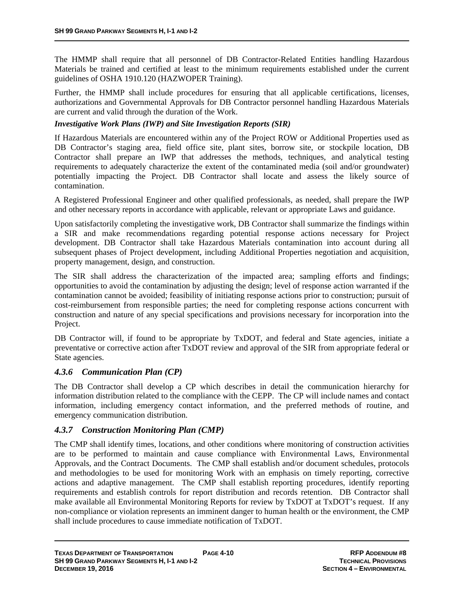The HMMP shall require that all personnel of DB Contractor-Related Entities handling Hazardous Materials be trained and certified at least to the minimum requirements established under the current guidelines of OSHA 1910.120 (HAZWOPER Training).

Further, the HMMP shall include procedures for ensuring that all applicable certifications, licenses, authorizations and Governmental Approvals for DB Contractor personnel handling Hazardous Materials are current and valid through the duration of the Work.

#### *Investigative Work Plans (IWP) and Site Investigation Reports (SIR)*

If Hazardous Materials are encountered within any of the Project ROW or Additional Properties used as DB Contractor's staging area, field office site, plant sites, borrow site, or stockpile location, DB Contractor shall prepare an IWP that addresses the methods, techniques, and analytical testing requirements to adequately characterize the extent of the contaminated media (soil and/or groundwater) potentially impacting the Project. DB Contractor shall locate and assess the likely source of contamination.

A Registered Professional Engineer and other qualified professionals, as needed, shall prepare the IWP and other necessary reports in accordance with applicable, relevant or appropriate Laws and guidance.

Upon satisfactorily completing the investigative work, DB Contractor shall summarize the findings within a SIR and make recommendations regarding potential response actions necessary for Project development. DB Contractor shall take Hazardous Materials contamination into account during all subsequent phases of Project development, including Additional Properties negotiation and acquisition, property management, design, and construction.

The SIR shall address the characterization of the impacted area; sampling efforts and findings; opportunities to avoid the contamination by adjusting the design; level of response action warranted if the contamination cannot be avoided; feasibility of initiating response actions prior to construction; pursuit of cost-reimbursement from responsible parties; the need for completing response actions concurrent with construction and nature of any special specifications and provisions necessary for incorporation into the Project.

DB Contractor will, if found to be appropriate by TxDOT, and federal and State agencies, initiate a preventative or corrective action after TxDOT review and approval of the SIR from appropriate federal or State agencies.

#### *4.3.6 Communication Plan (CP)*

The DB Contractor shall develop a CP which describes in detail the communication hierarchy for information distribution related to the compliance with the CEPP. The CP will include names and contact information, including emergency contact information, and the preferred methods of routine, and emergency communication distribution.

#### *4.3.7 Construction Monitoring Plan (CMP)*

The CMP shall identify times, locations, and other conditions where monitoring of construction activities are to be performed to maintain and cause compliance with Environmental Laws, Environmental Approvals, and the Contract Documents. The CMP shall establish and/or document schedules, protocols and methodologies to be used for monitoring Work with an emphasis on timely reporting, corrective actions and adaptive management. The CMP shall establish reporting procedures, identify reporting requirements and establish controls for report distribution and records retention. DB Contractor shall make available all Environmental Monitoring Reports for review by TxDOT at TxDOT's request. If any non-compliance or violation represents an imminent danger to human health or the environment, the CMP shall include procedures to cause immediate notification of TxDOT.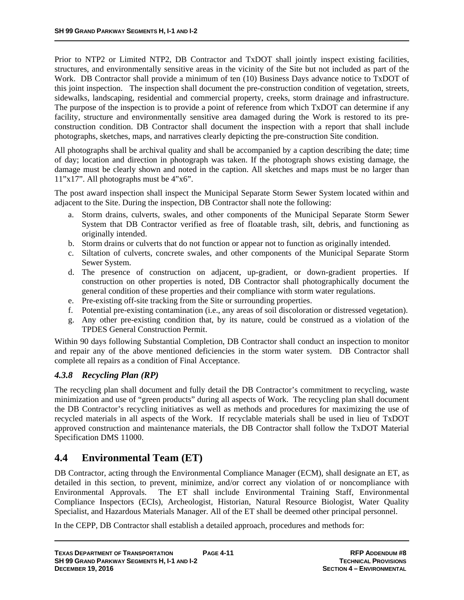Prior to NTP2 or Limited NTP2, DB Contractor and TxDOT shall jointly inspect existing facilities, structures, and environmentally sensitive areas in the vicinity of the Site but not included as part of the Work. DB Contractor shall provide a minimum of ten (10) Business Days advance notice to TxDOT of this joint inspection. The inspection shall document the pre-construction condition of vegetation, streets, sidewalks, landscaping, residential and commercial property, creeks, storm drainage and infrastructure. The purpose of the inspection is to provide a point of reference from which TxDOT can determine if any facility, structure and environmentally sensitive area damaged during the Work is restored to its preconstruction condition. DB Contractor shall document the inspection with a report that shall include photographs, sketches, maps, and narratives clearly depicting the pre-construction Site condition.

All photographs shall be archival quality and shall be accompanied by a caption describing the date; time of day; location and direction in photograph was taken. If the photograph shows existing damage, the damage must be clearly shown and noted in the caption. All sketches and maps must be no larger than 11"x17". All photographs must be 4"x6".

The post award inspection shall inspect the Municipal Separate Storm Sewer System located within and adjacent to the Site. During the inspection, DB Contractor shall note the following:

- a. Storm drains, culverts, swales, and other components of the Municipal Separate Storm Sewer System that DB Contractor verified as free of floatable trash, silt, debris, and functioning as originally intended.
- b. Storm drains or culverts that do not function or appear not to function as originally intended.
- c. Siltation of culverts, concrete swales, and other components of the Municipal Separate Storm Sewer System.
- d. The presence of construction on adjacent, up-gradient, or down-gradient properties. If construction on other properties is noted, DB Contractor shall photographically document the general condition of these properties and their compliance with storm water regulations.
- e. Pre-existing off-site tracking from the Site or surrounding properties.
- f. Potential pre-existing contamination (i.e., any areas of soil discoloration or distressed vegetation).
- g. Any other pre-existing condition that, by its nature, could be construed as a violation of the TPDES General Construction Permit.

Within 90 days following Substantial Completion, DB Contractor shall conduct an inspection to monitor and repair any of the above mentioned deficiencies in the storm water system. DB Contractor shall complete all repairs as a condition of Final Acceptance.

# *4.3.8 Recycling Plan (RP)*

The recycling plan shall document and fully detail the DB Contractor's commitment to recycling, waste minimization and use of "green products" during all aspects of Work. The recycling plan shall document the DB Contractor's recycling initiatives as well as methods and procedures for maximizing the use of recycled materials in all aspects of the Work. If recyclable materials shall be used in lieu of TxDOT approved construction and maintenance materials, the DB Contractor shall follow the TxDOT Material Specification DMS 11000.

# **4.4 Environmental Team (ET)**

DB Contractor, acting through the Environmental Compliance Manager (ECM), shall designate an ET, as detailed in this section, to prevent, minimize, and/or correct any violation of or noncompliance with Environmental Approvals. The ET shall include Environmental Training Staff, Environmental Compliance Inspectors (ECIs), Archeologist, Historian, Natural Resource Biologist, Water Quality Specialist, and Hazardous Materials Manager. All of the ET shall be deemed other principal personnel.

In the CEPP, DB Contractor shall establish a detailed approach, procedures and methods for: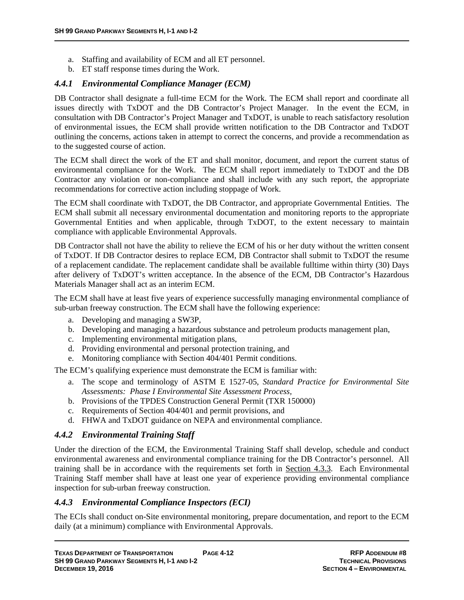- a. Staffing and availability of ECM and all ET personnel.
- b. ET staff response times during the Work.

# *4.4.1 Environmental Compliance Manager (ECM)*

DB Contractor shall designate a full-time ECM for the Work. The ECM shall report and coordinate all issues directly with TxDOT and the DB Contractor's Project Manager. In the event the ECM, in consultation with DB Contractor's Project Manager and TxDOT, is unable to reach satisfactory resolution of environmental issues, the ECM shall provide written notification to the DB Contractor and TxDOT outlining the concerns, actions taken in attempt to correct the concerns, and provide a recommendation as to the suggested course of action.

The ECM shall direct the work of the ET and shall monitor, document, and report the current status of environmental compliance for the Work. The ECM shall report immediately to TxDOT and the DB Contractor any violation or non-compliance and shall include with any such report, the appropriate recommendations for corrective action including stoppage of Work.

The ECM shall coordinate with TxDOT, the DB Contractor, and appropriate Governmental Entities. The ECM shall submit all necessary environmental documentation and monitoring reports to the appropriate Governmental Entities and when applicable, through TxDOT, to the extent necessary to maintain compliance with applicable Environmental Approvals.

DB Contractor shall not have the ability to relieve the ECM of his or her duty without the written consent of TxDOT. If DB Contractor desires to replace ECM, DB Contractor shall submit to TxDOT the resume of a replacement candidate. The replacement candidate shall be available fulltime within thirty (30) Days after delivery of TxDOT's written acceptance. In the absence of the ECM, DB Contractor's Hazardous Materials Manager shall act as an interim ECM.

The ECM shall have at least five years of experience successfully managing environmental compliance of sub-urban freeway construction. The ECM shall have the following experience:

- a. Developing and managing a SW3P,
- b. Developing and managing a hazardous substance and petroleum products management plan,
- c. Implementing environmental mitigation plans,
- d. Providing environmental and personal protection training, and
- e. Monitoring compliance with Section 404/401 Permit conditions.

The ECM's qualifying experience must demonstrate the ECM is familiar with:

- a. The scope and terminology of ASTM E 1527-05, *Standard Practice for Environmental Site Assessments: Phase I Environmental Site Assessment Process,*
- b. Provisions of the TPDES Construction General Permit (TXR 150000)
- c. Requirements of Section 404/401 and permit provisions, and
- d. FHWA and TxDOT guidance on NEPA and environmental compliance.

# *4.4.2 Environmental Training Staff*

Under the direction of the ECM, the Environmental Training Staff shall develop, schedule and conduct environmental awareness and environmental compliance training for the DB Contractor's personnel. All training shall be in accordance with the requirements set forth in Section 4.3.3. Each Environmental Training Staff member shall have at least one year of experience providing environmental compliance inspection for sub-urban freeway construction.

#### *4.4.3 Environmental Compliance Inspectors (ECI)*

The ECIs shall conduct on-Site environmental monitoring, prepare documentation, and report to the ECM daily (at a minimum) compliance with Environmental Approvals.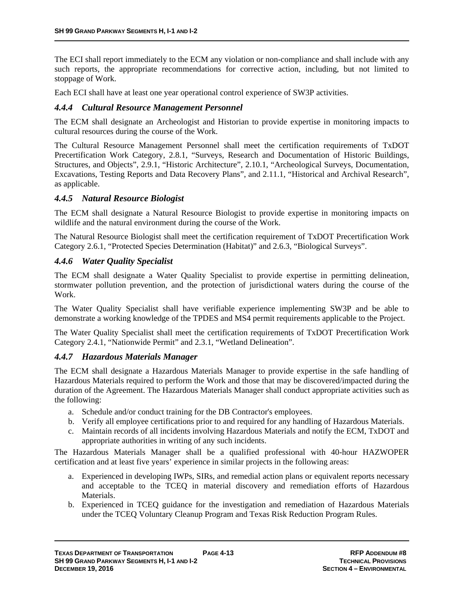The ECI shall report immediately to the ECM any violation or non-compliance and shall include with any such reports, the appropriate recommendations for corrective action, including, but not limited to stoppage of Work.

Each ECI shall have at least one year operational control experience of SW3P activities.

#### *4.4.4 Cultural Resource Management Personnel*

The ECM shall designate an Archeologist and Historian to provide expertise in monitoring impacts to cultural resources during the course of the Work.

The Cultural Resource Management Personnel shall meet the certification requirements of TxDOT Precertification Work Category, 2.8.1, "Surveys, Research and Documentation of Historic Buildings, Structures, and Objects", 2.9.1, "Historic Architecture", 2.10.1, "Archeological Surveys, Documentation, Excavations, Testing Reports and Data Recovery Plans", and 2.11.1, "Historical and Archival Research", as applicable.

#### *4.4.5 Natural Resource Biologist*

The ECM shall designate a Natural Resource Biologist to provide expertise in monitoring impacts on wildlife and the natural environment during the course of the Work.

The Natural Resource Biologist shall meet the certification requirement of TxDOT Precertification Work Category 2.6.1, "Protected Species Determination (Habitat)" and 2.6.3, "Biological Surveys".

# *4.4.6 Water Quality Specialist*

The ECM shall designate a Water Quality Specialist to provide expertise in permitting delineation, stormwater pollution prevention, and the protection of jurisdictional waters during the course of the Work.

The Water Quality Specialist shall have verifiable experience implementing SW3P and be able to demonstrate a working knowledge of the TPDES and MS4 permit requirements applicable to the Project.

The Water Quality Specialist shall meet the certification requirements of TxDOT Precertification Work Category 2.4.1, "Nationwide Permit" and 2.3.1, "Wetland Delineation".

#### *4.4.7 Hazardous Materials Manager*

The ECM shall designate a Hazardous Materials Manager to provide expertise in the safe handling of Hazardous Materials required to perform the Work and those that may be discovered/impacted during the duration of the Agreement. The Hazardous Materials Manager shall conduct appropriate activities such as the following:

- a. Schedule and/or conduct training for the DB Contractor's employees.
- b. Verify all employee certifications prior to and required for any handling of Hazardous Materials.
- c. Maintain records of all incidents involving Hazardous Materials and notify the ECM, TxDOT and appropriate authorities in writing of any such incidents.

The Hazardous Materials Manager shall be a qualified professional with 40-hour HAZWOPER certification and at least five years' experience in similar projects in the following areas:

- a. Experienced in developing IWPs, SIRs, and remedial action plans or equivalent reports necessary and acceptable to the TCEQ in material discovery and remediation efforts of Hazardous Materials.
- b. Experienced in TCEQ guidance for the investigation and remediation of Hazardous Materials under the TCEQ Voluntary Cleanup Program and Texas Risk Reduction Program Rules.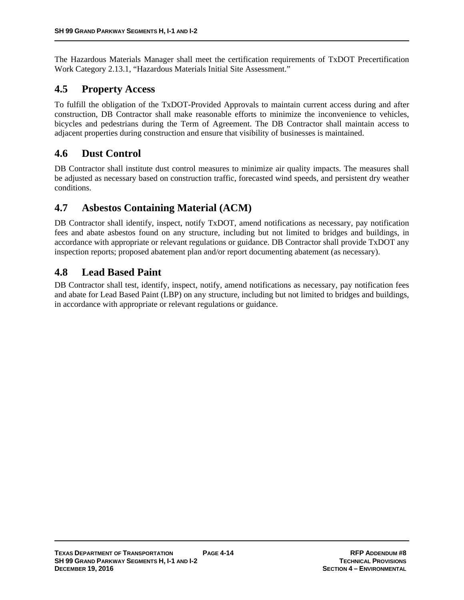The Hazardous Materials Manager shall meet the certification requirements of TxDOT Precertification Work Category 2.13.1, "Hazardous Materials Initial Site Assessment."

# **4.5 Property Access**

To fulfill the obligation of the TxDOT-Provided Approvals to maintain current access during and after construction, DB Contractor shall make reasonable efforts to minimize the inconvenience to vehicles, bicycles and pedestrians during the Term of Agreement. The DB Contractor shall maintain access to adjacent properties during construction and ensure that visibility of businesses is maintained.

# **4.6 Dust Control**

DB Contractor shall institute dust control measures to minimize air quality impacts. The measures shall be adjusted as necessary based on construction traffic, forecasted wind speeds, and persistent dry weather conditions.

# **4.7 Asbestos Containing Material (ACM)**

DB Contractor shall identify, inspect, notify TxDOT, amend notifications as necessary, pay notification fees and abate asbestos found on any structure, including but not limited to bridges and buildings, in accordance with appropriate or relevant regulations or guidance. DB Contractor shall provide TxDOT any inspection reports; proposed abatement plan and/or report documenting abatement (as necessary).

# **4.8 Lead Based Paint**

DB Contractor shall test, identify, inspect, notify, amend notifications as necessary, pay notification fees and abate for Lead Based Paint (LBP) on any structure, including but not limited to bridges and buildings, in accordance with appropriate or relevant regulations or guidance.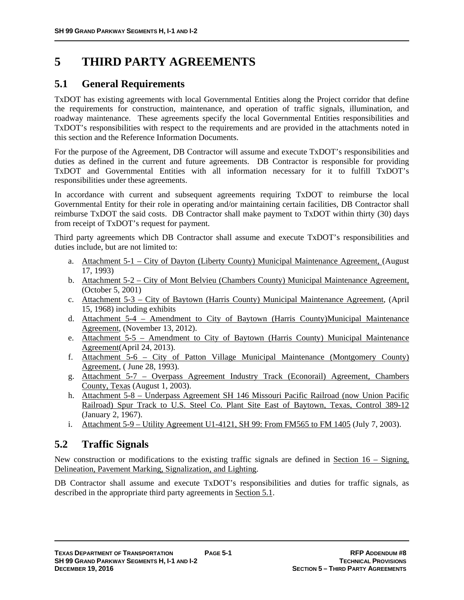# **5 THIRD PARTY AGREEMENTS**

# **5.1 General Requirements**

TxDOT has existing agreements with local Governmental Entities along the Project corridor that define the requirements for construction, maintenance, and operation of traffic signals, illumination, and roadway maintenance. These agreements specify the local Governmental Entities responsibilities and TxDOT's responsibilities with respect to the requirements and are provided in the attachments noted in this section and the Reference Information Documents.

For the purpose of the Agreement, DB Contractor will assume and execute TxDOT's responsibilities and duties as defined in the current and future agreements. DB Contractor is responsible for providing TxDOT and Governmental Entities with all information necessary for it to fulfill TxDOT's responsibilities under these agreements.

In accordance with current and subsequent agreements requiring TxDOT to reimburse the local Governmental Entity for their role in operating and/or maintaining certain facilities, DB Contractor shall reimburse TxDOT the said costs. DB Contractor shall make payment to TxDOT within thirty (30) days from receipt of TxDOT's request for payment.

Third party agreements which DB Contractor shall assume and execute TxDOT's responsibilities and duties include, but are not limited to:

- a. Attachment 5-1 City of Dayton (Liberty County) Municipal Maintenance Agreement, (August 17, 1993)
- b. Attachment 5-2 City of Mont Belvieu (Chambers County) Municipal Maintenance Agreement, (October 5, 2001)
- c. Attachment 5-3 City of Baytown (Harris County) Municipal Maintenance Agreement, (April 15, 1968) including exhibits
- d. Attachment 5-4 Amendment to City of Baytown (Harris County)Municipal Maintenance Agreement, (November 13, 2012).
- e. Attachment 5-5 Amendment to City of Baytown (Harris County) Municipal Maintenance Agreement(April 24, 2013).
- f. Attachment 5-6 City of Patton Village Municipal Maintenance (Montgomery County) Agreement, ( June 28, 1993).
- g. Attachment 5-7 Overpass Agreement Industry Track (Econorail) Agreement, Chambers County, Texas (August 1, 2003).
- h. Attachment 5-8 Underpass Agreement SH 146 Missouri Pacific Railroad (now Union Pacific Railroad) Spur Track to U.S. Steel Co. Plant Site East of Baytown, Texas, Control 389-12 (January 2, 1967).
- i. Attachment 5-9 Utility Agreement U1-4121, SH 99: From FM565 to FM 1405 (July 7, 2003).

# **5.2 Traffic Signals**

New construction or modifications to the existing traffic signals are defined in <u>Section 16 – Signing</u>, Delineation, Pavement Marking, Signalization, and Lighting.

DB Contractor shall assume and execute TxDOT's responsibilities and duties for traffic signals, as described in the appropriate third party agreements in Section 5.1.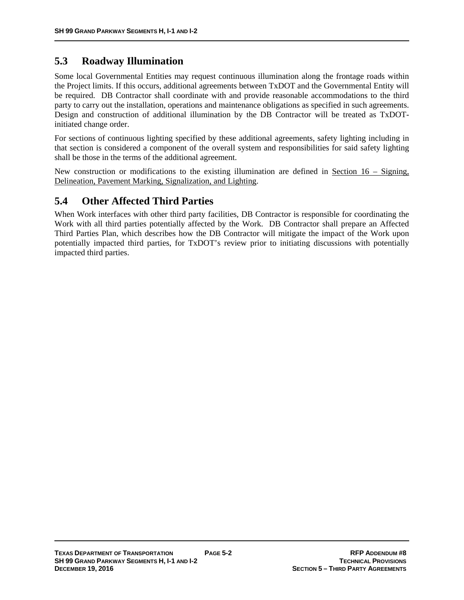# **5.3 Roadway Illumination**

Some local Governmental Entities may request continuous illumination along the frontage roads within the Project limits. If this occurs, additional agreements between TxDOT and the Governmental Entity will be required. DB Contractor shall coordinate with and provide reasonable accommodations to the third party to carry out the installation, operations and maintenance obligations as specified in such agreements. Design and construction of additional illumination by the DB Contractor will be treated as TxDOTinitiated change order.

For sections of continuous lighting specified by these additional agreements, safety lighting including in that section is considered a component of the overall system and responsibilities for said safety lighting shall be those in the terms of the additional agreement.

New construction or modifications to the existing illumination are defined in Section  $16 -$  Signing, Delineation, Pavement Marking, Signalization, and Lighting.

# **5.4 Other Affected Third Parties**

When Work interfaces with other third party facilities, DB Contractor is responsible for coordinating the Work with all third parties potentially affected by the Work. DB Contractor shall prepare an Affected Third Parties Plan, which describes how the DB Contractor will mitigate the impact of the Work upon potentially impacted third parties, for TxDOT's review prior to initiating discussions with potentially impacted third parties.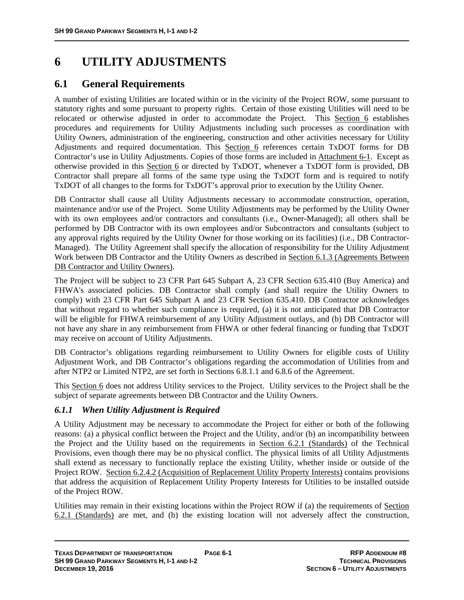# **6 UTILITY ADJUSTMENTS**

# **6.1 General Requirements**

A number of existing Utilities are located within or in the vicinity of the Project ROW, some pursuant to statutory rights and some pursuant to property rights. Certain of those existing Utilities will need to be relocated or otherwise adjusted in order to accommodate the Project. This Section 6 establishes procedures and requirements for Utility Adjustments including such processes as coordination with Utility Owners, administration of the engineering, construction and other activities necessary for Utility Adjustments and required documentation. This Section 6 references certain TxDOT forms for DB Contractor's use in Utility Adjustments. Copies of those forms are included in Attachment 6-1. Except as otherwise provided in this Section 6 or directed by TxDOT, whenever a TxDOT form is provided, DB Contractor shall prepare all forms of the same type using the TxDOT form and is required to notify TxDOT of all changes to the forms for TxDOT's approval prior to execution by the Utility Owner.

DB Contractor shall cause all Utility Adjustments necessary to accommodate construction, operation, maintenance and/or use of the Project. Some Utility Adjustments may be performed by the Utility Owner with its own employees and/or contractors and consultants (i.e., Owner-Managed); all others shall be performed by DB Contractor with its own employees and/or Subcontractors and consultants (subject to any approval rights required by the Utility Owner for those working on its facilities) (i.e., DB Contractor-Managed). The Utility Agreement shall specify the allocation of responsibility for the Utility Adjustment Work between DB Contractor and the Utility Owners as described in Section 6.1.3 (Agreements Between DB Contractor and Utility Owners).

The Project will be subject to 23 CFR Part 645 Subpart A, 23 CFR Section 635.410 (Buy America) and FHWA's associated policies. DB Contractor shall comply (and shall require the Utility Owners to comply) with 23 CFR Part 645 Subpart A and 23 CFR Section 635.410. DB Contractor acknowledges that without regard to whether such compliance is required, (a) it is not anticipated that DB Contractor will be eligible for FHWA reimbursement of any Utility Adjustment outlays, and (b) DB Contractor will not have any share in any reimbursement from FHWA or other federal financing or funding that TxDOT may receive on account of Utility Adjustments.

DB Contractor's obligations regarding reimbursement to Utility Owners for eligible costs of Utility Adjustment Work, and DB Contractor's obligations regarding the accommodation of Utilities from and after NTP2 or Limited NTP2, are set forth in Sections 6.8.1.1 and 6.8.6 of the Agreement.

This Section 6 does not address Utility services to the Project. Utility services to the Project shall be the subject of separate agreements between DB Contractor and the Utility Owners.

# *6.1.1 When Utility Adjustment is Required*

A Utility Adjustment may be necessary to accommodate the Project for either or both of the following reasons: (a) a physical conflict between the Project and the Utility, and/or (b) an incompatibility between the Project and the Utility based on the requirements in Section 6.2.1 (Standards) of the Technical Provisions, even though there may be no physical conflict. The physical limits of all Utility Adjustments shall extend as necessary to functionally replace the existing Utility, whether inside or outside of the Project ROW. Section 6.2.4.2 (Acquisition of Replacement Utility Property Interests) contains provisions that address the acquisition of Replacement Utility Property Interests for Utilities to be installed outside of the Project ROW.

Utilities may remain in their existing locations within the Project ROW if (a) the requirements of Section 6.2.1 (Standards) are met, and (b) the existing location will not adversely affect the construction,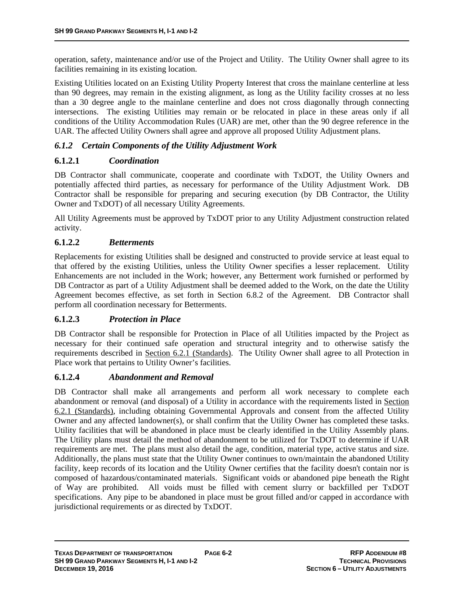operation, safety, maintenance and/or use of the Project and Utility. The Utility Owner shall agree to its facilities remaining in its existing location.

Existing Utilities located on an Existing Utility Property Interest that cross the mainlane centerline at less than 90 degrees, may remain in the existing alignment, as long as the Utility facility crosses at no less than a 30 degree angle to the mainlane centerline and does not cross diagonally through connecting intersections. The existing Utilities may remain or be relocated in place in these areas only if all conditions of the Utility Accommodation Rules (UAR) are met, other than the 90 degree reference in the UAR. The affected Utility Owners shall agree and approve all proposed Utility Adjustment plans.

# *6.1.2 Certain Components of the Utility Adjustment Work*

# **6.1.2.1** *Coordination*

DB Contractor shall communicate, cooperate and coordinate with TxDOT, the Utility Owners and potentially affected third parties, as necessary for performance of the Utility Adjustment Work. DB Contractor shall be responsible for preparing and securing execution (by DB Contractor, the Utility Owner and TxDOT) of all necessary Utility Agreements.

All Utility Agreements must be approved by TxDOT prior to any Utility Adjustment construction related activity.

# **6.1.2.2** *Betterments*

Replacements for existing Utilities shall be designed and constructed to provide service at least equal to that offered by the existing Utilities, unless the Utility Owner specifies a lesser replacement. Utility Enhancements are not included in the Work; however, any Betterment work furnished or performed by DB Contractor as part of a Utility Adjustment shall be deemed added to the Work, on the date the Utility Agreement becomes effective, as set forth in Section 6.8.2 of the Agreement. DB Contractor shall perform all coordination necessary for Betterments.

# **6.1.2.3** *Protection in Place*

DB Contractor shall be responsible for Protection in Place of all Utilities impacted by the Project as necessary for their continued safe operation and structural integrity and to otherwise satisfy the requirements described in Section 6.2.1 (Standards). The Utility Owner shall agree to all Protection in Place work that pertains to Utility Owner's facilities.

#### **6.1.2.4** *Abandonment and Removal*

DB Contractor shall make all arrangements and perform all work necessary to complete each abandonment or removal (and disposal) of a Utility in accordance with the requirements listed in Section 6.2.1 (Standards), including obtaining Governmental Approvals and consent from the affected Utility Owner and any affected landowner(s), or shall confirm that the Utility Owner has completed these tasks. Utility facilities that will be abandoned in place must be clearly identified in the Utility Assembly plans. The Utility plans must detail the method of abandonment to be utilized for TxDOT to determine if UAR requirements are met. The plans must also detail the age, condition, material type, active status and size. Additionally, the plans must state that the Utility Owner continues to own/maintain the abandoned Utility facility, keep records of its location and the Utility Owner certifies that the facility doesn't contain nor is composed of hazardous/contaminated materials. Significant voids or abandoned pipe beneath the Right of Way are prohibited. All voids must be filled with cement slurry or backfilled per TxDOT specifications. Any pipe to be abandoned in place must be grout filled and/or capped in accordance with jurisdictional requirements or as directed by TxDOT.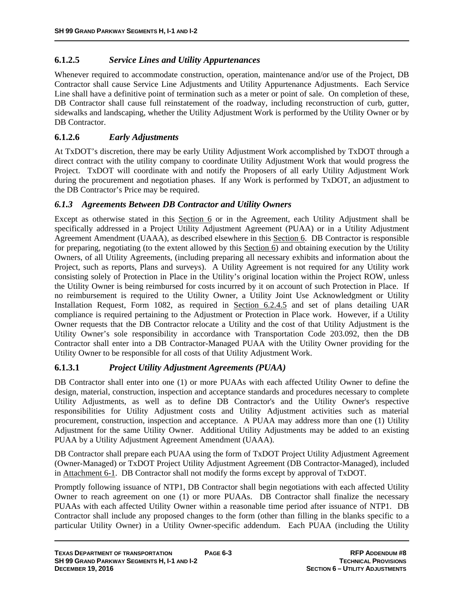# **6.1.2.5** *Service Lines and Utility Appurtenances*

Whenever required to accommodate construction, operation, maintenance and/or use of the Project, DB Contractor shall cause Service Line Adjustments and Utility Appurtenance Adjustments. Each Service Line shall have a definitive point of termination such as a meter or point of sale. On completion of these, DB Contractor shall cause full reinstatement of the roadway, including reconstruction of curb, gutter, sidewalks and landscaping, whether the Utility Adjustment Work is performed by the Utility Owner or by DB Contractor.

# **6.1.2.6** *Early Adjustments*

At TxDOT's discretion, there may be early Utility Adjustment Work accomplished by TxDOT through a direct contract with the utility company to coordinate Utility Adjustment Work that would progress the Project. TxDOT will coordinate with and notify the Proposers of all early Utility Adjustment Work during the procurement and negotiation phases. If any Work is performed by TxDOT, an adjustment to the DB Contractor's Price may be required.

# *6.1.3 Agreements Between DB Contractor and Utility Owners*

Except as otherwise stated in this Section 6 or in the Agreement, each Utility Adjustment shall be specifically addressed in a Project Utility Adjustment Agreement (PUAA) or in a Utility Adjustment Agreement Amendment (UAAA), as described elsewhere in this Section 6. DB Contractor is responsible for preparing, negotiating (to the extent allowed by this Section 6) and obtaining execution by the Utility Owners, of all Utility Agreements, (including preparing all necessary exhibits and information about the Project, such as reports, Plans and surveys). A Utility Agreement is not required for any Utility work consisting solely of Protection in Place in the Utility's original location within the Project ROW, unless the Utility Owner is being reimbursed for costs incurred by it on account of such Protection in Place. If no reimbursement is required to the Utility Owner, a Utility Joint Use Acknowledgment or Utility Installation Request, Form 1082, as required in Section 6.2.4.5 and set of plans detailing UAR compliance is required pertaining to the Adjustment or Protection in Place work. However, if a Utility Owner requests that the DB Contractor relocate a Utility and the cost of that Utility Adjustment is the Utility Owner's sole responsibility in accordance with Transportation Code 203.092, then the DB Contractor shall enter into a DB Contractor-Managed PUAA with the Utility Owner providing for the Utility Owner to be responsible for all costs of that Utility Adjustment Work.

# **6.1.3.1** *Project Utility Adjustment Agreements (PUAA)*

DB Contractor shall enter into one (1) or more PUAAs with each affected Utility Owner to define the design, material, construction, inspection and acceptance standards and procedures necessary to complete Utility Adjustments, as well as to define DB Contractor's and the Utility Owner's respective responsibilities for Utility Adjustment costs and Utility Adjustment activities such as material procurement, construction, inspection and acceptance. A PUAA may address more than one (1) Utility Adjustment for the same Utility Owner. Additional Utility Adjustments may be added to an existing PUAA by a Utility Adjustment Agreement Amendment (UAAA).

DB Contractor shall prepare each PUAA using the form of TxDOT Project Utility Adjustment Agreement (Owner-Managed) or TxDOT Project Utility Adjustment Agreement (DB Contractor-Managed), included in Attachment 6-1. DB Contractor shall not modify the forms except by approval of TxDOT.

Promptly following issuance of NTP1, DB Contractor shall begin negotiations with each affected Utility Owner to reach agreement on one (1) or more PUAAs. DB Contractor shall finalize the necessary PUAAs with each affected Utility Owner within a reasonable time period after issuance of NTP1. DB Contractor shall include any proposed changes to the form (other than filling in the blanks specific to a particular Utility Owner) in a Utility Owner-specific addendum. Each PUAA (including the Utility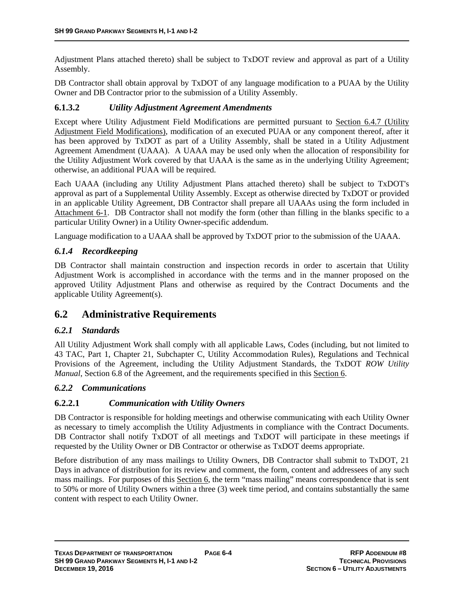Adjustment Plans attached thereto) shall be subject to TxDOT review and approval as part of a Utility Assembly.

DB Contractor shall obtain approval by TxDOT of any language modification to a PUAA by the Utility Owner and DB Contractor prior to the submission of a Utility Assembly.

#### **6.1.3.2** *Utility Adjustment Agreement Amendments*

Except where Utility Adjustment Field Modifications are permitted pursuant to Section 6.4.7 (Utility Adjustment Field Modifications), modification of an executed PUAA or any component thereof, after it has been approved by TxDOT as part of a Utility Assembly, shall be stated in a Utility Adjustment Agreement Amendment (UAAA). A UAAA may be used only when the allocation of responsibility for the Utility Adjustment Work covered by that UAAA is the same as in the underlying Utility Agreement; otherwise, an additional PUAA will be required.

Each UAAA (including any Utility Adjustment Plans attached thereto) shall be subject to TxDOT's approval as part of a Supplemental Utility Assembly. Except as otherwise directed by TxDOT or provided in an applicable Utility Agreement, DB Contractor shall prepare all UAAAs using the form included in Attachment 6-1. DB Contractor shall not modify the form (other than filling in the blanks specific to a particular Utility Owner) in a Utility Owner-specific addendum.

Language modification to a UAAA shall be approved by TxDOT prior to the submission of the UAAA.

# *6.1.4 Recordkeeping*

DB Contractor shall maintain construction and inspection records in order to ascertain that Utility Adjustment Work is accomplished in accordance with the terms and in the manner proposed on the approved Utility Adjustment Plans and otherwise as required by the Contract Documents and the applicable Utility Agreement(s).

# **6.2 Administrative Requirements**

#### *6.2.1 Standards*

All Utility Adjustment Work shall comply with all applicable Laws, Codes (including, but not limited to 43 TAC, Part 1, Chapter 21, Subchapter C, Utility Accommodation Rules), Regulations and Technical Provisions of the Agreement, including the Utility Adjustment Standards, the TxDOT *ROW Utility Manual*, Section 6.8 of the Agreement, and the requirements specified in this Section 6.

#### *6.2.2 Communications*

# **6.2.2.1** *Communication with Utility Owners*

DB Contractor is responsible for holding meetings and otherwise communicating with each Utility Owner as necessary to timely accomplish the Utility Adjustments in compliance with the Contract Documents. DB Contractor shall notify TxDOT of all meetings and TxDOT will participate in these meetings if requested by the Utility Owner or DB Contractor or otherwise as TxDOT deems appropriate.

Before distribution of any mass mailings to Utility Owners, DB Contractor shall submit to TxDOT, 21 Days in advance of distribution for its review and comment, the form, content and addressees of any such mass mailings. For purposes of this Section 6, the term "mass mailing" means correspondence that is sent to 50% or more of Utility Owners within a three (3) week time period, and contains substantially the same content with respect to each Utility Owner.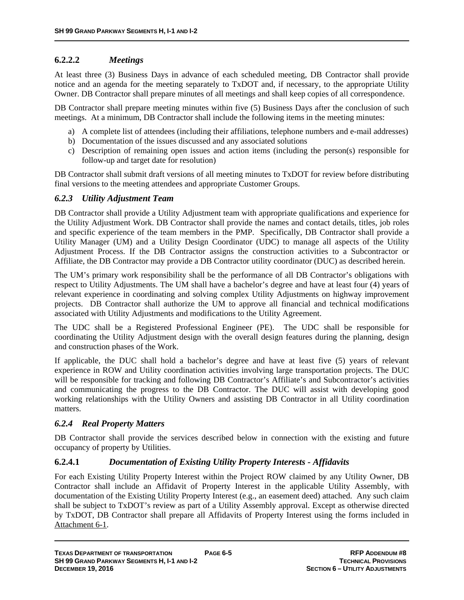# **6.2.2.2** *Meetings*

At least three (3) Business Days in advance of each scheduled meeting, DB Contractor shall provide notice and an agenda for the meeting separately to TxDOT and, if necessary, to the appropriate Utility Owner. DB Contractor shall prepare minutes of all meetings and shall keep copies of all correspondence.

DB Contractor shall prepare meeting minutes within five (5) Business Days after the conclusion of such meetings. At a minimum, DB Contractor shall include the following items in the meeting minutes:

- a) A complete list of attendees (including their affiliations, telephone numbers and e-mail addresses)
- b) Documentation of the issues discussed and any associated solutions
- c) Description of remaining open issues and action items (including the person(s) responsible for follow-up and target date for resolution)

DB Contractor shall submit draft versions of all meeting minutes to TxDOT for review before distributing final versions to the meeting attendees and appropriate Customer Groups.

#### *6.2.3 Utility Adjustment Team*

DB Contractor shall provide a Utility Adjustment team with appropriate qualifications and experience for the Utility Adjustment Work. DB Contractor shall provide the names and contact details, titles, job roles and specific experience of the team members in the PMP. Specifically, DB Contractor shall provide a Utility Manager (UM) and a Utility Design Coordinator (UDC) to manage all aspects of the Utility Adjustment Process. If the DB Contractor assigns the construction activities to a Subcontractor or Affiliate, the DB Contractor may provide a DB Contractor utility coordinator (DUC) as described herein.

The UM's primary work responsibility shall be the performance of all DB Contractor's obligations with respect to Utility Adjustments. The UM shall have a bachelor's degree and have at least four (4) years of relevant experience in coordinating and solving complex Utility Adjustments on highway improvement projects. DB Contractor shall authorize the UM to approve all financial and technical modifications associated with Utility Adjustments and modifications to the Utility Agreement.

The UDC shall be a Registered Professional Engineer (PE). The UDC shall be responsible for coordinating the Utility Adjustment design with the overall design features during the planning, design and construction phases of the Work.

If applicable, the DUC shall hold a bachelor's degree and have at least five (5) years of relevant experience in ROW and Utility coordination activities involving large transportation projects. The DUC will be responsible for tracking and following DB Contractor's Affiliate's and Subcontractor's activities and communicating the progress to the DB Contractor. The DUC will assist with developing good working relationships with the Utility Owners and assisting DB Contractor in all Utility coordination matters.

# *6.2.4 Real Property Matters*

DB Contractor shall provide the services described below in connection with the existing and future occupancy of property by Utilities.

# **6.2.4.1** *Documentation of Existing Utility Property Interests - Affidavits*

For each Existing Utility Property Interest within the Project ROW claimed by any Utility Owner, DB Contractor shall include an Affidavit of Property Interest in the applicable Utility Assembly, with documentation of the Existing Utility Property Interest (e.g., an easement deed) attached. Any such claim shall be subject to TxDOT's review as part of a Utility Assembly approval. Except as otherwise directed by TxDOT, DB Contractor shall prepare all Affidavits of Property Interest using the forms included in Attachment 6-1.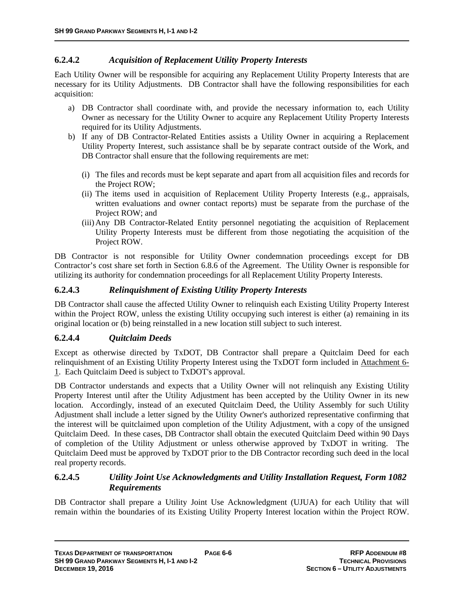# **6.2.4.2** *Acquisition of Replacement Utility Property Interests*

Each Utility Owner will be responsible for acquiring any Replacement Utility Property Interests that are necessary for its Utility Adjustments. DB Contractor shall have the following responsibilities for each acquisition:

- a) DB Contractor shall coordinate with, and provide the necessary information to, each Utility Owner as necessary for the Utility Owner to acquire any Replacement Utility Property Interests required for its Utility Adjustments.
- b) If any of DB Contractor-Related Entities assists a Utility Owner in acquiring a Replacement Utility Property Interest, such assistance shall be by separate contract outside of the Work, and DB Contractor shall ensure that the following requirements are met:
	- (i) The files and records must be kept separate and apart from all acquisition files and records for the Project ROW;
	- (ii) The items used in acquisition of Replacement Utility Property Interests (e.g., appraisals, written evaluations and owner contact reports) must be separate from the purchase of the Project ROW; and
	- (iii)Any DB Contractor-Related Entity personnel negotiating the acquisition of Replacement Utility Property Interests must be different from those negotiating the acquisition of the Project ROW.

DB Contractor is not responsible for Utility Owner condemnation proceedings except for DB Contractor's cost share set forth in Section 6.8.6 of the Agreement. The Utility Owner is responsible for utilizing its authority for condemnation proceedings for all Replacement Utility Property Interests.

# **6.2.4.3** *Relinquishment of Existing Utility Property Interests*

DB Contractor shall cause the affected Utility Owner to relinquish each Existing Utility Property Interest within the Project ROW, unless the existing Utility occupying such interest is either (a) remaining in its original location or (b) being reinstalled in a new location still subject to such interest.

# **6.2.4.4** *Quitclaim Deeds*

Except as otherwise directed by TxDOT, DB Contractor shall prepare a Quitclaim Deed for each relinquishment of an Existing Utility Property Interest using the TxDOT form included in Attachment 6- 1. Each Quitclaim Deed is subject to TxDOT's approval.

DB Contractor understands and expects that a Utility Owner will not relinquish any Existing Utility Property Interest until after the Utility Adjustment has been accepted by the Utility Owner in its new location. Accordingly, instead of an executed Quitclaim Deed, the Utility Assembly for such Utility Adjustment shall include a letter signed by the Utility Owner's authorized representative confirming that the interest will be quitclaimed upon completion of the Utility Adjustment, with a copy of the unsigned Quitclaim Deed. In these cases, DB Contractor shall obtain the executed Quitclaim Deed within 90 Days of completion of the Utility Adjustment or unless otherwise approved by TxDOT in writing. The Quitclaim Deed must be approved by TxDOT prior to the DB Contractor recording such deed in the local real property records.

# **6.2.4.5** *Utility Joint Use Acknowledgments and Utility Installation Request, Form 1082 Requirements*

DB Contractor shall prepare a Utility Joint Use Acknowledgment (UJUA) for each Utility that will remain within the boundaries of its Existing Utility Property Interest location within the Project ROW.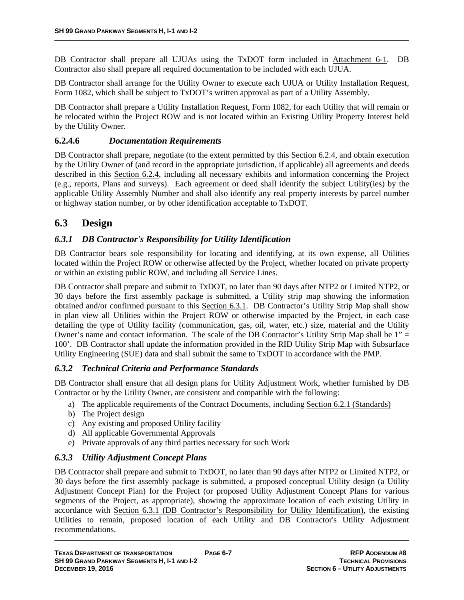DB Contractor shall prepare all UJUAs using the TxDOT form included in Attachment 6-1. DB Contractor also shall prepare all required documentation to be included with each UJUA.

DB Contractor shall arrange for the Utility Owner to execute each UJUA or Utility Installation Request, Form 1082, which shall be subject to TxDOT's written approval as part of a Utility Assembly.

DB Contractor shall prepare a Utility Installation Request, Form 1082, for each Utility that will remain or be relocated within the Project ROW and is not located within an Existing Utility Property Interest held by the Utility Owner.

#### **6.2.4.6** *Documentation Requirements*

DB Contractor shall prepare, negotiate (to the extent permitted by this Section 6.2.4, and obtain execution by the Utility Owner of (and record in the appropriate jurisdiction, if applicable) all agreements and deeds described in this Section 6.2.4, including all necessary exhibits and information concerning the Project (e.g., reports, Plans and surveys). Each agreement or deed shall identify the subject Utility(ies) by the applicable Utility Assembly Number and shall also identify any real property interests by parcel number or highway station number, or by other identification acceptable to TxDOT.

# **6.3 Design**

# *6.3.1 DB Contractor's Responsibility for Utility Identification*

DB Contractor bears sole responsibility for locating and identifying, at its own expense, all Utilities located within the Project ROW or otherwise affected by the Project, whether located on private property or within an existing public ROW, and including all Service Lines.

DB Contractor shall prepare and submit to TxDOT, no later than 90 days after NTP2 or Limited NTP2, or 30 days before the first assembly package is submitted, a Utility strip map showing the information obtained and/or confirmed pursuant to this Section 6.3.1. DB Contractor's Utility Strip Map shall show in plan view all Utilities within the Project ROW or otherwise impacted by the Project, in each case detailing the type of Utility facility (communication, gas, oil, water, etc.) size, material and the Utility Owner's name and contact information. The scale of the DB Contractor's Utility Strip Map shall be  $1'' =$ 100'. DB Contractor shall update the information provided in the RID Utility Strip Map with Subsurface Utility Engineering (SUE) data and shall submit the same to TxDOT in accordance with the PMP.

#### *6.3.2 Technical Criteria and Performance Standards*

DB Contractor shall ensure that all design plans for Utility Adjustment Work, whether furnished by DB Contractor or by the Utility Owner, are consistent and compatible with the following:

- a) The applicable requirements of the Contract Documents, including Section 6.2.1 (Standards)
- b) The Project design
- c) Any existing and proposed Utility facility
- d) All applicable Governmental Approvals
- e) Private approvals of any third parties necessary for such Work

# *6.3.3 Utility Adjustment Concept Plans*

DB Contractor shall prepare and submit to TxDOT, no later than 90 days after NTP2 or Limited NTP2, or 30 days before the first assembly package is submitted, a proposed conceptual Utility design (a Utility Adjustment Concept Plan) for the Project (or proposed Utility Adjustment Concept Plans for various segments of the Project, as appropriate), showing the approximate location of each existing Utility in accordance with Section 6.3.1 (DB Contractor's Responsibility for Utility Identification), the existing Utilities to remain, proposed location of each Utility and DB Contractor's Utility Adjustment recommendations.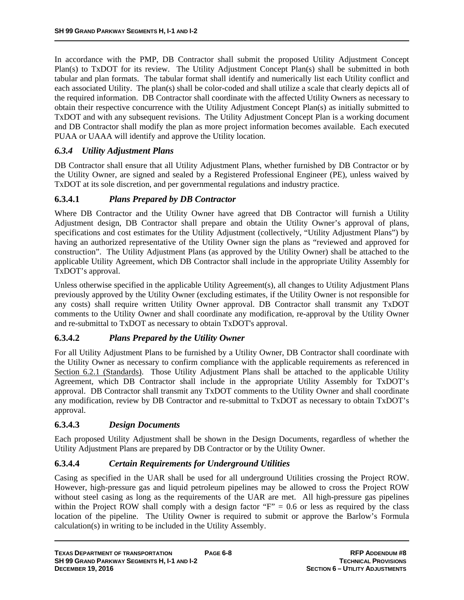In accordance with the PMP, DB Contractor shall submit the proposed Utility Adjustment Concept Plan(s) to TxDOT for its review. The Utility Adjustment Concept Plan(s) shall be submitted in both tabular and plan formats. The tabular format shall identify and numerically list each Utility conflict and each associated Utility. The plan(s) shall be color-coded and shall utilize a scale that clearly depicts all of the required information. DB Contractor shall coordinate with the affected Utility Owners as necessary to obtain their respective concurrence with the Utility Adjustment Concept Plan(s) as initially submitted to TxDOT and with any subsequent revisions. The Utility Adjustment Concept Plan is a working document and DB Contractor shall modify the plan as more project information becomes available. Each executed PUAA or UAAA will identify and approve the Utility location.

# *6.3.4 Utility Adjustment Plans*

DB Contractor shall ensure that all Utility Adjustment Plans, whether furnished by DB Contractor or by the Utility Owner, are signed and sealed by a Registered Professional Engineer (PE), unless waived by TxDOT at its sole discretion, and per governmental regulations and industry practice.

# **6.3.4.1** *Plans Prepared by DB Contractor*

Where DB Contractor and the Utility Owner have agreed that DB Contractor will furnish a Utility Adjustment design, DB Contractor shall prepare and obtain the Utility Owner's approval of plans, specifications and cost estimates for the Utility Adjustment (collectively, "Utility Adjustment Plans") by having an authorized representative of the Utility Owner sign the plans as "reviewed and approved for construction". The Utility Adjustment Plans (as approved by the Utility Owner) shall be attached to the applicable Utility Agreement, which DB Contractor shall include in the appropriate Utility Assembly for TxDOT's approval.

Unless otherwise specified in the applicable Utility Agreement(s), all changes to Utility Adjustment Plans previously approved by the Utility Owner (excluding estimates, if the Utility Owner is not responsible for any costs) shall require written Utility Owner approval. DB Contractor shall transmit any TxDOT comments to the Utility Owner and shall coordinate any modification, re-approval by the Utility Owner and re-submittal to TxDOT as necessary to obtain TxDOT's approval.

# **6.3.4.2** *Plans Prepared by the Utility Owner*

For all Utility Adjustment Plans to be furnished by a Utility Owner, DB Contractor shall coordinate with the Utility Owner as necessary to confirm compliance with the applicable requirements as referenced in Section 6.2.1 (Standards). Those Utility Adjustment Plans shall be attached to the applicable Utility Agreement, which DB Contractor shall include in the appropriate Utility Assembly for TxDOT's approval. DB Contractor shall transmit any TxDOT comments to the Utility Owner and shall coordinate any modification, review by DB Contractor and re-submittal to TxDOT as necessary to obtain TxDOT's approval.

#### **6.3.4.3** *Design Documents*

Each proposed Utility Adjustment shall be shown in the Design Documents, regardless of whether the Utility Adjustment Plans are prepared by DB Contractor or by the Utility Owner.

#### **6.3.4.4** *Certain Requirements for Underground Utilities*

Casing as specified in the UAR shall be used for all underground Utilities crossing the Project ROW. However, high-pressure gas and liquid petroleum pipelines may be allowed to cross the Project ROW without steel casing as long as the requirements of the UAR are met. All high-pressure gas pipelines within the Project ROW shall comply with a design factor " $F$ " = 0.6 or less as required by the class location of the pipeline. The Utility Owner is required to submit or approve the Barlow's Formula calculation(s) in writing to be included in the Utility Assembly.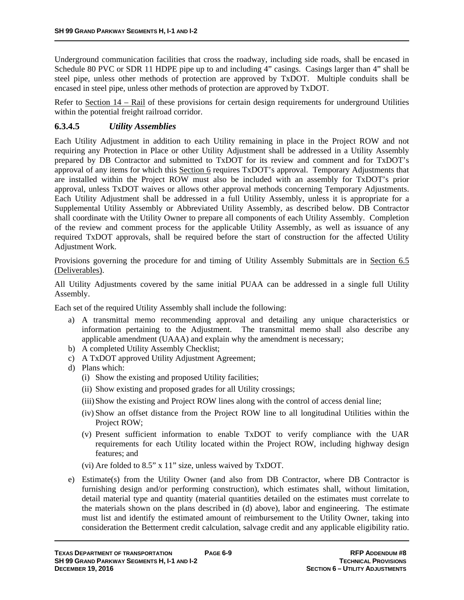Underground communication facilities that cross the roadway, including side roads, shall be encased in Schedule 80 PVC or SDR 11 HDPE pipe up to and including 4" casings. Casings larger than 4" shall be steel pipe, unless other methods of protection are approved by TxDOT. Multiple conduits shall be encased in steel pipe, unless other methods of protection are approved by TxDOT.

Refer to Section 14 – Rail of these provisions for certain design requirements for underground Utilities within the potential freight railroad corridor.

# **6.3.4.5** *Utility Assemblies*

Each Utility Adjustment in addition to each Utility remaining in place in the Project ROW and not requiring any Protection in Place or other Utility Adjustment shall be addressed in a Utility Assembly prepared by DB Contractor and submitted to TxDOT for its review and comment and for TxDOT's approval of any items for which this Section 6 requires TxDOT's approval. Temporary Adjustments that are installed within the Project ROW must also be included with an assembly for TxDOT's prior approval, unless TxDOT waives or allows other approval methods concerning Temporary Adjustments. Each Utility Adjustment shall be addressed in a full Utility Assembly, unless it is appropriate for a Supplemental Utility Assembly or Abbreviated Utility Assembly, as described below. DB Contractor shall coordinate with the Utility Owner to prepare all components of each Utility Assembly. Completion of the review and comment process for the applicable Utility Assembly, as well as issuance of any required TxDOT approvals, shall be required before the start of construction for the affected Utility Adjustment Work.

Provisions governing the procedure for and timing of Utility Assembly Submittals are in Section 6.5 (Deliverables).

All Utility Adjustments covered by the same initial PUAA can be addressed in a single full Utility Assembly.

Each set of the required Utility Assembly shall include the following:

- a) A transmittal memo recommending approval and detailing any unique characteristics or information pertaining to the Adjustment. The transmittal memo shall also describe any applicable amendment (UAAA) and explain why the amendment is necessary;
- b) A completed Utility Assembly Checklist;
- c) A TxDOT approved Utility Adjustment Agreement;
- d) Plans which:
	- (i) Show the existing and proposed Utility facilities;
	- (ii) Show existing and proposed grades for all Utility crossings;
	- (iii)Show the existing and Project ROW lines along with the control of access denial line;
	- (iv) Show an offset distance from the Project ROW line to all longitudinal Utilities within the Project ROW;
	- (v) Present sufficient information to enable TxDOT to verify compliance with the UAR requirements for each Utility located within the Project ROW, including highway design features; and
	- (vi) Are folded to 8.5" x 11" size, unless waived by TxDOT.
- e) Estimate(s) from the Utility Owner (and also from DB Contractor, where DB Contractor is furnishing design and/or performing construction), which estimates shall, without limitation, detail material type and quantity (material quantities detailed on the estimates must correlate to the materials shown on the plans described in (d) above), labor and engineering. The estimate must list and identify the estimated amount of reimbursement to the Utility Owner, taking into consideration the Betterment credit calculation, salvage credit and any applicable eligibility ratio.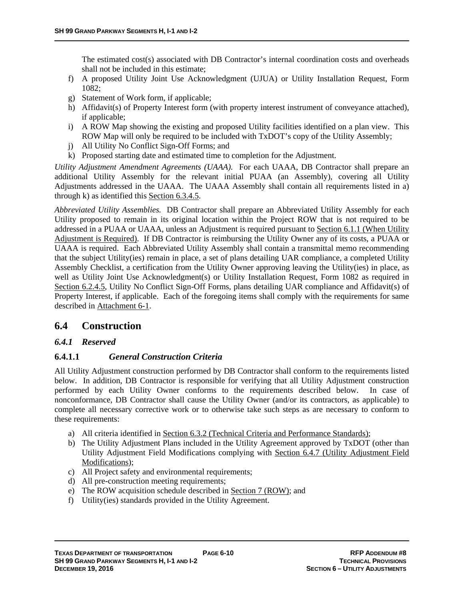The estimated cost(s) associated with DB Contractor's internal coordination costs and overheads shall not be included in this estimate;

- f) A proposed Utility Joint Use Acknowledgment (UJUA) or Utility Installation Request, Form 1082;
- g) Statement of Work form, if applicable;
- h) Affidavit(s) of Property Interest form (with property interest instrument of conveyance attached), if applicable;
- i) A ROW Map showing the existing and proposed Utility facilities identified on a plan view. This ROW Map will only be required to be included with TxDOT's copy of the Utility Assembly;
- j) All Utility No Conflict Sign-Off Forms; and
- k) Proposed starting date and estimated time to completion for the Adjustment.

*Utility Adjustment Amendment Agreements (UAAA).* For each UAAA, DB Contractor shall prepare an additional Utility Assembly for the relevant initial PUAA (an Assembly), covering all Utility Adjustments addressed in the UAAA. The UAAA Assembly shall contain all requirements listed in a) through k) as identified this Section 6.3.4.5.

*Abbreviated Utility Assemblies.* DB Contractor shall prepare an Abbreviated Utility Assembly for each Utility proposed to remain in its original location within the Project ROW that is not required to be addressed in a PUAA or UAAA, unless an Adjustment is required pursuant to Section 6.1.1 (When Utility Adjustment is Required). If DB Contractor is reimbursing the Utility Owner any of its costs, a PUAA or UAAA is required. Each Abbreviated Utility Assembly shall contain a transmittal memo recommending that the subject Utility(ies) remain in place, a set of plans detailing UAR compliance, a completed Utility Assembly Checklist, a certification from the Utility Owner approving leaving the Utility(ies) in place, as well as Utility Joint Use Acknowledgment(s) or Utility Installation Request, Form 1082 as required in Section 6.2.4.5, Utility No Conflict Sign-Off Forms, plans detailing UAR compliance and Affidavit(s) of Property Interest, if applicable. Each of the foregoing items shall comply with the requirements for same described in Attachment 6-1.

# **6.4 Construction**

# *6.4.1 Reserved*

# **6.4.1.1** *General Construction Criteria*

All Utility Adjustment construction performed by DB Contractor shall conform to the requirements listed below. In addition, DB Contractor is responsible for verifying that all Utility Adjustment construction performed by each Utility Owner conforms to the requirements described below. In case of nonconformance, DB Contractor shall cause the Utility Owner (and/or its contractors, as applicable) to complete all necessary corrective work or to otherwise take such steps as are necessary to conform to these requirements:

- a) All criteria identified in Section 6.3.2 (Technical Criteria and Performance Standards);
- b) The Utility Adjustment Plans included in the Utility Agreement approved by TxDOT (other than Utility Adjustment Field Modifications complying with Section 6.4.7 (Utility Adjustment Field Modifications);
- c) All Project safety and environmental requirements;
- d) All pre-construction meeting requirements;
- e) The ROW acquisition schedule described in Section 7 (ROW); and
- f) Utility(ies) standards provided in the Utility Agreement.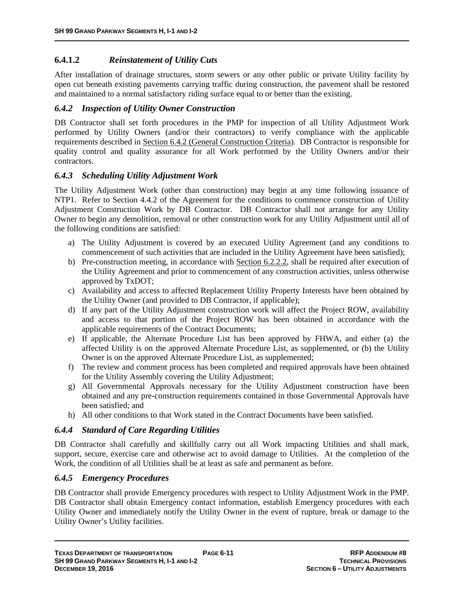# **6.4.1.2** *Reinstatement of Utility Cuts*

After installation of drainage structures, storm sewers or any other public or private Utility facility by open cut beneath existing pavements carrying traffic during construction, the pavement shall be restored and maintained to a normal satisfactory riding surface equal to or better than the existing.

#### *6.4.2 Inspection of Utility Owner Construction*

DB Contractor shall set forth procedures in the PMP for inspection of all Utility Adjustment Work performed by Utility Owners (and/or their contractors) to verify compliance with the applicable requirements described in Section 6.4.2 (General Construction Criteria). DB Contractor is responsible for quality control and quality assurance for all Work performed by the Utility Owners and/or their contractors.

# *6.4.3 Scheduling Utility Adjustment Work*

The Utility Adjustment Work (other than construction) may begin at any time following issuance of NTP1. Refer to Section 4.4.2 of the Agreement for the conditions to commence construction of Utility Adjustment Construction Work by DB Contractor. DB Contractor shall not arrange for any Utility Owner to begin any demolition, removal or other construction work for any Utility Adjustment until all of the following conditions are satisfied:

- a) The Utility Adjustment is covered by an executed Utility Agreement (and any conditions to commencement of such activities that are included in the Utility Agreement have been satisfied);
- b) Pre-construction meeting, in accordance with Section 6.2.2.2, shall be required after execution of the Utility Agreement and prior to commencement of any construction activities, unless otherwise approved by TxDOT;
- c) Availability and access to affected Replacement Utility Property Interests have been obtained by the Utility Owner (and provided to DB Contractor, if applicable);
- d) If any part of the Utility Adjustment construction work will affect the Project ROW, availability and access to that portion of the Project ROW has been obtained in accordance with the applicable requirements of the Contract Documents;
- e) If applicable, the Alternate Procedure List has been approved by FHWA, and either (a) the affected Utility is on the approved Alternate Procedure List, as supplemented, or (b) the Utility Owner is on the approved Alternate Procedure List, as supplemented;
- f) The review and comment process has been completed and required approvals have been obtained for the Utility Assembly covering the Utility Adjustment;
- g) All Governmental Approvals necessary for the Utility Adjustment construction have been obtained and any pre-construction requirements contained in those Governmental Approvals have been satisfied; and
- h) All other conditions to that Work stated in the Contract Documents have been satisfied.

# *6.4.4 Standard of Care Regarding Utilities*

DB Contractor shall carefully and skillfully carry out all Work impacting Utilities and shall mark, support, secure, exercise care and otherwise act to avoid damage to Utilities. At the completion of the Work, the condition of all Utilities shall be at least as safe and permanent as before.

# *6.4.5 Emergency Procedures*

DB Contractor shall provide Emergency procedures with respect to Utility Adjustment Work in the PMP. DB Contractor shall obtain Emergency contact information, establish Emergency procedures with each Utility Owner and immediately notify the Utility Owner in the event of rupture, break or damage to the Utility Owner's Utility facilities.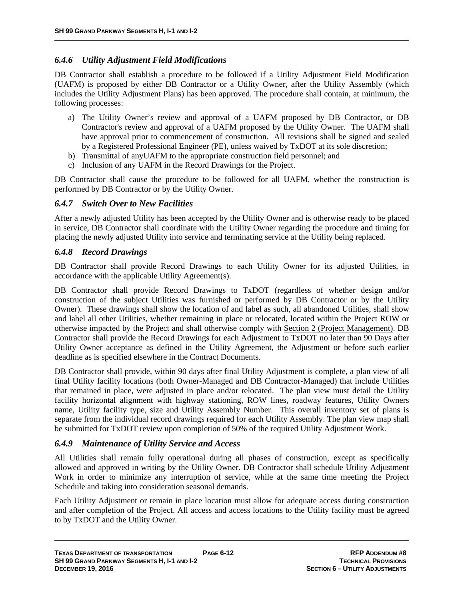# *6.4.6 Utility Adjustment Field Modifications*

DB Contractor shall establish a procedure to be followed if a Utility Adjustment Field Modification (UAFM) is proposed by either DB Contractor or a Utility Owner, after the Utility Assembly (which includes the Utility Adjustment Plans) has been approved. The procedure shall contain, at minimum, the following processes:

- a) The Utility Owner's review and approval of a UAFM proposed by DB Contractor, or DB Contractor's review and approval of a UAFM proposed by the Utility Owner. The UAFM shall have approval prior to commencement of construction. All revisions shall be signed and sealed by a Registered Professional Engineer (PE), unless waived by TxDOT at its sole discretion;
- b) Transmittal of anyUAFM to the appropriate construction field personnel; and
- c) Inclusion of any UAFM in the Record Drawings for the Project.

DB Contractor shall cause the procedure to be followed for all UAFM, whether the construction is performed by DB Contractor or by the Utility Owner.

#### *6.4.7 Switch Over to New Facilities*

After a newly adjusted Utility has been accepted by the Utility Owner and is otherwise ready to be placed in service, DB Contractor shall coordinate with the Utility Owner regarding the procedure and timing for placing the newly adjusted Utility into service and terminating service at the Utility being replaced.

#### *6.4.8 Record Drawings*

DB Contractor shall provide Record Drawings to each Utility Owner for its adjusted Utilities, in accordance with the applicable Utility Agreement(s).

DB Contractor shall provide Record Drawings to TxDOT (regardless of whether design and/or construction of the subject Utilities was furnished or performed by DB Contractor or by the Utility Owner). These drawings shall show the location of and label as such, all abandoned Utilities, shall show and label all other Utilities, whether remaining in place or relocated, located within the Project ROW or otherwise impacted by the Project and shall otherwise comply with Section 2 (Project Management). DB Contractor shall provide the Record Drawings for each Adjustment to TxDOT no later than 90 Days after Utility Owner acceptance as defined in the Utility Agreement, the Adjustment or before such earlier deadline as is specified elsewhere in the Contract Documents.

DB Contractor shall provide, within 90 days after final Utility Adjustment is complete, a plan view of all final Utility facility locations (both Owner-Managed and DB Contractor-Managed) that include Utilities that remained in place, were adjusted in place and/or relocated. The plan view must detail the Utility facility horizontal alignment with highway stationing, ROW lines, roadway features, Utility Owners name, Utility facility type, size and Utility Assembly Number. This overall inventory set of plans is separate from the individual record drawings required for each Utility Assembly. The plan view map shall be submitted for TxDOT review upon completion of 50% of the required Utility Adjustment Work.

# *6.4.9 Maintenance of Utility Service and Access*

All Utilities shall remain fully operational during all phases of construction, except as specifically allowed and approved in writing by the Utility Owner. DB Contractor shall schedule Utility Adjustment Work in order to minimize any interruption of service, while at the same time meeting the Project Schedule and taking into consideration seasonal demands.

Each Utility Adjustment or remain in place location must allow for adequate access during construction and after completion of the Project. All access and access locations to the Utility facility must be agreed to by TxDOT and the Utility Owner.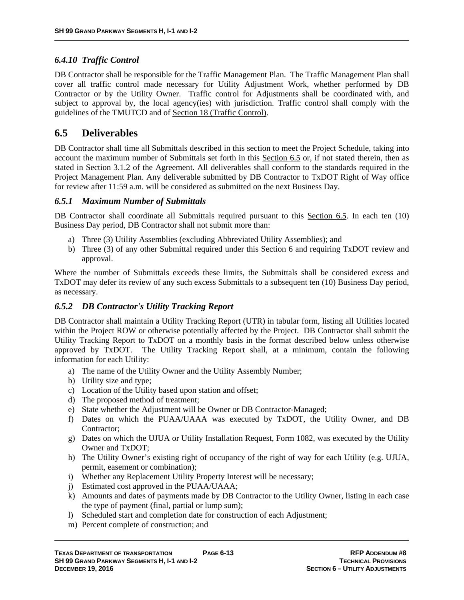# *6.4.10 Traffic Control*

DB Contractor shall be responsible for the Traffic Management Plan. The Traffic Management Plan shall cover all traffic control made necessary for Utility Adjustment Work, whether performed by DB Contractor or by the Utility Owner. Traffic control for Adjustments shall be coordinated with, and subject to approval by, the local agency(ies) with jurisdiction. Traffic control shall comply with the guidelines of the TMUTCD and of Section 18 (Traffic Control).

# **6.5 Deliverables**

DB Contractor shall time all Submittals described in this section to meet the Project Schedule, taking into account the maximum number of Submittals set forth in this Section 6.5 or, if not stated therein, then as stated in Section 3.1.2 of the Agreement. All deliverables shall conform to the standards required in the Project Management Plan. Any deliverable submitted by DB Contractor to TxDOT Right of Way office for review after 11:59 a.m. will be considered as submitted on the next Business Day.

#### *6.5.1 Maximum Number of Submittals*

DB Contractor shall coordinate all Submittals required pursuant to this Section 6.5. In each ten (10) Business Day period, DB Contractor shall not submit more than:

- a) Three (3) Utility Assemblies (excluding Abbreviated Utility Assemblies); and
- b) Three (3) of any other Submittal required under this Section 6 and requiring TxDOT review and approval.

Where the number of Submittals exceeds these limits, the Submittals shall be considered excess and TxDOT may defer its review of any such excess Submittals to a subsequent ten (10) Business Day period, as necessary.

# *6.5.2 DB Contractor's Utility Tracking Report*

DB Contractor shall maintain a Utility Tracking Report (UTR) in tabular form, listing all Utilities located within the Project ROW or otherwise potentially affected by the Project. DB Contractor shall submit the Utility Tracking Report to TxDOT on a monthly basis in the format described below unless otherwise approved by TxDOT. The Utility Tracking Report shall, at a minimum, contain the following information for each Utility:

- a) The name of the Utility Owner and the Utility Assembly Number;
- b) Utility size and type;
- c) Location of the Utility based upon station and offset;
- d) The proposed method of treatment;
- e) State whether the Adjustment will be Owner or DB Contractor-Managed;
- f) Dates on which the PUAA/UAAA was executed by TxDOT, the Utility Owner, and DB Contractor;
- g) Dates on which the UJUA or Utility Installation Request, Form 1082, was executed by the Utility Owner and TxDOT;
- h) The Utility Owner's existing right of occupancy of the right of way for each Utility (e.g. UJUA, permit, easement or combination);
- i) Whether any Replacement Utility Property Interest will be necessary;
- j) Estimated cost approved in the PUAA/UAAA;
- k) Amounts and dates of payments made by DB Contractor to the Utility Owner, listing in each case the type of payment (final, partial or lump sum);
- l) Scheduled start and completion date for construction of each Adjustment;
- m) Percent complete of construction; and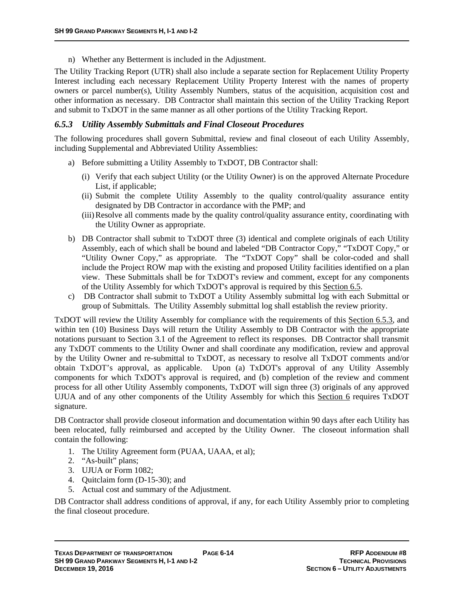n) Whether any Betterment is included in the Adjustment.

The Utility Tracking Report (UTR) shall also include a separate section for Replacement Utility Property Interest including each necessary Replacement Utility Property Interest with the names of property owners or parcel number(s), Utility Assembly Numbers, status of the acquisition, acquisition cost and other information as necessary. DB Contractor shall maintain this section of the Utility Tracking Report and submit to TxDOT in the same manner as all other portions of the Utility Tracking Report.

#### *6.5.3 Utility Assembly Submittals and Final Closeout Procedures*

The following procedures shall govern Submittal, review and final closeout of each Utility Assembly, including Supplemental and Abbreviated Utility Assemblies:

- a) Before submitting a Utility Assembly to TxDOT, DB Contractor shall:
	- (i) Verify that each subject Utility (or the Utility Owner) is on the approved Alternate Procedure List, if applicable;
	- (ii) Submit the complete Utility Assembly to the quality control/quality assurance entity designated by DB Contractor in accordance with the PMP; and
	- (iii)Resolve all comments made by the quality control/quality assurance entity, coordinating with the Utility Owner as appropriate.
- b) DB Contractor shall submit to TxDOT three (3) identical and complete originals of each Utility Assembly, each of which shall be bound and labeled "DB Contractor Copy," "TxDOT Copy," or "Utility Owner Copy," as appropriate. The "TxDOT Copy" shall be color-coded and shall include the Project ROW map with the existing and proposed Utility facilities identified on a plan view. These Submittals shall be for TxDOT's review and comment, except for any components of the Utility Assembly for which TxDOT's approval is required by this Section 6.5.
- c) DB Contractor shall submit to TxDOT a Utility Assembly submittal log with each Submittal or group of Submittals. The Utility Assembly submittal log shall establish the review priority.

TxDOT will review the Utility Assembly for compliance with the requirements of this Section 6.5.3, and within ten (10) Business Days will return the Utility Assembly to DB Contractor with the appropriate notations pursuant to Section 3.1 of the Agreement to reflect its responses. DB Contractor shall transmit any TxDOT comments to the Utility Owner and shall coordinate any modification, review and approval by the Utility Owner and re-submittal to TxDOT, as necessary to resolve all TxDOT comments and/or obtain TxDOT's approval, as applicable. Upon (a) TxDOT's approval of any Utility Assembly components for which TxDOT's approval is required, and (b) completion of the review and comment process for all other Utility Assembly components, TxDOT will sign three (3) originals of any approved UJUA and of any other components of the Utility Assembly for which this Section 6 requires TxDOT signature.

DB Contractor shall provide closeout information and documentation within 90 days after each Utility has been relocated, fully reimbursed and accepted by the Utility Owner. The closeout information shall contain the following:

- 1. The Utility Agreement form (PUAA, UAAA, et al);
- 2. "As-built" plans;
- 3. UJUA or Form 1082;
- 4. Quitclaim form (D-15-30); and
- 5. Actual cost and summary of the Adjustment.

DB Contractor shall address conditions of approval, if any, for each Utility Assembly prior to completing the final closeout procedure.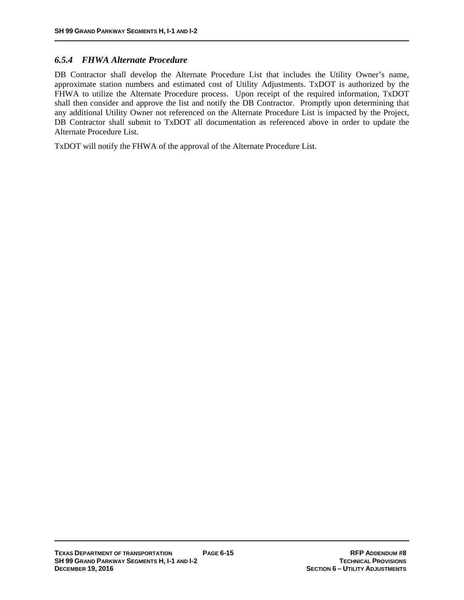#### *6.5.4 FHWA Alternate Procedure*

DB Contractor shall develop the Alternate Procedure List that includes the Utility Owner's name, approximate station numbers and estimated cost of Utility Adjustments. TxDOT is authorized by the FHWA to utilize the Alternate Procedure process. Upon receipt of the required information, TxDOT shall then consider and approve the list and notify the DB Contractor. Promptly upon determining that any additional Utility Owner not referenced on the Alternate Procedure List is impacted by the Project, DB Contractor shall submit to TxDOT all documentation as referenced above in order to update the Alternate Procedure List.

TxDOT will notify the FHWA of the approval of the Alternate Procedure List.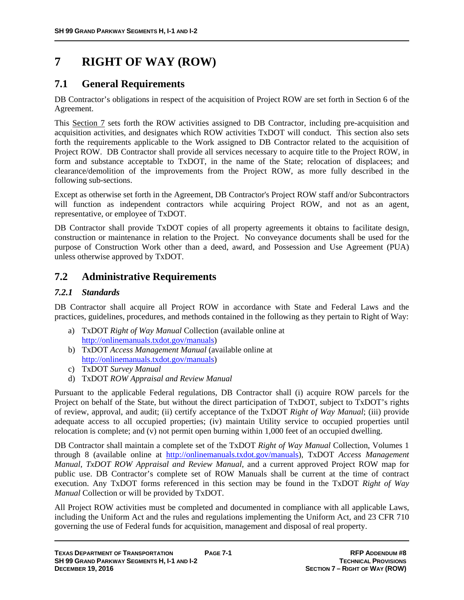# **7 RIGHT OF WAY (ROW)**

# **7.1 General Requirements**

DB Contractor's obligations in respect of the acquisition of Project ROW are set forth in Section 6 of the Agreement.

This Section 7 sets forth the ROW activities assigned to DB Contractor, including pre-acquisition and acquisition activities, and designates which ROW activities TxDOT will conduct. This section also sets forth the requirements applicable to the Work assigned to DB Contractor related to the acquisition of Project ROW. DB Contractor shall provide all services necessary to acquire title to the Project ROW, in form and substance acceptable to TxDOT, in the name of the State; relocation of displacees; and clearance/demolition of the improvements from the Project ROW, as more fully described in the following sub-sections.

Except as otherwise set forth in the Agreement, DB Contractor's Project ROW staff and/or Subcontractors will function as independent contractors while acquiring Project ROW, and not as an agent, representative, or employee of TxDOT.

DB Contractor shall provide TxDOT copies of all property agreements it obtains to facilitate design, construction or maintenance in relation to the Project. No conveyance documents shall be used for the purpose of Construction Work other than a deed, award, and Possession and Use Agreement (PUA) unless otherwise approved by TxDOT.

# **7.2 Administrative Requirements**

# *7.2.1 Standards*

DB Contractor shall acquire all Project ROW in accordance with State and Federal Laws and the practices, guidelines, procedures, and methods contained in the following as they pertain to Right of Way:

- a) TxDOT *Right of Way Manual* Collection (available online at http://onlinemanuals.txdot.gov/manuals)
- b) TxDOT *Access Management Manual* (available online at http://onlinemanuals.txdot.gov/manuals)
- c) TxDOT *Survey Manual*
- d) TxDOT *ROW Appraisal and Review Manual*

Pursuant to the applicable Federal regulations, DB Contractor shall (i) acquire ROW parcels for the Project on behalf of the State, but without the direct participation of TxDOT, subject to TxDOT's rights of review, approval, and audit; (ii) certify acceptance of the TxDOT *Right of Way Manual*; (iii) provide adequate access to all occupied properties; (iv) maintain Utility service to occupied properties until relocation is complete; and (v) not permit open burning within 1,000 feet of an occupied dwelling.

DB Contractor shall maintain a complete set of the TxDOT *Right of Way Manual* Collection, Volumes 1 through 8 (available online at http://onlinemanuals.txdot.gov/manuals), TxDOT *Access Management Manual*, *TxDOT ROW Appraisal and Review Manual*, and a current approved Project ROW map for public use. DB Contractor's complete set of ROW Manuals shall be current at the time of contract execution. Any TxDOT forms referenced in this section may be found in the TxDOT *Right of Way Manual* Collection or will be provided by TxDOT.

All Project ROW activities must be completed and documented in compliance with all applicable Laws, including the Uniform Act and the rules and regulations implementing the Uniform Act, and 23 CFR 710 governing the use of Federal funds for acquisition, management and disposal of real property.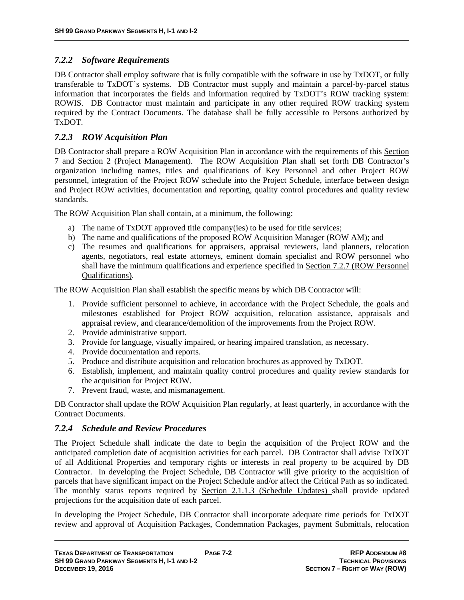# *7.2.2 Software Requirements*

DB Contractor shall employ software that is fully compatible with the software in use by TxDOT, or fully transferable to TxDOT's systems. DB Contractor must supply and maintain a parcel-by-parcel status information that incorporates the fields and information required by TxDOT's ROW tracking system: ROWIS. DB Contractor must maintain and participate in any other required ROW tracking system required by the Contract Documents. The database shall be fully accessible to Persons authorized by TxDOT.

# *7.2.3 ROW Acquisition Plan*

DB Contractor shall prepare a ROW Acquisition Plan in accordance with the requirements of this Section 7 and Section 2 (Project Management). The ROW Acquisition Plan shall set forth DB Contractor's organization including names, titles and qualifications of Key Personnel and other Project ROW personnel, integration of the Project ROW schedule into the Project Schedule, interface between design and Project ROW activities, documentation and reporting, quality control procedures and quality review standards.

The ROW Acquisition Plan shall contain, at a minimum, the following:

- a) The name of TxDOT approved title company(ies) to be used for title services;
- b) The name and qualifications of the proposed ROW Acquisition Manager (ROW AM); and
- c) The resumes and qualifications for appraisers, appraisal reviewers, land planners, relocation agents, negotiators, real estate attorneys, eminent domain specialist and ROW personnel who shall have the minimum qualifications and experience specified in Section 7.2.7 (ROW Personnel Qualifications).

The ROW Acquisition Plan shall establish the specific means by which DB Contractor will:

- 1. Provide sufficient personnel to achieve, in accordance with the Project Schedule, the goals and milestones established for Project ROW acquisition, relocation assistance, appraisals and appraisal review, and clearance/demolition of the improvements from the Project ROW.
- 2. Provide administrative support.
- 3. Provide for language, visually impaired, or hearing impaired translation, as necessary.
- 4. Provide documentation and reports.
- 5. Produce and distribute acquisition and relocation brochures as approved by TxDOT.
- 6. Establish, implement, and maintain quality control procedures and quality review standards for the acquisition for Project ROW.
- 7. Prevent fraud, waste, and mismanagement.

DB Contractor shall update the ROW Acquisition Plan regularly, at least quarterly, in accordance with the Contract Documents.

# *7.2.4 Schedule and Review Procedures*

The Project Schedule shall indicate the date to begin the acquisition of the Project ROW and the anticipated completion date of acquisition activities for each parcel. DB Contractor shall advise TxDOT of all Additional Properties and temporary rights or interests in real property to be acquired by DB Contractor. In developing the Project Schedule, DB Contractor will give priority to the acquisition of parcels that have significant impact on the Project Schedule and/or affect the Critical Path as so indicated. The monthly status reports required by Section 2.1.1.3 (Schedule Updates) shall provide updated projections for the acquisition date of each parcel.

In developing the Project Schedule, DB Contractor shall incorporate adequate time periods for TxDOT review and approval of Acquisition Packages, Condemnation Packages, payment Submittals, relocation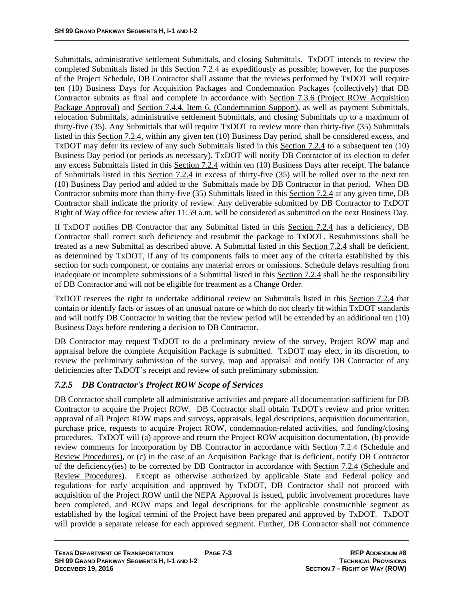Submittals, administrative settlement Submittals, and closing Submittals. TxDOT intends to review the completed Submittals listed in this Section 7.2.4 as expeditiously as possible; however, for the purposes of the Project Schedule, DB Contractor shall assume that the reviews performed by TxDOT will require ten (10) Business Days for Acquisition Packages and Condemnation Packages (collectively) that DB Contractor submits as final and complete in accordance with Section 7.3.6 (Project ROW Acquisition Package Approval) and Section 7.4.4, Item 6, (Condemnation Support), as well as payment Submittals, relocation Submittals, administrative settlement Submittals, and closing Submittals up to a maximum of thirty-five (35). Any Submittals that will require TxDOT to review more than thirty-five (35) Submittals listed in this Section 7.2.4, within any given ten (10) Business Day period, shall be considered excess, and TxDOT may defer its review of any such Submittals listed in this Section 7.2.4 to a subsequent ten (10) Business Day period (or periods as necessary). TxDOT will notify DB Contractor of its election to defer any excess Submittals listed in this Section 7.2.4 within ten (10) Business Days after receipt. The balance of Submittals listed in this Section 7.2.4 in excess of thirty-five (35) will be rolled over to the next ten (10) Business Day period and added to the Submittals made by DB Contractor in that period. When DB Contractor submits more than thirty-five (35) Submittals listed in this Section 7.2.4 at any given time, DB Contractor shall indicate the priority of review. Any deliverable submitted by DB Contractor to TxDOT Right of Way office for review after 11:59 a.m. will be considered as submitted on the next Business Day.

If TxDOT notifies DB Contractor that any Submittal listed in this Section 7.2.4 has a deficiency, DB Contractor shall correct such deficiency and resubmit the package to TxDOT. Resubmissions shall be treated as a new Submittal as described above. A Submittal listed in this Section 7.2.4 shall be deficient, as determined by TxDOT, if any of its components fails to meet any of the criteria established by this section for such component, or contains any material errors or omissions. Schedule delays resulting from inadequate or incomplete submissions of a Submittal listed in this Section 7.2.4 shall be the responsibility of DB Contractor and will not be eligible for treatment as a Change Order.

TxDOT reserves the right to undertake additional review on Submittals listed in this Section 7.2.4 that contain or identify facts or issues of an unusual nature or which do not clearly fit within TxDOT standards and will notify DB Contractor in writing that the review period will be extended by an additional ten (10) Business Days before rendering a decision to DB Contractor.

DB Contractor may request TxDOT to do a preliminary review of the survey, Project ROW map and appraisal before the complete Acquisition Package is submitted. TxDOT may elect, in its discretion, to review the preliminary submission of the survey, map and appraisal and notify DB Contractor of any deficiencies after TxDOT's receipt and review of such preliminary submission.

# *7.2.5 DB Contractor's Project ROW Scope of Services*

DB Contractor shall complete all administrative activities and prepare all documentation sufficient for DB Contractor to acquire the Project ROW. DB Contractor shall obtain TxDOT's review and prior written approval of all Project ROW maps and surveys, appraisals, legal descriptions, acquisition documentation, purchase price, requests to acquire Project ROW, condemnation-related activities, and funding/closing procedures. TxDOT will (a) approve and return the Project ROW acquisition documentation, (b) provide review comments for incorporation by DB Contractor in accordance with Section 7.2.4 (Schedule and Review Procedures), or (c) in the case of an Acquisition Package that is deficient, notify DB Contractor of the deficiency(ies) to be corrected by DB Contractor in accordance with Section 7.2.4 (Schedule and Review Procedures). Except as otherwise authorized by applicable State and Federal policy and regulations for early acquisition and approved by TxDOT, DB Contractor shall not proceed with acquisition of the Project ROW until the NEPA Approval is issued, public involvement procedures have been completed, and ROW maps and legal descriptions for the applicable constructible segment as established by the logical termini of the Project have been prepared and approved by TxDOT. TxDOT will provide a separate release for each approved segment. Further, DB Contractor shall not commence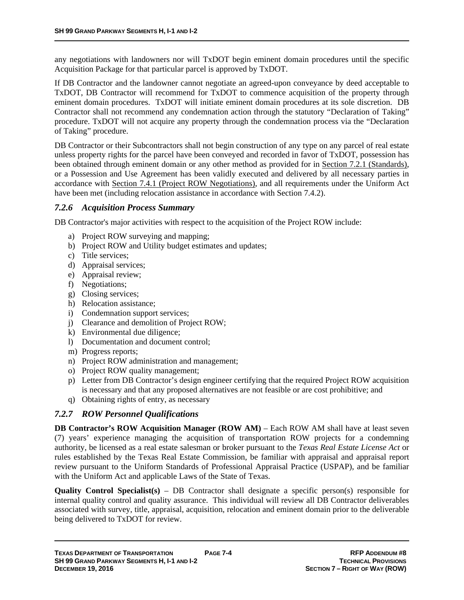any negotiations with landowners nor will TxDOT begin eminent domain procedures until the specific Acquisition Package for that particular parcel is approved by TxDOT.

If DB Contractor and the landowner cannot negotiate an agreed-upon conveyance by deed acceptable to TxDOT, DB Contractor will recommend for TxDOT to commence acquisition of the property through eminent domain procedures. TxDOT will initiate eminent domain procedures at its sole discretion. DB Contractor shall not recommend any condemnation action through the statutory "Declaration of Taking" procedure. TxDOT will not acquire any property through the condemnation process via the "Declaration of Taking" procedure.

DB Contractor or their Subcontractors shall not begin construction of any type on any parcel of real estate unless property rights for the parcel have been conveyed and recorded in favor of TxDOT, possession has been obtained through eminent domain or any other method as provided for in Section 7.2.1 (Standards), or a Possession and Use Agreement has been validly executed and delivered by all necessary parties in accordance with Section 7.4.1 (Project ROW Negotiations), and all requirements under the Uniform Act have been met (including relocation assistance in accordance with Section 7.4.2).

#### *7.2.6 Acquisition Process Summary*

DB Contractor's major activities with respect to the acquisition of the Project ROW include:

- a) Project ROW surveying and mapping;
- b) Project ROW and Utility budget estimates and updates;
- c) Title services;
- d) Appraisal services;
- e) Appraisal review;
- f) Negotiations;
- g) Closing services;
- h) Relocation assistance;
- i) Condemnation support services;
- j) Clearance and demolition of Project ROW;
- k) Environmental due diligence;
- l) Documentation and document control;
- m) Progress reports;
- n) Project ROW administration and management;
- o) Project ROW quality management;
- p) Letter from DB Contractor's design engineer certifying that the required Project ROW acquisition is necessary and that any proposed alternatives are not feasible or are cost prohibitive; and
- q) Obtaining rights of entry, as necessary

# *7.2.7 ROW Personnel Qualifications*

**DB Contractor's ROW Acquisition Manager (ROW AM)** – Each ROW AM shall have at least seven (7) years' experience managing the acquisition of transportation ROW projects for a condemning authority, be licensed as a real estate salesman or broker pursuant to the *Texas Real Estate License Act* or rules established by the Texas Real Estate Commission, be familiar with appraisal and appraisal report review pursuant to the Uniform Standards of Professional Appraisal Practice (USPAP), and be familiar with the Uniform Act and applicable Laws of the State of Texas.

**Quality Control Specialist(s)** – DB Contractor shall designate a specific person(s) responsible for internal quality control and quality assurance. This individual will review all DB Contractor deliverables associated with survey, title, appraisal, acquisition, relocation and eminent domain prior to the deliverable being delivered to TxDOT for review.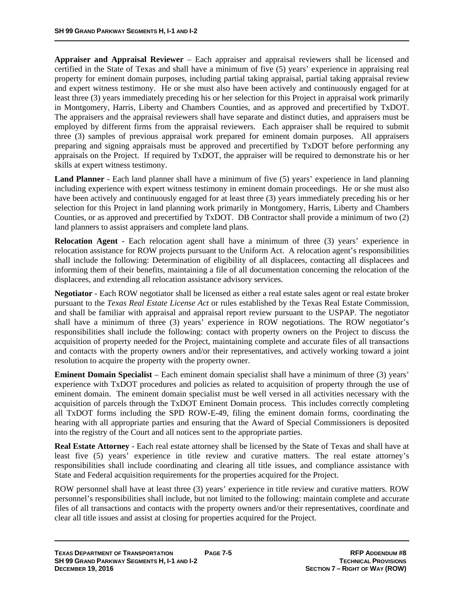**Appraiser and Appraisal Reviewer** – Each appraiser and appraisal reviewers shall be licensed and certified in the State of Texas and shall have a minimum of five (5) years' experience in appraising real property for eminent domain purposes, including partial taking appraisal, partial taking appraisal review and expert witness testimony. He or she must also have been actively and continuously engaged for at least three (3) years immediately preceding his or her selection for this Project in appraisal work primarily in Montgomery, Harris, Liberty and Chambers Counties, and as approved and precertified by TxDOT. The appraisers and the appraisal reviewers shall have separate and distinct duties, and appraisers must be employed by different firms from the appraisal reviewers. Each appraiser shall be required to submit three (3) samples of previous appraisal work prepared for eminent domain purposes. All appraisers preparing and signing appraisals must be approved and precertified by TxDOT before performing any appraisals on the Project. If required by TxDOT, the appraiser will be required to demonstrate his or her skills at expert witness testimony.

**Land Planner** - Each land planner shall have a minimum of five (5) years' experience in land planning including experience with expert witness testimony in eminent domain proceedings. He or she must also have been actively and continuously engaged for at least three (3) years immediately preceding his or her selection for this Project in land planning work primarily in Montgomery, Harris, Liberty and Chambers Counties, or as approved and precertified by TxDOT. DB Contractor shall provide a minimum of two (2) land planners to assist appraisers and complete land plans.

**Relocation Agent** - Each relocation agent shall have a minimum of three (3) years' experience in relocation assistance for ROW projects pursuant to the Uniform Act. A relocation agent's responsibilities shall include the following: Determination of eligibility of all displacees, contacting all displacees and informing them of their benefits, maintaining a file of all documentation concerning the relocation of the displacees, and extending all relocation assistance advisory services.

**Negotiator** - Each ROW negotiator shall be licensed as either a real estate sales agent or real estate broker pursuant to the *Texas Real Estate License Act* or rules established by the Texas Real Estate Commission, and shall be familiar with appraisal and appraisal report review pursuant to the USPAP. The negotiator shall have a minimum of three (3) years' experience in ROW negotiations. The ROW negotiator's responsibilities shall include the following: contact with property owners on the Project to discuss the acquisition of property needed for the Project, maintaining complete and accurate files of all transactions and contacts with the property owners and/or their representatives, and actively working toward a joint resolution to acquire the property with the property owner.

**Eminent Domain Specialist** – Each eminent domain specialist shall have a minimum of three (3) years' experience with TxDOT procedures and policies as related to acquisition of property through the use of eminent domain. The eminent domain specialist must be well versed in all activities necessary with the acquisition of parcels through the TxDOT Eminent Domain process. This includes correctly completing all TxDOT forms including the SPD ROW-E-49, filing the eminent domain forms, coordinating the hearing with all appropriate parties and ensuring that the Award of Special Commissioners is deposited into the registry of the Court and all notices sent to the appropriate parties.

**Real Estate Attorney** - Each real estate attorney shall be licensed by the State of Texas and shall have at least five (5) years' experience in title review and curative matters. The real estate attorney's responsibilities shall include coordinating and clearing all title issues, and compliance assistance with State and Federal acquisition requirements for the properties acquired for the Project.

ROW personnel shall have at least three (3) years' experience in title review and curative matters. ROW personnel's responsibilities shall include, but not limited to the following: maintain complete and accurate files of all transactions and contacts with the property owners and/or their representatives, coordinate and clear all title issues and assist at closing for properties acquired for the Project.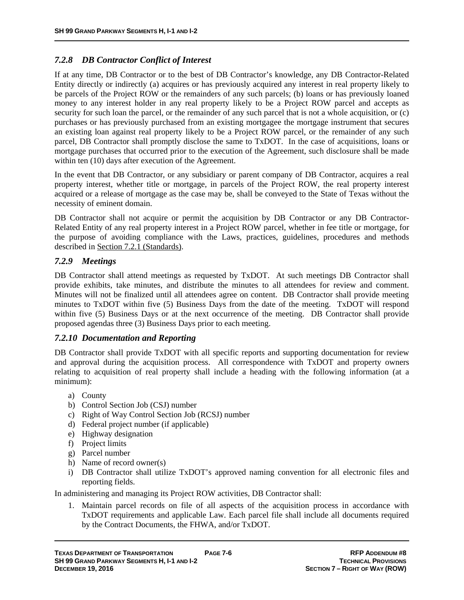#### *7.2.8 DB Contractor Conflict of Interest*

If at any time, DB Contractor or to the best of DB Contractor's knowledge, any DB Contractor-Related Entity directly or indirectly (a) acquires or has previously acquired any interest in real property likely to be parcels of the Project ROW or the remainders of any such parcels; (b) loans or has previously loaned money to any interest holder in any real property likely to be a Project ROW parcel and accepts as security for such loan the parcel, or the remainder of any such parcel that is not a whole acquisition, or (c) purchases or has previously purchased from an existing mortgagee the mortgage instrument that secures an existing loan against real property likely to be a Project ROW parcel, or the remainder of any such parcel, DB Contractor shall promptly disclose the same to TxDOT. In the case of acquisitions, loans or mortgage purchases that occurred prior to the execution of the Agreement, such disclosure shall be made within ten (10) days after execution of the Agreement.

In the event that DB Contractor, or any subsidiary or parent company of DB Contractor, acquires a real property interest, whether title or mortgage, in parcels of the Project ROW, the real property interest acquired or a release of mortgage as the case may be, shall be conveyed to the State of Texas without the necessity of eminent domain.

DB Contractor shall not acquire or permit the acquisition by DB Contractor or any DB Contractor-Related Entity of any real property interest in a Project ROW parcel, whether in fee title or mortgage, for the purpose of avoiding compliance with the Laws, practices, guidelines, procedures and methods described in Section 7.2.1 (Standards).

#### *7.2.9 Meetings*

DB Contractor shall attend meetings as requested by TxDOT. At such meetings DB Contractor shall provide exhibits, take minutes, and distribute the minutes to all attendees for review and comment. Minutes will not be finalized until all attendees agree on content. DB Contractor shall provide meeting minutes to TxDOT within five (5) Business Days from the date of the meeting. TxDOT will respond within five (5) Business Days or at the next occurrence of the meeting. DB Contractor shall provide proposed agendas three (3) Business Days prior to each meeting.

#### *7.2.10 Documentation and Reporting*

DB Contractor shall provide TxDOT with all specific reports and supporting documentation for review and approval during the acquisition process. All correspondence with TxDOT and property owners relating to acquisition of real property shall include a heading with the following information (at a minimum):

- a) County
- b) Control Section Job (CSJ) number
- c) Right of Way Control Section Job (RCSJ) number
- d) Federal project number (if applicable)
- e) Highway designation
- f) Project limits
- g) Parcel number
- h) Name of record owner(s)
- i) DB Contractor shall utilize TxDOT's approved naming convention for all electronic files and reporting fields.

In administering and managing its Project ROW activities, DB Contractor shall:

1. Maintain parcel records on file of all aspects of the acquisition process in accordance with TxDOT requirements and applicable Law. Each parcel file shall include all documents required by the Contract Documents, the FHWA, and/or TxDOT.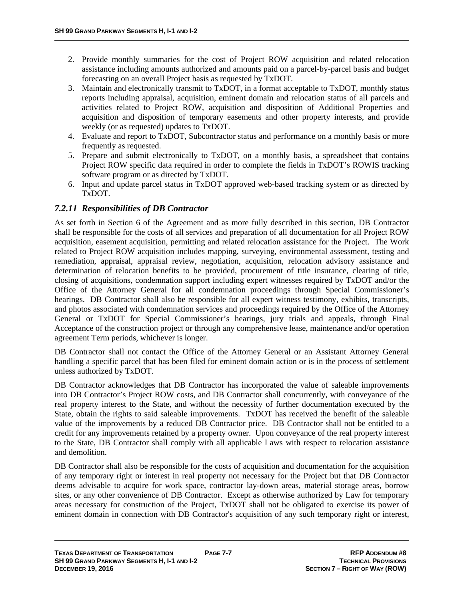- 2. Provide monthly summaries for the cost of Project ROW acquisition and related relocation assistance including amounts authorized and amounts paid on a parcel-by-parcel basis and budget forecasting on an overall Project basis as requested by TxDOT.
- 3. Maintain and electronically transmit to TxDOT, in a format acceptable to TxDOT, monthly status reports including appraisal, acquisition, eminent domain and relocation status of all parcels and activities related to Project ROW, acquisition and disposition of Additional Properties and acquisition and disposition of temporary easements and other property interests, and provide weekly (or as requested) updates to TxDOT.
- 4. Evaluate and report to TxDOT, Subcontractor status and performance on a monthly basis or more frequently as requested.
- 5. Prepare and submit electronically to TxDOT, on a monthly basis, a spreadsheet that contains Project ROW specific data required in order to complete the fields in TxDOT's ROWIS tracking software program or as directed by TxDOT.
- 6. Input and update parcel status in TxDOT approved web-based tracking system or as directed by TxDOT.

# *7.2.11 Responsibilities of DB Contractor*

As set forth in Section 6 of the Agreement and as more fully described in this section, DB Contractor shall be responsible for the costs of all services and preparation of all documentation for all Project ROW acquisition, easement acquisition, permitting and related relocation assistance for the Project. The Work related to Project ROW acquisition includes mapping, surveying, environmental assessment, testing and remediation, appraisal, appraisal review, negotiation, acquisition, relocation advisory assistance and determination of relocation benefits to be provided, procurement of title insurance, clearing of title, closing of acquisitions, condemnation support including expert witnesses required by TxDOT and/or the Office of the Attorney General for all condemnation proceedings through Special Commissioner's hearings. DB Contractor shall also be responsible for all expert witness testimony, exhibits, transcripts, and photos associated with condemnation services and proceedings required by the Office of the Attorney General or TxDOT for Special Commissioner's hearings, jury trials and appeals, through Final Acceptance of the construction project or through any comprehensive lease, maintenance and/or operation agreement Term periods, whichever is longer.

DB Contractor shall not contact the Office of the Attorney General or an Assistant Attorney General handling a specific parcel that has been filed for eminent domain action or is in the process of settlement unless authorized by TxDOT.

DB Contractor acknowledges that DB Contractor has incorporated the value of saleable improvements into DB Contractor's Project ROW costs, and DB Contractor shall concurrently, with conveyance of the real property interest to the State, and without the necessity of further documentation executed by the State, obtain the rights to said saleable improvements. TxDOT has received the benefit of the saleable value of the improvements by a reduced DB Contractor price. DB Contractor shall not be entitled to a credit for any improvements retained by a property owner. Upon conveyance of the real property interest to the State, DB Contractor shall comply with all applicable Laws with respect to relocation assistance and demolition.

DB Contractor shall also be responsible for the costs of acquisition and documentation for the acquisition of any temporary right or interest in real property not necessary for the Project but that DB Contractor deems advisable to acquire for work space, contractor lay-down areas, material storage areas, borrow sites, or any other convenience of DB Contractor. Except as otherwise authorized by Law for temporary areas necessary for construction of the Project, TxDOT shall not be obligated to exercise its power of eminent domain in connection with DB Contractor's acquisition of any such temporary right or interest,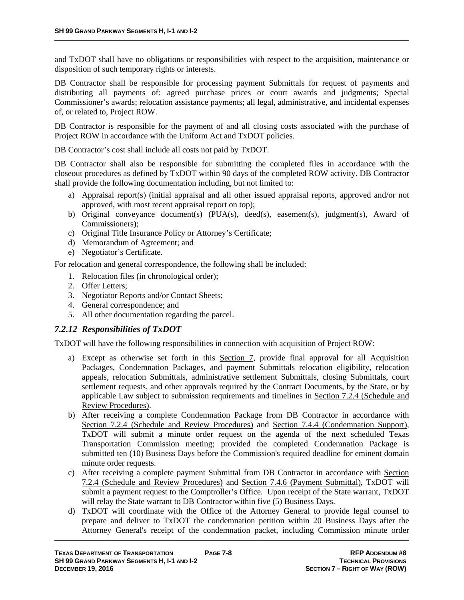and TxDOT shall have no obligations or responsibilities with respect to the acquisition, maintenance or disposition of such temporary rights or interests.

DB Contractor shall be responsible for processing payment Submittals for request of payments and distributing all payments of: agreed purchase prices or court awards and judgments; Special Commissioner's awards; relocation assistance payments; all legal, administrative, and incidental expenses of, or related to, Project ROW.

DB Contractor is responsible for the payment of and all closing costs associated with the purchase of Project ROW in accordance with the Uniform Act and TxDOT policies.

DB Contractor's cost shall include all costs not paid by TxDOT.

DB Contractor shall also be responsible for submitting the completed files in accordance with the closeout procedures as defined by TxDOT within 90 days of the completed ROW activity. DB Contractor shall provide the following documentation including, but not limited to:

- a) Appraisal report(s) (initial appraisal and all other issued appraisal reports, approved and/or not approved, with most recent appraisal report on top);
- b) Original conveyance document(s) (PUA(s), deed(s), easement(s), judgment(s), Award of Commissioners);
- c) Original Title Insurance Policy or Attorney's Certificate;
- d) Memorandum of Agreement; and
- e) Negotiator's Certificate.

For relocation and general correspondence, the following shall be included:

- 1. Relocation files (in chronological order);
- 2. Offer Letters;
- 3. Negotiator Reports and/or Contact Sheets;
- 4. General correspondence; and
- 5. All other documentation regarding the parcel.

#### *7.2.12 Responsibilities of TxDOT*

TxDOT will have the following responsibilities in connection with acquisition of Project ROW:

- a) Except as otherwise set forth in this Section 7, provide final approval for all Acquisition Packages, Condemnation Packages, and payment Submittals relocation eligibility, relocation appeals, relocation Submittals, administrative settlement Submittals, closing Submittals, court settlement requests, and other approvals required by the Contract Documents, by the State, or by applicable Law subject to submission requirements and timelines in Section 7.2.4 (Schedule and Review Procedures).
- b) After receiving a complete Condemnation Package from DB Contractor in accordance with Section 7.2.4 (Schedule and Review Procedures) and Section 7.4.4 (Condemnation Support), TxDOT will submit a minute order request on the agenda of the next scheduled Texas Transportation Commission meeting; provided the completed Condemnation Package is submitted ten (10) Business Days before the Commission's required deadline for eminent domain minute order requests.
- c) After receiving a complete payment Submittal from DB Contractor in accordance with Section 7.2.4 (Schedule and Review Procedures) and Section 7.4.6 (Payment Submittal), TxDOT will submit a payment request to the Comptroller's Office. Upon receipt of the State warrant, TxDOT will relay the State warrant to DB Contractor within five (5) Business Days.
- d) TxDOT will coordinate with the Office of the Attorney General to provide legal counsel to prepare and deliver to TxDOT the condemnation petition within 20 Business Days after the Attorney General's receipt of the condemnation packet, including Commission minute order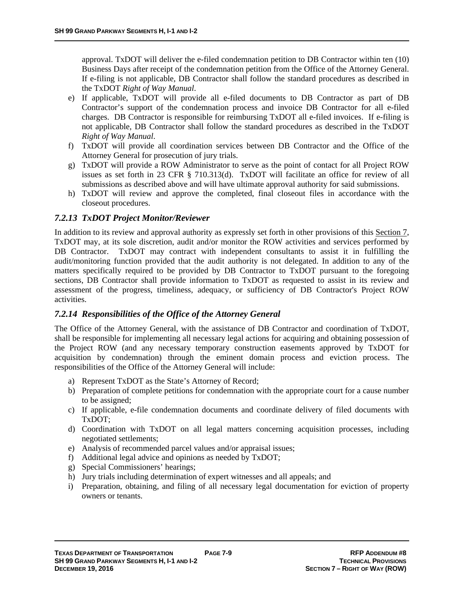approval. TxDOT will deliver the e-filed condemnation petition to DB Contractor within ten (10) Business Days after receipt of the condemnation petition from the Office of the Attorney General. If e-filing is not applicable, DB Contractor shall follow the standard procedures as described in the TxDOT *Right of Way Manual*.

- e) If applicable, TxDOT will provide all e-filed documents to DB Contractor as part of DB Contractor's support of the condemnation process and invoice DB Contractor for all e-filed charges. DB Contractor is responsible for reimbursing TxDOT all e-filed invoices. If e-filing is not applicable, DB Contractor shall follow the standard procedures as described in the TxDOT *Right of Way Manual*.
- f) TxDOT will provide all coordination services between DB Contractor and the Office of the Attorney General for prosecution of jury trials.
- g) TxDOT will provide a ROW Administrator to serve as the point of contact for all Project ROW issues as set forth in 23 CFR § 710.313(d). TxDOT will facilitate an office for review of all submissions as described above and will have ultimate approval authority for said submissions.
- h) TxDOT will review and approve the completed, final closeout files in accordance with the closeout procedures.

#### *7.2.13 TxDOT Project Monitor/Reviewer*

In addition to its review and approval authority as expressly set forth in other provisions of this Section 7, TxDOT may, at its sole discretion, audit and/or monitor the ROW activities and services performed by DB Contractor. TxDOT may contract with independent consultants to assist it in fulfilling the audit/monitoring function provided that the audit authority is not delegated. In addition to any of the matters specifically required to be provided by DB Contractor to TxDOT pursuant to the foregoing sections, DB Contractor shall provide information to TxDOT as requested to assist in its review and assessment of the progress, timeliness, adequacy, or sufficiency of DB Contractor's Project ROW activities.

#### *7.2.14 Responsibilities of the Office of the Attorney General*

The Office of the Attorney General, with the assistance of DB Contractor and coordination of TxDOT, shall be responsible for implementing all necessary legal actions for acquiring and obtaining possession of the Project ROW (and any necessary temporary construction easements approved by TxDOT for acquisition by condemnation) through the eminent domain process and eviction process. The responsibilities of the Office of the Attorney General will include:

- a) Represent TxDOT as the State's Attorney of Record;
- b) Preparation of complete petitions for condemnation with the appropriate court for a cause number to be assigned;
- c) If applicable, e-file condemnation documents and coordinate delivery of filed documents with TxDOT;
- d) Coordination with TxDOT on all legal matters concerning acquisition processes, including negotiated settlements;
- e) Analysis of recommended parcel values and/or appraisal issues;
- f) Additional legal advice and opinions as needed by TxDOT;
- g) Special Commissioners' hearings;
- h) Jury trials including determination of expert witnesses and all appeals; and
- i) Preparation, obtaining, and filing of all necessary legal documentation for eviction of property owners or tenants.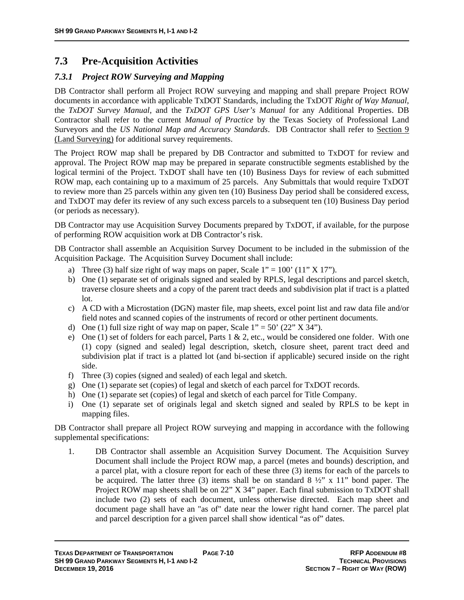# **7.3 Pre-Acquisition Activities**

# *7.3.1 Project ROW Surveying and Mapping*

DB Contractor shall perform all Project ROW surveying and mapping and shall prepare Project ROW documents in accordance with applicable TxDOT Standards, including the TxDOT *Right of Way Manual*, the *TxDOT Survey Manual*, and the *TxDOT GPS User's Manual* for any Additional Properties. DB Contractor shall refer to the current *Manual of Practice* by the Texas Society of Professional Land Surveyors and the *US National Map and Accuracy Standards*. DB Contractor shall refer to Section 9 (Land Surveying) for additional survey requirements.

The Project ROW map shall be prepared by DB Contractor and submitted to TxDOT for review and approval. The Project ROW map may be prepared in separate constructible segments established by the logical termini of the Project. TxDOT shall have ten (10) Business Days for review of each submitted ROW map, each containing up to a maximum of 25 parcels. Any Submittals that would require TxDOT to review more than 25 parcels within any given ten (10) Business Day period shall be considered excess, and TxDOT may defer its review of any such excess parcels to a subsequent ten (10) Business Day period (or periods as necessary).

DB Contractor may use Acquisition Survey Documents prepared by TxDOT, if available, for the purpose of performing ROW acquisition work at DB Contractor's risk.

DB Contractor shall assemble an Acquisition Survey Document to be included in the submission of the Acquisition Package. The Acquisition Survey Document shall include:

- a) Three (3) half size right of way maps on paper, Scale  $1'' = 100'$  (11" X 17").
- b) One (1) separate set of originals signed and sealed by RPLS, legal descriptions and parcel sketch, traverse closure sheets and a copy of the parent tract deeds and subdivision plat if tract is a platted lot.
- c) A CD with a Microstation (DGN) master file, map sheets, excel point list and raw data file and/or field notes and scanned copies of the instruments of record or other pertinent documents.
- d) One (1) full size right of way map on paper, Scale  $1'' = 50'$  (22" X 34").
- e) One (1) set of folders for each parcel, Parts  $1 \& 2$ , etc., would be considered one folder. With one (1) copy (signed and sealed) legal description, sketch, closure sheet, parent tract deed and subdivision plat if tract is a platted lot (and bi-section if applicable) secured inside on the right side.
- f) Three (3) copies (signed and sealed) of each legal and sketch.
- g) One (1) separate set (copies) of legal and sketch of each parcel for TxDOT records.
- h) One (1) separate set (copies) of legal and sketch of each parcel for Title Company.
- i) One (1) separate set of originals legal and sketch signed and sealed by RPLS to be kept in mapping files.

DB Contractor shall prepare all Project ROW surveying and mapping in accordance with the following supplemental specifications:

1. DB Contractor shall assemble an Acquisition Survey Document. The Acquisition Survey Document shall include the Project ROW map, a parcel (metes and bounds) description, and a parcel plat, with a closure report for each of these three (3) items for each of the parcels to be acquired. The latter three (3) items shall be on standard  $8\frac{1}{2}$ " x 11" bond paper. The Project ROW map sheets shall be on 22" X 34" paper. Each final submission to TxDOT shall include two (2) sets of each document, unless otherwise directed. Each map sheet and document page shall have an "as of" date near the lower right hand corner. The parcel plat and parcel description for a given parcel shall show identical "as of" dates.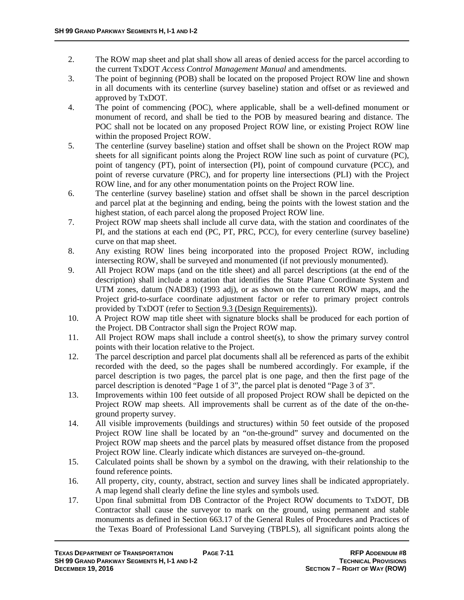- 2. The ROW map sheet and plat shall show all areas of denied access for the parcel according to the current TxDOT *Access Control Management Manual* and amendments.
- 3. The point of beginning (POB) shall be located on the proposed Project ROW line and shown in all documents with its centerline (survey baseline) station and offset or as reviewed and approved by TxDOT.
- 4. The point of commencing (POC), where applicable, shall be a well-defined monument or monument of record, and shall be tied to the POB by measured bearing and distance. The POC shall not be located on any proposed Project ROW line, or existing Project ROW line within the proposed Project ROW.
- 5. The centerline (survey baseline) station and offset shall be shown on the Project ROW map sheets for all significant points along the Project ROW line such as point of curvature (PC), point of tangency (PT), point of intersection (PI), point of compound curvature (PCC), and point of reverse curvature (PRC), and for property line intersections (PLI) with the Project ROW line, and for any other monumentation points on the Project ROW line.
- 6. The centerline (survey baseline) station and offset shall be shown in the parcel description and parcel plat at the beginning and ending, being the points with the lowest station and the highest station, of each parcel along the proposed Project ROW line.
- 7. Project ROW map sheets shall include all curve data, with the station and coordinates of the PI, and the stations at each end (PC, PT, PRC, PCC), for every centerline (survey baseline) curve on that map sheet.
- 8. Any existing ROW lines being incorporated into the proposed Project ROW, including intersecting ROW, shall be surveyed and monumented (if not previously monumented).
- 9. All Project ROW maps (and on the title sheet) and all parcel descriptions (at the end of the description) shall include a notation that identifies the State Plane Coordinate System and UTM zones, datum (NAD83) (1993 adj), or as shown on the current ROW maps, and the Project grid-to-surface coordinate adjustment factor or refer to primary project controls provided by TxDOT (refer to Section 9.3 (Design Requirements)).
- 10. A Project ROW map title sheet with signature blocks shall be produced for each portion of the Project. DB Contractor shall sign the Project ROW map.
- 11. All Project ROW maps shall include a control sheet(s), to show the primary survey control points with their location relative to the Project.
- 12. The parcel description and parcel plat documents shall all be referenced as parts of the exhibit recorded with the deed, so the pages shall be numbered accordingly. For example, if the parcel description is two pages, the parcel plat is one page, and then the first page of the parcel description is denoted "Page 1 of 3", the parcel plat is denoted "Page 3 of 3".
- 13. Improvements within 100 feet outside of all proposed Project ROW shall be depicted on the Project ROW map sheets. All improvements shall be current as of the date of the on-theground property survey.
- 14. All visible improvements (buildings and structures) within 50 feet outside of the proposed Project ROW line shall be located by an "on-the-ground" survey and documented on the Project ROW map sheets and the parcel plats by measured offset distance from the proposed Project ROW line. Clearly indicate which distances are surveyed on–the-ground.
- 15. Calculated points shall be shown by a symbol on the drawing, with their relationship to the found reference points.
- 16. All property, city, county, abstract, section and survey lines shall be indicated appropriately. A map legend shall clearly define the line styles and symbols used.
- 17. Upon final submittal from DB Contractor of the Project ROW documents to TxDOT, DB Contractor shall cause the surveyor to mark on the ground, using permanent and stable monuments as defined in Section 663.17 of the General Rules of Procedures and Practices of the Texas Board of Professional Land Surveying (TBPLS), all significant points along the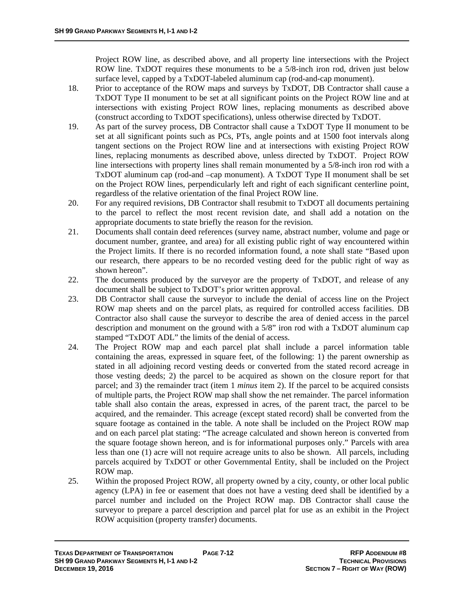Project ROW line, as described above, and all property line intersections with the Project ROW line. TxDOT requires these monuments to be a 5/8-inch iron rod, driven just below surface level, capped by a TxDOT-labeled aluminum cap (rod-and-cap monument).

- 18. Prior to acceptance of the ROW maps and surveys by TxDOT, DB Contractor shall cause a TxDOT Type II monument to be set at all significant points on the Project ROW line and at intersections with existing Project ROW lines, replacing monuments as described above (construct according to TxDOT specifications), unless otherwise directed by TxDOT.
- 19. As part of the survey process, DB Contractor shall cause a TxDOT Type II monument to be set at all significant points such as PCs, PTs, angle points and at 1500 foot intervals along tangent sections on the Project ROW line and at intersections with existing Project ROW lines, replacing monuments as described above, unless directed by TxDOT. Project ROW line intersections with property lines shall remain monumented by a 5/8-inch iron rod with a TxDOT aluminum cap (rod-and –cap monument). A TxDOT Type II monument shall be set on the Project ROW lines, perpendicularly left and right of each significant centerline point, regardless of the relative orientation of the final Project ROW line.
- 20. For any required revisions, DB Contractor shall resubmit to TxDOT all documents pertaining to the parcel to reflect the most recent revision date, and shall add a notation on the appropriate documents to state briefly the reason for the revision.
- 21. Documents shall contain deed references (survey name, abstract number, volume and page or document number, grantee, and area) for all existing public right of way encountered within the Project limits. If there is no recorded information found, a note shall state "Based upon our research, there appears to be no recorded vesting deed for the public right of way as shown hereon".
- 22. The documents produced by the surveyor are the property of TxDOT, and release of any document shall be subject to TxDOT's prior written approval.
- 23. DB Contractor shall cause the surveyor to include the denial of access line on the Project ROW map sheets and on the parcel plats, as required for controlled access facilities. DB Contractor also shall cause the surveyor to describe the area of denied access in the parcel description and monument on the ground with a 5/8" iron rod with a TxDOT aluminum cap stamped "TxDOT ADL" the limits of the denial of access.
- 24. The Project ROW map and each parcel plat shall include a parcel information table containing the areas, expressed in square feet, of the following: 1) the parent ownership as stated in all adjoining record vesting deeds or converted from the stated record acreage in those vesting deeds; 2) the parcel to be acquired as shown on the closure report for that parcel; and 3) the remainder tract (item 1 *minus* item 2). If the parcel to be acquired consists of multiple parts, the Project ROW map shall show the net remainder. The parcel information table shall also contain the areas, expressed in acres, of the parent tract, the parcel to be acquired, and the remainder. This acreage (except stated record) shall be converted from the square footage as contained in the table. A note shall be included on the Project ROW map and on each parcel plat stating: "The acreage calculated and shown hereon is converted from the square footage shown hereon, and is for informational purposes only." Parcels with area less than one (1) acre will not require acreage units to also be shown. All parcels, including parcels acquired by TxDOT or other Governmental Entity, shall be included on the Project ROW map.
- 25. Within the proposed Project ROW, all property owned by a city, county, or other local public agency (LPA) in fee or easement that does not have a vesting deed shall be identified by a parcel number and included on the Project ROW map. DB Contractor shall cause the surveyor to prepare a parcel description and parcel plat for use as an exhibit in the Project ROW acquisition (property transfer) documents.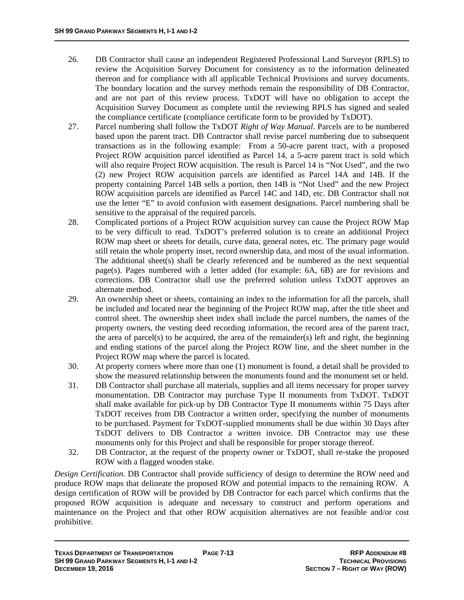- 26. DB Contractor shall cause an independent Registered Professional Land Surveyor (RPLS) to review the Acquisition Survey Document for consistency as to the information delineated thereon and for compliance with all applicable Technical Provisions and survey documents. The boundary location and the survey methods remain the responsibility of DB Contractor, and are not part of this review process. TxDOT will have no obligation to accept the Acquisition Survey Document as complete until the reviewing RPLS has signed and sealed the compliance certificate (compliance certificate form to be provided by TxDOT).
- 27. Parcel numbering shall follow the TxDOT *Right of Way Manual*. Parcels are to be numbered based upon the parent tract. DB Contractor shall revise parcel numbering due to subsequent transactions as in the following example: From a 50-acre parent tract, with a proposed Project ROW acquisition parcel identified as Parcel 14, a 5-acre parent tract is sold which will also require Project ROW acquisition. The result is Parcel 14 is "Not Used", and the two (2) new Project ROW acquisition parcels are identified as Parcel 14A and 14B. If the property containing Parcel 14B sells a portion, then 14B is "Not Used" and the new Project ROW acquisition parcels are identified as Parcel 14C and 14D, etc. DB Contractor shall not use the letter "E" to avoid confusion with easement designations. Parcel numbering shall be sensitive to the appraisal of the required parcels.
- 28. Complicated portions of a Project ROW acquisition survey can cause the Project ROW Map to be very difficult to read. TxDOT's preferred solution is to create an additional Project ROW map sheet or sheets for details, curve data, general notes, etc. The primary page would still retain the whole property inset, record ownership data, and most of the usual information. The additional sheet(s) shall be clearly referenced and be numbered as the next sequential page(s). Pages numbered with a letter added (for example:  $6A$ ,  $6B$ ) are for revisions and corrections. DB Contractor shall use the preferred solution unless TxDOT approves an alternate method.
- 29. An ownership sheet or sheets, containing an index to the information for all the parcels, shall be included and located near the beginning of the Project ROW map, after the title sheet and control sheet. The ownership sheet index shall include the parcel numbers, the names of the property owners, the vesting deed recording information, the record area of the parent tract, the area of parcel(s) to be acquired, the area of the remainder(s) left and right, the beginning and ending stations of the parcel along the Project ROW line, and the sheet number in the Project ROW map where the parcel is located.
- 30. At property corners where more than one (1) monument is found, a detail shall be provided to show the measured relationship between the monuments found and the monument set or held.
- 31. DB Contractor shall purchase all materials, supplies and all items necessary for proper survey monumentation. DB Contractor may purchase Type II monuments from TxDOT. TxDOT shall make available for pick-up by DB Contractor Type II monuments within 75 Days after TxDOT receives from DB Contractor a written order, specifying the number of monuments to be purchased. Payment for TxDOT-supplied monuments shall be due within 30 Days after TxDOT delivers to DB Contractor a written invoice. DB Contractor may use these monuments only for this Project and shall be responsible for proper storage thereof.
- 32. DB Contractor, at the request of the property owner or TxDOT, shall re-stake the proposed ROW with a flagged wooden stake.

*Design Certification*. DB Contractor shall provide sufficiency of design to determine the ROW need and produce ROW maps that delineate the proposed ROW and potential impacts to the remaining ROW. A design certification of ROW will be provided by DB Contractor for each parcel which confirms that the proposed ROW acquisition is adequate and necessary to construct and perform operations and maintenance on the Project and that other ROW acquisition alternatives are not feasible and/or cost prohibitive.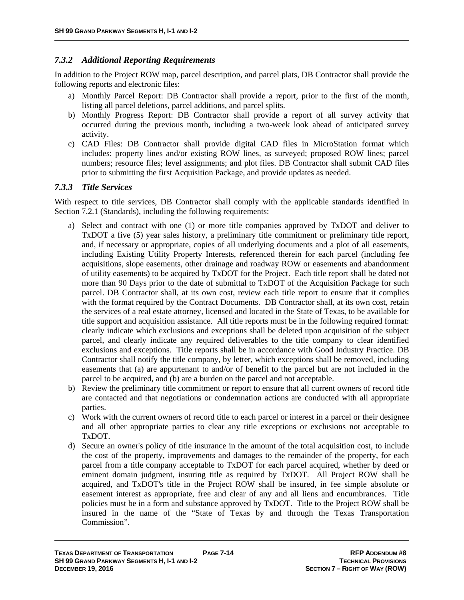#### *7.3.2 Additional Reporting Requirements*

In addition to the Project ROW map, parcel description, and parcel plats, DB Contractor shall provide the following reports and electronic files:

- a) Monthly Parcel Report: DB Contractor shall provide a report, prior to the first of the month, listing all parcel deletions, parcel additions, and parcel splits.
- b) Monthly Progress Report: DB Contractor shall provide a report of all survey activity that occurred during the previous month, including a two-week look ahead of anticipated survey activity.
- c) CAD Files: DB Contractor shall provide digital CAD files in MicroStation format which includes: property lines and/or existing ROW lines, as surveyed; proposed ROW lines; parcel numbers; resource files; level assignments; and plot files. DB Contractor shall submit CAD files prior to submitting the first Acquisition Package, and provide updates as needed.

#### *7.3.3 Title Services*

With respect to title services, DB Contractor shall comply with the applicable standards identified in Section 7.2.1 (Standards), including the following requirements:

- a) Select and contract with one (1) or more title companies approved by TxDOT and deliver to TxDOT a five (5) year sales history, a preliminary title commitment or preliminary title report, and, if necessary or appropriate, copies of all underlying documents and a plot of all easements, including Existing Utility Property Interests, referenced therein for each parcel (including fee acquisitions, slope easements, other drainage and roadway ROW or easements and abandonment of utility easements) to be acquired by TxDOT for the Project. Each title report shall be dated not more than 90 Days prior to the date of submittal to TxDOT of the Acquisition Package for such parcel. DB Contractor shall, at its own cost, review each title report to ensure that it complies with the format required by the Contract Documents. DB Contractor shall, at its own cost, retain the services of a real estate attorney, licensed and located in the State of Texas, to be available for title support and acquisition assistance. All title reports must be in the following required format: clearly indicate which exclusions and exceptions shall be deleted upon acquisition of the subject parcel, and clearly indicate any required deliverables to the title company to clear identified exclusions and exceptions. Title reports shall be in accordance with Good Industry Practice. DB Contractor shall notify the title company, by letter, which exceptions shall be removed, including easements that (a) are appurtenant to and/or of benefit to the parcel but are not included in the parcel to be acquired, and (b) are a burden on the parcel and not acceptable.
- b) Review the preliminary title commitment or report to ensure that all current owners of record title are contacted and that negotiations or condemnation actions are conducted with all appropriate parties.
- c) Work with the current owners of record title to each parcel or interest in a parcel or their designee and all other appropriate parties to clear any title exceptions or exclusions not acceptable to TxDOT.
- d) Secure an owner's policy of title insurance in the amount of the total acquisition cost, to include the cost of the property, improvements and damages to the remainder of the property, for each parcel from a title company acceptable to TxDOT for each parcel acquired, whether by deed or eminent domain judgment, insuring title as required by TxDOT. All Project ROW shall be acquired, and TxDOT's title in the Project ROW shall be insured, in fee simple absolute or easement interest as appropriate, free and clear of any and all liens and encumbrances. Title policies must be in a form and substance approved by TxDOT. Title to the Project ROW shall be insured in the name of the "State of Texas by and through the Texas Transportation Commission".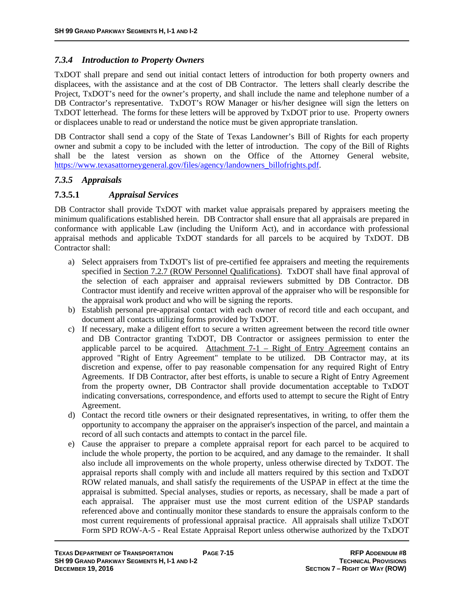#### *7.3.4 Introduction to Property Owners*

TxDOT shall prepare and send out initial contact letters of introduction for both property owners and displacees, with the assistance and at the cost of DB Contractor. The letters shall clearly describe the Project, TxDOT's need for the owner's property, and shall include the name and telephone number of a DB Contractor's representative. TxDOT's ROW Manager or his/her designee will sign the letters on TxDOT letterhead. The forms for these letters will be approved by TxDOT prior to use. Property owners or displacees unable to read or understand the notice must be given appropriate translation.

DB Contractor shall send a copy of the State of Texas Landowner's Bill of Rights for each property owner and submit a copy to be included with the letter of introduction. The copy of the Bill of Rights shall be the latest version as shown on the Office of the Attorney General website, https://www.texasattorneygeneral.gov/files/agency/landowners\_billofrights.pdf.

#### *7.3.5 Appraisals*

### **7.3.5.1** *Appraisal Services*

DB Contractor shall provide TxDOT with market value appraisals prepared by appraisers meeting the minimum qualifications established herein. DB Contractor shall ensure that all appraisals are prepared in conformance with applicable Law (including the Uniform Act), and in accordance with professional appraisal methods and applicable TxDOT standards for all parcels to be acquired by TxDOT. DB Contractor shall:

- a) Select appraisers from TxDOT's list of pre-certified fee appraisers and meeting the requirements specified in Section 7.2.7 (ROW Personnel Qualifications). TxDOT shall have final approval of the selection of each appraiser and appraisal reviewers submitted by DB Contractor. DB Contractor must identify and receive written approval of the appraiser who will be responsible for the appraisal work product and who will be signing the reports.
- b) Establish personal pre-appraisal contact with each owner of record title and each occupant, and document all contacts utilizing forms provided by TxDOT.
- c) If necessary, make a diligent effort to secure a written agreement between the record title owner and DB Contractor granting TxDOT, DB Contractor or assignees permission to enter the applicable parcel to be acquired. Attachment  $7-1$  – Right of Entry Agreement contains an approved "Right of Entry Agreement" template to be utilized. DB Contractor may, at its discretion and expense, offer to pay reasonable compensation for any required Right of Entry Agreements. If DB Contractor, after best efforts, is unable to secure a Right of Entry Agreement from the property owner, DB Contractor shall provide documentation acceptable to TxDOT indicating conversations, correspondence, and efforts used to attempt to secure the Right of Entry Agreement.
- d) Contact the record title owners or their designated representatives, in writing, to offer them the opportunity to accompany the appraiser on the appraiser's inspection of the parcel, and maintain a record of all such contacts and attempts to contact in the parcel file.
- e) Cause the appraiser to prepare a complete appraisal report for each parcel to be acquired to include the whole property, the portion to be acquired, and any damage to the remainder. It shall also include all improvements on the whole property, unless otherwise directed by TxDOT. The appraisal reports shall comply with and include all matters required by this section and TxDOT ROW related manuals, and shall satisfy the requirements of the USPAP in effect at the time the appraisal is submitted. Special analyses, studies or reports, as necessary, shall be made a part of each appraisal. The appraiser must use the most current edition of the USPAP standards referenced above and continually monitor these standards to ensure the appraisals conform to the most current requirements of professional appraisal practice. All appraisals shall utilize TxDOT Form SPD ROW-A-5 - Real Estate Appraisal Report unless otherwise authorized by the TxDOT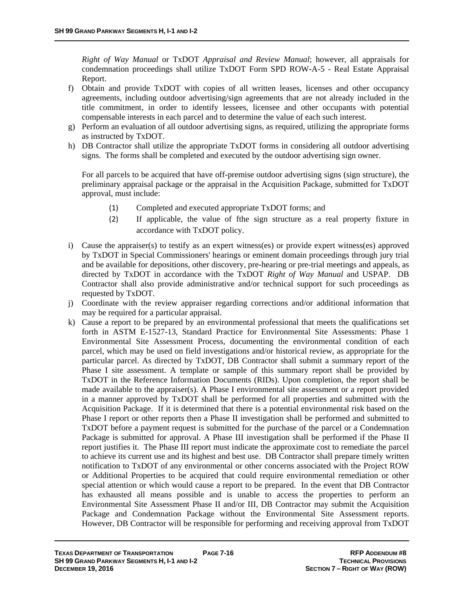*Right of Way Manual* or TxDOT *Appraisal and Review Manual*; however, all appraisals for condemnation proceedings shall utilize TxDOT Form SPD ROW-A-5 - Real Estate Appraisal Report.

- f) Obtain and provide TxDOT with copies of all written leases, licenses and other occupancy agreements, including outdoor advertising/sign agreements that are not already included in the title commitment, in order to identify lessees, licensee and other occupants with potential compensable interests in each parcel and to determine the value of each such interest.
- g) Perform an evaluation of all outdoor advertising signs, as required, utilizing the appropriate forms as instructed by TxDOT.
- h) DB Contractor shall utilize the appropriate TxDOT forms in considering all outdoor advertising signs. The forms shall be completed and executed by the outdoor advertising sign owner.

For all parcels to be acquired that have off-premise outdoor advertising signs (sign structure), the preliminary appraisal package or the appraisal in the Acquisition Package, submitted for TxDOT approval, must include:

- (1) Completed and executed appropriate TxDOT forms; and
- (2) If applicable, the value of fthe sign structure as a real property fixture in accordance with TxDOT policy.
- i) Cause the appraiser(s) to testify as an expert witness(es) or provide expert witness(es) approved by TxDOT in Special Commissioners' hearings or eminent domain proceedings through jury trial and be available for depositions, other discovery, pre-hearing or pre-trial meetings and appeals, as directed by TxDOT in accordance with the TxDOT *Right of Way Manual* and USPAP. DB Contractor shall also provide administrative and/or technical support for such proceedings as requested by TxDOT.
- j) Coordinate with the review appraiser regarding corrections and/or additional information that may be required for a particular appraisal.
- k) Cause a report to be prepared by an environmental professional that meets the qualifications set forth in ASTM E-1527-13, Standard Practice for Environmental Site Assessments: Phase 1 Environmental Site Assessment Process, documenting the environmental condition of each parcel, which may be used on field investigations and/or historical review, as appropriate for the particular parcel. As directed by TxDOT, DB Contractor shall submit a summary report of the Phase I site assessment. A template or sample of this summary report shall be provided by TxDOT in the Reference Information Documents (RIDs). Upon completion, the report shall be made available to the appraiser(s). A Phase I environmental site assessment or a report provided in a manner approved by TxDOT shall be performed for all properties and submitted with the Acquisition Package. If it is determined that there is a potential environmental risk based on the Phase I report or other reports then a Phase II investigation shall be performed and submitted to TxDOT before a payment request is submitted for the purchase of the parcel or a Condemnation Package is submitted for approval. A Phase III investigation shall be performed if the Phase II report justifies it. The Phase III report must indicate the approximate cost to remediate the parcel to achieve its current use and its highest and best use. DB Contractor shall prepare timely written notification to TxDOT of any environmental or other concerns associated with the Project ROW or Additional Properties to be acquired that could require environmental remediation or other special attention or which would cause a report to be prepared. In the event that DB Contractor has exhausted all means possible and is unable to access the properties to perform an Environmental Site Assessment Phase II and/or III, DB Contractor may submit the Acquisition Package and Condemnation Package without the Environmental Site Assessment reports. However, DB Contractor will be responsible for performing and receiving approval from TxDOT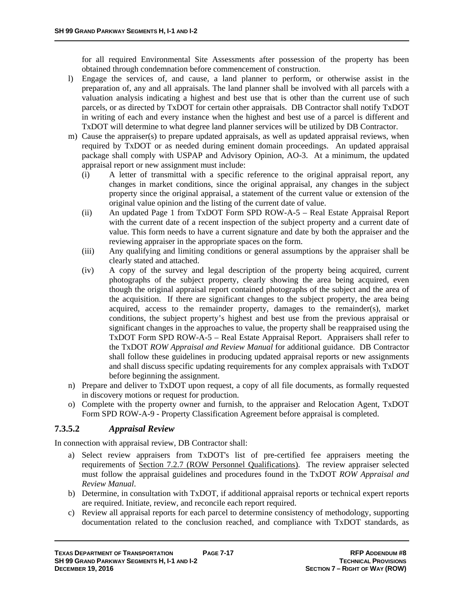for all required Environmental Site Assessments after possession of the property has been obtained through condemnation before commencement of construction.

- l) Engage the services of, and cause, a land planner to perform, or otherwise assist in the preparation of, any and all appraisals. The land planner shall be involved with all parcels with a valuation analysis indicating a highest and best use that is other than the current use of such parcels, or as directed by TxDOT for certain other appraisals. DB Contractor shall notify TxDOT in writing of each and every instance when the highest and best use of a parcel is different and TxDOT will determine to what degree land planner services will be utilized by DB Contractor.
- m) Cause the appraiser(s) to prepare updated appraisals, as well as updated appraisal reviews, when required by TxDOT or as needed during eminent domain proceedings. An updated appraisal package shall comply with USPAP and Advisory Opinion, AO-3. At a minimum, the updated appraisal report or new assignment must include:
	- (i) A letter of transmittal with a specific reference to the original appraisal report, any changes in market conditions, since the original appraisal, any changes in the subject property since the original appraisal, a statement of the current value or extension of the original value opinion and the listing of the current date of value.
	- (ii) An updated Page 1 from TxDOT Form SPD ROW-A-5 Real Estate Appraisal Report with the current date of a recent inspection of the subject property and a current date of value. This form needs to have a current signature and date by both the appraiser and the reviewing appraiser in the appropriate spaces on the form.
	- (iii) Any qualifying and limiting conditions or general assumptions by the appraiser shall be clearly stated and attached.
	- (iv) A copy of the survey and legal description of the property being acquired, current photographs of the subject property, clearly showing the area being acquired, even though the original appraisal report contained photographs of the subject and the area of the acquisition. If there are significant changes to the subject property, the area being acquired, access to the remainder property, damages to the remainder(s), market conditions, the subject property's highest and best use from the previous appraisal or significant changes in the approaches to value, the property shall be reappraised using the TxDOT Form SPD ROW-A-5 – Real Estate Appraisal Report. Appraisers shall refer to the TxDOT *ROW Appraisal and Review Manual* for additional guidance. DB Contractor shall follow these guidelines in producing updated appraisal reports or new assignments and shall discuss specific updating requirements for any complex appraisals with TxDOT before beginning the assignment.
- n) Prepare and deliver to TxDOT upon request, a copy of all file documents, as formally requested in discovery motions or request for production.
- o) Complete with the property owner and furnish, to the appraiser and Relocation Agent, TxDOT Form SPD ROW-A-9 - Property Classification Agreement before appraisal is completed.

#### **7.3.5.2** *Appraisal Review*

In connection with appraisal review, DB Contractor shall:

- a) Select review appraisers from TxDOT's list of pre-certified fee appraisers meeting the requirements of Section 7.2.7 (ROW Personnel Qualifications). The review appraiser selected must follow the appraisal guidelines and procedures found in the TxDOT *ROW Appraisal and Review Manual*.
- b) Determine, in consultation with TxDOT, if additional appraisal reports or technical expert reports are required. Initiate, review, and reconcile each report required.
- c) Review all appraisal reports for each parcel to determine consistency of methodology, supporting documentation related to the conclusion reached, and compliance with TxDOT standards, as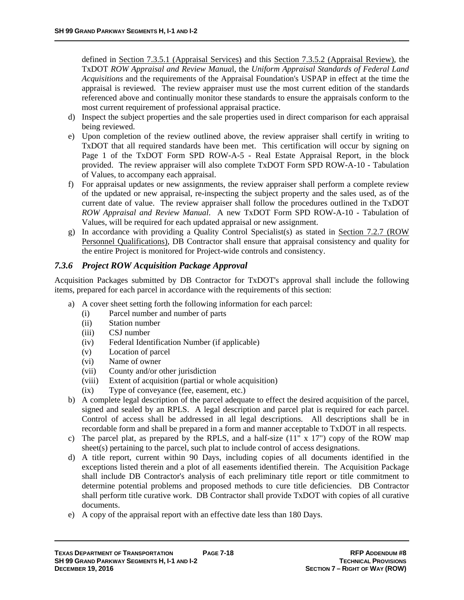defined in Section 7.3.5.1 (Appraisal Services) and this Section 7.3.5.2 (Appraisal Review), the TxDOT *ROW Appraisal and Review Manua*l, the *Uniform Appraisal Standards of Federal Land Acquisitions* and the requirements of the Appraisal Foundation's USPAP in effect at the time the appraisal is reviewed. The review appraiser must use the most current edition of the standards referenced above and continually monitor these standards to ensure the appraisals conform to the most current requirement of professional appraisal practice.

- d) Inspect the subject properties and the sale properties used in direct comparison for each appraisal being reviewed.
- e) Upon completion of the review outlined above, the review appraiser shall certify in writing to TxDOT that all required standards have been met. This certification will occur by signing on Page 1 of the TxDOT Form SPD ROW-A-5 - Real Estate Appraisal Report, in the block provided. The review appraiser will also complete TxDOT Form SPD ROW-A-10 - Tabulation of Values, to accompany each appraisal.
- f) For appraisal updates or new assignments, the review appraiser shall perform a complete review of the updated or new appraisal, re-inspecting the subject property and the sales used, as of the current date of value. The review appraiser shall follow the procedures outlined in the TxDOT *ROW Appraisal and Review Manual*. A new TxDOT Form SPD ROW-A-10 - Tabulation of Values, will be required for each updated appraisal or new assignment.
- g) In accordance with providing a Quality Control Specialist(s) as stated in Section 7.2.7 (ROW Personnel Qualifications), DB Contractor shall ensure that appraisal consistency and quality for the entire Project is monitored for Project-wide controls and consistency.

#### *7.3.6 Project ROW Acquisition Package Approval*

Acquisition Packages submitted by DB Contractor for TxDOT's approval shall include the following items, prepared for each parcel in accordance with the requirements of this section:

- a) A cover sheet setting forth the following information for each parcel:
	- (i) Parcel number and number of parts
	- (ii) Station number
	- (iii) CSJ number
	- (iv) Federal Identification Number (if applicable)
	- (v) Location of parcel
	- (vi) Name of owner
	- (vii) County and/or other jurisdiction
	- (viii) Extent of acquisition (partial or whole acquisition)
	- (ix) Type of conveyance (fee, easement, etc.)
- b) A complete legal description of the parcel adequate to effect the desired acquisition of the parcel, signed and sealed by an RPLS. A legal description and parcel plat is required for each parcel. Control of access shall be addressed in all legal descriptions. All descriptions shall be in recordable form and shall be prepared in a form and manner acceptable to TxDOT in all respects.
- c) The parcel plat, as prepared by the RPLS, and a half-size  $(11" \times 17")$  copy of the ROW map sheet(s) pertaining to the parcel, such plat to include control of access designations.
- d) A title report, current within 90 Days, including copies of all documents identified in the exceptions listed therein and a plot of all easements identified therein. The Acquisition Package shall include DB Contractor's analysis of each preliminary title report or title commitment to determine potential problems and proposed methods to cure title deficiencies. DB Contractor shall perform title curative work. DB Contractor shall provide TxDOT with copies of all curative documents.
- e) A copy of the appraisal report with an effective date less than 180 Days.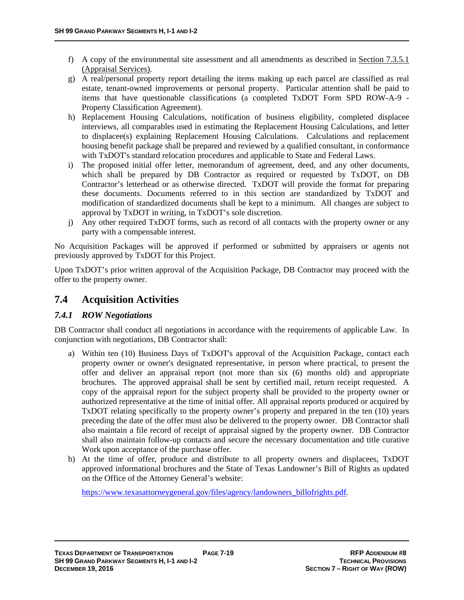- f) A copy of the environmental site assessment and all amendments as described in Section 7.3.5.1 (Appraisal Services).
- g) A real/personal property report detailing the items making up each parcel are classified as real estate, tenant-owned improvements or personal property. Particular attention shall be paid to items that have questionable classifications (a completed TxDOT Form SPD ROW-A-9 - Property Classification Agreement).
- h) Replacement Housing Calculations, notification of business eligibility, completed displacee interviews, all comparables used in estimating the Replacement Housing Calculations, and letter to displacee(s) explaining Replacement Housing Calculations. Calculations and replacement housing benefit package shall be prepared and reviewed by a qualified consultant, in conformance with TxDOT's standard relocation procedures and applicable to State and Federal Laws.
- i) The proposed initial offer letter, memorandum of agreement, deed, and any other documents, which shall be prepared by DB Contractor as required or requested by TxDOT, on DB Contractor's letterhead or as otherwise directed. TxDOT will provide the format for preparing these documents. Documents referred to in this section are standardized by TxDOT and modification of standardized documents shall be kept to a minimum. All changes are subject to approval by TxDOT in writing, in TxDOT's sole discretion.
- j) Any other required TxDOT forms, such as record of all contacts with the property owner or any party with a compensable interest.

No Acquisition Packages will be approved if performed or submitted by appraisers or agents not previously approved by TxDOT for this Project.

Upon TxDOT's prior written approval of the Acquisition Package, DB Contractor may proceed with the offer to the property owner.

# **7.4 Acquisition Activities**

## *7.4.1 ROW Negotiations*

DB Contractor shall conduct all negotiations in accordance with the requirements of applicable Law. In conjunction with negotiations, DB Contractor shall:

- a) Within ten (10) Business Days of TxDOT's approval of the Acquisition Package, contact each property owner or owner's designated representative, in person where practical, to present the offer and deliver an appraisal report (not more than six (6) months old) and appropriate brochures. The approved appraisal shall be sent by certified mail, return receipt requested. A copy of the appraisal report for the subject property shall be provided to the property owner or authorized representative at the time of initial offer. All appraisal reports produced or acquired by TxDOT relating specifically to the property owner's property and prepared in the ten (10) years preceding the date of the offer must also be delivered to the property owner. DB Contractor shall also maintain a file record of receipt of appraisal signed by the property owner. DB Contractor shall also maintain follow-up contacts and secure the necessary documentation and title curative Work upon acceptance of the purchase offer.
- b) At the time of offer, produce and distribute to all property owners and displacees, TxDOT approved informational brochures and the State of Texas Landowner's Bill of Rights as updated on the Office of the Attorney General's website:

https://www.texasattorneygeneral.gov/files/agency/landowners\_billofrights.pdf.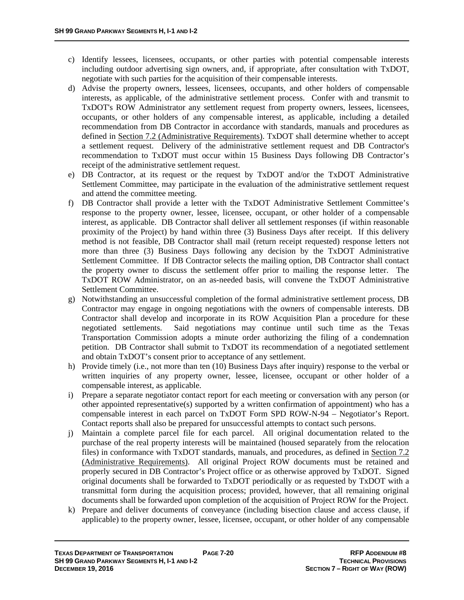- c) Identify lessees, licensees, occupants, or other parties with potential compensable interests including outdoor advertising sign owners, and, if appropriate, after consultation with TxDOT, negotiate with such parties for the acquisition of their compensable interests.
- d) Advise the property owners, lessees, licensees, occupants, and other holders of compensable interests, as applicable, of the administrative settlement process. Confer with and transmit to TxDOT's ROW Administrator any settlement request from property owners, lessees, licensees, occupants, or other holders of any compensable interest, as applicable, including a detailed recommendation from DB Contractor in accordance with standards, manuals and procedures as defined in Section 7.2 (Administrative Requirements). TxDOT shall determine whether to accept a settlement request. Delivery of the administrative settlement request and DB Contractor's recommendation to TxDOT must occur within 15 Business Days following DB Contractor's receipt of the administrative settlement request.
- e) DB Contractor, at its request or the request by TxDOT and/or the TxDOT Administrative Settlement Committee, may participate in the evaluation of the administrative settlement request and attend the committee meeting.
- f) DB Contractor shall provide a letter with the TxDOT Administrative Settlement Committee's response to the property owner, lessee, licensee, occupant, or other holder of a compensable interest, as applicable. DB Contractor shall deliver all settlement responses (if within reasonable proximity of the Project) by hand within three (3) Business Days after receipt. If this delivery method is not feasible, DB Contractor shall mail (return receipt requested) response letters not more than three (3) Business Days following any decision by the TxDOT Administrative Settlement Committee. If DB Contractor selects the mailing option, DB Contractor shall contact the property owner to discuss the settlement offer prior to mailing the response letter. The TxDOT ROW Administrator, on an as-needed basis, will convene the TxDOT Administrative Settlement Committee.
- g) Notwithstanding an unsuccessful completion of the formal administrative settlement process, DB Contractor may engage in ongoing negotiations with the owners of compensable interests. DB Contractor shall develop and incorporate in its ROW Acquisition Plan a procedure for these negotiated settlements. Said negotiations may continue until such time as the Texas Transportation Commission adopts a minute order authorizing the filing of a condemnation petition. DB Contractor shall submit to TxDOT its recommendation of a negotiated settlement and obtain TxDOT's consent prior to acceptance of any settlement.
- h) Provide timely (i.e., not more than ten (10) Business Days after inquiry) response to the verbal or written inquiries of any property owner, lessee, licensee, occupant or other holder of a compensable interest, as applicable.
- i) Prepare a separate negotiator contact report for each meeting or conversation with any person (or other appointed representative(s) supported by a written confirmation of appointment) who has a compensable interest in each parcel on TxDOT Form SPD ROW-N-94 – Negotiator's Report. Contact reports shall also be prepared for unsuccessful attempts to contact such persons.
- j) Maintain a complete parcel file for each parcel. All original documentation related to the purchase of the real property interests will be maintained (housed separately from the relocation files) in conformance with TxDOT standards, manuals, and procedures, as defined in Section 7.2 (Administrative Requirements). All original Project ROW documents must be retained and properly secured in DB Contractor's Project office or as otherwise approved by TxDOT. Signed original documents shall be forwarded to TxDOT periodically or as requested by TxDOT with a transmittal form during the acquisition process; provided, however, that all remaining original documents shall be forwarded upon completion of the acquisition of Project ROW for the Project.
- k) Prepare and deliver documents of conveyance (including bisection clause and access clause, if applicable) to the property owner, lessee, licensee, occupant, or other holder of any compensable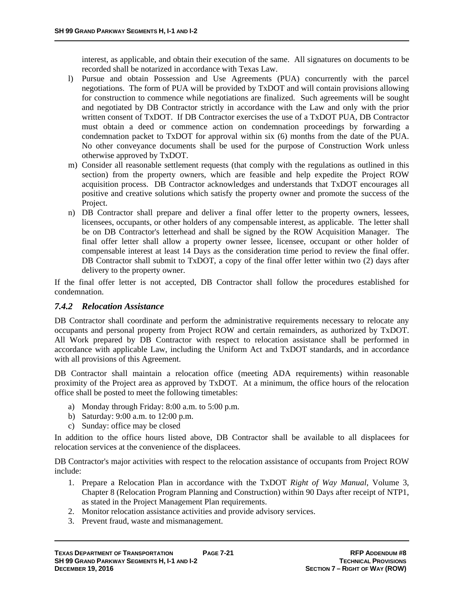interest, as applicable, and obtain their execution of the same. All signatures on documents to be recorded shall be notarized in accordance with Texas Law.

- l) Pursue and obtain Possession and Use Agreements (PUA) concurrently with the parcel negotiations. The form of PUA will be provided by TxDOT and will contain provisions allowing for construction to commence while negotiations are finalized. Such agreements will be sought and negotiated by DB Contractor strictly in accordance with the Law and only with the prior written consent of TxDOT. If DB Contractor exercises the use of a TxDOT PUA, DB Contractor must obtain a deed or commence action on condemnation proceedings by forwarding a condemnation packet to TxDOT for approval within six (6) months from the date of the PUA. No other conveyance documents shall be used for the purpose of Construction Work unless otherwise approved by TxDOT.
- m) Consider all reasonable settlement requests (that comply with the regulations as outlined in this section) from the property owners, which are feasible and help expedite the Project ROW acquisition process. DB Contractor acknowledges and understands that TxDOT encourages all positive and creative solutions which satisfy the property owner and promote the success of the Project.
- n) DB Contractor shall prepare and deliver a final offer letter to the property owners, lessees, licensees, occupants, or other holders of any compensable interest, as applicable. The letter shall be on DB Contractor's letterhead and shall be signed by the ROW Acquisition Manager. The final offer letter shall allow a property owner lessee, licensee, occupant or other holder of compensable interest at least 14 Days as the consideration time period to review the final offer. DB Contractor shall submit to TxDOT, a copy of the final offer letter within two (2) days after delivery to the property owner.

If the final offer letter is not accepted, DB Contractor shall follow the procedures established for condemnation.

#### *7.4.2 Relocation Assistance*

DB Contractor shall coordinate and perform the administrative requirements necessary to relocate any occupants and personal property from Project ROW and certain remainders, as authorized by TxDOT. All Work prepared by DB Contractor with respect to relocation assistance shall be performed in accordance with applicable Law, including the Uniform Act and TxDOT standards, and in accordance with all provisions of this Agreement.

DB Contractor shall maintain a relocation office (meeting ADA requirements) within reasonable proximity of the Project area as approved by TxDOT. At a minimum, the office hours of the relocation office shall be posted to meet the following timetables:

- a) Monday through Friday: 8:00 a.m. to 5:00 p.m.
- b) Saturday: 9:00 a.m. to 12:00 p.m.
- c) Sunday: office may be closed

In addition to the office hours listed above, DB Contractor shall be available to all displacees for relocation services at the convenience of the displacees.

DB Contractor's major activities with respect to the relocation assistance of occupants from Project ROW include:

- 1. Prepare a Relocation Plan in accordance with the TxDOT *Right of Way Manual*, Volume 3, Chapter 8 (Relocation Program Planning and Construction) within 90 Days after receipt of NTP1, as stated in the Project Management Plan requirements.
- 2. Monitor relocation assistance activities and provide advisory services.
- 3. Prevent fraud, waste and mismanagement.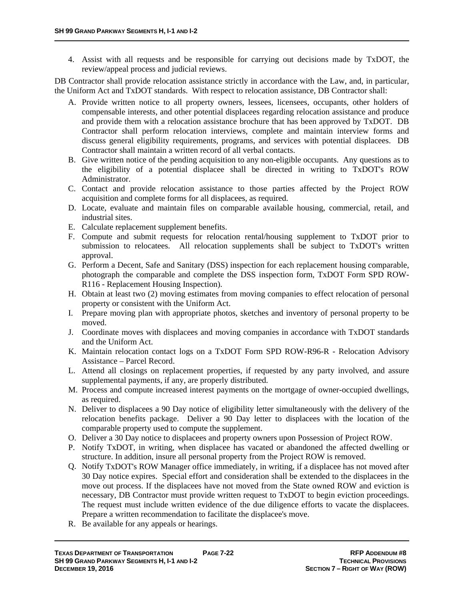4. Assist with all requests and be responsible for carrying out decisions made by TxDOT, the review/appeal process and judicial reviews.

DB Contractor shall provide relocation assistance strictly in accordance with the Law, and, in particular, the Uniform Act and TxDOT standards. With respect to relocation assistance, DB Contractor shall:

- A. Provide written notice to all property owners, lessees, licensees, occupants, other holders of compensable interests, and other potential displacees regarding relocation assistance and produce and provide them with a relocation assistance brochure that has been approved by TxDOT. DB Contractor shall perform relocation interviews, complete and maintain interview forms and discuss general eligibility requirements, programs, and services with potential displacees. DB Contractor shall maintain a written record of all verbal contacts.
- B. Give written notice of the pending acquisition to any non-eligible occupants. Any questions as to the eligibility of a potential displacee shall be directed in writing to TxDOT's ROW Administrator.
- C. Contact and provide relocation assistance to those parties affected by the Project ROW acquisition and complete forms for all displacees, as required.
- D. Locate, evaluate and maintain files on comparable available housing, commercial, retail, and industrial sites.
- E. Calculate replacement supplement benefits.
- F. Compute and submit requests for relocation rental/housing supplement to TxDOT prior to submission to relocatees. All relocation supplements shall be subject to TxDOT's written approval.
- G. Perform a Decent, Safe and Sanitary (DSS) inspection for each replacement housing comparable, photograph the comparable and complete the DSS inspection form, TxDOT Form SPD ROW-R116 - Replacement Housing Inspection).
- H. Obtain at least two (2) moving estimates from moving companies to effect relocation of personal property or consistent with the Uniform Act.
- I. Prepare moving plan with appropriate photos, sketches and inventory of personal property to be moved.
- J. Coordinate moves with displacees and moving companies in accordance with TxDOT standards and the Uniform Act.
- K. Maintain relocation contact logs on a TxDOT Form SPD ROW-R96-R Relocation Advisory Assistance – Parcel Record.
- L. Attend all closings on replacement properties, if requested by any party involved, and assure supplemental payments, if any, are properly distributed.
- M. Process and compute increased interest payments on the mortgage of owner-occupied dwellings, as required.
- N. Deliver to displacees a 90 Day notice of eligibility letter simultaneously with the delivery of the relocation benefits package. Deliver a 90 Day letter to displacees with the location of the comparable property used to compute the supplement.
- O. Deliver a 30 Day notice to displacees and property owners upon Possession of Project ROW.
- P. Notify TxDOT, in writing, when displacee has vacated or abandoned the affected dwelling or structure. In addition, insure all personal property from the Project ROW is removed.
- Q. Notify TxDOT's ROW Manager office immediately, in writing, if a displacee has not moved after 30 Day notice expires. Special effort and consideration shall be extended to the displacees in the move out process. If the displacees have not moved from the State owned ROW and eviction is necessary, DB Contractor must provide written request to TxDOT to begin eviction proceedings. The request must include written evidence of the due diligence efforts to vacate the displacees. Prepare a written recommendation to facilitate the displacee's move.
- R. Be available for any appeals or hearings.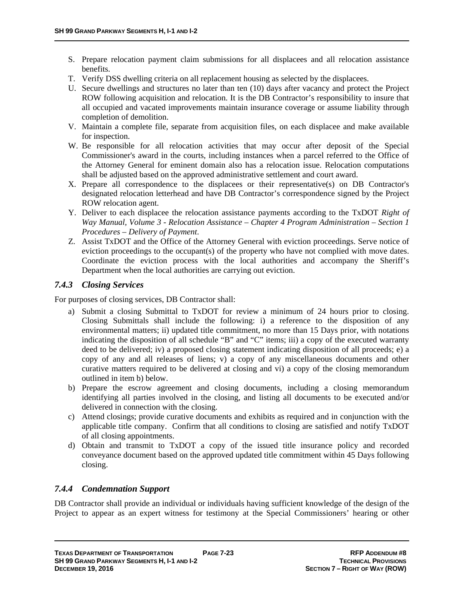- S. Prepare relocation payment claim submissions for all displacees and all relocation assistance benefits.
- T. Verify DSS dwelling criteria on all replacement housing as selected by the displacees.
- U. Secure dwellings and structures no later than ten (10) days after vacancy and protect the Project ROW following acquisition and relocation. It is the DB Contractor's responsibility to insure that all occupied and vacated improvements maintain insurance coverage or assume liability through completion of demolition.
- V. Maintain a complete file, separate from acquisition files, on each displacee and make available for inspection.
- W. Be responsible for all relocation activities that may occur after deposit of the Special Commissioner's award in the courts, including instances when a parcel referred to the Office of the Attorney General for eminent domain also has a relocation issue. Relocation computations shall be adjusted based on the approved administrative settlement and court award.
- X. Prepare all correspondence to the displacees or their representative(s) on DB Contractor's designated relocation letterhead and have DB Contractor's correspondence signed by the Project ROW relocation agent.
- Y. Deliver to each displacee the relocation assistance payments according to the TxDOT *Right of Way Manual, Volume 3 - Relocation Assistance – Chapter 4 Program Administration – Section 1 Procedures – Delivery of Payment*.
- Z. Assist TxDOT and the Office of the Attorney General with eviction proceedings. Serve notice of eviction proceedings to the occupant(s) of the property who have not complied with move dates. Coordinate the eviction process with the local authorities and accompany the Sheriff's Department when the local authorities are carrying out eviction.

### *7.4.3 Closing Services*

For purposes of closing services, DB Contractor shall:

- a) Submit a closing Submittal to TxDOT for review a minimum of 24 hours prior to closing. Closing Submittals shall include the following: i) a reference to the disposition of any environmental matters; ii) updated title commitment, no more than 15 Days prior, with notations indicating the disposition of all schedule "B" and "C" items; iii) a copy of the executed warranty deed to be delivered; iv) a proposed closing statement indicating disposition of all proceeds; e) a copy of any and all releases of liens; v) a copy of any miscellaneous documents and other curative matters required to be delivered at closing and vi) a copy of the closing memorandum outlined in item b) below.
- b) Prepare the escrow agreement and closing documents, including a closing memorandum identifying all parties involved in the closing, and listing all documents to be executed and/or delivered in connection with the closing.
- c) Attend closings; provide curative documents and exhibits as required and in conjunction with the applicable title company. Confirm that all conditions to closing are satisfied and notify TxDOT of all closing appointments.
- d) Obtain and transmit to TxDOT a copy of the issued title insurance policy and recorded conveyance document based on the approved updated title commitment within 45 Days following closing.

## *7.4.4 Condemnation Support*

DB Contractor shall provide an individual or individuals having sufficient knowledge of the design of the Project to appear as an expert witness for testimony at the Special Commissioners' hearing or other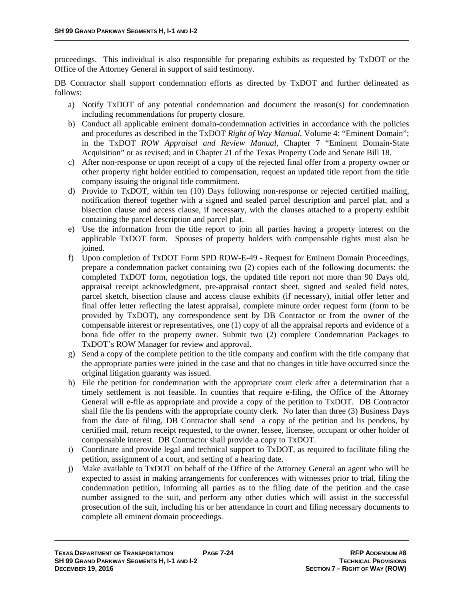proceedings. This individual is also responsible for preparing exhibits as requested by TxDOT or the Office of the Attorney General in support of said testimony.

DB Contractor shall support condemnation efforts as directed by TxDOT and further delineated as follows:

- a) Notify TxDOT of any potential condemnation and document the reason(s) for condemnation including recommendations for property closure.
- b) Conduct all applicable eminent domain-condemnation activities in accordance with the policies and procedures as described in the TxDOT *Right of Way Manual*, Volume 4: "Eminent Domain"; in the TxDOT *ROW Appraisal and Review Manual*, Chapter 7 "Eminent Domain-State Acquisition" or as revised; and in Chapter 21 of the Texas Property Code and Senate Bill 18.
- c) After non-response or upon receipt of a copy of the rejected final offer from a property owner or other property right holder entitled to compensation, request an updated title report from the title company issuing the original title commitment.
- d) Provide to TxDOT, within ten (10) Days following non-response or rejected certified mailing, notification thereof together with a signed and sealed parcel description and parcel plat, and a bisection clause and access clause, if necessary, with the clauses attached to a property exhibit containing the parcel description and parcel plat.
- e) Use the information from the title report to join all parties having a property interest on the applicable TxDOT form. Spouses of property holders with compensable rights must also be joined.
- f) Upon completion of TxDOT Form SPD ROW-E-49 Request for Eminent Domain Proceedings, prepare a condemnation packet containing two (2) copies each of the following documents: the completed TxDOT form, negotiation logs, the updated title report not more than 90 Days old, appraisal receipt acknowledgment, pre-appraisal contact sheet, signed and sealed field notes, parcel sketch, bisection clause and access clause exhibits (if necessary), initial offer letter and final offer letter reflecting the latest appraisal, complete minute order request form (form to be provided by TxDOT), any correspondence sent by DB Contractor or from the owner of the compensable interest or representatives, one (1) copy of all the appraisal reports and evidence of a bona fide offer to the property owner. Submit two (2) complete Condemnation Packages to TxDOT's ROW Manager for review and approval.
- g) Send a copy of the complete petition to the title company and confirm with the title company that the appropriate parties were joined in the case and that no changes in title have occurred since the original litigation guaranty was issued.
- h) File the petition for condemnation with the appropriate court clerk after a determination that a timely settlement is not feasible. In counties that require e-filing, the Office of the Attorney General will e-file as appropriate and provide a copy of the petition to TxDOT. DB Contractor shall file the lis pendens with the appropriate county clerk. No later than three (3) Business Days from the date of filing, DB Contractor shall send a copy of the petition and lis pendens, by certified mail, return receipt requested, to the owner, lessee, licensee, occupant or other holder of compensable interest. DB Contractor shall provide a copy to TxDOT.
- i) Coordinate and provide legal and technical support to TxDOT, as required to facilitate filing the petition, assignment of a court, and setting of a hearing date.
- j) Make available to TxDOT on behalf of the Office of the Attorney General an agent who will be expected to assist in making arrangements for conferences with witnesses prior to trial, filing the condemnation petition, informing all parties as to the filing date of the petition and the case number assigned to the suit, and perform any other duties which will assist in the successful prosecution of the suit, including his or her attendance in court and filing necessary documents to complete all eminent domain proceedings.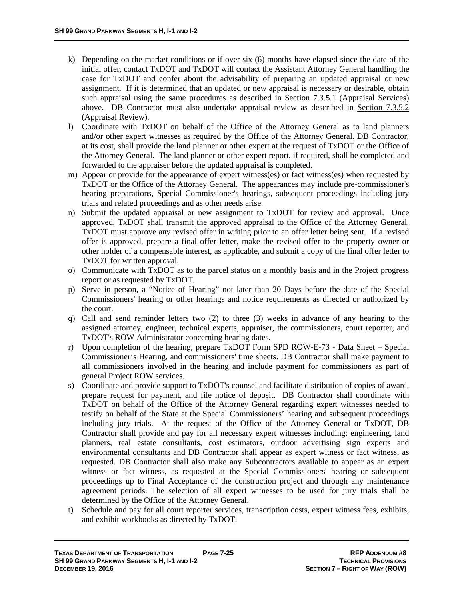- k) Depending on the market conditions or if over six (6) months have elapsed since the date of the initial offer, contact TxDOT and TxDOT will contact the Assistant Attorney General handling the case for TxDOT and confer about the advisability of preparing an updated appraisal or new assignment. If it is determined that an updated or new appraisal is necessary or desirable, obtain such appraisal using the same procedures as described in Section 7.3.5.1 (Appraisal Services) above. DB Contractor must also undertake appraisal review as described in Section 7.3.5.2 (Appraisal Review).
- l) Coordinate with TxDOT on behalf of the Office of the Attorney General as to land planners and/or other expert witnesses as required by the Office of the Attorney General. DB Contractor, at its cost, shall provide the land planner or other expert at the request of TxDOT or the Office of the Attorney General. The land planner or other expert report, if required, shall be completed and forwarded to the appraiser before the updated appraisal is completed.
- m) Appear or provide for the appearance of expert witness(es) or fact witness(es) when requested by TxDOT or the Office of the Attorney General. The appearances may include pre-commissioner's hearing preparations, Special Commissioner's hearings, subsequent proceedings including jury trials and related proceedings and as other needs arise.
- n) Submit the updated appraisal or new assignment to TxDOT for review and approval. Once approved, TxDOT shall transmit the approved appraisal to the Office of the Attorney General. TxDOT must approve any revised offer in writing prior to an offer letter being sent. If a revised offer is approved, prepare a final offer letter, make the revised offer to the property owner or other holder of a compensable interest, as applicable, and submit a copy of the final offer letter to TxDOT for written approval.
- o) Communicate with TxDOT as to the parcel status on a monthly basis and in the Project progress report or as requested by TxDOT.
- p) Serve in person, a "Notice of Hearing" not later than 20 Days before the date of the Special Commissioners' hearing or other hearings and notice requirements as directed or authorized by the court.
- q) Call and send reminder letters two (2) to three (3) weeks in advance of any hearing to the assigned attorney, engineer, technical experts, appraiser, the commissioners, court reporter, and TxDOT's ROW Administrator concerning hearing dates.
- r) Upon completion of the hearing, prepare TxDOT Form SPD ROW-E-73 Data Sheet Special Commissioner's Hearing, and commissioners' time sheets. DB Contractor shall make payment to all commissioners involved in the hearing and include payment for commissioners as part of general Project ROW services.
- s) Coordinate and provide support to TxDOT's counsel and facilitate distribution of copies of award, prepare request for payment, and file notice of deposit. DB Contractor shall coordinate with TxDOT on behalf of the Office of the Attorney General regarding expert witnesses needed to testify on behalf of the State at the Special Commissioners' hearing and subsequent proceedings including jury trials. At the request of the Office of the Attorney General or TxDOT, DB Contractor shall provide and pay for all necessary expert witnesses including: engineering, land planners, real estate consultants, cost estimators, outdoor advertising sign experts and environmental consultants and DB Contractor shall appear as expert witness or fact witness, as requested. DB Contractor shall also make any Subcontractors available to appear as an expert witness or fact witness, as requested at the Special Commissioners' hearing or subsequent proceedings up to Final Acceptance of the construction project and through any maintenance agreement periods. The selection of all expert witnesses to be used for jury trials shall be determined by the Office of the Attorney General.
- t) Schedule and pay for all court reporter services, transcription costs, expert witness fees, exhibits, and exhibit workbooks as directed by TxDOT.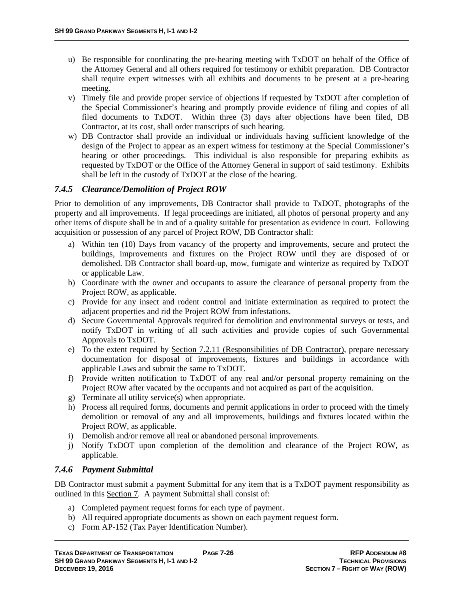- u) Be responsible for coordinating the pre-hearing meeting with TxDOT on behalf of the Office of the Attorney General and all others required for testimony or exhibit preparation. DB Contractor shall require expert witnesses with all exhibits and documents to be present at a pre-hearing meeting.
- v) Timely file and provide proper service of objections if requested by TxDOT after completion of the Special Commissioner's hearing and promptly provide evidence of filing and copies of all filed documents to TxDOT. Within three (3) days after objections have been filed, DB Contractor, at its cost, shall order transcripts of such hearing.
- w) DB Contractor shall provide an individual or individuals having sufficient knowledge of the design of the Project to appear as an expert witness for testimony at the Special Commissioner's hearing or other proceedings. This individual is also responsible for preparing exhibits as requested by TxDOT or the Office of the Attorney General in support of said testimony. Exhibits shall be left in the custody of TxDOT at the close of the hearing.

### *7.4.5 Clearance/Demolition of Project ROW*

Prior to demolition of any improvements, DB Contractor shall provide to TxDOT, photographs of the property and all improvements. If legal proceedings are initiated, all photos of personal property and any other items of dispute shall be in and of a quality suitable for presentation as evidence in court. Following acquisition or possession of any parcel of Project ROW, DB Contractor shall:

- a) Within ten (10) Days from vacancy of the property and improvements, secure and protect the buildings, improvements and fixtures on the Project ROW until they are disposed of or demolished. DB Contractor shall board-up, mow, fumigate and winterize as required by TxDOT or applicable Law.
- b) Coordinate with the owner and occupants to assure the clearance of personal property from the Project ROW, as applicable.
- c) Provide for any insect and rodent control and initiate extermination as required to protect the adjacent properties and rid the Project ROW from infestations.
- d) Secure Governmental Approvals required for demolition and environmental surveys or tests, and notify TxDOT in writing of all such activities and provide copies of such Governmental Approvals to TxDOT.
- e) To the extent required by Section 7.2.11 (Responsibilities of DB Contractor), prepare necessary documentation for disposal of improvements, fixtures and buildings in accordance with applicable Laws and submit the same to TxDOT.
- f) Provide written notification to TxDOT of any real and/or personal property remaining on the Project ROW after vacated by the occupants and not acquired as part of the acquisition.
- g) Terminate all utility service(s) when appropriate.
- h) Process all required forms, documents and permit applications in order to proceed with the timely demolition or removal of any and all improvements, buildings and fixtures located within the Project ROW, as applicable.
- i) Demolish and/or remove all real or abandoned personal improvements.
- j) Notify TxDOT upon completion of the demolition and clearance of the Project ROW, as applicable.

#### *7.4.6 Payment Submittal*

DB Contractor must submit a payment Submittal for any item that is a TxDOT payment responsibility as outlined in this Section 7. A payment Submittal shall consist of:

- a) Completed payment request forms for each type of payment.
- b) All required appropriate documents as shown on each payment request form.
- c) Form AP-152 (Tax Payer Identification Number).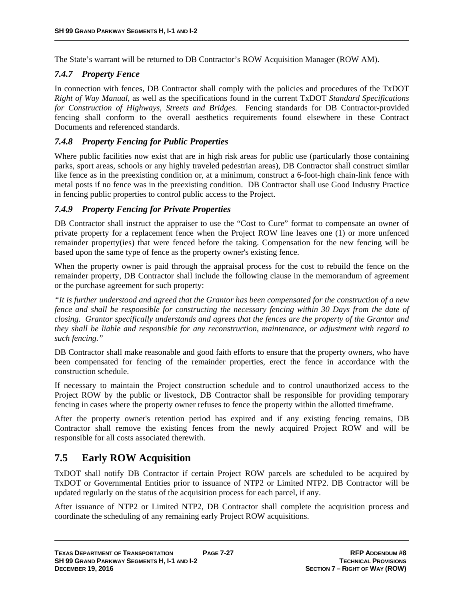The State's warrant will be returned to DB Contractor's ROW Acquisition Manager (ROW AM).

#### *7.4.7 Property Fence*

In connection with fences, DB Contractor shall comply with the policies and procedures of the TxDOT *Right of Way Manual*, as well as the specifications found in the current TxDOT *Standard Specifications for Construction of Highways, Streets and Bridges*. Fencing standards for DB Contractor-provided fencing shall conform to the overall aesthetics requirements found elsewhere in these Contract Documents and referenced standards.

#### *7.4.8 Property Fencing for Public Properties*

Where public facilities now exist that are in high risk areas for public use (particularly those containing parks, sport areas, schools or any highly traveled pedestrian areas), DB Contractor shall construct similar like fence as in the preexisting condition or, at a minimum, construct a 6-foot-high chain-link fence with metal posts if no fence was in the preexisting condition. DB Contractor shall use Good Industry Practice in fencing public properties to control public access to the Project.

#### *7.4.9 Property Fencing for Private Properties*

DB Contractor shall instruct the appraiser to use the "Cost to Cure" format to compensate an owner of private property for a replacement fence when the Project ROW line leaves one (1) or more unfenced remainder property(ies) that were fenced before the taking. Compensation for the new fencing will be based upon the same type of fence as the property owner's existing fence.

When the property owner is paid through the appraisal process for the cost to rebuild the fence on the remainder property, DB Contractor shall include the following clause in the memorandum of agreement or the purchase agreement for such property:

*"It is further understood and agreed that the Grantor has been compensated for the construction of a new fence and shall be responsible for constructing the necessary fencing within 30 Days from the date of closing. Grantor specifically understands and agrees that the fences are the property of the Grantor and they shall be liable and responsible for any reconstruction, maintenance, or adjustment with regard to such fencing."* 

DB Contractor shall make reasonable and good faith efforts to ensure that the property owners, who have been compensated for fencing of the remainder properties, erect the fence in accordance with the construction schedule.

If necessary to maintain the Project construction schedule and to control unauthorized access to the Project ROW by the public or livestock, DB Contractor shall be responsible for providing temporary fencing in cases where the property owner refuses to fence the property within the allotted timeframe.

After the property owner's retention period has expired and if any existing fencing remains, DB Contractor shall remove the existing fences from the newly acquired Project ROW and will be responsible for all costs associated therewith.

# **7.5 Early ROW Acquisition**

TxDOT shall notify DB Contractor if certain Project ROW parcels are scheduled to be acquired by TxDOT or Governmental Entities prior to issuance of NTP2 or Limited NTP2. DB Contractor will be updated regularly on the status of the acquisition process for each parcel, if any.

After issuance of NTP2 or Limited NTP2, DB Contractor shall complete the acquisition process and coordinate the scheduling of any remaining early Project ROW acquisitions.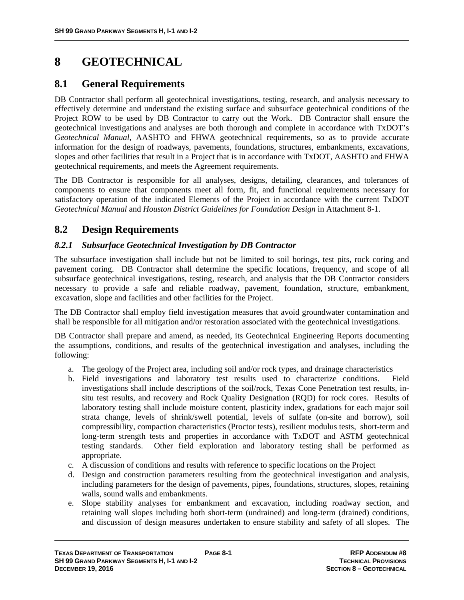# **8 GEOTECHNICAL**

# **8.1 General Requirements**

DB Contractor shall perform all geotechnical investigations, testing, research, and analysis necessary to effectively determine and understand the existing surface and subsurface geotechnical conditions of the Project ROW to be used by DB Contractor to carry out the Work. DB Contractor shall ensure the geotechnical investigations and analyses are both thorough and complete in accordance with TxDOT's *Geotechnical Manual*, AASHTO and FHWA geotechnical requirements, so as to provide accurate information for the design of roadways, pavements, foundations, structures, embankments, excavations, slopes and other facilities that result in a Project that is in accordance with TxDOT, AASHTO and FHWA geotechnical requirements, and meets the Agreement requirements.

The DB Contractor is responsible for all analyses, designs, detailing, clearances, and tolerances of components to ensure that components meet all form, fit, and functional requirements necessary for satisfactory operation of the indicated Elements of the Project in accordance with the current TxDOT *Geotechnical Manual* and *Houston District Guidelines for Foundation Design* in Attachment 8-1.

# **8.2 Design Requirements**

### *8.2.1 Subsurface Geotechnical Investigation by DB Contractor*

The subsurface investigation shall include but not be limited to soil borings, test pits, rock coring and pavement coring. DB Contractor shall determine the specific locations, frequency, and scope of all subsurface geotechnical investigations, testing, research, and analysis that the DB Contractor considers necessary to provide a safe and reliable roadway, pavement, foundation, structure, embankment, excavation, slope and facilities and other facilities for the Project.

The DB Contractor shall employ field investigation measures that avoid groundwater contamination and shall be responsible for all mitigation and/or restoration associated with the geotechnical investigations.

DB Contractor shall prepare and amend, as needed, its Geotechnical Engineering Reports documenting the assumptions, conditions, and results of the geotechnical investigation and analyses, including the following:

- a. The geology of the Project area, including soil and/or rock types, and drainage characteristics
- b. Field investigations and laboratory test results used to characterize conditions. Field investigations shall include descriptions of the soil/rock, Texas Cone Penetration test results, insitu test results, and recovery and Rock Quality Designation (RQD) for rock cores. Results of laboratory testing shall include moisture content, plasticity index, gradations for each major soil strata change, levels of shrink/swell potential, levels of sulfate (on-site and borrow), soil compressibility, compaction characteristics (Proctor tests), resilient modulus tests, short-term and long-term strength tests and properties in accordance with TxDOT and ASTM geotechnical testing standards. Other field exploration and laboratory testing shall be performed as appropriate.
- c. A discussion of conditions and results with reference to specific locations on the Project
- d. Design and construction parameters resulting from the geotechnical investigation and analysis, including parameters for the design of pavements, pipes, foundations, structures, slopes, retaining walls, sound walls and embankments.
- e. Slope stability analyses for embankment and excavation, including roadway section, and retaining wall slopes including both short-term (undrained) and long-term (drained) conditions, and discussion of design measures undertaken to ensure stability and safety of all slopes. The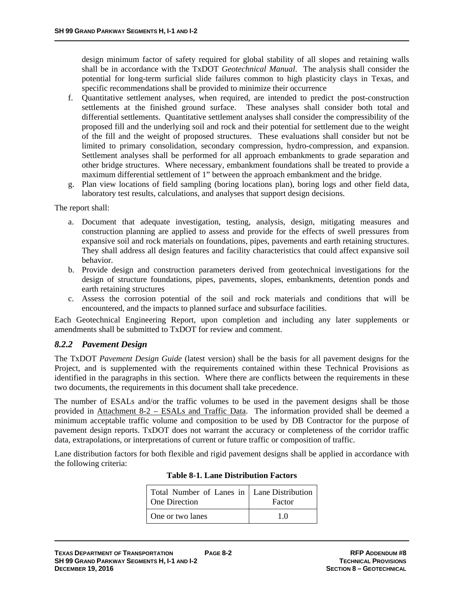design minimum factor of safety required for global stability of all slopes and retaining walls shall be in accordance with the TxDOT *Geotechnical Manual*. The analysis shall consider the potential for long-term surficial slide failures common to high plasticity clays in Texas, and specific recommendations shall be provided to minimize their occurrence

- f. Quantitative settlement analyses, when required, are intended to predict the post-construction settlements at the finished ground surface. These analyses shall consider both total and differential settlements. Quantitative settlement analyses shall consider the compressibility of the proposed fill and the underlying soil and rock and their potential for settlement due to the weight of the fill and the weight of proposed structures. These evaluations shall consider but not be limited to primary consolidation, secondary compression, hydro-compression, and expansion. Settlement analyses shall be performed for all approach embankments to grade separation and other bridge structures. Where necessary, embankment foundations shall be treated to provide a maximum differential settlement of 1" between the approach embankment and the bridge.
- g. Plan view locations of field sampling (boring locations plan), boring logs and other field data, laboratory test results, calculations, and analyses that support design decisions.

The report shall:

- a. Document that adequate investigation, testing, analysis, design, mitigating measures and construction planning are applied to assess and provide for the effects of swell pressures from expansive soil and rock materials on foundations, pipes, pavements and earth retaining structures. They shall address all design features and facility characteristics that could affect expansive soil behavior.
- b. Provide design and construction parameters derived from geotechnical investigations for the design of structure foundations, pipes, pavements, slopes, embankments, detention ponds and earth retaining structures
- c. Assess the corrosion potential of the soil and rock materials and conditions that will be encountered, and the impacts to planned surface and subsurface facilities.

Each Geotechnical Engineering Report, upon completion and including any later supplements or amendments shall be submitted to TxDOT for review and comment.

#### *8.2.2 Pavement Design*

The TxDOT *Pavement Design Guide* (latest version) shall be the basis for all pavement designs for the Project, and is supplemented with the requirements contained within these Technical Provisions as identified in the paragraphs in this section. Where there are conflicts between the requirements in these two documents, the requirements in this document shall take precedence.

The number of ESALs and/or the traffic volumes to be used in the pavement designs shall be those provided in Attachment 8-2 – ESALs and Traffic Data. The information provided shall be deemed a minimum acceptable traffic volume and composition to be used by DB Contractor for the purpose of pavement design reports. TxDOT does not warrant the accuracy or completeness of the corridor traffic data, extrapolations, or interpretations of current or future traffic or composition of traffic.

Lane distribution factors for both flexible and rigid pavement designs shall be applied in accordance with the following criteria:

| Total Number of Lanes in   Lane Distribution<br>One Direction | Factor |  |
|---------------------------------------------------------------|--------|--|
| One or two lanes                                              | 10     |  |

#### **Table 8-1. Lane Distribution Factors**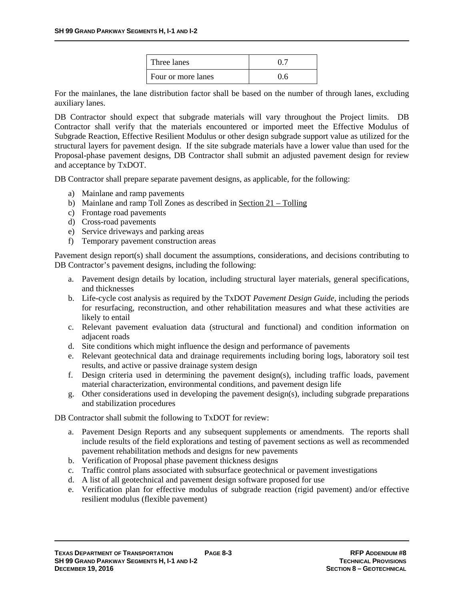| Three lanes        |     |
|--------------------|-----|
| Four or more lanes | 0.6 |

For the mainlanes, the lane distribution factor shall be based on the number of through lanes, excluding auxiliary lanes.

DB Contractor should expect that subgrade materials will vary throughout the Project limits. DB Contractor shall verify that the materials encountered or imported meet the Effective Modulus of Subgrade Reaction, Effective Resilient Modulus or other design subgrade support value as utilized for the structural layers for pavement design. If the site subgrade materials have a lower value than used for the Proposal-phase pavement designs, DB Contractor shall submit an adjusted pavement design for review and acceptance by TxDOT.

DB Contractor shall prepare separate pavement designs, as applicable, for the following:

- a) Mainlane and ramp pavements
- b) Mainlane and ramp Toll Zones as described in Section  $21 -$ Tolling
- c) Frontage road pavements
- d) Cross-road pavements
- e) Service driveways and parking areas
- f) Temporary pavement construction areas

Pavement design report(s) shall document the assumptions, considerations, and decisions contributing to DB Contractor's pavement designs, including the following:

- a. Pavement design details by location, including structural layer materials, general specifications, and thicknesses
- b. Life-cycle cost analysis as required by the TxDOT *Pavement Design Guide*, including the periods for resurfacing, reconstruction, and other rehabilitation measures and what these activities are likely to entail
- c. Relevant pavement evaluation data (structural and functional) and condition information on adjacent roads
- d. Site conditions which might influence the design and performance of pavements
- e. Relevant geotechnical data and drainage requirements including boring logs, laboratory soil test results, and active or passive drainage system design
- f. Design criteria used in determining the pavement design(s), including traffic loads, pavement material characterization, environmental conditions, and pavement design life
- g. Other considerations used in developing the pavement design(s), including subgrade preparations and stabilization procedures

DB Contractor shall submit the following to TxDOT for review:

- a. Pavement Design Reports and any subsequent supplements or amendments. The reports shall include results of the field explorations and testing of pavement sections as well as recommended pavement rehabilitation methods and designs for new pavements
- b. Verification of Proposal phase pavement thickness designs
- c. Traffic control plans associated with subsurface geotechnical or pavement investigations
- d. A list of all geotechnical and pavement design software proposed for use
- e. Verification plan for effective modulus of subgrade reaction (rigid pavement) and/or effective resilient modulus (flexible pavement)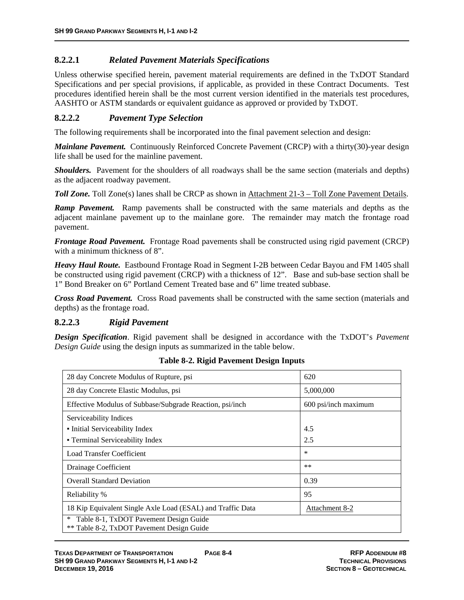### **8.2.2.1** *Related Pavement Materials Specifications*

Unless otherwise specified herein, pavement material requirements are defined in the TxDOT Standard Specifications and per special provisions, if applicable, as provided in these Contract Documents. Test procedures identified herein shall be the most current version identified in the materials test procedures, AASHTO or ASTM standards or equivalent guidance as approved or provided by TxDOT.

#### **8.2.2.2** *Pavement Type Selection*

The following requirements shall be incorporated into the final pavement selection and design:

*Mainlane Pavement.* Continuously Reinforced Concrete Pavement (CRCP) with a thirty(30)-year design life shall be used for the mainline pavement.

*Shoulders.* Pavement for the shoulders of all roadways shall be the same section (materials and depths) as the adjacent roadway pavement.

*Toll Zone.* Toll Zone(s) lanes shall be CRCP as shown in Attachment 21-3 – Toll Zone Pavement Details.

*Ramp Pavement.* Ramp pavements shall be constructed with the same materials and depths as the adjacent mainlane pavement up to the mainlane gore. The remainder may match the frontage road pavement.

*Frontage Road Pavement.* Frontage Road pavements shall be constructed using rigid pavement (CRCP) with a minimum thickness of 8".

*Heavy Haul Route.* Eastbound Frontage Road in Segment I-2B between Cedar Bayou and FM 1405 shall be constructed using rigid pavement (CRCP) with a thickness of 12". Base and sub-base section shall be 1" Bond Breaker on 6" Portland Cement Treated base and 6" lime treated subbase.

*Cross Road Pavement.* Cross Road pavements shall be constructed with the same section (materials and depths) as the frontage road.

#### **8.2.2.3** *Rigid Pavement*

*Design Specification*. Rigid pavement shall be designed in accordance with the TxDOT's *Pavement Design Guide* using the design inputs as summarized in the table below.

| 28 day Concrete Modulus of Rupture, psi                                                       | 620                  |
|-----------------------------------------------------------------------------------------------|----------------------|
| 28 day Concrete Elastic Modulus, psi                                                          | 5,000,000            |
| Effective Modulus of Subbase/Subgrade Reaction, psi/inch                                      | 600 psi/inch maximum |
| Serviceability Indices                                                                        |                      |
| • Initial Serviceability Index                                                                | 4.5                  |
| • Terminal Serviceability Index                                                               | 2.5                  |
| Load Transfer Coefficient                                                                     | ∗                    |
| Drainage Coefficient                                                                          | $**$                 |
| <b>Overall Standard Deviation</b>                                                             | 0.39                 |
| Reliability %                                                                                 | 95                   |
| 18 Kip Equivalent Single Axle Load (ESAL) and Traffic Data                                    | Attachment 8-2       |
| Table 8-1, TxDOT Pavement Design Guide<br>$\ast$<br>** Table 8-2, TxDOT Pavement Design Guide |                      |

**Table 8-2. Rigid Pavement Design Inputs**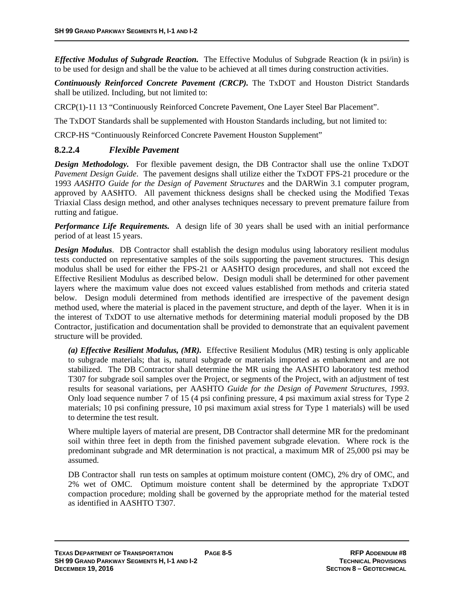*Effective Modulus of Subgrade Reaction.* The Effective Modulus of Subgrade Reaction (k in psi/in) is to be used for design and shall be the value to be achieved at all times during construction activities.

*Continuously Reinforced Concrete Pavement (CRCP).* The TxDOT and Houston District Standards shall be utilized. Including, but not limited to:

CRCP(1)-11 13 "Continuously Reinforced Concrete Pavement, One Layer Steel Bar Placement".

The TxDOT Standards shall be supplemented with Houston Standards including, but not limited to:

CRCP-HS "Continuously Reinforced Concrete Pavement Houston Supplement"

#### **8.2.2.4** *Flexible Pavement*

**Design Methodology.** For flexible pavement design, the DB Contractor shall use the online TxDOT *Pavement Design Guide*. The pavement designs shall utilize either the TxDOT FPS-21 procedure or the 1993 *AASHTO Guide for the Design of Pavement Structures* and the DARWin 3.1 computer program, approved by AASHTO. All pavement thickness designs shall be checked using the Modified Texas Triaxial Class design method, and other analyses techniques necessary to prevent premature failure from rutting and fatigue.

*Performance Life Requirements.* A design life of 30 years shall be used with an initial performance period of at least 15 years.

*Design Modulus*. DB Contractor shall establish the design modulus using laboratory resilient modulus tests conducted on representative samples of the soils supporting the pavement structures. This design modulus shall be used for either the FPS-21 or AASHTO design procedures, and shall not exceed the Effective Resilient Modulus as described below. Design moduli shall be determined for other pavement layers where the maximum value does not exceed values established from methods and criteria stated below. Design moduli determined from methods identified are irrespective of the pavement design method used, where the material is placed in the pavement structure, and depth of the layer. When it is in the interest of TxDOT to use alternative methods for determining material moduli proposed by the DB Contractor, justification and documentation shall be provided to demonstrate that an equivalent pavement structure will be provided.

*(a) Effective Resilient Modulus, (MR).*Effective Resilient Modulus (MR) testing is only applicable to subgrade materials; that is, natural subgrade or materials imported as embankment and are not stabilized. The DB Contractor shall determine the MR using the AASHTO laboratory test method T307 for subgrade soil samples over the Project, or segments of the Project, with an adjustment of test results for seasonal variations, per AASHTO *Guide for the Design of Pavement Structures, 1993*. Only load sequence number 7 of 15 (4 psi confining pressure, 4 psi maximum axial stress for Type 2 materials; 10 psi confining pressure, 10 psi maximum axial stress for Type 1 materials) will be used to determine the test result.

Where multiple layers of material are present, DB Contractor shall determine MR for the predominant soil within three feet in depth from the finished pavement subgrade elevation. Where rock is the predominant subgrade and MR determination is not practical, a maximum MR of 25,000 psi may be assumed.

DB Contractor shall run tests on samples at optimum moisture content (OMC), 2% dry of OMC, and 2% wet of OMC. Optimum moisture content shall be determined by the appropriate TxDOT compaction procedure; molding shall be governed by the appropriate method for the material tested as identified in AASHTO T307.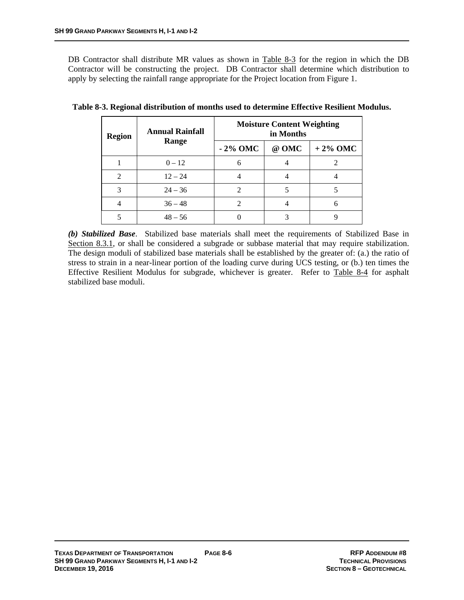DB Contractor shall distribute MR values as shown in Table 8-3 for the region in which the DB Contractor will be constructing the project. DB Contractor shall determine which distribution to apply by selecting the rainfall range appropriate for the Project location from Figure 1.

| <b>Region</b>  | <b>Annual Rainfall</b> | <b>Moisture Content Weighting</b><br>in Months |       |            |
|----------------|------------------------|------------------------------------------------|-------|------------|
|                | Range                  | $-2\%$ OMC                                     | @ OMC | $+2\%$ OMC |
|                | $0 - 12$               | 6                                              |       |            |
| $\mathfrak{D}$ | $12 - 24$              |                                                |       |            |
| 3              | $24 - 36$              | $\mathcal{D}_{\mathcal{L}}$                    |       |            |
|                | $36 - 48$              | 2                                              |       |            |
|                | $48 - 56$              |                                                |       |            |

**Table 8-3. Regional distribution of months used to determine Effective Resilient Modulus.** 

*(b) Stabilized Base*. Stabilized base materials shall meet the requirements of Stabilized Base in Section 8.3.1, or shall be considered a subgrade or subbase material that may require stabilization. The design moduli of stabilized base materials shall be established by the greater of: (a.) the ratio of stress to strain in a near-linear portion of the loading curve during UCS testing, or (b.) ten times the Effective Resilient Modulus for subgrade, whichever is greater. Refer to Table 8-4 for asphalt stabilized base moduli.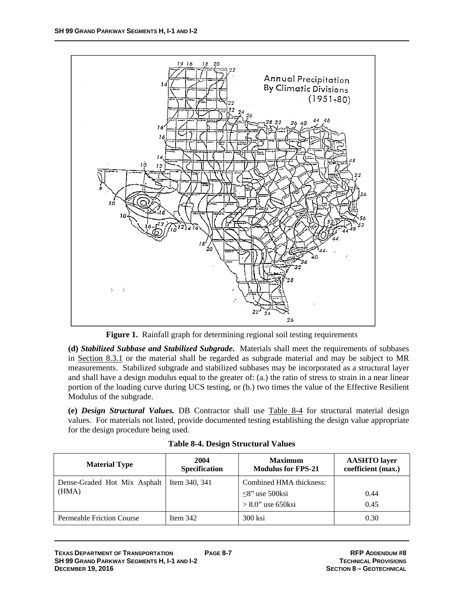

**Figure 1.** Rainfall graph for determining regional soil testing requirements

**(d)** *Stabilized Subbase and Stabilized Subgrade***.** Materials shall meet the requirements of subbases in Section 8.3.1 or the material shall be regarded as subgrade material and may be subject to MR measurements. Stabilized subgrade and stabilized subbases may be incorporated as a structural layer and shall have a design modulus equal to the greater of: (a.) the ratio of stress to strain in a near linear portion of the loading curve during UCS testing, or (b.) two times the value of the Effective Resilient Modulus of the subgrade.

**(e)** *Design Structural Values.* DB Contractor shall use Table 8-4 for structural material design values. For materials not listed, provide documented testing establishing the design value appropriate for the design procedure being used.

| <b>Material Type</b>                  | 2004<br>Specification | <b>Maximum</b><br><b>Modulus for FPS-21</b>                             | <b>AASHTO</b> layer<br>coefficient (max.) |
|---------------------------------------|-----------------------|-------------------------------------------------------------------------|-------------------------------------------|
| Dense-Graded Hot Mix Asphalt<br>(HMA) | Item 340, 341         | Combined HMA thickness:<br>$\leq$ 8" use 500ksi<br>$> 8.0$ " use 650ksi | 0.44<br>0.45                              |
| <b>Permeable Friction Course</b>      | Item $342$            | 300 ksi                                                                 | 0.30                                      |

**Table 8-4. Design Structural Values**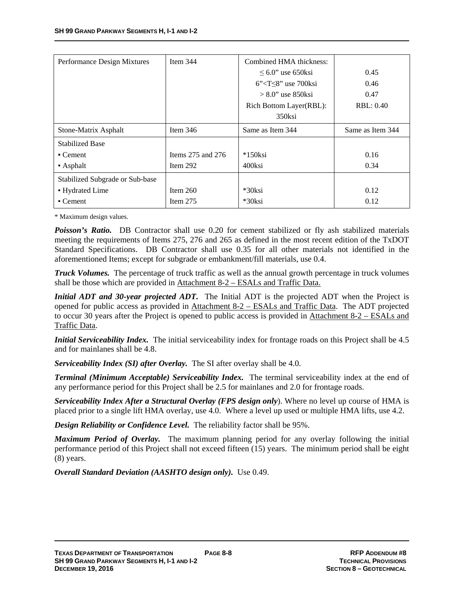| Performance Design Mixtures     | Item $344$            | Combined HMA thickness:                  |                  |
|---------------------------------|-----------------------|------------------------------------------|------------------|
|                                 |                       | $\leq 6.0$ " use 650ksi                  | 0.45             |
|                                 |                       | $6$ " <t<math>\leq8" use 700ksi</t<math> | 0.46             |
|                                 |                       | $> 8.0$ " use 850 ksi                    | 0.47             |
|                                 |                       | Rich Bottom Layer(RBL):                  | RBL: 0.40        |
|                                 |                       | 350ksi                                   |                  |
| Stone-Matrix Asphalt            | Item $346$            | Same as Item 344                         | Same as Item 344 |
| <b>Stabilized Base</b>          |                       |                                          |                  |
| $\blacksquare$ Cement           | Items $275$ and $276$ | $*150$ ksi                               | 0.16             |
| $\blacksquare$ Asphalt          | Item $292$            | 400ksi                                   | 0.34             |
| Stabilized Subgrade or Sub-base |                       |                                          |                  |
| • Hydrated Lime                 | Item $260$            | $*30$ ksi                                | 0.12             |
| $\blacksquare$ Cement           | Item $275$            | *30ksi                                   | 0.12             |

\* Maximum design values.

**Poisson's Ratio.** DB Contractor shall use 0.20 for cement stabilized or fly ash stabilized materials meeting the requirements of Items 275, 276 and 265 as defined in the most recent edition of the TxDOT Standard Specifications. DB Contractor shall use 0.35 for all other materials not identified in the aforementioned Items; except for subgrade or embankment/fill materials, use 0.4.

*Truck Volumes.* The percentage of truck traffic as well as the annual growth percentage in truck volumes shall be those which are provided in Attachment 8-2 – ESALs and Traffic Data.

*Initial ADT and 30-year projected ADT*. The Initial ADT is the projected ADT when the Project is opened for public access as provided in Attachment 8-2 – ESALs and Traffic Data. The ADT projected to occur 30 years after the Project is opened to public access is provided in Attachment 8-2 – ESALs and Traffic Data.

*Initial Serviceability Index.* The initial serviceability index for frontage roads on this Project shall be 4.5 and for mainlanes shall be 4.8.

*Serviceability Index (SI) after Overlay.* The SI after overlay shall be 4.0.

*Terminal (Minimum Acceptable) Serviceability Index.* The terminal serviceability index at the end of any performance period for this Project shall be 2.5 for mainlanes and 2.0 for frontage roads.

*Serviceability Index After a Structural Overlay (FPS design only*). Where no level up course of HMA is placed prior to a single lift HMA overlay, use 4.0. Where a level up used or multiple HMA lifts, use 4.2.

*Design Reliability or Confidence Level.* The reliability factor shall be 95%.

*Maximum Period of Overlay.* The maximum planning period for any overlay following the initial performance period of this Project shall not exceed fifteen (15) years. The minimum period shall be eight (8) years.

*Overall Standard Deviation (AASHTO design only).* Use 0.49.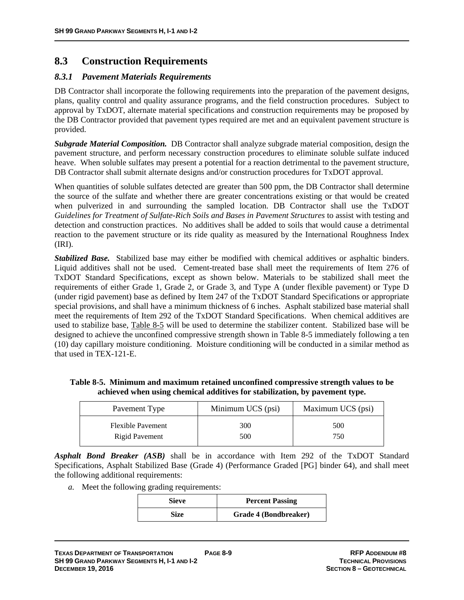# **8.3 Construction Requirements**

#### *8.3.1 Pavement Materials Requirements*

DB Contractor shall incorporate the following requirements into the preparation of the pavement designs, plans, quality control and quality assurance programs, and the field construction procedures. Subject to approval by TxDOT, alternate material specifications and construction requirements may be proposed by the DB Contractor provided that pavement types required are met and an equivalent pavement structure is provided.

*Subgrade Material Composition.* DB Contractor shall analyze subgrade material composition, design the pavement structure, and perform necessary construction procedures to eliminate soluble sulfate induced heave. When soluble sulfates may present a potential for a reaction detrimental to the pavement structure, DB Contractor shall submit alternate designs and/or construction procedures for TxDOT approval.

When quantities of soluble sulfates detected are greater than 500 ppm, the DB Contractor shall determine the source of the sulfate and whether there are greater concentrations existing or that would be created when pulverized in and surrounding the sampled location. DB Contractor shall use the TxDOT *Guidelines for Treatment of Sulfate-Rich Soils and Bases in Pavement Structures* to assist with testing and detection and construction practices. No additives shall be added to soils that would cause a detrimental reaction to the pavement structure or its ride quality as measured by the International Roughness Index (IRI).

*Stabilized Base.* Stabilized base may either be modified with chemical additives or asphaltic binders. Liquid additives shall not be used. Cement-treated base shall meet the requirements of Item 276 of TxDOT Standard Specifications*,* except as shown below. Materials to be stabilized shall meet the requirements of either Grade 1, Grade 2, or Grade 3, and Type A (under flexible pavement) or Type D (under rigid pavement) base as defined by Item 247 of the TxDOT Standard Specifications or appropriate special provisions, and shall have a minimum thickness of 6 inches. Asphalt stabilized base material shall meet the requirements of Item 292 of the TxDOT Standard Specifications. When chemical additives are used to stabilize base, Table 8-5 will be used to determine the stabilizer content. Stabilized base will be designed to achieve the unconfined compressive strength shown in Table 8-5 immediately following a ten (10) day capillary moisture conditioning. Moisture conditioning will be conducted in a similar method as that used in TEX-121-E.

| Table 8-5. Minimum and maximum retained unconfined compressive strength values to be |
|--------------------------------------------------------------------------------------|
| achieved when using chemical additives for stabilization, by pavement type.          |

| Pavement Type            | Minimum UCS (psi) | Maximum UCS (psi) |
|--------------------------|-------------------|-------------------|
| <b>Flexible Pavement</b> | 300               | 500               |
| Rigid Pavement           | 500               | 750               |

*Asphalt Bond Breaker (ASB)* shall be in accordance with Item 292 of the TxDOT Standard Specifications, Asphalt Stabilized Base (Grade 4) (Performance Graded [PG] binder 64), and shall meet the following additional requirements:

*a.* Meet the following grading requirements:

| Sieve | <b>Percent Passing</b> |  |
|-------|------------------------|--|
| Size  | Grade 4 (Bondbreaker)  |  |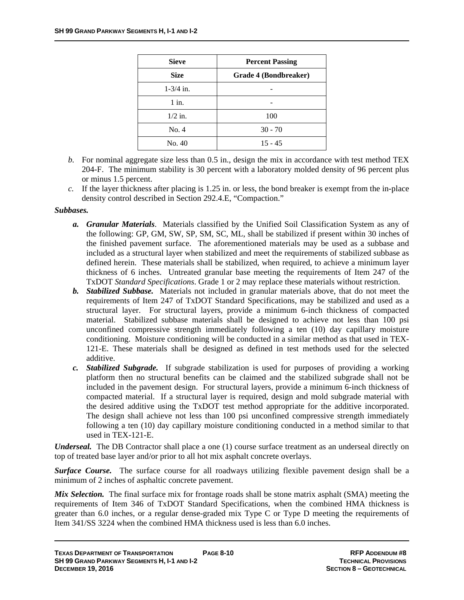| <b>Sieve</b>          | <b>Percent Passing</b> |  |
|-----------------------|------------------------|--|
| <b>Size</b>           | Grade 4 (Bondbreaker)  |  |
| $1 - \frac{3}{4}$ in. |                        |  |
| $1$ in.               |                        |  |
| $1/2$ in.             | 100                    |  |
| No. 4                 | $30 - 70$              |  |
| No. 40                | $15 - 45$              |  |

- *b.* For nominal aggregate size less than 0.5 in., design the mix in accordance with test method TEX 204-F. The minimum stability is 30 percent with a laboratory molded density of 96 percent plus or minus 1.5 percent.
- *c.* If the layer thickness after placing is 1.25 in. or less, the bond breaker is exempt from the in-place density control described in Section 292.4.E, "Compaction."

#### *Subbases.*

- *a. Granular Materials*. Materials classified by the Unified Soil Classification System as any of the following: GP, GM, SW, SP, SM, SC, ML, shall be stabilized if present within 30 inches of the finished pavement surface. The aforementioned materials may be used as a subbase and included as a structural layer when stabilized and meet the requirements of stabilized subbase as defined herein. These materials shall be stabilized, when required, to achieve a minimum layer thickness of 6 inches. Untreated granular base meeting the requirements of Item 247 of the TxDOT *Standard Specifications*. Grade 1 or 2 may replace these materials without restriction.
- *b. Stabilized Subbase.* Materials not included in granular materials above, that do not meet the requirements of Item 247 of TxDOT Standard Specifications, may be stabilized and used as a structural layer. For structural layers, provide a minimum 6-inch thickness of compacted material. Stabilized subbase materials shall be designed to achieve not less than 100 psi unconfined compressive strength immediately following a ten (10) day capillary moisture conditioning. Moisture conditioning will be conducted in a similar method as that used in TEX-121-E. These materials shall be designed as defined in test methods used for the selected additive.
- *c. Stabilized Subgrade.* If subgrade stabilization is used for purposes of providing a working platform then no structural benefits can be claimed and the stabilized subgrade shall not be included in the pavement design. For structural layers, provide a minimum 6-inch thickness of compacted material. If a structural layer is required, design and mold subgrade material with the desired additive using the TxDOT test method appropriate for the additive incorporated. The design shall achieve not less than 100 psi unconfined compressive strength immediately following a ten (10) day capillary moisture conditioning conducted in a method similar to that used in TEX-121-E.

*Underseal.* The DB Contractor shall place a one (1) course surface treatment as an underseal directly on top of treated base layer and/or prior to all hot mix asphalt concrete overlays.

*Surface Course.* The surface course for all roadways utilizing flexible pavement design shall be a minimum of 2 inches of asphaltic concrete pavement.

*Mix Selection.* The final surface mix for frontage roads shall be stone matrix asphalt (SMA) meeting the requirements of Item 346 of TxDOT Standard Specifications, when the combined HMA thickness is greater than 6.0 inches, or a regular dense-graded mix Type C or Type D meeting the requirements of Item 341/SS 3224 when the combined HMA thickness used is less than 6.0 inches.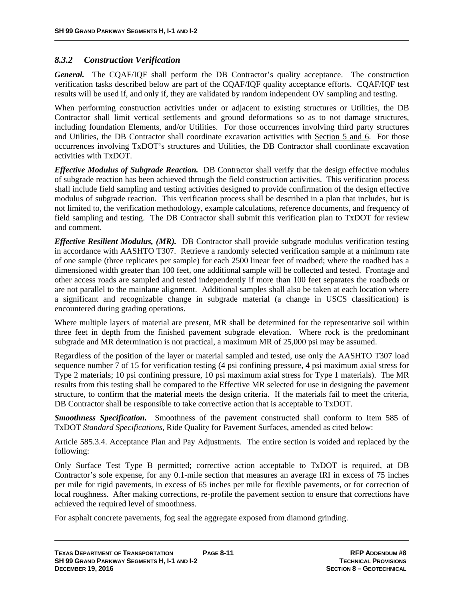### *8.3.2 Construction Verification*

*General.* The CQAF/IQF shall perform the DB Contractor's quality acceptance. The construction verification tasks described below are part of the CQAF/IQF quality acceptance efforts. CQAF/IQF test results will be used if, and only if, they are validated by random independent OV sampling and testing.

When performing construction activities under or adjacent to existing structures or Utilities, the DB Contractor shall limit vertical settlements and ground deformations so as to not damage structures, including foundation Elements, and/or Utilities. For those occurrences involving third party structures and Utilities, the DB Contractor shall coordinate excavation activities with Section 5 and 6. For those occurrences involving TxDOT's structures and Utilities, the DB Contractor shall coordinate excavation activities with TxDOT.

*Effective Modulus of Subgrade Reaction.* DB Contractor shall verify that the design effective modulus of subgrade reaction has been achieved through the field construction activities. This verification process shall include field sampling and testing activities designed to provide confirmation of the design effective modulus of subgrade reaction. This verification process shall be described in a plan that includes, but is not limited to, the verification methodology, example calculations, reference documents, and frequency of field sampling and testing. The DB Contractor shall submit this verification plan to TxDOT for review and comment.

*Effective Resilient Modulus, (MR).* DB Contractor shall provide subgrade modulus verification testing in accordance with AASHTO T307. Retrieve a randomly selected verification sample at a minimum rate of one sample (three replicates per sample) for each 2500 linear feet of roadbed; where the roadbed has a dimensioned width greater than 100 feet, one additional sample will be collected and tested. Frontage and other access roads are sampled and tested independently if more than 100 feet separates the roadbeds or are not parallel to the mainlane alignment. Additional samples shall also be taken at each location where a significant and recognizable change in subgrade material (a change in USCS classification) is encountered during grading operations.

Where multiple layers of material are present, MR shall be determined for the representative soil within three feet in depth from the finished pavement subgrade elevation. Where rock is the predominant subgrade and MR determination is not practical, a maximum MR of 25,000 psi may be assumed.

Regardless of the position of the layer or material sampled and tested, use only the AASHTO T307 load sequence number 7 of 15 for verification testing (4 psi confining pressure, 4 psi maximum axial stress for Type 2 materials; 10 psi confining pressure, 10 psi maximum axial stress for Type 1 materials). The MR results from this testing shall be compared to the Effective MR selected for use in designing the pavement structure, to confirm that the material meets the design criteria. If the materials fail to meet the criteria, DB Contractor shall be responsible to take corrective action that is acceptable to TxDOT.

*Smoothness Specification.* Smoothness of the pavement constructed shall conform to Item 585 of TxDOT *Standard Specifications*, Ride Quality for Pavement Surfaces, amended as cited below:

Article 585.3.4. Acceptance Plan and Pay Adjustments. The entire section is voided and replaced by the following:

Only Surface Test Type B permitted; corrective action acceptable to TxDOT is required, at DB Contractor's sole expense, for any 0.1-mile section that measures an average IRI in excess of 75 inches per mile for rigid pavements, in excess of 65 inches per mile for flexible pavements, or for correction of local roughness. After making corrections, re-profile the pavement section to ensure that corrections have achieved the required level of smoothness.

For asphalt concrete pavements, fog seal the aggregate exposed from diamond grinding.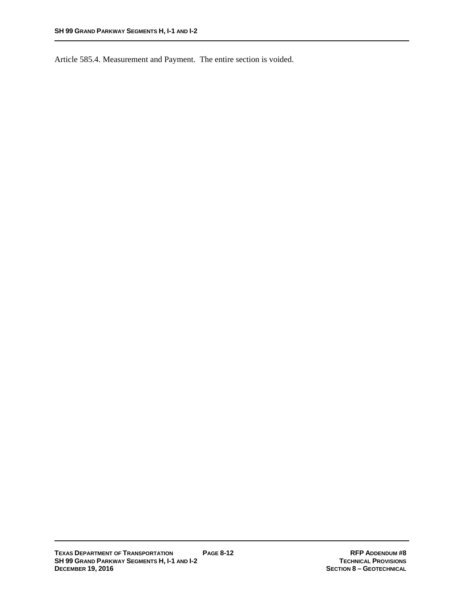Article 585.4. Measurement and Payment. The entire section is voided.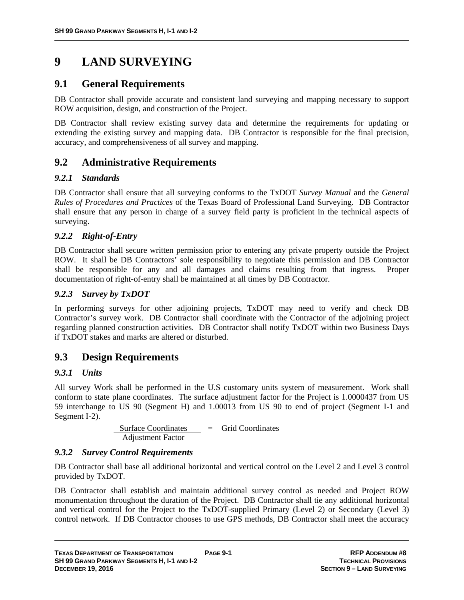# **9 LAND SURVEYING**

# **9.1 General Requirements**

DB Contractor shall provide accurate and consistent land surveying and mapping necessary to support ROW acquisition, design, and construction of the Project.

DB Contractor shall review existing survey data and determine the requirements for updating or extending the existing survey and mapping data. DB Contractor is responsible for the final precision, accuracy, and comprehensiveness of all survey and mapping.

# **9.2 Administrative Requirements**

## *9.2.1 Standards*

DB Contractor shall ensure that all surveying conforms to the TxDOT *Survey Manual* and the *General Rules of Procedures and Practices* of the Texas Board of Professional Land Surveying. DB Contractor shall ensure that any person in charge of a survey field party is proficient in the technical aspects of surveying.

### *9.2.2 Right-of-Entry*

DB Contractor shall secure written permission prior to entering any private property outside the Project ROW. It shall be DB Contractors' sole responsibility to negotiate this permission and DB Contractor shall be responsible for any and all damages and claims resulting from that ingress. Proper documentation of right-of-entry shall be maintained at all times by DB Contractor.

### *9.2.3 Survey by TxDOT*

In performing surveys for other adjoining projects, TxDOT may need to verify and check DB Contractor's survey work. DB Contractor shall coordinate with the Contractor of the adjoining project regarding planned construction activities. DB Contractor shall notify TxDOT within two Business Days if TxDOT stakes and marks are altered or disturbed.

# **9.3 Design Requirements**

## *9.3.1 Units*

All survey Work shall be performed in the U.S customary units system of measurement. Work shall conform to state plane coordinates. The surface adjustment factor for the Project is 1.0000437 from US 59 interchange to US 90 (Segment H) and 1.00013 from US 90 to end of project (Segment I-1 and Segment I-2).

> Surface Coordinates = Grid Coordinates Adjustment Factor

#### *9.3.2 Survey Control Requirements*

DB Contractor shall base all additional horizontal and vertical control on the Level 2 and Level 3 control provided by TxDOT.

DB Contractor shall establish and maintain additional survey control as needed and Project ROW monumentation throughout the duration of the Project. DB Contractor shall tie any additional horizontal and vertical control for the Project to the TxDOT-supplied Primary (Level 2) or Secondary (Level 3) control network. If DB Contractor chooses to use GPS methods, DB Contractor shall meet the accuracy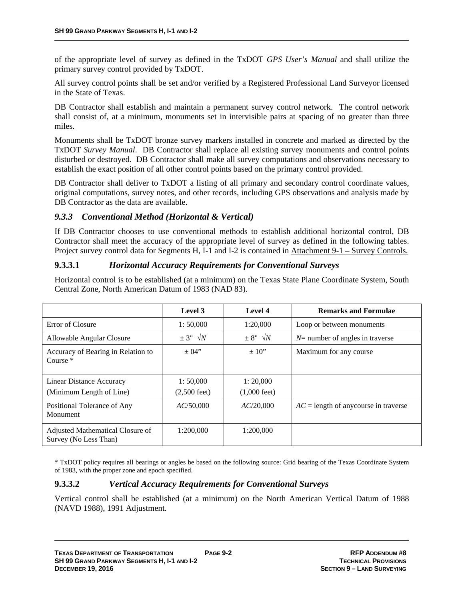of the appropriate level of survey as defined in the TxDOT *GPS User's Manual* and shall utilize the primary survey control provided by TxDOT.

All survey control points shall be set and/or verified by a Registered Professional Land Surveyor licensed in the State of Texas.

DB Contractor shall establish and maintain a permanent survey control network. The control network shall consist of, at a minimum, monuments set in intervisible pairs at spacing of no greater than three miles.

Monuments shall be TxDOT bronze survey markers installed in concrete and marked as directed by the TxDOT *Survey Manual*. DB Contractor shall replace all existing survey monuments and control points disturbed or destroyed. DB Contractor shall make all survey computations and observations necessary to establish the exact position of all other control points based on the primary control provided.

DB Contractor shall deliver to TxDOT a listing of all primary and secondary control coordinate values, original computations, survey notes, and other records, including GPS observations and analysis made by DB Contractor as the data are available.

#### *9.3.3 Conventional Method (Horizontal & Vertical)*

If DB Contractor chooses to use conventional methods to establish additional horizontal control, DB Contractor shall meet the accuracy of the appropriate level of survey as defined in the following tables. Project survey control data for Segments H, I-1 and I-2 is contained in Attachment 9-1 – Survey Controls.

#### **9.3.3.1** *Horizontal Accuracy Requirements for Conventional Surveys*

Horizontal control is to be established (at a minimum) on the Texas State Plane Coordinate System, South Central Zone, North American Datum of 1983 (NAD 83).

|                                                           | Level 3                            | Level 4                            | <b>Remarks and Formulae</b>             |
|-----------------------------------------------------------|------------------------------------|------------------------------------|-----------------------------------------|
| Error of Closure                                          | 1:50,000                           | 1:20,000                           | Loop or between monuments               |
| Allowable Angular Closure                                 | $\pm$ 3" $\sqrt{N}$                | $\pm$ 8" $\sqrt{N}$                | $N$ = number of angles in traverse      |
| Accuracy of Bearing in Relation to<br>Course $*$          | $\pm 04"$                          | $\pm 10"$                          | Maximum for any course                  |
| Linear Distance Accuracy<br>(Minimum Length of Line)      | 1:50,000<br>$(2,500 \text{ feet})$ | 1:20,000<br>$(1,000 \text{ feet})$ |                                         |
| Positional Tolerance of Any<br>Monument                   | AC/50,000                          | AC/20,000                          | $AC =$ length of any course in traverse |
| Adjusted Mathematical Closure of<br>Survey (No Less Than) | 1:200,000                          | 1:200,000                          |                                         |

\* TxDOT policy requires all bearings or angles be based on the following source: Grid bearing of the Texas Coordinate System of 1983, with the proper zone and epoch specified.

#### **9.3.3.2** *Vertical Accuracy Requirements for Conventional Surveys*

Vertical control shall be established (at a minimum) on the North American Vertical Datum of 1988 (NAVD 1988), 1991 Adjustment.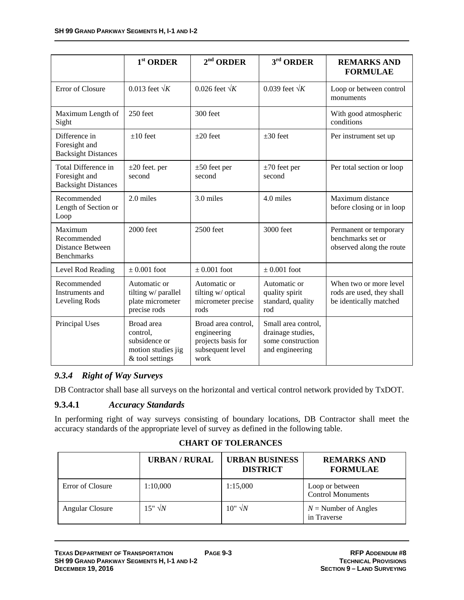|                                                                        | $1st$ ORDER                                                                      | $2nd$ ORDER                                                                          | 3rd ORDER                                                                        | <b>REMARKS AND</b><br><b>FORMULAE</b>                                         |
|------------------------------------------------------------------------|----------------------------------------------------------------------------------|--------------------------------------------------------------------------------------|----------------------------------------------------------------------------------|-------------------------------------------------------------------------------|
| Error of Closure                                                       | 0.013 feet $\sqrt{K}$                                                            | 0.026 feet $\sqrt{K}$                                                                | 0.039 feet $\sqrt{K}$                                                            | Loop or between control<br>monuments                                          |
| Maximum Length of<br>Sight                                             | $250$ feet                                                                       | 300 feet                                                                             |                                                                                  | With good atmospheric<br>conditions                                           |
| Difference in<br>Foresight and<br><b>Backsight Distances</b>           | $\pm 10$ feet                                                                    | $\pm 20$ feet                                                                        | $\pm 30$ feet                                                                    | Per instrument set up                                                         |
| Total Difference in<br>Foresight and<br><b>Backsight Distances</b>     | $\pm 20$ feet. per<br>second                                                     | $\pm 50$ feet per<br>second                                                          | $\pm 70$ feet per<br>second                                                      | Per total section or loop                                                     |
| Recommended<br>Length of Section or<br>Loop                            | 2.0 miles                                                                        | 3.0 miles                                                                            | 4.0 miles                                                                        | Maximum distance<br>before closing or in loop                                 |
| Maximum<br>Recommended<br><b>Distance Between</b><br><b>Benchmarks</b> | 2000 feet                                                                        | 2500 feet                                                                            | 3000 feet                                                                        | Permanent or temporary<br>benchmarks set or<br>observed along the route       |
| Level Rod Reading                                                      | $\pm 0.001$ foot                                                                 | $\pm$ 0.001 foot                                                                     | $\pm 0.001$ foot                                                                 |                                                                               |
| Recommended<br>Instruments and<br>Leveling Rods                        | Automatic or<br>tilting w/ parallel<br>plate micrometer<br>precise rods          | Automatic or<br>tilting w/ optical<br>micrometer precise<br>rods                     | Automatic or<br>quality spirit<br>standard, quality<br>rod                       | When two or more level<br>rods are used, they shall<br>be identically matched |
| Principal Uses                                                         | Broad area<br>control,<br>subsidence or<br>motion studies jig<br>& tool settings | Broad area control,<br>engineering<br>projects basis for<br>subsequent level<br>work | Small area control,<br>drainage studies,<br>some construction<br>and engineering |                                                                               |

# *9.3.4 Right of Way Surveys*

DB Contractor shall base all surveys on the horizontal and vertical control network provided by TxDOT.

#### **9.3.4.1** *Accuracy Standards*

In performing right of way surveys consisting of boundary locations, DB Contractor shall meet the accuracy standards of the appropriate level of survey as defined in the following table.

#### **CHART OF TOLERANCES**

|                  | <b>URBAN/RURAL</b> | <b>URBAN BUSINESS</b><br><b>DISTRICT</b> | <b>REMARKS AND</b><br><b>FORMULAE</b>       |
|------------------|--------------------|------------------------------------------|---------------------------------------------|
| Error of Closure | 1:10,000           | 1:15,000                                 | Loop or between<br><b>Control Monuments</b> |
| Angular Closure  | $15" \sqrt{N}$     | $10" \sqrt{N}$                           | $N =$ Number of Angles<br>in Traverse       |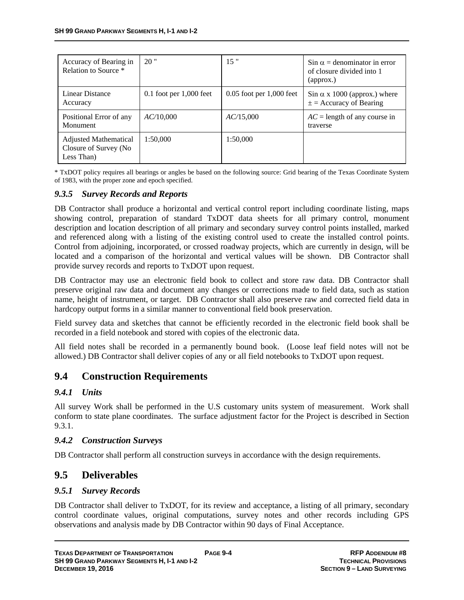| Accuracy of Bearing in<br>Relation to Source *                       | 20"                         | 15"                          | $\sin \alpha =$ denominator in error<br>of closure divided into 1<br>(approx.) |
|----------------------------------------------------------------------|-----------------------------|------------------------------|--------------------------------------------------------------------------------|
| Linear Distance<br>Accuracy                                          | $0.1$ foot per $1,000$ feet | $0.05$ foot per $1,000$ feet | $\sin \alpha$ x 1000 (approx.) where<br>$\pm$ = Accuracy of Bearing            |
| Positional Error of any<br>Monument                                  | AC/10,000                   | AC/15,000                    | $AC =$ length of any course in<br>traverse                                     |
| <b>Adjusted Mathematical</b><br>Closure of Survey (No.<br>Less Than) | 1:50,000                    | 1:50,000                     |                                                                                |

\* TxDOT policy requires all bearings or angles be based on the following source: Grid bearing of the Texas Coordinate System of 1983, with the proper zone and epoch specified.

#### *9.3.5 Survey Records and Reports*

DB Contractor shall produce a horizontal and vertical control report including coordinate listing, maps showing control, preparation of standard TxDOT data sheets for all primary control, monument description and location description of all primary and secondary survey control points installed, marked and referenced along with a listing of the existing control used to create the installed control points. Control from adjoining, incorporated, or crossed roadway projects, which are currently in design, will be located and a comparison of the horizontal and vertical values will be shown. DB Contractor shall provide survey records and reports to TxDOT upon request.

DB Contractor may use an electronic field book to collect and store raw data. DB Contractor shall preserve original raw data and document any changes or corrections made to field data, such as station name, height of instrument, or target. DB Contractor shall also preserve raw and corrected field data in hardcopy output forms in a similar manner to conventional field book preservation.

Field survey data and sketches that cannot be efficiently recorded in the electronic field book shall be recorded in a field notebook and stored with copies of the electronic data.

All field notes shall be recorded in a permanently bound book. (Loose leaf field notes will not be allowed.) DB Contractor shall deliver copies of any or all field notebooks to TxDOT upon request.

# **9.4 Construction Requirements**

#### *9.4.1 Units*

All survey Work shall be performed in the U.S customary units system of measurement. Work shall conform to state plane coordinates. The surface adjustment factor for the Project is described in Section 9.3.1.

#### *9.4.2 Construction Surveys*

DB Contractor shall perform all construction surveys in accordance with the design requirements.

## **9.5 Deliverables**

#### *9.5.1 Survey Records*

DB Contractor shall deliver to TxDOT, for its review and acceptance, a listing of all primary, secondary control coordinate values, original computations, survey notes and other records including GPS observations and analysis made by DB Contractor within 90 days of Final Acceptance.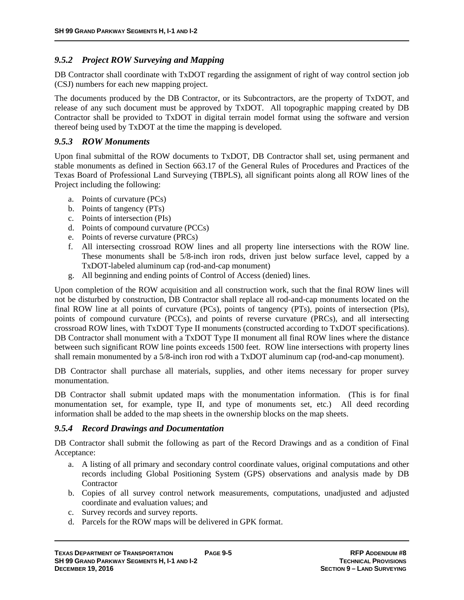#### *9.5.2 Project ROW Surveying and Mapping*

DB Contractor shall coordinate with TxDOT regarding the assignment of right of way control section job (CSJ) numbers for each new mapping project.

The documents produced by the DB Contractor, or its Subcontractors, are the property of TxDOT, and release of any such document must be approved by TxDOT. All topographic mapping created by DB Contractor shall be provided to TxDOT in digital terrain model format using the software and version thereof being used by TxDOT at the time the mapping is developed.

#### *9.5.3 ROW Monuments*

Upon final submittal of the ROW documents to TxDOT, DB Contractor shall set, using permanent and stable monuments as defined in Section 663.17 of the General Rules of Procedures and Practices of the Texas Board of Professional Land Surveying (TBPLS), all significant points along all ROW lines of the Project including the following:

- a. Points of curvature (PCs)
- b. Points of tangency (PTs)
- c. Points of intersection (PIs)
- d. Points of compound curvature (PCCs)
- e. Points of reverse curvature (PRCs)
- f. All intersecting crossroad ROW lines and all property line intersections with the ROW line. These monuments shall be 5/8-inch iron rods, driven just below surface level, capped by a TxDOT-labeled aluminum cap (rod-and-cap monument)
- g. All beginning and ending points of Control of Access (denied) lines.

Upon completion of the ROW acquisition and all construction work, such that the final ROW lines will not be disturbed by construction, DB Contractor shall replace all rod-and-cap monuments located on the final ROW line at all points of curvature (PCs), points of tangency (PTs), points of intersection (PIs), points of compound curvature (PCCs), and points of reverse curvature (PRCs), and all intersecting crossroad ROW lines, with TxDOT Type II monuments (constructed according to TxDOT specifications). DB Contractor shall monument with a TxDOT Type II monument all final ROW lines where the distance between such significant ROW line points exceeds 1500 feet. ROW line intersections with property lines shall remain monumented by a 5/8-inch iron rod with a TxDOT aluminum cap (rod-and-cap monument).

DB Contractor shall purchase all materials, supplies, and other items necessary for proper survey monumentation.

DB Contractor shall submit updated maps with the monumentation information. (This is for final monumentation set, for example, type  $II$ , and type of monuments set, etc.) All deed recording information shall be added to the map sheets in the ownership blocks on the map sheets.

#### *9.5.4 Record Drawings and Documentation*

DB Contractor shall submit the following as part of the Record Drawings and as a condition of Final Acceptance:

- a. A listing of all primary and secondary control coordinate values, original computations and other records including Global Positioning System (GPS) observations and analysis made by DB **Contractor**
- b. Copies of all survey control network measurements, computations, unadjusted and adjusted coordinate and evaluation values; and
- c. Survey records and survey reports.
- d. Parcels for the ROW maps will be delivered in GPK format.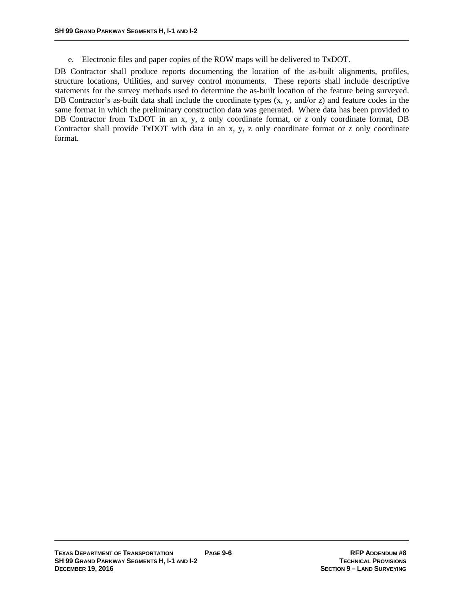e. Electronic files and paper copies of the ROW maps will be delivered to TxDOT.

DB Contractor shall produce reports documenting the location of the as-built alignments, profiles, structure locations, Utilities, and survey control monuments. These reports shall include descriptive statements for the survey methods used to determine the as-built location of the feature being surveyed. DB Contractor's as-built data shall include the coordinate types  $(x, y, and/or z)$  and feature codes in the same format in which the preliminary construction data was generated. Where data has been provided to DB Contractor from TxDOT in an x, y, z only coordinate format, or z only coordinate format, DB Contractor shall provide TxDOT with data in an x, y, z only coordinate format or z only coordinate format.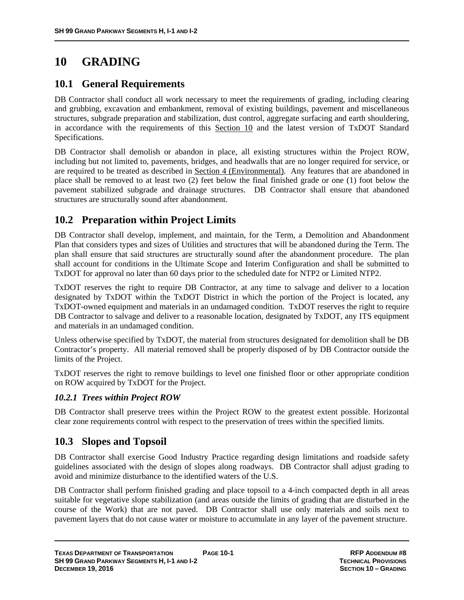# **10 GRADING**

### **10.1 General Requirements**

DB Contractor shall conduct all work necessary to meet the requirements of grading, including clearing and grubbing, excavation and embankment, removal of existing buildings, pavement and miscellaneous structures, subgrade preparation and stabilization, dust control, aggregate surfacing and earth shouldering, in accordance with the requirements of this Section 10 and the latest version of TxDOT Standard Specifications.

DB Contractor shall demolish or abandon in place, all existing structures within the Project ROW, including but not limited to, pavements, bridges, and headwalls that are no longer required for service, or are required to be treated as described in Section 4 (Environmental). Any features that are abandoned in place shall be removed to at least two (2) feet below the final finished grade or one (1) foot below the pavement stabilized subgrade and drainage structures. DB Contractor shall ensure that abandoned structures are structurally sound after abandonment.

# **10.2 Preparation within Project Limits**

DB Contractor shall develop, implement, and maintain, for the Term, a Demolition and Abandonment Plan that considers types and sizes of Utilities and structures that will be abandoned during the Term. The plan shall ensure that said structures are structurally sound after the abandonment procedure. The plan shall account for conditions in the Ultimate Scope and Interim Configuration and shall be submitted to TxDOT for approval no later than 60 days prior to the scheduled date for NTP2 or Limited NTP2.

TxDOT reserves the right to require DB Contractor, at any time to salvage and deliver to a location designated by TxDOT within the TxDOT District in which the portion of the Project is located, any TxDOT-owned equipment and materials in an undamaged condition. TxDOT reserves the right to require DB Contractor to salvage and deliver to a reasonable location, designated by TxDOT, any ITS equipment and materials in an undamaged condition.

Unless otherwise specified by TxDOT, the material from structures designated for demolition shall be DB Contractor's property. All material removed shall be properly disposed of by DB Contractor outside the limits of the Project.

TxDOT reserves the right to remove buildings to level one finished floor or other appropriate condition on ROW acquired by TxDOT for the Project.

### *10.2.1 Trees within Project ROW*

DB Contractor shall preserve trees within the Project ROW to the greatest extent possible. Horizontal clear zone requirements control with respect to the preservation of trees within the specified limits.

## **10.3 Slopes and Topsoil**

DB Contractor shall exercise Good Industry Practice regarding design limitations and roadside safety guidelines associated with the design of slopes along roadways. DB Contractor shall adjust grading to avoid and minimize disturbance to the identified waters of the U.S.

DB Contractor shall perform finished grading and place topsoil to a 4-inch compacted depth in all areas suitable for vegetative slope stabilization (and areas outside the limits of grading that are disturbed in the course of the Work) that are not paved. DB Contractor shall use only materials and soils next to pavement layers that do not cause water or moisture to accumulate in any layer of the pavement structure.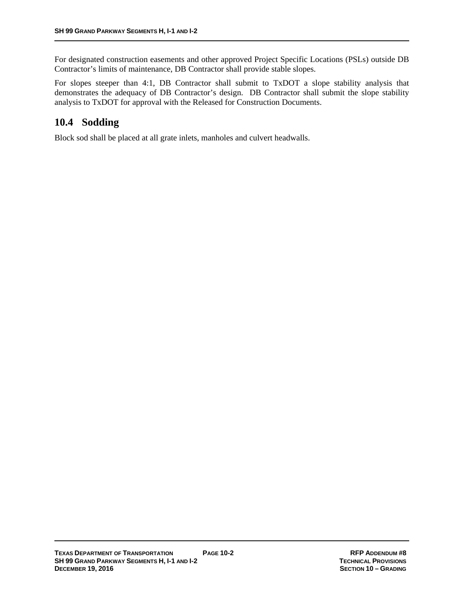For designated construction easements and other approved Project Specific Locations (PSLs) outside DB Contractor's limits of maintenance, DB Contractor shall provide stable slopes.

For slopes steeper than 4:1, DB Contractor shall submit to TxDOT a slope stability analysis that demonstrates the adequacy of DB Contractor's design. DB Contractor shall submit the slope stability analysis to TxDOT for approval with the Released for Construction Documents.

# **10.4 Sodding**

Block sod shall be placed at all grate inlets, manholes and culvert headwalls.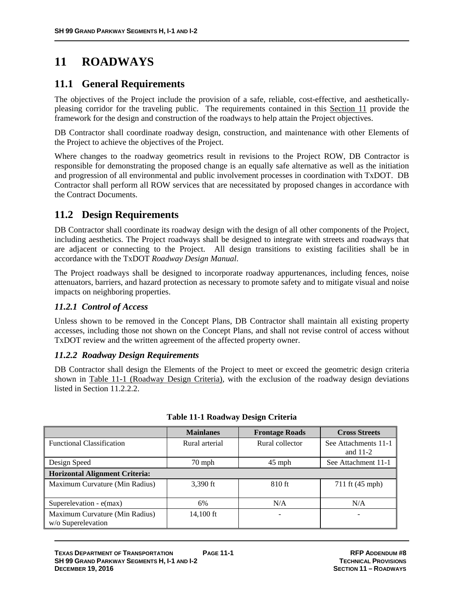# **11 ROADWAYS**

### **11.1 General Requirements**

The objectives of the Project include the provision of a safe, reliable, cost-effective, and aestheticallypleasing corridor for the traveling public. The requirements contained in this Section 11 provide the framework for the design and construction of the roadways to help attain the Project objectives.

DB Contractor shall coordinate roadway design, construction, and maintenance with other Elements of the Project to achieve the objectives of the Project.

Where changes to the roadway geometrics result in revisions to the Project ROW, DB Contractor is responsible for demonstrating the proposed change is an equally safe alternative as well as the initiation and progression of all environmental and public involvement processes in coordination with TxDOT. DB Contractor shall perform all ROW services that are necessitated by proposed changes in accordance with the Contract Documents.

## **11.2 Design Requirements**

DB Contractor shall coordinate its roadway design with the design of all other components of the Project, including aesthetics. The Project roadways shall be designed to integrate with streets and roadways that are adjacent or connecting to the Project. All design transitions to existing facilities shall be in accordance with the TxDOT *Roadway Design Manual*.

The Project roadways shall be designed to incorporate roadway appurtenances, including fences, noise attenuators, barriers, and hazard protection as necessary to promote safety and to mitigate visual and noise impacts on neighboring properties.

### *11.2.1 Control of Access*

Unless shown to be removed in the Concept Plans, DB Contractor shall maintain all existing property accesses, including those not shown on the Concept Plans, and shall not revise control of access without TxDOT review and the written agreement of the affected property owner.

#### *11.2.2 Roadway Design Requirements*

DB Contractor shall design the Elements of the Project to meet or exceed the geometric design criteria shown in Table 11-1 (Roadway Design Criteria), with the exclusion of the roadway design deviations listed in Section 11.2.2.2.

|                                                      | <b>Mainlanes</b> | <b>Frontage Roads</b> | <b>Cross Streets</b>               |
|------------------------------------------------------|------------------|-----------------------|------------------------------------|
| <b>Functional Classification</b>                     | Rural arterial   | Rural collector       | See Attachments 11-1<br>and $11-2$ |
| Design Speed                                         | 70 mph           | $45$ mph              | See Attachment 11-1                |
| <b>Horizontal Alignment Criteria:</b>                |                  |                       |                                    |
| Maximum Curvature (Min Radius)                       | 3,390 ft         | 810 ft                | 711 ft (45 mph)                    |
| Superelevation - $e(max)$                            | 6%               | N/A                   | N/A                                |
| Maximum Curvature (Min Radius)<br>w/o Superelevation | 14,100 ft        |                       | $\overline{\phantom{0}}$           |

#### **Table 11-1 Roadway Design Criteria**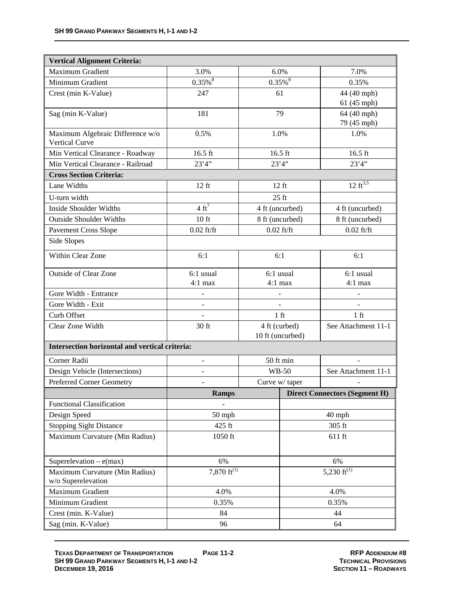| <b>Vertical Alignment Criteria:</b>                  |                             |                  |                   |                                      |
|------------------------------------------------------|-----------------------------|------------------|-------------------|--------------------------------------|
| Maximum Gradient                                     | 3.0%                        | 6.0%             |                   | 7.0%                                 |
| Minimum Gradient                                     | $0.35\%$ <sup>8</sup>       | $0.35\sqrt{8}$   |                   | 0.35%                                |
| Crest (min K-Value)                                  | 247                         | 61               |                   | 44 (40 mph)                          |
|                                                      |                             |                  |                   | 61 (45 mph)                          |
| Sag (min K-Value)                                    | 181                         | 79               |                   | 64 (40 mph)                          |
|                                                      |                             |                  |                   | 79 (45 mph)                          |
| Maximum Algebraic Difference w/o<br>Vertical Curve   | 0.5%                        | 1.0%             |                   | 1.0%                                 |
| Min Vertical Clearance - Roadway                     | $16.5$ ft                   | 16.5 ft          |                   | 16.5 ft                              |
| Min Vertical Clearance - Railroad                    | 23'4''                      | 23'4''           |                   | 23'4''                               |
| <b>Cross Section Criteria:</b>                       |                             |                  |                   |                                      |
| Lane Widths                                          | $12$ ft                     | $12$ ft          |                   | 12 $\overline{ft^{3,5}}$             |
| U-turn width                                         |                             | $25$ ft          |                   |                                      |
| <b>Inside Shoulder Widths</b>                        | $4 \text{ ft}^7$            | 4 ft (uncurbed)  |                   | 4 ft (uncurbed)                      |
| <b>Outside Shoulder Widths</b>                       | $10$ ft                     | 8 ft (uncurbed)  |                   | 8 ft (uncurbed)                      |
| <b>Pavement Cross Slope</b>                          | $0.02$ ft/ft                | $0.02$ ft/ft     |                   | $0.02$ ft/ft                         |
| Side Slopes                                          |                             |                  |                   |                                      |
| Within Clear Zone                                    | 6:1                         | 6:1              |                   | 6:1                                  |
| <b>Outside of Clear Zone</b>                         | 6:1 usual                   | 6:1 usual        |                   | 6:1 usual                            |
|                                                      | $4:1$ max                   | $4:1$ max        |                   | $4:1$ max                            |
| Gore Width - Entrance                                |                             |                  |                   |                                      |
| Gore Width - Exit                                    |                             |                  |                   |                                      |
| Curb Offset                                          |                             | $1$ ft           |                   | $1 \text{ ft}$                       |
| Clear Zone Width                                     | 30 ft                       | 4 ft (curbed)    |                   | See Attachment 11-1                  |
|                                                      |                             | 10 ft (uncurbed) |                   |                                      |
| Intersection horizontal and vertical criteria:       |                             |                  |                   |                                      |
| Corner Radii                                         |                             | 50 ft min        |                   |                                      |
| Design Vehicle (Intersections)                       |                             | <b>WB-50</b>     |                   | See Attachment 11-1                  |
| Preferred Corner Geometry                            | $\overline{\phantom{0}}$    | Curve w/ taper   |                   |                                      |
|                                                      | <b>Ramps</b>                |                  |                   | <b>Direct Connectors (Segment H)</b> |
| <b>Functional Classification</b>                     |                             |                  |                   |                                      |
| Design Speed                                         | 50 mph                      |                  |                   | 40 mph                               |
| <b>Stopping Sight Distance</b>                       | 425 ft                      |                  |                   | 305 ft                               |
| Maximum Curvature (Min Radius)                       | 1050 ft                     |                  |                   | $611$ ft                             |
| Superelevation $-e(max)$                             | 6%                          |                  |                   | 6%                                   |
| Maximum Curvature (Min Radius)<br>w/o Superelevation | 7,870 $\overline{ft^{(1)}}$ |                  | 5,230 ft $^{(1)}$ |                                      |
| Maximum Gradient                                     | 4.0%                        |                  |                   | 4.0%                                 |
| Minimum Gradient                                     | 0.35%                       |                  |                   | 0.35%                                |
| Crest (min. K-Value)                                 | 84                          |                  |                   | 44                                   |
| Sag (min. K-Value)                                   | 96                          |                  | 64                |                                      |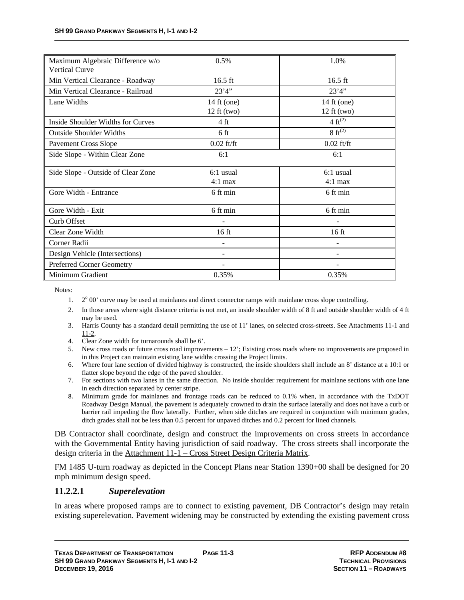| Maximum Algebraic Difference w/o<br><b>Vertical Curve</b> | 0.5%                     | 1.0%                  |
|-----------------------------------------------------------|--------------------------|-----------------------|
| Min Vertical Clearance - Roadway                          | $16.5$ ft                | $16.5$ ft             |
| Min Vertical Clearance - Railroad                         | 23'4''                   | 23'4''                |
| Lane Widths                                               | 14 ft (one)              | 14 ft (one)           |
|                                                           | $12 \text{ ft}$ (two)    | $12 \text{ ft}$ (two) |
| Inside Shoulder Widths for Curves                         | 4 ft                     | 4 $ft^{(2)}$          |
| <b>Outside Shoulder Widths</b>                            | 6 ft                     | $8 \text{ ft}^{(2)}$  |
| <b>Pavement Cross Slope</b>                               | $0.02$ ft/ft             | $0.02$ ft/ft          |
| Side Slope - Within Clear Zone                            | 6:1                      | 6:1                   |
| Side Slope - Outside of Clear Zone                        | $6:1$ usual              | $6:1$ usual           |
|                                                           | $4:1$ max                | $4:1$ max             |
| Gore Width - Entrance                                     | 6 ft min                 | 6 ft min              |
| Gore Width - Exit                                         | 6 ft min                 | 6 ft min              |
| Curb Offset                                               |                          |                       |
| Clear Zone Width                                          | 16 <sub>ft</sub>         | $16$ ft               |
| Corner Radii                                              | $\overline{\phantom{0}}$ |                       |
| Design Vehicle (Intersections)                            |                          |                       |
| <b>Preferred Corner Geometry</b>                          |                          |                       |
| Minimum Gradient                                          | 0.35%                    | 0.35%                 |

Notes:

- 1. 2<sup>o</sup> 00' curve may be used at mainlanes and direct connector ramps with mainlane cross slope controlling.
- 2. In those areas where sight distance criteria is not met, an inside shoulder width of 8 ft and outside shoulder width of 4 ft may be used.
- 3. Harris County has a standard detail permitting the use of 11' lanes, on selected cross-streets. See Attachments 11-1 and 11-2.
- 4. Clear Zone width for turnarounds shall be 6'.
- 5. New cross roads or future cross road improvements 12'; Existing cross roads where no improvements are proposed in in this Project can maintain existing lane widths crossing the Project limits.
- 6. Where four lane section of divided highway is constructed, the inside shoulders shall include an 8' distance at a 10:1 or flatter slope beyond the edge of the paved shoulder.
- 7. For sections with two lanes in the same direction. No inside shoulder requirement for mainlane sections with one lane in each direction separated by center stripe.
- 8. Minimum grade for mainlanes and frontage roads can be reduced to 0.1% when, in accordance with the TxDOT Roadway Design Manual, the pavement is adequately crowned to drain the surface laterally and does not have a curb or barrier rail impeding the flow laterally. Further, when side ditches are required in conjunction with minimum grades, ditch grades shall not be less than 0.5 percent for unpaved ditches and 0.2 percent for lined channels.

DB Contractor shall coordinate, design and construct the improvements on cross streets in accordance with the Governmental Entity having jurisdiction of said roadway. The cross streets shall incorporate the design criteria in the Attachment 11-1 – Cross Street Design Criteria Matrix.

FM 1485 U-turn roadway as depicted in the Concept Plans near Station 1390+00 shall be designed for 20 mph minimum design speed.

#### **11.2.2.1** *Superelevation*

In areas where proposed ramps are to connect to existing pavement, DB Contractor's design may retain existing superelevation. Pavement widening may be constructed by extending the existing pavement cross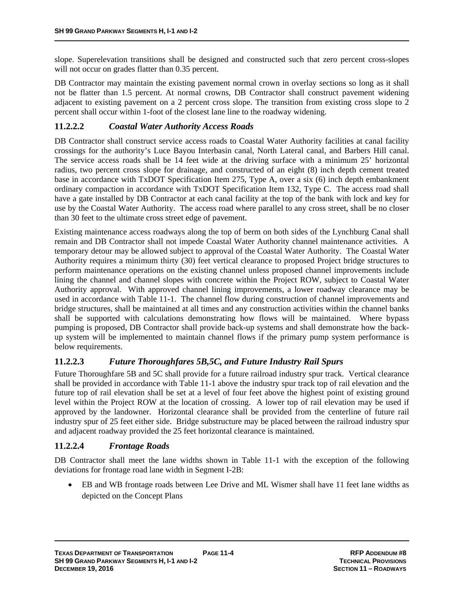slope. Superelevation transitions shall be designed and constructed such that zero percent cross-slopes will not occur on grades flatter than 0.35 percent.

DB Contractor may maintain the existing pavement normal crown in overlay sections so long as it shall not be flatter than 1.5 percent. At normal crowns, DB Contractor shall construct pavement widening adjacent to existing pavement on a 2 percent cross slope. The transition from existing cross slope to 2 percent shall occur within 1-foot of the closest lane line to the roadway widening.

### **11.2.2.2** *Coastal Water Authority Access Roads*

DB Contractor shall construct service access roads to Coastal Water Authority facilities at canal facility crossings for the authority's Luce Bayou Interbasin canal, North Lateral canal, and Barbers Hill canal. The service access roads shall be 14 feet wide at the driving surface with a minimum 25' horizontal radius, two percent cross slope for drainage, and constructed of an eight (8) inch depth cement treated base in accordance with TxDOT Specification Item 275, Type A, over a six (6) inch depth embankment ordinary compaction in accordance with TxDOT Specification Item 132, Type C. The access road shall have a gate installed by DB Contractor at each canal facility at the top of the bank with lock and key for use by the Coastal Water Authority. The access road where parallel to any cross street, shall be no closer than 30 feet to the ultimate cross street edge of pavement.

Existing maintenance access roadways along the top of berm on both sides of the Lynchburg Canal shall remain and DB Contractor shall not impede Coastal Water Authority channel maintenance activities. A temporary detour may be allowed subject to approval of the Coastal Water Authority. The Coastal Water Authority requires a minimum thirty (30) feet vertical clearance to proposed Project bridge structures to perform maintenance operations on the existing channel unless proposed channel improvements include lining the channel and channel slopes with concrete within the Project ROW, subject to Coastal Water Authority approval. With approved channel lining improvements, a lower roadway clearance may be used in accordance with Table 11-1. The channel flow during construction of channel improvements and bridge structures, shall be maintained at all times and any construction activities within the channel banks shall be supported with calculations demonstrating how flows will be maintained. Where bypass pumping is proposed, DB Contractor shall provide back-up systems and shall demonstrate how the backup system will be implemented to maintain channel flows if the primary pump system performance is below requirements.

### **11.2.2.3** *Future Thoroughfares 5B,5C, and Future Industry Rail Spurs*

Future Thoroughfare 5B and 5C shall provide for a future railroad industry spur track. Vertical clearance shall be provided in accordance with Table 11-1 above the industry spur track top of rail elevation and the future top of rail elevation shall be set at a level of four feet above the highest point of existing ground level within the Project ROW at the location of crossing. A lower top of rail elevation may be used if approved by the landowner. Horizontal clearance shall be provided from the centerline of future rail industry spur of 25 feet either side. Bridge substructure may be placed between the railroad industry spur and adjacent roadway provided the 25 feet horizontal clearance is maintained.

### **11.2.2.4** *Frontage Roads*

DB Contractor shall meet the lane widths shown in Table 11-1 with the exception of the following deviations for frontage road lane width in Segment I-2B:

 EB and WB frontage roads between Lee Drive and ML Wismer shall have 11 feet lane widths as depicted on the Concept Plans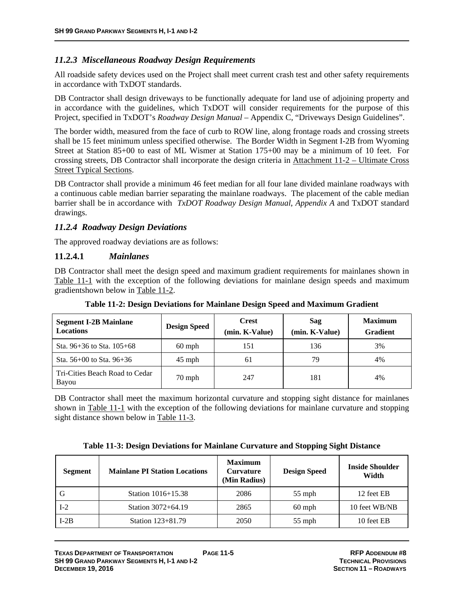#### *11.2.3 Miscellaneous Roadway Design Requirements*

All roadside safety devices used on the Project shall meet current crash test and other safety requirements in accordance with TxDOT standards.

DB Contractor shall design driveways to be functionally adequate for land use of adjoining property and in accordance with the guidelines, which TxDOT will consider requirements for the purpose of this Project, specified in TxDOT's *Roadway Design Manual* – Appendix C, "Driveways Design Guidelines".

The border width, measured from the face of curb to ROW line, along frontage roads and crossing streets shall be 15 feet minimum unless specified otherwise. The Border Width in Segment I-2B from Wyoming Street at Station 85+00 to east of ML Wismer at Station 175+00 may be a minimum of 10 feet. For crossing streets, DB Contractor shall incorporate the design criteria in Attachment 11-2 – Ultimate Cross Street Typical Sections.

DB Contractor shall provide a minimum 46 feet median for all four lane divided mainlane roadways with a continuous cable median barrier separating the mainlane roadways. The placement of the cable median barrier shall be in accordance with *TxDOT Roadway Design Manual*, *Appendix A* and TxDOT standard drawings.

#### *11.2.4 Roadway Design Deviations*

The approved roadway deviations are as follows:

#### **11.2.4.1** *Mainlanes*

DB Contractor shall meet the design speed and maximum gradient requirements for mainlanes shown in Table 11-1 with the exception of the following deviations for mainlane design speeds and maximum gradientshown below in Table 11-2.

| <b>Segment I-2B Mainlane</b><br><b>Locations</b> | <b>Design Speed</b> | <b>Crest</b><br>(min. K-Value) | Sag<br>(min. K-Value) | <b>Maximum</b><br><b>Gradient</b> |
|--------------------------------------------------|---------------------|--------------------------------|-----------------------|-----------------------------------|
| Sta. $96+36$ to Sta. $105+68$                    | $60$ mph            | 151                            | 136                   | 3%                                |
| Sta. $56+00$ to Sta. $96+36$                     | $45$ mph            | 61                             | 79                    | 4%                                |
| Tri-Cities Beach Road to Cedar<br>Bayou          | $70$ mph            | 247                            | 181                   | 4%                                |

**Table 11-2: Design Deviations for Mainlane Design Speed and Maximum Gradient** 

DB Contractor shall meet the maximum horizontal curvature and stopping sight distance for mainlanes shown in Table 11-1 with the exception of the following deviations for mainlane curvature and stopping sight distance shown below in Table 11-3.

|  |  |  | Table 11-3: Design Deviations for Mainlane Curvature and Stopping Sight Distance |
|--|--|--|----------------------------------------------------------------------------------|
|  |  |  |                                                                                  |

| <b>Segment</b> | <b>Mainlane PI Station Locations</b> | <b>Maximum</b><br><b>Curvature</b><br>(Min Radius) | <b>Design Speed</b> | <b>Inside Shoulder</b><br>Width |
|----------------|--------------------------------------|----------------------------------------------------|---------------------|---------------------------------|
|                | Station $1016 + 15.38$               | 2086                                               | $55$ mph            | 12 feet EB                      |
| $I-2$          | Station 3072+64.19                   | 2865                                               | $60$ mph            | 10 feet WB/NB                   |
| $I-2B$         | Station 123+81.79                    | 2050                                               | $55$ mph            | 10 feet EB                      |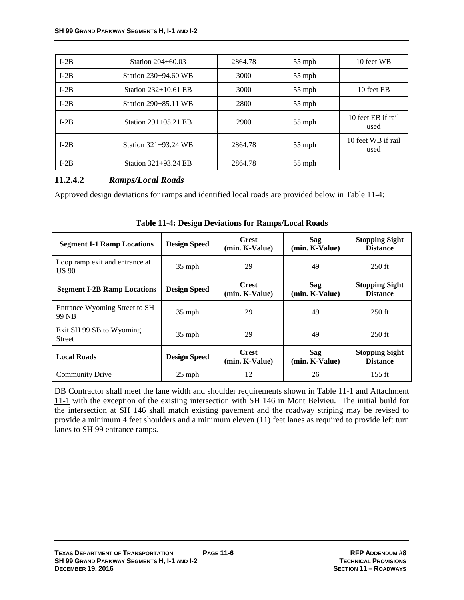| $I-2B$ | Station 204+60.03      | 2864.78 | $55$ mph | 10 feet WB                 |
|--------|------------------------|---------|----------|----------------------------|
| $I-2B$ | Station $230+94.60$ WB | 3000    | 55 mph   |                            |
| $I-2B$ | Station 232+10.61 EB   | 3000    | 55 mph   | 10 feet EB                 |
| $I-2B$ | Station 290+85.11 WB   | 2800    | 55 mph   |                            |
| $I-2B$ | Station 291+05.21 EB   | 2900    | $55$ mph | 10 feet EB if rail<br>used |
| $I-2B$ | Station 321+93.24 WB   | 2864.78 | $55$ mph | 10 feet WB if rail<br>used |
| $I-2B$ | Station 321+93.24 EB   | 2864.78 | $55$ mph |                            |

#### **11.2.4.2** *Ramps/Local Roads*

Approved design deviations for ramps and identified local roads are provided below in Table 11-4:

| <b>Segment I-1 Ramp Locations</b>              | <b>Design Speed</b> | <b>Crest</b><br>(min. K-Value) | Sag<br>(min. K-Value) | <b>Stopping Sight</b><br><b>Distance</b> |
|------------------------------------------------|---------------------|--------------------------------|-----------------------|------------------------------------------|
| Loop ramp exit and entrance at<br><b>US 90</b> | $35$ mph            | 29                             | 49                    | $250$ ft                                 |
| <b>Segment I-2B Ramp Locations</b>             | <b>Design Speed</b> | <b>Crest</b><br>(min. K-Value) | Sag<br>(min. K-Value) | <b>Stopping Sight</b><br><b>Distance</b> |
| Entrance Wyoming Street to SH<br>99 NB         | $35$ mph            | 29                             | 49                    | $250$ ft                                 |
| Exit SH 99 SB to Wyoming<br><b>Street</b>      | $35$ mph            | 29                             | 49                    | $250$ ft                                 |
| <b>Local Roads</b>                             | <b>Design Speed</b> | <b>Crest</b><br>(min. K-Value) | Sag<br>(min. K-Value) | <b>Stopping Sight</b><br><b>Distance</b> |
| <b>Community Drive</b>                         | $25$ mph            | 12                             | 26                    | $155$ ft                                 |

**Table 11-4: Design Deviations for Ramps/Local Roads** 

DB Contractor shall meet the lane width and shoulder requirements shown in Table 11-1 and Attachment 11-1 with the exception of the existing intersection with SH 146 in Mont Belvieu. The initial build for the intersection at SH 146 shall match existing pavement and the roadway striping may be revised to provide a minimum 4 feet shoulders and a minimum eleven (11) feet lanes as required to provide left turn lanes to SH 99 entrance ramps.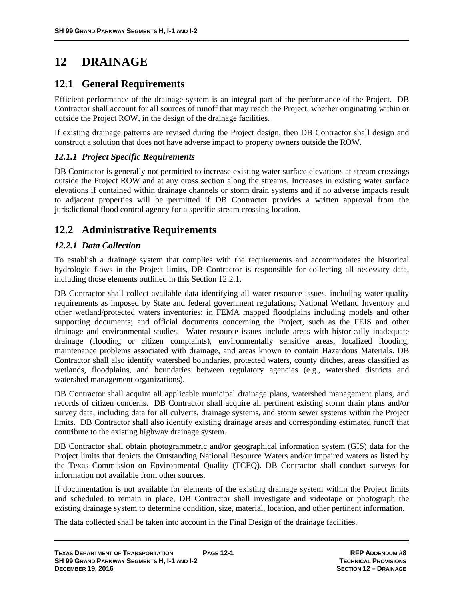# **12 DRAINAGE**

## **12.1 General Requirements**

Efficient performance of the drainage system is an integral part of the performance of the Project. DB Contractor shall account for all sources of runoff that may reach the Project, whether originating within or outside the Project ROW, in the design of the drainage facilities.

If existing drainage patterns are revised during the Project design, then DB Contractor shall design and construct a solution that does not have adverse impact to property owners outside the ROW.

### *12.1.1 Project Specific Requirements*

DB Contractor is generally not permitted to increase existing water surface elevations at stream crossings outside the Project ROW and at any cross section along the streams. Increases in existing water surface elevations if contained within drainage channels or storm drain systems and if no adverse impacts result to adjacent properties will be permitted if DB Contractor provides a written approval from the jurisdictional flood control agency for a specific stream crossing location.

## **12.2 Administrative Requirements**

### *12.2.1 Data Collection*

To establish a drainage system that complies with the requirements and accommodates the historical hydrologic flows in the Project limits, DB Contractor is responsible for collecting all necessary data, including those elements outlined in this Section 12.2.1.

DB Contractor shall collect available data identifying all water resource issues, including water quality requirements as imposed by State and federal government regulations; National Wetland Inventory and other wetland/protected waters inventories; in FEMA mapped floodplains including models and other supporting documents; and official documents concerning the Project, such as the FEIS and other drainage and environmental studies. Water resource issues include areas with historically inadequate drainage (flooding or citizen complaints), environmentally sensitive areas, localized flooding, maintenance problems associated with drainage, and areas known to contain Hazardous Materials. DB Contractor shall also identify watershed boundaries, protected waters, county ditches, areas classified as wetlands, floodplains, and boundaries between regulatory agencies (e.g., watershed districts and watershed management organizations).

DB Contractor shall acquire all applicable municipal drainage plans, watershed management plans, and records of citizen concerns. DB Contractor shall acquire all pertinent existing storm drain plans and/or survey data, including data for all culverts, drainage systems, and storm sewer systems within the Project limits. DB Contractor shall also identify existing drainage areas and corresponding estimated runoff that contribute to the existing highway drainage system.

DB Contractor shall obtain photogrammetric and/or geographical information system (GIS) data for the Project limits that depicts the Outstanding National Resource Waters and/or impaired waters as listed by the Texas Commission on Environmental Quality (TCEQ). DB Contractor shall conduct surveys for information not available from other sources.

If documentation is not available for elements of the existing drainage system within the Project limits and scheduled to remain in place, DB Contractor shall investigate and videotape or photograph the existing drainage system to determine condition, size, material, location, and other pertinent information.

The data collected shall be taken into account in the Final Design of the drainage facilities.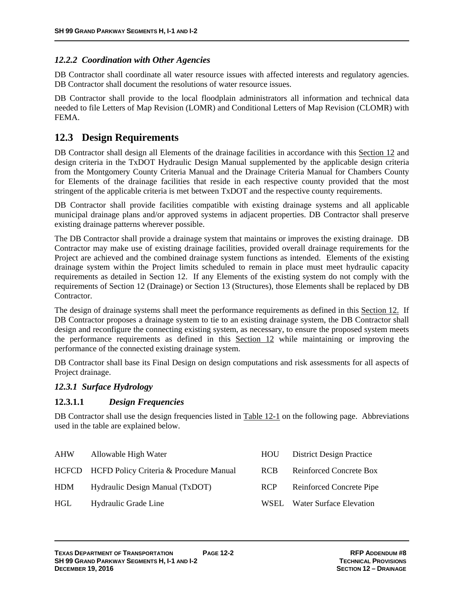#### *12.2.2 Coordination with Other Agencies*

DB Contractor shall coordinate all water resource issues with affected interests and regulatory agencies. DB Contractor shall document the resolutions of water resource issues.

DB Contractor shall provide to the local floodplain administrators all information and technical data needed to file Letters of Map Revision (LOMR) and Conditional Letters of Map Revision (CLOMR) with FEMA.

### **12.3 Design Requirements**

DB Contractor shall design all Elements of the drainage facilities in accordance with this Section 12 and design criteria in the TxDOT Hydraulic Design Manual supplemented by the applicable design criteria from the Montgomery County Criteria Manual and the Drainage Criteria Manual for Chambers County for Elements of the drainage facilities that reside in each respective county provided that the most stringent of the applicable criteria is met between TxDOT and the respective county requirements.

DB Contractor shall provide facilities compatible with existing drainage systems and all applicable municipal drainage plans and/or approved systems in adjacent properties. DB Contractor shall preserve existing drainage patterns wherever possible.

The DB Contractor shall provide a drainage system that maintains or improves the existing drainage. DB Contractor may make use of existing drainage facilities, provided overall drainage requirements for the Project are achieved and the combined drainage system functions as intended. Elements of the existing drainage system within the Project limits scheduled to remain in place must meet hydraulic capacity requirements as detailed in Section 12. If any Elements of the existing system do not comply with the requirements of Section 12 (Drainage) or Section 13 (Structures), those Elements shall be replaced by DB Contractor.

The design of drainage systems shall meet the performance requirements as defined in this Section 12. If DB Contractor proposes a drainage system to tie to an existing drainage system, the DB Contractor shall design and reconfigure the connecting existing system, as necessary, to ensure the proposed system meets the performance requirements as defined in this Section 12 while maintaining or improving the performance of the connected existing drainage system.

DB Contractor shall base its Final Design on design computations and risk assessments for all aspects of Project drainage.

#### *12.3.1 Surface Hydrology*

#### **12.3.1.1** *Design Frequencies*

DB Contractor shall use the design frequencies listed in Table 12-1 on the following page. Abbreviations used in the table are explained below.

| AHW | Allowable High Water                          | <b>HOU</b> | <b>District Design Practice</b> |
|-----|-----------------------------------------------|------------|---------------------------------|
|     | HCFCD HCFD Policy Criteria & Procedure Manual | <b>RCB</b> | Reinforced Concrete Box         |
| HDM | Hydraulic Design Manual (TxDOT)               | <b>RCP</b> | Reinforced Concrete Pipe        |
| HGL | Hydraulic Grade Line                          | WSEL.      | <b>Water Surface Elevation</b>  |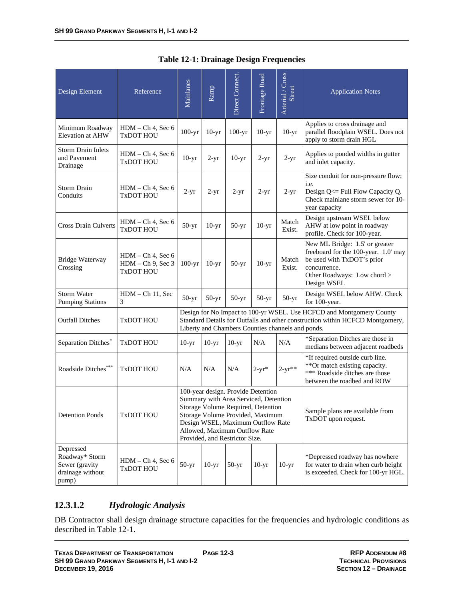| Design Element                                                             | Reference                                                       | Mainlanes                                                                                                                                                                                                                                                     | Ramp    | Direct Connect. | Frontage Road | Arterial / Cross<br><b>Street</b>                      | <b>Application Notes</b>                                                                                                                                           |
|----------------------------------------------------------------------------|-----------------------------------------------------------------|---------------------------------------------------------------------------------------------------------------------------------------------------------------------------------------------------------------------------------------------------------------|---------|-----------------|---------------|--------------------------------------------------------|--------------------------------------------------------------------------------------------------------------------------------------------------------------------|
| Minimum Roadway<br><b>Elevation at AHW</b>                                 | $HDM - Ch$ 4, Sec 6<br><b>TxDOT HOU</b>                         | $100-yr$                                                                                                                                                                                                                                                      | $10-yr$ | $100-yr$        | $10-yr$       | $10-yr$                                                | Applies to cross drainage and<br>parallel floodplain WSEL. Does not<br>apply to storm drain HGL                                                                    |
| <b>Storm Drain Inlets</b><br>and Pavement<br>Drainage                      | HDM - Ch 4, Sec 6<br><b>TxDOT HOU</b>                           | $10-yr$                                                                                                                                                                                                                                                       | $2-yr$  | $10-yr$         | $2-yr$        | $2-yr$                                                 | Applies to ponded widths in gutter<br>and inlet capacity.                                                                                                          |
| <b>Storm Drain</b><br>Conduits                                             | $HDM - Ch 4$ , Sec 6<br><b>TxDOT HOU</b>                        | $2-yr$                                                                                                                                                                                                                                                        | $2-yr$  | $2-yr$          | $2-yr$        | $2-yr$                                                 | Size conduit for non-pressure flow;<br>i.e.<br>Design Q<= Full Flow Capacity Q.<br>Check mainlane storm sewer for 10-<br>year capacity                             |
| <b>Cross Drain Culverts</b>                                                | $HDM - Ch$ 4, Sec 6<br>TxDOT HOU                                | $50-yr$                                                                                                                                                                                                                                                       | $10-yr$ | $50-yr$         | $10-yr$       | Match<br>Exist.                                        | Design upstream WSEL below<br>AHW at low point in roadway<br>profile. Check for 100-year.                                                                          |
| <b>Bridge Waterway</b><br>Crossing                                         | $HDM - Ch 4$ , Sec 6<br>$HDM - Ch$ 9, Sec 3<br><b>TxDOT HOU</b> | $100-yr$                                                                                                                                                                                                                                                      | $10-yr$ | $50-yr$         | $10-yr$       | Match<br>Exist.                                        | New ML Bridge: 1.5' or greater<br>freeboard for the 100-year. 1.0' may<br>be used with TxDOT's prior<br>concurrence.<br>Other Roadways: Low chord ><br>Design WSEL |
| <b>Storm Water</b><br><b>Pumping Stations</b>                              | $HDM - Ch 11$ , Sec<br>3                                        | $50-yr$                                                                                                                                                                                                                                                       | $50-yr$ | $50-yr$         | $50-yr$       | $50-yr$                                                | Design WSEL below AHW. Check<br>for 100-year.                                                                                                                      |
| <b>Outfall Ditches</b>                                                     | <b>TxDOT HOU</b>                                                |                                                                                                                                                                                                                                                               |         |                 |               | Liberty and Chambers Counties channels and ponds.      | Design for No Impact to 100-yr WSEL. Use HCFCD and Montgomery County<br>Standard Details for Outfalls and other construction within HCFCD Montgomery,              |
| Separation Ditches <sup>®</sup>                                            | <b>TxDOT HOU</b>                                                | $10-yr$                                                                                                                                                                                                                                                       | $10-yr$ | $10-yr$         | N/A           | N/A                                                    | *Separation Ditches are those in<br>medians between adjacent roadbeds                                                                                              |
| Roadside Ditches***                                                        | <b>TxDOT HOU</b>                                                | N/A                                                                                                                                                                                                                                                           | N/A     | N/A             | $2-yr*$       | $2 - yr^{**}$                                          | *If required outside curb line.<br>**Or match existing capacity.<br>*** Roadside ditches are those<br>between the roadbed and ROW                                  |
| <b>Detention Ponds</b>                                                     | TxDOT HOU                                                       | 100-year design. Provide Detention<br>Summary with Area Serviced, Detention<br>Storage Volume Required, Detention<br>Storage Volume Provided, Maximum<br>Design WSEL, Maximum Outflow Rate<br>Allowed, Maximum Outflow Rate<br>Provided, and Restrictor Size. |         |                 |               | Sample plans are available from<br>TxDOT upon request. |                                                                                                                                                                    |
| Depressed<br>Roadway* Storm<br>Sewer (gravity<br>drainage without<br>pump) | $HDM - Ch 4$ , Sec 6<br><b>TxDOT HOU</b>                        | $50-yr$                                                                                                                                                                                                                                                       | $10-yr$ | $50-yr$         | $10-yr$       | $10-yr$                                                | *Depressed roadway has nowhere<br>for water to drain when curb height<br>is exceeded. Check for 100-yr HGL.                                                        |

#### **Table 12-1: Drainage Design Frequencies**

### **12.3.1.2** *Hydrologic Analysis*

DB Contractor shall design drainage structure capacities for the frequencies and hydrologic conditions as described in Table 12-1.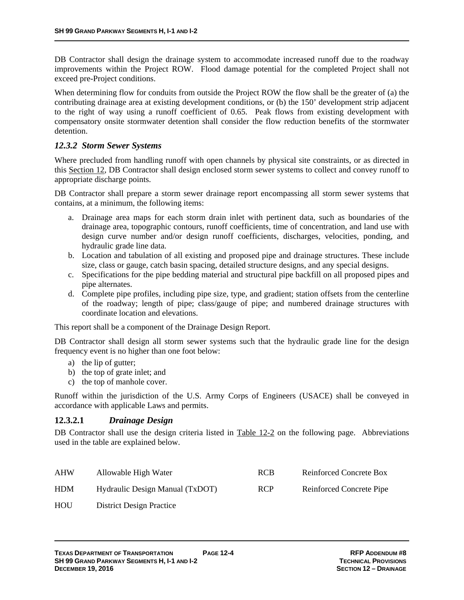DB Contractor shall design the drainage system to accommodate increased runoff due to the roadway improvements within the Project ROW. Flood damage potential for the completed Project shall not exceed pre-Project conditions.

When determining flow for conduits from outside the Project ROW the flow shall be the greater of (a) the contributing drainage area at existing development conditions, or (b) the 150' development strip adjacent to the right of way using a runoff coefficient of 0.65. Peak flows from existing development with compensatory onsite stormwater detention shall consider the flow reduction benefits of the stormwater detention.

### *12.3.2 Storm Sewer Systems*

Where precluded from handling runoff with open channels by physical site constraints, or as directed in this Section 12, DB Contractor shall design enclosed storm sewer systems to collect and convey runoff to appropriate discharge points.

DB Contractor shall prepare a storm sewer drainage report encompassing all storm sewer systems that contains, at a minimum, the following items:

- a. Drainage area maps for each storm drain inlet with pertinent data, such as boundaries of the drainage area, topographic contours, runoff coefficients, time of concentration, and land use with design curve number and/or design runoff coefficients, discharges, velocities, ponding, and hydraulic grade line data.
- b. Location and tabulation of all existing and proposed pipe and drainage structures. These include size, class or gauge, catch basin spacing, detailed structure designs, and any special designs.
- c. Specifications for the pipe bedding material and structural pipe backfill on all proposed pipes and pipe alternates.
- d. Complete pipe profiles, including pipe size, type, and gradient; station offsets from the centerline of the roadway; length of pipe; class/gauge of pipe; and numbered drainage structures with coordinate location and elevations.

This report shall be a component of the Drainage Design Report.

DB Contractor shall design all storm sewer systems such that the hydraulic grade line for the design frequency event is no higher than one foot below:

- a) the lip of gutter;
- b) the top of grate inlet; and
- c) the top of manhole cover.

Runoff within the jurisdiction of the U.S. Army Corps of Engineers (USACE) shall be conveyed in accordance with applicable Laws and permits.

### **12.3.2.1** *Drainage Design*

DB Contractor shall use the design criteria listed in Table 12-2 on the following page. Abbreviations used in the table are explained below.

| AHW        | Allowable High Water            | <b>RCB</b> | Reinforced Concrete Box  |
|------------|---------------------------------|------------|--------------------------|
| <b>HDM</b> | Hydraulic Design Manual (TxDOT) | <b>RCP</b> | Reinforced Concrete Pipe |
| HOU        | <b>District Design Practice</b> |            |                          |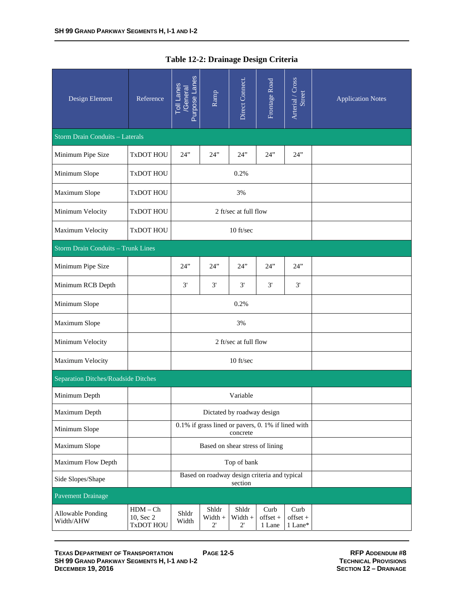| Design Element                            | Reference                            | Purpose Lanes<br><b>Toll Lanes</b><br>/General          | Ramp                                              | Direct Connect.                  | Frontage Road              | Arterial / Cross<br>Street    | <b>Application Notes</b> |
|-------------------------------------------|--------------------------------------|---------------------------------------------------------|---------------------------------------------------|----------------------------------|----------------------------|-------------------------------|--------------------------|
| <b>Storm Drain Conduits - Laterals</b>    |                                      |                                                         |                                                   |                                  |                            |                               |                          |
| Minimum Pipe Size                         | <b>TxDOT HOU</b>                     | 24"                                                     | 24"                                               | 24"                              | 24"                        | 24"                           |                          |
| Minimum Slope                             | <b>TxDOT HOU</b>                     |                                                         |                                                   | 0.2%                             |                            |                               |                          |
| Maximum Slope                             | <b>TxDOT HOU</b>                     |                                                         |                                                   | 3%                               |                            |                               |                          |
| Minimum Velocity                          | <b>TxDOT HOU</b>                     |                                                         |                                                   | 2 ft/sec at full flow            |                            |                               |                          |
| Maximum Velocity                          | TxDOT HOU                            |                                                         |                                                   | 10 ft/sec                        |                            |                               |                          |
| <b>Storm Drain Conduits - Trunk Lines</b> |                                      |                                                         |                                                   |                                  |                            |                               |                          |
| Minimum Pipe Size                         |                                      | 24"                                                     | 24"                                               | 24"                              | 24"                        | 24"                           |                          |
| Minimum RCB Depth                         |                                      | 3'                                                      | 3'                                                | 3'                               | 3'                         | 3'                            |                          |
| Minimum Slope                             |                                      |                                                         |                                                   | 0.2%                             |                            |                               |                          |
| Maximum Slope                             |                                      |                                                         | 3%                                                |                                  |                            |                               |                          |
| Minimum Velocity                          |                                      |                                                         |                                                   | 2 ft/sec at full flow            |                            |                               |                          |
| Maximum Velocity                          |                                      |                                                         |                                                   | 10 ft/sec                        |                            |                               |                          |
| Separation Ditches/Roadside Ditches       |                                      |                                                         |                                                   |                                  |                            |                               |                          |
| Minimum Depth                             |                                      |                                                         |                                                   | Variable                         |                            |                               |                          |
| Maximum Depth                             |                                      |                                                         |                                                   | Dictated by roadway design       |                            |                               |                          |
| Minimum Slope                             |                                      |                                                         | 0.1% if grass lined or pavers, 0.1% if lined with | concrete                         |                            |                               |                          |
| Maximum Slope                             |                                      |                                                         | Based on shear stress of lining                   |                                  |                            |                               |                          |
| Maximum Flow Depth                        |                                      |                                                         |                                                   | Top of bank                      |                            |                               |                          |
| Side Slopes/Shape                         |                                      | Based on roadway design criteria and typical<br>section |                                                   |                                  |                            |                               |                          |
| <b>Pavement Drainage</b>                  |                                      |                                                         |                                                   |                                  |                            |                               |                          |
| Allowable Ponding<br>Width/AHW            | $HDM - Ch$<br>10, Sec 2<br>TxDOT HOU | Shldr<br>Width                                          | Shldr<br>$Width +$<br>$2^{\prime}$                | Shldr<br>Width +<br>$2^{\prime}$ | Curb<br>offset +<br>1 Lane | Curb<br>$offset +$<br>1 Lane* |                          |

| Table 12-2: Drainage Design Criteria |  |
|--------------------------------------|--|
|--------------------------------------|--|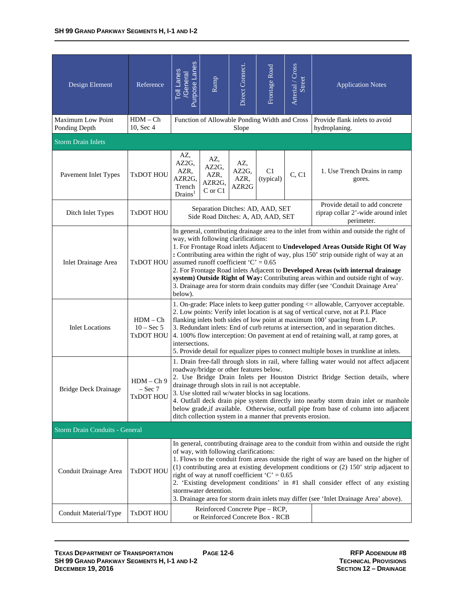| Design Element                            | Reference                                      | Purpose Lanes<br>Toll Lanes<br><b>General</b>                                                                                                                                                                                                                                                                                                                                                                                                                                                                                                                                                                                    | Ramp                                                                   | Direct Connect.                           | Frontage Road               | Arterial / Cross<br>Street                                                         | <b>Application Notes</b>               |  |  |
|-------------------------------------------|------------------------------------------------|----------------------------------------------------------------------------------------------------------------------------------------------------------------------------------------------------------------------------------------------------------------------------------------------------------------------------------------------------------------------------------------------------------------------------------------------------------------------------------------------------------------------------------------------------------------------------------------------------------------------------------|------------------------------------------------------------------------|-------------------------------------------|-----------------------------|------------------------------------------------------------------------------------|----------------------------------------|--|--|
| <b>Maximum Low Point</b><br>Ponding Depth | $HDM - Ch$<br>10, Sec 4                        |                                                                                                                                                                                                                                                                                                                                                                                                                                                                                                                                                                                                                                  | Function of Allowable Ponding Width and Cross                          | Slope                                     |                             | Provide flank inlets to avoid<br>hydroplaning.                                     |                                        |  |  |
| <b>Storm Drain Inlets</b>                 |                                                |                                                                                                                                                                                                                                                                                                                                                                                                                                                                                                                                                                                                                                  |                                                                        |                                           |                             |                                                                                    |                                        |  |  |
| Pavement Inlet Types                      | <b>TxDOT HOU</b>                               | AZ,<br>AZ2G,<br>AZR,<br>AZR2G,<br>Trench<br>Drains <sup>1</sup>                                                                                                                                                                                                                                                                                                                                                                                                                                                                                                                                                                  | AZ,<br>AZ2G,<br>AZR,<br>AZR2G,<br>C or C1                              | AZ,<br>AZ2G,<br>AZR,<br>AZR <sub>2G</sub> | C <sub>1</sub><br>(typical) | C, C1                                                                              | 1. Use Trench Drains in ramp<br>gores. |  |  |
| Ditch Inlet Types                         | <b>TxDOT HOU</b>                               |                                                                                                                                                                                                                                                                                                                                                                                                                                                                                                                                                                                                                                  | Separation Ditches: AD, AAD, SET<br>Side Road Ditches: A, AD, AAD, SET |                                           |                             | Provide detail to add concrete<br>riprap collar 2'-wide around inlet<br>perimeter. |                                        |  |  |
| <b>Inlet Drainage Area</b>                | <b>TxDOT HOU</b>                               | In general, contributing drainage area to the inlet from within and outside the right of<br>way, with following clarifications:<br>1. For Frontage Road inlets Adjacent to Undeveloped Areas Outside Right Of Way<br>: Contributing area within the right of way, plus 150' strip outside right of way at an<br>assumed runoff coefficient ' $C' = 0.65$<br>2. For Frontage Road inlets Adjacent to Developed Areas (with internal drainage<br>system) Outside Right of Way: Contributing areas within and outside right of way.<br>3. Drainage area for storm drain conduits may differ (see 'Conduit Drainage Area'<br>below). |                                                                        |                                           |                             |                                                                                    |                                        |  |  |
| <b>Inlet Locations</b>                    | $HDM - Ch$<br>$10 - Sec 5$<br><b>TxDOT HOU</b> | 1. On-grade: Place inlets to keep gutter ponding <= allowable, Carryover acceptable.<br>2. Low points: Verify inlet location is at sag of vertical curve, not at P.I. Place<br>flanking inlets both sides of low point at maximum 100' spacing from L.P.<br>3. Redundant inlets: End of curb returns at intersection, and in separation ditches.<br>4. 100% flow interception: On pavement at end of retaining wall, at ramp gores, at<br>intersections.<br>5. Provide detail for equalizer pipes to connect multiple boxes in trunkline at inlets.                                                                              |                                                                        |                                           |                             |                                                                                    |                                        |  |  |
| Bridge Deck Drainage                      | $HDM - Ch9$<br>– Sec 7<br>TxDOT HOU            | 1. Drain free-fall through slots in rail, where falling water would not affect adjacent<br>roadway/bridge or other features below.<br>2. Use Bridge Drain Inlets per Houston District Bridge Section details, where<br>drainage through slots in rail is not acceptable.<br>3. Use slotted rail w/water blocks in sag locations.<br>4. Outfall deck drain pipe system directly into nearby storm drain inlet or manhole<br>below grade, if available. Otherwise, outfall pipe from base of column into adjacent<br>ditch collection system in a manner that prevents erosion.                                                    |                                                                        |                                           |                             |                                                                                    |                                        |  |  |
| <b>Storm Drain Conduits - General</b>     |                                                |                                                                                                                                                                                                                                                                                                                                                                                                                                                                                                                                                                                                                                  |                                                                        |                                           |                             |                                                                                    |                                        |  |  |
| Conduit Drainage Area                     | <b>TxDOT HOU</b>                               | In general, contributing drainage area to the conduit from within and outside the right<br>of way, with following clarifications:<br>1. Flows to the conduit from areas outside the right of way are based on the higher of<br>$(1)$ contributing area at existing development conditions or $(2)$ 150' strip adjacent to<br>right of way at runoff coefficient ' $C' = 0.65$<br>2. 'Existing development conditions' in #1 shall consider effect of any existing<br>stormwater detention.<br>3. Drainage area for storm drain inlets may differ (see 'Inlet Drainage Area' above).                                              |                                                                        |                                           |                             |                                                                                    |                                        |  |  |
| Conduit Material/Type                     | <b>TxDOT HOU</b>                               | Reinforced Concrete Pipe – RCP,<br>or Reinforced Concrete Box - RCB                                                                                                                                                                                                                                                                                                                                                                                                                                                                                                                                                              |                                                                        |                                           |                             |                                                                                    |                                        |  |  |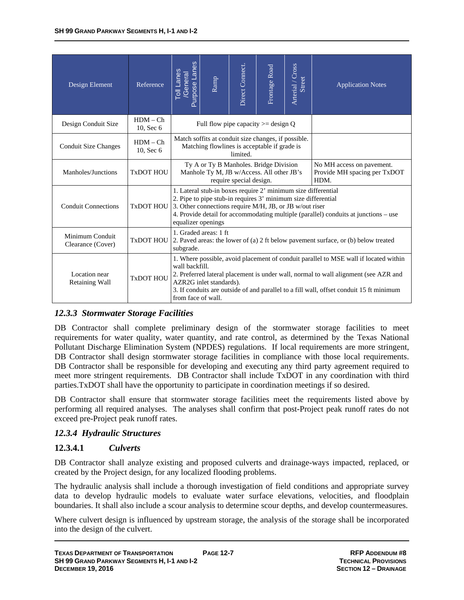| Design Element                       | Reference               | Purpose Lanes<br><b>Toll Lanes</b><br>General                                                                                                                                                                                                                                                                                             | Ramp                                                                                                | Direct Connect. | Frontage Road | Arterial / Cross<br>Street | <b>Application Notes</b>                                          |  |
|--------------------------------------|-------------------------|-------------------------------------------------------------------------------------------------------------------------------------------------------------------------------------------------------------------------------------------------------------------------------------------------------------------------------------------|-----------------------------------------------------------------------------------------------------|-----------------|---------------|----------------------------|-------------------------------------------------------------------|--|
| Design Conduit Size                  | $HDM - Ch$<br>10, Sec 6 |                                                                                                                                                                                                                                                                                                                                           | Full flow pipe capacity $\ge$ design Q                                                              |                 |               |                            |                                                                   |  |
| <b>Conduit Size Changes</b>          | $HDM - Ch$<br>10, Sec 6 |                                                                                                                                                                                                                                                                                                                                           | Match soffits at conduit size changes, if possible.<br>Matching flowlines is acceptable if grade is | limited.        |               |                            |                                                                   |  |
| Manholes/Junctions                   | TxDOT HOU               | Ty A or Ty B Manholes. Bridge Division<br>Manhole Ty M, JB w/Access. All other JB's<br>require special design.                                                                                                                                                                                                                            |                                                                                                     |                 |               |                            | No MH access on pavement.<br>Provide MH spacing per TxDOT<br>HDM. |  |
| <b>Conduit Connections</b>           |                         | 1. Lateral stub-in boxes require 2' minimum size differential<br>2. Pipe to pipe stub-in requires 3' minimum size differential<br>$Tx$ DOT HOU 3. Other connections require M/H, JB, or JB w/out riser<br>4. Provide detail for accommodating multiple (parallel) conduits at junctions – use<br>equalizer openings                       |                                                                                                     |                 |               |                            |                                                                   |  |
| Minimum Conduit<br>Clearance (Cover) | <b>TxDOT HOU</b>        | 1. Graded areas: 1 ft<br>2. Paved areas: the lower of (a) 2 ft below pavement surface, or (b) below treated<br>subgrade.                                                                                                                                                                                                                  |                                                                                                     |                 |               |                            |                                                                   |  |
| Location near<br>Retaining Wall      | <b>TxDOT HOU</b>        | 1. Where possible, avoid placement of conduit parallel to MSE wall if located within<br>wall backfill.<br>2. Preferred lateral placement is under wall, normal to wall alignment (see AZR and<br>AZR2G inlet standards).<br>3. If conduits are outside of and parallel to a fill wall, offset conduit 15 ft minimum<br>from face of wall. |                                                                                                     |                 |               |                            |                                                                   |  |

### *12.3.3 Stormwater Storage Facilities*

DB Contractor shall complete preliminary design of the stormwater storage facilities to meet requirements for water quality, water quantity, and rate control, as determined by the Texas National Pollutant Discharge Elimination System (NPDES) regulations. If local requirements are more stringent, DB Contractor shall design stormwater storage facilities in compliance with those local requirements. DB Contractor shall be responsible for developing and executing any third party agreement required to meet more stringent requirements. DB Contractor shall include TxDOT in any coordination with third parties.TxDOT shall have the opportunity to participate in coordination meetings if so desired.

DB Contractor shall ensure that stormwater storage facilities meet the requirements listed above by performing all required analyses. The analyses shall confirm that post-Project peak runoff rates do not exceed pre-Project peak runoff rates.

### *12.3.4 Hydraulic Structures*

#### **12.3.4.1** *Culverts*

DB Contractor shall analyze existing and proposed culverts and drainage-ways impacted, replaced, or created by the Project design, for any localized flooding problems.

The hydraulic analysis shall include a thorough investigation of field conditions and appropriate survey data to develop hydraulic models to evaluate water surface elevations, velocities, and floodplain boundaries. It shall also include a scour analysis to determine scour depths, and develop countermeasures.

Where culvert design is influenced by upstream storage, the analysis of the storage shall be incorporated into the design of the culvert.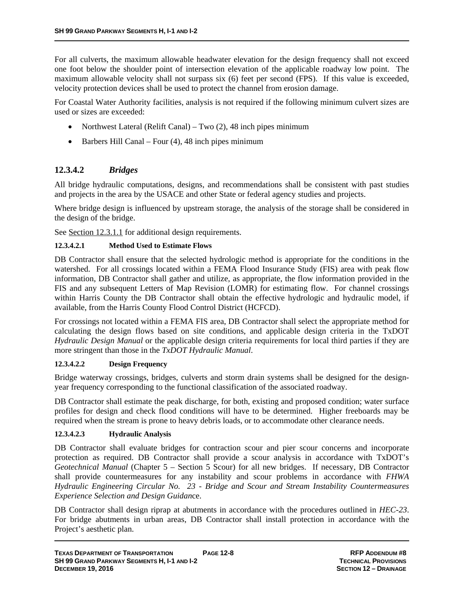For all culverts, the maximum allowable headwater elevation for the design frequency shall not exceed one foot below the shoulder point of intersection elevation of the applicable roadway low point. The maximum allowable velocity shall not surpass six (6) feet per second (FPS). If this value is exceeded, velocity protection devices shall be used to protect the channel from erosion damage.

For Coastal Water Authority facilities, analysis is not required if the following minimum culvert sizes are used or sizes are exceeded:

- Northwest Lateral (Relift Canal) Two  $(2)$ , 48 inch pipes minimum
- $\bullet$  Barbers Hill Canal Four (4), 48 inch pipes minimum

### **12.3.4.2** *Bridges*

All bridge hydraulic computations, designs, and recommendations shall be consistent with past studies and projects in the area by the USACE and other State or federal agency studies and projects.

Where bridge design is influenced by upstream storage, the analysis of the storage shall be considered in the design of the bridge.

See Section 12.3.1.1 for additional design requirements.

#### **12.3.4.2.1 Method Used to Estimate Flows**

DB Contractor shall ensure that the selected hydrologic method is appropriate for the conditions in the watershed. For all crossings located within a FEMA Flood Insurance Study (FIS) area with peak flow information, DB Contractor shall gather and utilize, as appropriate, the flow information provided in the FIS and any subsequent Letters of Map Revision (LOMR) for estimating flow. For channel crossings within Harris County the DB Contractor shall obtain the effective hydrologic and hydraulic model, if available, from the Harris County Flood Control District (HCFCD).

For crossings not located within a FEMA FIS area, DB Contractor shall select the appropriate method for calculating the design flows based on site conditions, and applicable design criteria in the TxDOT *Hydraulic Design Manual* or the applicable design criteria requirements for local third parties if they are more stringent than those in the *TxDOT Hydraulic Manual*.

#### **12.3.4.2.2 Design Frequency**

Bridge waterway crossings, bridges, culverts and storm drain systems shall be designed for the designyear frequency corresponding to the functional classification of the associated roadway.

DB Contractor shall estimate the peak discharge, for both, existing and proposed condition; water surface profiles for design and check flood conditions will have to be determined. Higher freeboards may be required when the stream is prone to heavy debris loads, or to accommodate other clearance needs.

#### **12.3.4.2.3 Hydraulic Analysis**

DB Contractor shall evaluate bridges for contraction scour and pier scour concerns and incorporate protection as required. DB Contractor shall provide a scour analysis in accordance with TxDOT's *Geotechnical Manual* (Chapter 5 – Section 5 Scour) for all new bridges. If necessary, DB Contractor shall provide countermeasures for any instability and scour problems in accordance with *FHWA Hydraulic Engineering Circular No. 23 - Bridge and Scour and Stream Instability Countermeasures Experience Selection and Design Guidan*ce.

DB Contractor shall design riprap at abutments in accordance with the procedures outlined in *HEC-23*. For bridge abutments in urban areas, DB Contractor shall install protection in accordance with the Project's aesthetic plan.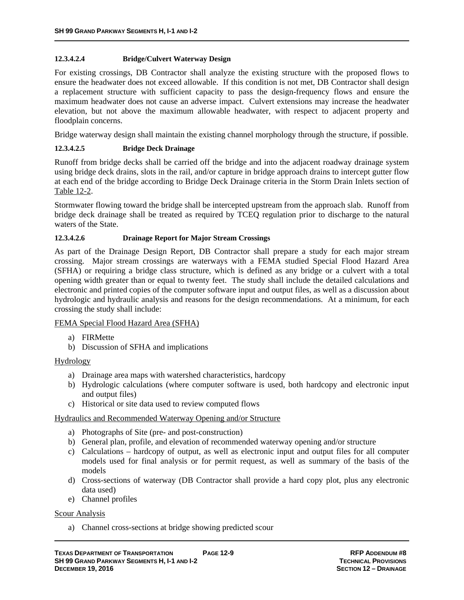#### **12.3.4.2.4 Bridge/Culvert Waterway Design**

For existing crossings, DB Contractor shall analyze the existing structure with the proposed flows to ensure the headwater does not exceed allowable. If this condition is not met, DB Contractor shall design a replacement structure with sufficient capacity to pass the design-frequency flows and ensure the maximum headwater does not cause an adverse impact. Culvert extensions may increase the headwater elevation, but not above the maximum allowable headwater, with respect to adjacent property and floodplain concerns.

Bridge waterway design shall maintain the existing channel morphology through the structure, if possible.

#### **12.3.4.2.5 Bridge Deck Drainage**

Runoff from bridge decks shall be carried off the bridge and into the adjacent roadway drainage system using bridge deck drains, slots in the rail, and/or capture in bridge approach drains to intercept gutter flow at each end of the bridge according to Bridge Deck Drainage criteria in the Storm Drain Inlets section of Table 12-2.

Stormwater flowing toward the bridge shall be intercepted upstream from the approach slab. Runoff from bridge deck drainage shall be treated as required by TCEQ regulation prior to discharge to the natural waters of the State.

#### **12.3.4.2.6 Drainage Report for Major Stream Crossings**

As part of the Drainage Design Report, DB Contractor shall prepare a study for each major stream crossing. Major stream crossings are waterways with a FEMA studied Special Flood Hazard Area (SFHA) or requiring a bridge class structure, which is defined as any bridge or a culvert with a total opening width greater than or equal to twenty feet. The study shall include the detailed calculations and electronic and printed copies of the computer software input and output files, as well as a discussion about hydrologic and hydraulic analysis and reasons for the design recommendations. At a minimum, for each crossing the study shall include:

#### FEMA Special Flood Hazard Area (SFHA)

- a) FIRMette
- b) Discussion of SFHA and implications

#### Hydrology

- a) Drainage area maps with watershed characteristics, hardcopy
- b) Hydrologic calculations (where computer software is used, both hardcopy and electronic input and output files)
- c) Historical or site data used to review computed flows

#### Hydraulics and Recommended Waterway Opening and/or Structure

- a) Photographs of Site (pre- and post-construction)
- b) General plan, profile, and elevation of recommended waterway opening and/or structure
- c) Calculations hardcopy of output, as well as electronic input and output files for all computer models used for final analysis or for permit request, as well as summary of the basis of the models
- d) Cross-sections of waterway (DB Contractor shall provide a hard copy plot, plus any electronic data used)
- e) Channel profiles

#### Scour Analysis

a) Channel cross-sections at bridge showing predicted scour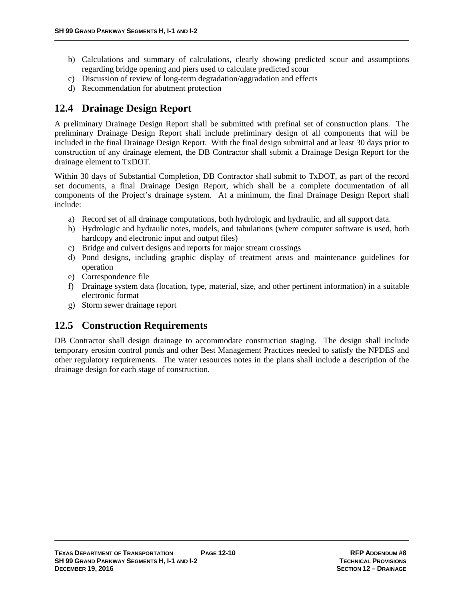- b) Calculations and summary of calculations, clearly showing predicted scour and assumptions regarding bridge opening and piers used to calculate predicted scour
- c) Discussion of review of long-term degradation/aggradation and effects
- d) Recommendation for abutment protection

### **12.4 Drainage Design Report**

A preliminary Drainage Design Report shall be submitted with prefinal set of construction plans. The preliminary Drainage Design Report shall include preliminary design of all components that will be included in the final Drainage Design Report. With the final design submittal and at least 30 days prior to construction of any drainage element, the DB Contractor shall submit a Drainage Design Report for the drainage element to TxDOT.

Within 30 days of Substantial Completion, DB Contractor shall submit to TxDOT, as part of the record set documents, a final Drainage Design Report, which shall be a complete documentation of all components of the Project's drainage system. At a minimum, the final Drainage Design Report shall include:

- a) Record set of all drainage computations, both hydrologic and hydraulic, and all support data.
- b) Hydrologic and hydraulic notes, models, and tabulations (where computer software is used, both hardcopy and electronic input and output files)
- c) Bridge and culvert designs and reports for major stream crossings
- d) Pond designs, including graphic display of treatment areas and maintenance guidelines for operation
- e) Correspondence file
- f) Drainage system data (location, type, material, size, and other pertinent information) in a suitable electronic format
- g) Storm sewer drainage report

## **12.5 Construction Requirements**

DB Contractor shall design drainage to accommodate construction staging. The design shall include temporary erosion control ponds and other Best Management Practices needed to satisfy the NPDES and other regulatory requirements. The water resources notes in the plans shall include a description of the drainage design for each stage of construction.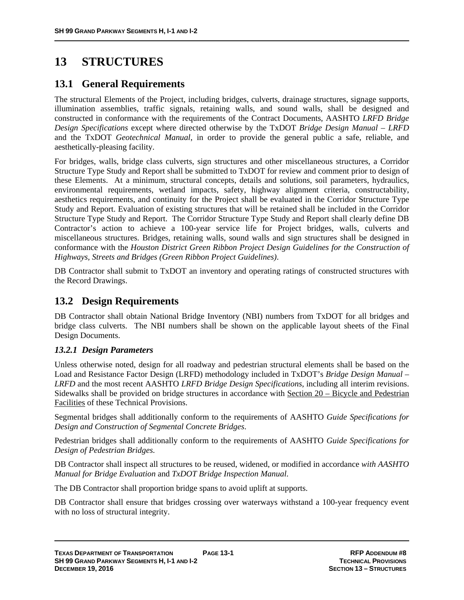# **13 STRUCTURES**

### **13.1 General Requirements**

The structural Elements of the Project, including bridges, culverts, drainage structures, signage supports, illumination assemblies, traffic signals, retaining walls, and sound walls, shall be designed and constructed in conformance with the requirements of the Contract Documents, AASHTO *LRFD Bridge Design Specifications* except where directed otherwise by the TxDOT *Bridge Design Manual – LRFD* and the TxDOT *Geotechnical Manual*, in order to provide the general public a safe, reliable, and aesthetically-pleasing facility.

For bridges, walls, bridge class culverts, sign structures and other miscellaneous structures, a Corridor Structure Type Study and Report shall be submitted to TxDOT for review and comment prior to design of these Elements. At a minimum, structural concepts, details and solutions, soil parameters, hydraulics, environmental requirements, wetland impacts, safety, highway alignment criteria, constructability, aesthetics requirements, and continuity for the Project shall be evaluated in the Corridor Structure Type Study and Report. Evaluation of existing structures that will be retained shall be included in the Corridor Structure Type Study and Report. The Corridor Structure Type Study and Report shall clearly define DB Contractor's action to achieve a 100-year service life for Project bridges, walls, culverts and miscellaneous structures. Bridges, retaining walls, sound walls and sign structures shall be designed in conformance with the *Houston District Green Ribbon Project Design Guidelines for the Construction of Highways, Streets and Bridges (Green Ribbon Project Guidelines)*.

DB Contractor shall submit to TxDOT an inventory and operating ratings of constructed structures with the Record Drawings.

## **13.2 Design Requirements**

DB Contractor shall obtain National Bridge Inventory (NBI) numbers from TxDOT for all bridges and bridge class culverts. The NBI numbers shall be shown on the applicable layout sheets of the Final Design Documents.

### *13.2.1 Design Parameters*

Unless otherwise noted, design for all roadway and pedestrian structural elements shall be based on the Load and Resistance Factor Design (LRFD) methodology included in TxDOT's *Bridge Design Manual* – *LRFD* and the most recent AASHTO *LRFD Bridge Design Specifications*, including all interim revisions. Sidewalks shall be provided on bridge structures in accordance with Section 20 – Bicycle and Pedestrian Facilities of these Technical Provisions.

Segmental bridges shall additionally conform to the requirements of AASHTO *Guide Specifications for Design and Construction of Segmental Concrete Bridges*.

Pedestrian bridges shall additionally conform to the requirements of AASHTO *Guide Specifications for Design of Pedestrian Bridges*.

DB Contractor shall inspect all structures to be reused, widened, or modified in accordance *with AASHTO Manual for Bridge Evaluation* and *TxDOT Bridge Inspection Manual*.

The DB Contractor shall proportion bridge spans to avoid uplift at supports.

DB Contractor shall ensure that bridges crossing over waterways withstand a 100-year frequency event with no loss of structural integrity.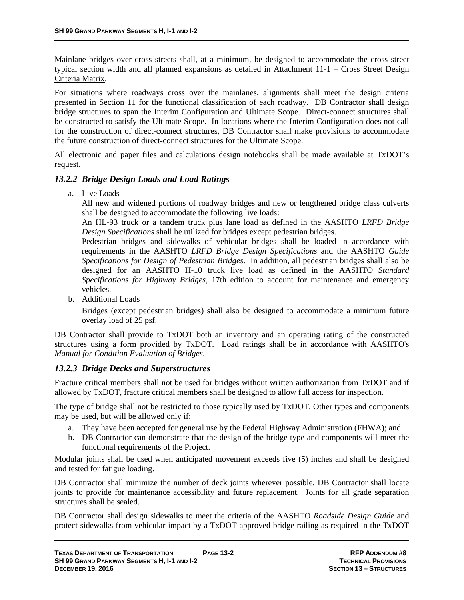Mainlane bridges over cross streets shall, at a minimum, be designed to accommodate the cross street typical section width and all planned expansions as detailed in Attachment 11-1 – Cross Street Design Criteria Matrix.

For situations where roadways cross over the mainlanes, alignments shall meet the design criteria presented in Section 11 for the functional classification of each roadway. DB Contractor shall design bridge structures to span the Interim Configuration and Ultimate Scope. Direct-connect structures shall be constructed to satisfy the Ultimate Scope. In locations where the Interim Configuration does not call for the construction of direct-connect structures, DB Contractor shall make provisions to accommodate the future construction of direct-connect structures for the Ultimate Scope.

All electronic and paper files and calculations design notebooks shall be made available at TxDOT's request.

#### *13.2.2 Bridge Design Loads and Load Ratings*

a. Live Loads

All new and widened portions of roadway bridges and new or lengthened bridge class culverts shall be designed to accommodate the following live loads:

An HL-93 truck or a tandem truck plus lane load as defined in the AASHTO *LRFD Bridge Design Specifications* shall be utilized for bridges except pedestrian bridges.

Pedestrian bridges and sidewalks of vehicular bridges shall be loaded in accordance with requirements in the AASHTO *LRFD Bridge Design Specifications* and the AASHTO *Guide Specifications for Design of Pedestrian Bridges*. In addition, all pedestrian bridges shall also be designed for an AASHTO H-10 truck live load as defined in the AASHTO *Standard Specifications for Highway Bridges*, 17th edition to account for maintenance and emergency vehicles.

b. Additional Loads

Bridges (except pedestrian bridges) shall also be designed to accommodate a minimum future overlay load of 25 psf.

DB Contractor shall provide to TxDOT both an inventory and an operating rating of the constructed structures using a form provided by TxDOT. Load ratings shall be in accordance with AASHTO's *Manual for Condition Evaluation of Bridges*.

#### *13.2.3 Bridge Decks and Superstructures*

Fracture critical members shall not be used for bridges without written authorization from TxDOT and if allowed by TxDOT, fracture critical members shall be designed to allow full access for inspection.

The type of bridge shall not be restricted to those typically used by TxDOT. Other types and components may be used, but will be allowed only if:

- a. They have been accepted for general use by the Federal Highway Administration (FHWA); and
- b. DB Contractor can demonstrate that the design of the bridge type and components will meet the functional requirements of the Project.

Modular joints shall be used when anticipated movement exceeds five (5) inches and shall be designed and tested for fatigue loading.

DB Contractor shall minimize the number of deck joints wherever possible. DB Contractor shall locate joints to provide for maintenance accessibility and future replacement. Joints for all grade separation structures shall be sealed.

DB Contractor shall design sidewalks to meet the criteria of the AASHTO *Roadside Design Guide* and protect sidewalks from vehicular impact by a TxDOT-approved bridge railing as required in the TxDOT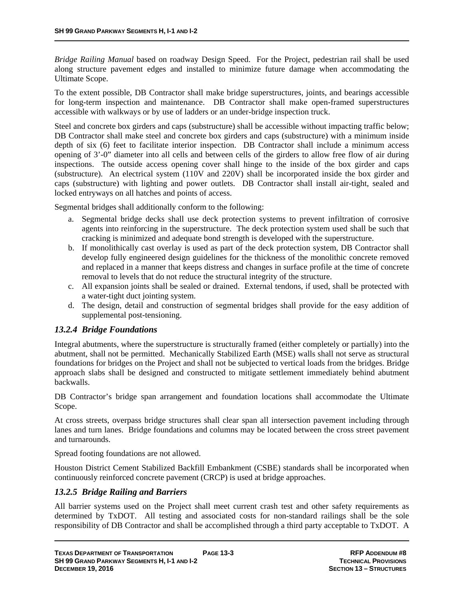*Bridge Railing Manual* based on roadway Design Speed. For the Project, pedestrian rail shall be used along structure pavement edges and installed to minimize future damage when accommodating the Ultimate Scope.

To the extent possible, DB Contractor shall make bridge superstructures, joints, and bearings accessible for long-term inspection and maintenance. DB Contractor shall make open-framed superstructures accessible with walkways or by use of ladders or an under-bridge inspection truck.

Steel and concrete box girders and caps (substructure) shall be accessible without impacting traffic below; DB Contractor shall make steel and concrete box girders and caps (substructure) with a minimum inside depth of six (6) feet to facilitate interior inspection. DB Contractor shall include a minimum access opening of 3'-0" diameter into all cells and between cells of the girders to allow free flow of air during inspections. The outside access opening cover shall hinge to the inside of the box girder and caps (substructure). An electrical system (110V and 220V) shall be incorporated inside the box girder and caps (substructure) with lighting and power outlets. DB Contractor shall install air-tight, sealed and locked entryways on all hatches and points of access.

Segmental bridges shall additionally conform to the following:

- a. Segmental bridge decks shall use deck protection systems to prevent infiltration of corrosive agents into reinforcing in the superstructure. The deck protection system used shall be such that cracking is minimized and adequate bond strength is developed with the superstructure.
- b. If monolithically cast overlay is used as part of the deck protection system, DB Contractor shall develop fully engineered design guidelines for the thickness of the monolithic concrete removed and replaced in a manner that keeps distress and changes in surface profile at the time of concrete removal to levels that do not reduce the structural integrity of the structure.
- c. All expansion joints shall be sealed or drained. External tendons, if used, shall be protected with a water-tight duct jointing system.
- d. The design, detail and construction of segmental bridges shall provide for the easy addition of supplemental post-tensioning.

### *13.2.4 Bridge Foundations*

Integral abutments, where the superstructure is structurally framed (either completely or partially) into the abutment, shall not be permitted. Mechanically Stabilized Earth (MSE) walls shall not serve as structural foundations for bridges on the Project and shall not be subjected to vertical loads from the bridges. Bridge approach slabs shall be designed and constructed to mitigate settlement immediately behind abutment backwalls.

DB Contractor's bridge span arrangement and foundation locations shall accommodate the Ultimate Scope.

At cross streets, overpass bridge structures shall clear span all intersection pavement including through lanes and turn lanes. Bridge foundations and columns may be located between the cross street pavement and turnarounds.

Spread footing foundations are not allowed.

Houston District Cement Stabilized Backfill Embankment (CSBE) standards shall be incorporated when continuously reinforced concrete pavement (CRCP) is used at bridge approaches.

### *13.2.5 Bridge Railing and Barriers*

All barrier systems used on the Project shall meet current crash test and other safety requirements as determined by TxDOT. All testing and associated costs for non-standard railings shall be the sole responsibility of DB Contractor and shall be accomplished through a third party acceptable to TxDOT. A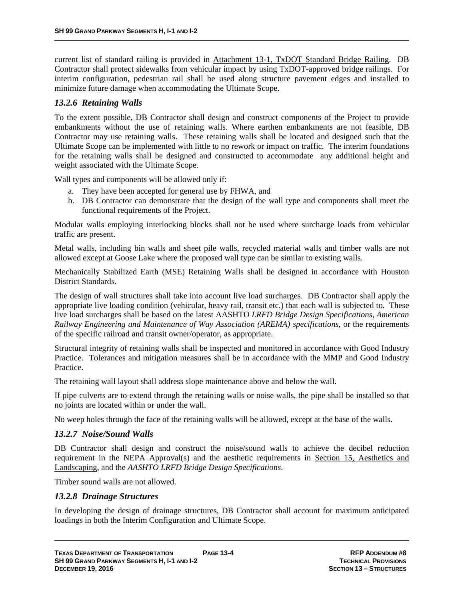current list of standard railing is provided in Attachment 13-1, TxDOT Standard Bridge Railing. DB Contractor shall protect sidewalks from vehicular impact by using TxDOT-approved bridge railings. For interim configuration, pedestrian rail shall be used along structure pavement edges and installed to minimize future damage when accommodating the Ultimate Scope.

#### *13.2.6 Retaining Walls*

To the extent possible, DB Contractor shall design and construct components of the Project to provide embankments without the use of retaining walls. Where earthen embankments are not feasible, DB Contractor may use retaining walls. These retaining walls shall be located and designed such that the Ultimate Scope can be implemented with little to no rework or impact on traffic. The interim foundations for the retaining walls shall be designed and constructed to accommodate any additional height and weight associated with the Ultimate Scope.

Wall types and components will be allowed only if:

- a. They have been accepted for general use by FHWA, and
- b. DB Contractor can demonstrate that the design of the wall type and components shall meet the functional requirements of the Project.

Modular walls employing interlocking blocks shall not be used where surcharge loads from vehicular traffic are present.

Metal walls, including bin walls and sheet pile walls, recycled material walls and timber walls are not allowed except at Goose Lake where the proposed wall type can be similar to existing walls.

Mechanically Stabilized Earth (MSE) Retaining Walls shall be designed in accordance with Houston District Standards.

The design of wall structures shall take into account live load surcharges. DB Contractor shall apply the appropriate live loading condition (vehicular, heavy rail, transit etc.) that each wall is subjected to. These live load surcharges shall be based on the latest AASHTO *LRFD Bridge Design Specifications*, *American Railway Engineering and Maintenance of Way Association (AREMA) specifications*, or the requirements of the specific railroad and transit owner/operator, as appropriate.

Structural integrity of retaining walls shall be inspected and monitored in accordance with Good Industry Practice. Tolerances and mitigation measures shall be in accordance with the MMP and Good Industry Practice.

The retaining wall layout shall address slope maintenance above and below the wall.

If pipe culverts are to extend through the retaining walls or noise walls, the pipe shall be installed so that no joints are located within or under the wall.

No weep holes through the face of the retaining walls will be allowed, except at the base of the walls.

#### *13.2.7 Noise/Sound Walls*

DB Contractor shall design and construct the noise/sound walls to achieve the decibel reduction requirement in the NEPA Approval(s) and the aesthetic requirements in Section 15, Aesthetics and Landscaping, and the *AASHTO LRFD Bridge Design Specifications*.

Timber sound walls are not allowed.

#### *13.2.8 Drainage Structures*

In developing the design of drainage structures, DB Contractor shall account for maximum anticipated loadings in both the Interim Configuration and Ultimate Scope.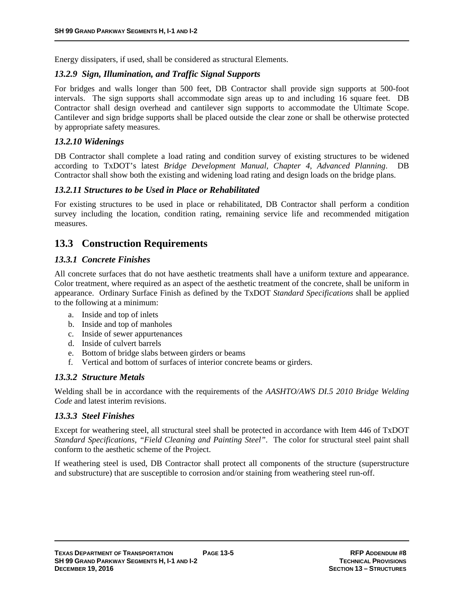Energy dissipaters, if used, shall be considered as structural Elements.

#### *13.2.9 Sign, Illumination, and Traffic Signal Supports*

For bridges and walls longer than 500 feet, DB Contractor shall provide sign supports at 500-foot intervals. The sign supports shall accommodate sign areas up to and including 16 square feet. DB Contractor shall design overhead and cantilever sign supports to accommodate the Ultimate Scope. Cantilever and sign bridge supports shall be placed outside the clear zone or shall be otherwise protected by appropriate safety measures.

#### *13.2.10 Widenings*

DB Contractor shall complete a load rating and condition survey of existing structures to be widened according to TxDOT's latest *Bridge Development Manual, Chapter 4, Advanced Planning*. DB Contractor shall show both the existing and widening load rating and design loads on the bridge plans.

### *13.2.11 Structures to be Used in Place or Rehabilitated*

For existing structures to be used in place or rehabilitated, DB Contractor shall perform a condition survey including the location, condition rating, remaining service life and recommended mitigation measures.

# **13.3 Construction Requirements**

#### *13.3.1 Concrete Finishes*

All concrete surfaces that do not have aesthetic treatments shall have a uniform texture and appearance. Color treatment, where required as an aspect of the aesthetic treatment of the concrete, shall be uniform in appearance. Ordinary Surface Finish as defined by the TxDOT *Standard Specifications* shall be applied to the following at a minimum:

- a. Inside and top of inlets
- b. Inside and top of manholes
- c. Inside of sewer appurtenances
- d. Inside of culvert barrels
- e. Bottom of bridge slabs between girders or beams
- f. Vertical and bottom of surfaces of interior concrete beams or girders.

### *13.3.2 Structure Metals*

Welding shall be in accordance with the requirements of the *AASHTO/AWS DI.5 2010 Bridge Welding Code* and latest interim revisions.

#### *13.3.3 Steel Finishes*

Except for weathering steel, all structural steel shall be protected in accordance with Item 446 of TxDOT *Standard Specifications, "Field Cleaning and Painting Steel"*. The color for structural steel paint shall conform to the aesthetic scheme of the Project.

If weathering steel is used, DB Contractor shall protect all components of the structure (superstructure and substructure) that are susceptible to corrosion and/or staining from weathering steel run-off.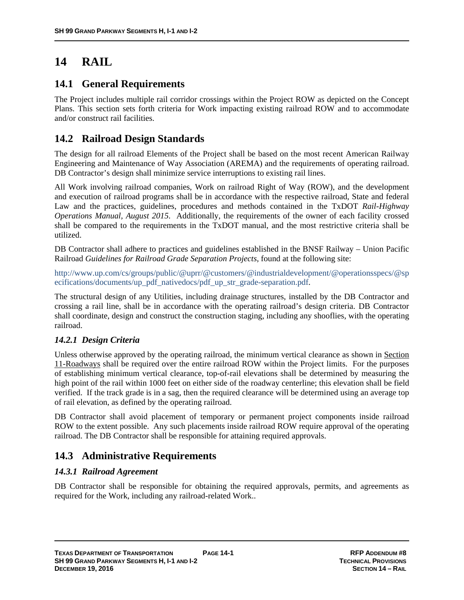# **14 RAIL**

### **14.1 General Requirements**

The Project includes multiple rail corridor crossings within the Project ROW as depicted on the Concept Plans. This section sets forth criteria for Work impacting existing railroad ROW and to accommodate and/or construct rail facilities.

# **14.2 Railroad Design Standards**

The design for all railroad Elements of the Project shall be based on the most recent American Railway Engineering and Maintenance of Way Association (AREMA) and the requirements of operating railroad. DB Contractor's design shall minimize service interruptions to existing rail lines.

All Work involving railroad companies, Work on railroad Right of Way (ROW), and the development and execution of railroad programs shall be in accordance with the respective railroad, State and federal Law and the practices, guidelines, procedures and methods contained in the TxDOT *Rail-Highway Operations Manual, August 2015*. Additionally, the requirements of the owner of each facility crossed shall be compared to the requirements in the TxDOT manual, and the most restrictive criteria shall be utilized.

DB Contractor shall adhere to practices and guidelines established in the BNSF Railway – Union Pacific Railroad *Guidelines for Railroad Grade Separation Projects*, found at the following site:

http://www.up.com/cs/groups/public/@uprr/@customers/@industrialdevelopment/@operationsspecs/@sp ecifications/documents/up\_pdf\_nativedocs/pdf\_up\_str\_grade-separation.pdf.

The structural design of any Utilities, including drainage structures, installed by the DB Contractor and crossing a rail line, shall be in accordance with the operating railroad's design criteria. DB Contractor shall coordinate, design and construct the construction staging, including any shooflies, with the operating railroad.

### *14.2.1 Design Criteria*

Unless otherwise approved by the operating railroad, the minimum vertical clearance as shown in Section 11-Roadways shall be required over the entire railroad ROW within the Project limits. For the purposes of establishing minimum vertical clearance, top-of-rail elevations shall be determined by measuring the high point of the rail within 1000 feet on either side of the roadway centerline; this elevation shall be field verified. If the track grade is in a sag, then the required clearance will be determined using an average top of rail elevation, as defined by the operating railroad.

DB Contractor shall avoid placement of temporary or permanent project components inside railroad ROW to the extent possible. Any such placements inside railroad ROW require approval of the operating railroad. The DB Contractor shall be responsible for attaining required approvals.

# **14.3 Administrative Requirements**

### *14.3.1 Railroad Agreement*

DB Contractor shall be responsible for obtaining the required approvals, permits, and agreements as required for the Work, including any railroad-related Work..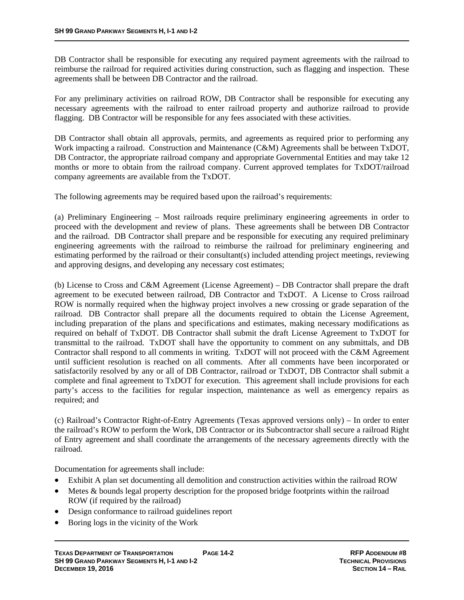DB Contractor shall be responsible for executing any required payment agreements with the railroad to reimburse the railroad for required activities during construction, such as flagging and inspection. These agreements shall be between DB Contractor and the railroad.

For any preliminary activities on railroad ROW, DB Contractor shall be responsible for executing any necessary agreements with the railroad to enter railroad property and authorize railroad to provide flagging. DB Contractor will be responsible for any fees associated with these activities.

DB Contractor shall obtain all approvals, permits, and agreements as required prior to performing any Work impacting a railroad. Construction and Maintenance (C&M) Agreements shall be between TxDOT, DB Contractor, the appropriate railroad company and appropriate Governmental Entities and may take 12 months or more to obtain from the railroad company. Current approved templates for TxDOT/railroad company agreements are available from the TxDOT.

The following agreements may be required based upon the railroad's requirements:

(a) Preliminary Engineering – Most railroads require preliminary engineering agreements in order to proceed with the development and review of plans. These agreements shall be between DB Contractor and the railroad. DB Contractor shall prepare and be responsible for executing any required preliminary engineering agreements with the railroad to reimburse the railroad for preliminary engineering and estimating performed by the railroad or their consultant(s) included attending project meetings, reviewing and approving designs, and developing any necessary cost estimates;

(b) License to Cross and C&M Agreement (License Agreement) – DB Contractor shall prepare the draft agreement to be executed between railroad, DB Contractor and TxDOT. A License to Cross railroad ROW is normally required when the highway project involves a new crossing or grade separation of the railroad. DB Contractor shall prepare all the documents required to obtain the License Agreement, including preparation of the plans and specifications and estimates, making necessary modifications as required on behalf of TxDOT. DB Contractor shall submit the draft License Agreement to TxDOT for transmittal to the railroad. TxDOT shall have the opportunity to comment on any submittals, and DB Contractor shall respond to all comments in writing. TxDOT will not proceed with the C&M Agreement until sufficient resolution is reached on all comments. After all comments have been incorporated or satisfactorily resolved by any or all of DB Contractor, railroad or TxDOT, DB Contractor shall submit a complete and final agreement to TxDOT for execution. This agreement shall include provisions for each party's access to the facilities for regular inspection, maintenance as well as emergency repairs as required; and

(c) Railroad's Contractor Right-of-Entry Agreements (Texas approved versions only) – In order to enter the railroad's ROW to perform the Work, DB Contractor or its Subcontractor shall secure a railroad Right of Entry agreement and shall coordinate the arrangements of the necessary agreements directly with the railroad.

Documentation for agreements shall include:

- Exhibit A plan set documenting all demolition and construction activities within the railroad ROW
- Metes & bounds legal property description for the proposed bridge footprints within the railroad ROW (if required by the railroad)
- Design conformance to railroad guidelines report
- Boring logs in the vicinity of the Work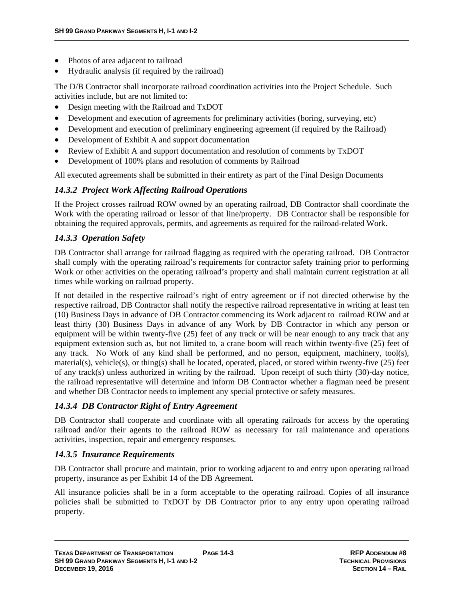- Photos of area adjacent to railroad
- Hydraulic analysis (if required by the railroad)

The D/B Contractor shall incorporate railroad coordination activities into the Project Schedule. Such activities include, but are not limited to:

- Design meeting with the Railroad and TxDOT
- Development and execution of agreements for preliminary activities (boring, surveying, etc)
- Development and execution of preliminary engineering agreement (if required by the Railroad)
- Development of Exhibit A and support documentation
- Review of Exhibit A and support documentation and resolution of comments by TxDOT
- Development of 100% plans and resolution of comments by Railroad

All executed agreements shall be submitted in their entirety as part of the Final Design Documents

### *14.3.2 Project Work Affecting Railroad Operations*

If the Project crosses railroad ROW owned by an operating railroad, DB Contractor shall coordinate the Work with the operating railroad or lessor of that line/property. DB Contractor shall be responsible for obtaining the required approvals, permits, and agreements as required for the railroad-related Work.

### *14.3.3 Operation Safety*

DB Contractor shall arrange for railroad flagging as required with the operating railroad. DB Contractor shall comply with the operating railroad's requirements for contractor safety training prior to performing Work or other activities on the operating railroad's property and shall maintain current registration at all times while working on railroad property.

If not detailed in the respective railroad's right of entry agreement or if not directed otherwise by the respective railroad, DB Contractor shall notify the respective railroad representative in writing at least ten (10) Business Days in advance of DB Contractor commencing its Work adjacent to railroad ROW and at least thirty (30) Business Days in advance of any Work by DB Contractor in which any person or equipment will be within twenty-five (25) feet of any track or will be near enough to any track that any equipment extension such as, but not limited to, a crane boom will reach within twenty-five (25) feet of any track. No Work of any kind shall be performed, and no person, equipment, machinery, tool(s), material(s), vehicle(s), or thing(s) shall be located, operated, placed, or stored within twenty-five (25) feet of any track(s) unless authorized in writing by the railroad. Upon receipt of such thirty (30)-day notice, the railroad representative will determine and inform DB Contractor whether a flagman need be present and whether DB Contractor needs to implement any special protective or safety measures.

### *14.3.4 DB Contractor Right of Entry Agreement*

DB Contractor shall cooperate and coordinate with all operating railroads for access by the operating railroad and/or their agents to the railroad ROW as necessary for rail maintenance and operations activities, inspection, repair and emergency responses.

### *14.3.5 Insurance Requirements*

DB Contractor shall procure and maintain, prior to working adjacent to and entry upon operating railroad property, insurance as per Exhibit 14 of the DB Agreement.

All insurance policies shall be in a form acceptable to the operating railroad. Copies of all insurance policies shall be submitted to TxDOT by DB Contractor prior to any entry upon operating railroad property.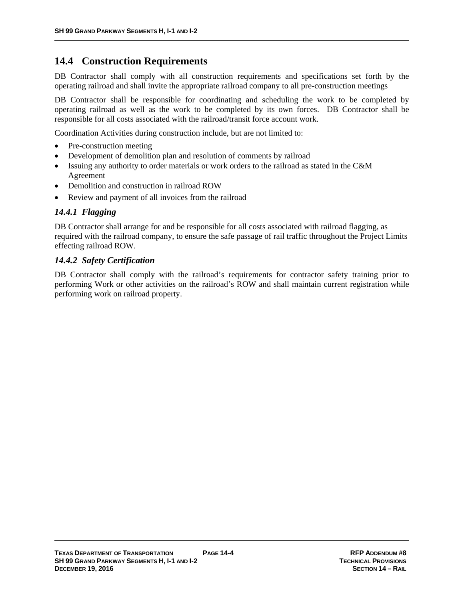## **14.4 Construction Requirements**

DB Contractor shall comply with all construction requirements and specifications set forth by the operating railroad and shall invite the appropriate railroad company to all pre-construction meetings

DB Contractor shall be responsible for coordinating and scheduling the work to be completed by operating railroad as well as the work to be completed by its own forces. DB Contractor shall be responsible for all costs associated with the railroad/transit force account work.

Coordination Activities during construction include, but are not limited to:

- Pre-construction meeting
- Development of demolition plan and resolution of comments by railroad
- Issuing any authority to order materials or work orders to the railroad as stated in the C&M Agreement
- Demolition and construction in railroad ROW
- Review and payment of all invoices from the railroad

#### *14.4.1 Flagging*

DB Contractor shall arrange for and be responsible for all costs associated with railroad flagging, as required with the railroad company, to ensure the safe passage of rail traffic throughout the Project Limits effecting railroad ROW.

#### *14.4.2 Safety Certification*

DB Contractor shall comply with the railroad's requirements for contractor safety training prior to performing Work or other activities on the railroad's ROW and shall maintain current registration while performing work on railroad property.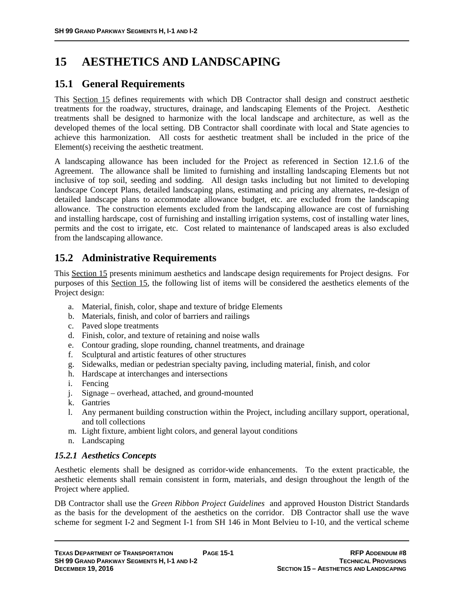# **15 AESTHETICS AND LANDSCAPING**

## **15.1 General Requirements**

This Section 15 defines requirements with which DB Contractor shall design and construct aesthetic treatments for the roadway, structures, drainage, and landscaping Elements of the Project. Aesthetic treatments shall be designed to harmonize with the local landscape and architecture, as well as the developed themes of the local setting. DB Contractor shall coordinate with local and State agencies to achieve this harmonization. All costs for aesthetic treatment shall be included in the price of the Element(s) receiving the aesthetic treatment.

A landscaping allowance has been included for the Project as referenced in Section 12.1.6 of the Agreement. The allowance shall be limited to furnishing and installing landscaping Elements but not inclusive of top soil, seeding and sodding. All design tasks including but not limited to developing landscape Concept Plans, detailed landscaping plans, estimating and pricing any alternates, re-design of detailed landscape plans to accommodate allowance budget, etc. are excluded from the landscaping allowance. The construction elements excluded from the landscaping allowance are cost of furnishing and installing hardscape, cost of furnishing and installing irrigation systems, cost of installing water lines, permits and the cost to irrigate, etc. Cost related to maintenance of landscaped areas is also excluded from the landscaping allowance.

# **15.2 Administrative Requirements**

This Section 15 presents minimum aesthetics and landscape design requirements for Project designs. For purposes of this Section 15, the following list of items will be considered the aesthetics elements of the Project design:

- a. Material, finish, color, shape and texture of bridge Elements
- b. Materials, finish, and color of barriers and railings
- c. Paved slope treatments
- d. Finish, color, and texture of retaining and noise walls
- e. Contour grading, slope rounding, channel treatments, and drainage
- f. Sculptural and artistic features of other structures
- g. Sidewalks, median or pedestrian specialty paving, including material, finish, and color
- h. Hardscape at interchanges and intersections
- i. Fencing
- j. Signage overhead, attached, and ground-mounted
- k. Gantries
- l. Any permanent building construction within the Project, including ancillary support, operational, and toll collections
- m. Light fixture, ambient light colors, and general layout conditions
- n. Landscaping

#### *15.2.1 Aesthetics Concepts*

Aesthetic elements shall be designed as corridor-wide enhancements. To the extent practicable, the aesthetic elements shall remain consistent in form, materials, and design throughout the length of the Project where applied.

DB Contractor shall use the *Green Ribbon Project Guidelines* and approved Houston District Standards as the basis for the development of the aesthetics on the corridor. DB Contractor shall use the wave scheme for segment I-2 and Segment I-1 from SH 146 in Mont Belvieu to I-10, and the vertical scheme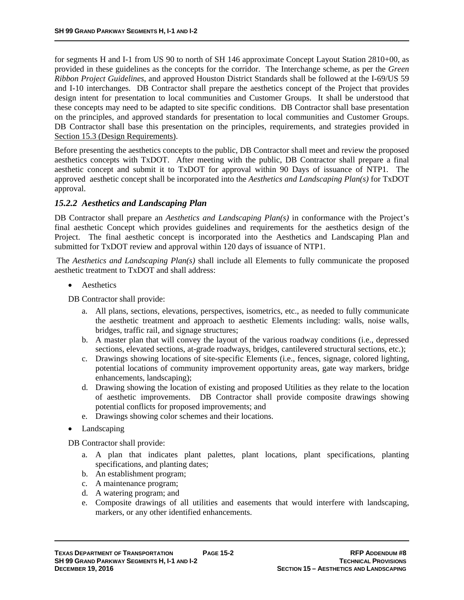for segments H and I-1 from US 90 to north of SH 146 approximate Concept Layout Station 2810+00, as provided in these guidelines as the concepts for the corridor. The Interchange scheme, as per the *Green Ribbon Project Guidelines*, and approved Houston District Standards shall be followed at the I-69/US 59 and I-10 interchanges. DB Contractor shall prepare the aesthetics concept of the Project that provides design intent for presentation to local communities and Customer Groups. It shall be understood that these concepts may need to be adapted to site specific conditions. DB Contractor shall base presentation on the principles, and approved standards for presentation to local communities and Customer Groups. DB Contractor shall base this presentation on the principles, requirements, and strategies provided in Section 15.3 (Design Requirements).

Before presenting the aesthetics concepts to the public, DB Contractor shall meet and review the proposed aesthetics concepts with TxDOT. After meeting with the public, DB Contractor shall prepare a final aesthetic concept and submit it to TxDOT for approval within 90 Days of issuance of NTP1. The approved aesthetic concept shall be incorporated into the *Aesthetics and Landscaping Plan(s)* for TxDOT approval.

### *15.2.2 Aesthetics and Landscaping Plan*

DB Contractor shall prepare an *Aesthetics and Landscaping Plan(s)* in conformance with the Project's final aesthetic Concept which provides guidelines and requirements for the aesthetics design of the Project. The final aesthetic concept is incorporated into the Aesthetics and Landscaping Plan and submitted for TxDOT review and approval within 120 days of issuance of NTP1.

 The *Aesthetics and Landscaping Plan(s)* shall include all Elements to fully communicate the proposed aesthetic treatment to TxDOT and shall address:

Aesthetics

DB Contractor shall provide:

- a. All plans, sections, elevations, perspectives, isometrics, etc., as needed to fully communicate the aesthetic treatment and approach to aesthetic Elements including: walls, noise walls, bridges, traffic rail, and signage structures;
- b. A master plan that will convey the layout of the various roadway conditions (i.e., depressed sections, elevated sections, at-grade roadways, bridges, cantilevered structural sections, etc.);
- c. Drawings showing locations of site-specific Elements (i.e., fences, signage, colored lighting, potential locations of community improvement opportunity areas, gate way markers, bridge enhancements, landscaping);
- d. Drawing showing the location of existing and proposed Utilities as they relate to the location of aesthetic improvements. DB Contractor shall provide composite drawings showing potential conflicts for proposed improvements; and
- e. Drawings showing color schemes and their locations.
- Landscaping

DB Contractor shall provide:

- a. A plan that indicates plant palettes, plant locations, plant specifications, planting specifications, and planting dates;
- b. An establishment program;
- c. A maintenance program;
- d. A watering program; and
- e. Composite drawings of all utilities and easements that would interfere with landscaping, markers, or any other identified enhancements.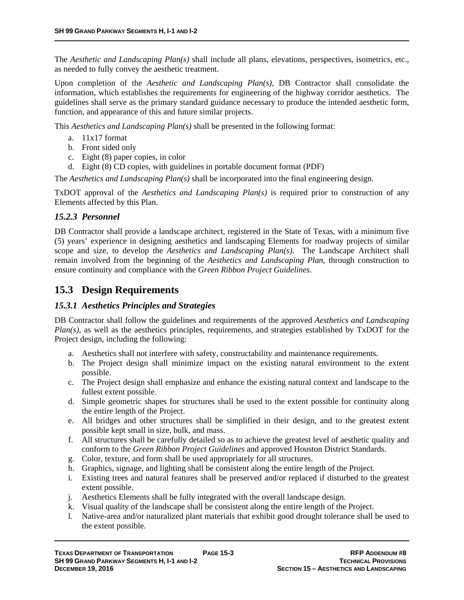The *Aesthetic and Landscaping Plan(s)* shall include all plans, elevations, perspectives, isometrics, etc., as needed to fully convey the aesthetic treatment.

Upon completion of the *Aesthetic and Landscaping Plan(s)*, DB Contractor shall consolidate the information, which establishes the requirements for engineering of the highway corridor aesthetics. The guidelines shall serve as the primary standard guidance necessary to produce the intended aesthetic form, function, and appearance of this and future similar projects.

This *Aesthetics and Landscaping Plan(s)* shall be presented in the following format:

- a. 11x17 format
- b. Front sided only
- c. Eight (8) paper copies, in color
- d. Eight (8) CD copies, with guidelines in portable document format (PDF)

The *Aesthetics and Landscaping Plan(s)* shall be incorporated into the final engineering design.

TxDOT approval of the *Aesthetics and Landscaping Plan(s)* is required prior to construction of any Elements affected by this Plan.

#### *15.2.3 Personnel*

DB Contractor shall provide a landscape architect, registered in the State of Texas, with a minimum five (5) years' experience in designing aesthetics and landscaping Elements for roadway projects of similar scope and size, to develop the *Aesthetics and Landscaping Plan(s)*. The Landscape Architect shall remain involved from the beginning of the *Aesthetics and Landscaping Plan*, through construction to ensure continuity and compliance with the *Green Ribbon Project Guidelines*.

### **15.3 Design Requirements**

### *15.3.1 Aesthetics Principles and Strategies*

DB Contractor shall follow the guidelines and requirements of the approved *Aesthetics and Landscaping Plan(s)*, as well as the aesthetics principles, requirements, and strategies established by TxDOT for the Project design, including the following:

- a. Aesthetics shall not interfere with safety, constructability and maintenance requirements.
- b. The Project design shall minimize impact on the existing natural environment to the extent possible.
- c. The Project design shall emphasize and enhance the existing natural context and landscape to the fullest extent possible.
- d. Simple geometric shapes for structures shall be used to the extent possible for continuity along the entire length of the Project.
- e. All bridges and other structures shall be simplified in their design, and to the greatest extent possible kept small in size, bulk, and mass.
- f. All structures shall be carefully detailed so as to achieve the greatest level of aesthetic quality and conform to the *Green Ribbon Project Guidelines* and approved Houston District Standards.
- g. Color, texture, and form shall be used appropriately for all structures.
- h. Graphics, signage, and lighting shall be consistent along the entire length of the Project.
- i. Existing trees and natural features shall be preserved and/or replaced if disturbed to the greatest extent possible.
- j. Aesthetics Elements shall be fully integrated with the overall landscape design.
- k. Visual quality of the landscape shall be consistent along the entire length of the Project.
- l. Native-area and/or naturalized plant materials that exhibit good drought tolerance shall be used to the extent possible.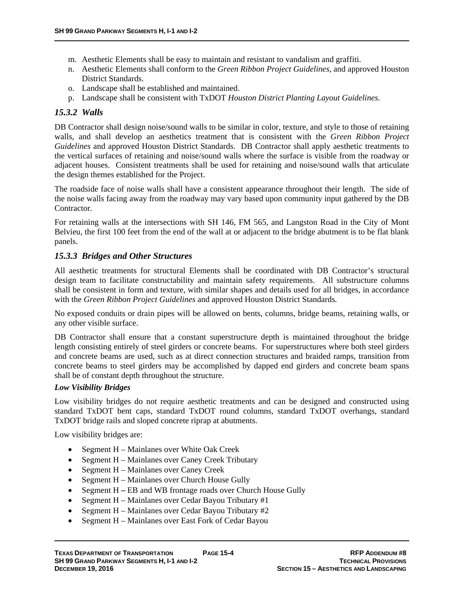- m. Aesthetic Elements shall be easy to maintain and resistant to vandalism and graffiti.
- n. Aesthetic Elements shall conform to the *Green Ribbon Project Guidelines*, and approved Houston District Standards.
- o. Landscape shall be established and maintained.
- p. Landscape shall be consistent with TxDOT *Houston District Planting Layout Guidelines*.

#### *15.3.2 Walls*

DB Contractor shall design noise/sound walls to be similar in color, texture, and style to those of retaining walls, and shall develop an aesthetics treatment that is consistent with the *Green Ribbon Project Guidelines* and approved Houston District Standards. DB Contractor shall apply aesthetic treatments to the vertical surfaces of retaining and noise/sound walls where the surface is visible from the roadway or adjacent houses. Consistent treatments shall be used for retaining and noise/sound walls that articulate the design themes established for the Project.

The roadside face of noise walls shall have a consistent appearance throughout their length. The side of the noise walls facing away from the roadway may vary based upon community input gathered by the DB Contractor.

For retaining walls at the intersections with SH 146, FM 565, and Langston Road in the City of Mont Belvieu, the first 100 feet from the end of the wall at or adjacent to the bridge abutment is to be flat blank panels.

#### *15.3.3 Bridges and Other Structures*

All aesthetic treatments for structural Elements shall be coordinated with DB Contractor's structural design team to facilitate constructability and maintain safety requirements. All substructure columns shall be consistent in form and texture, with similar shapes and details used for all bridges, in accordance with the *Green Ribbon Project Guidelines* and approved Houston District Standards*.*

No exposed conduits or drain pipes will be allowed on bents, columns, bridge beams, retaining walls, or any other visible surface.

DB Contractor shall ensure that a constant superstructure depth is maintained throughout the bridge length consisting entirely of steel girders or concrete beams. For superstructures where both steel girders and concrete beams are used, such as at direct connection structures and braided ramps, transition from concrete beams to steel girders may be accomplished by dapped end girders and concrete beam spans shall be of constant depth throughout the structure.

#### *Low Visibility Bridges*

Low visibility bridges do not require aesthetic treatments and can be designed and constructed using standard TxDOT bent caps, standard TxDOT round columns, standard TxDOT overhangs, standard TxDOT bridge rails and sloped concrete riprap at abutments.

Low visibility bridges are:

- Segment  $H -$  Mainlanes over White Oak Creek
- Segment H Mainlanes over Caney Creek Tributary
- Segment H Mainlanes over Caney Creek
- Segment  $H -$  Mainlanes over Church House Gully
- Segment H **–** EB and WB frontage roads over Church House Gully
- Segment  $H -$  Mainlanes over Cedar Bayou Tributary #1
- Segment H Mainlanes over Cedar Bayou Tributary  $#2$
- Segment H Mainlanes over East Fork of Cedar Bayou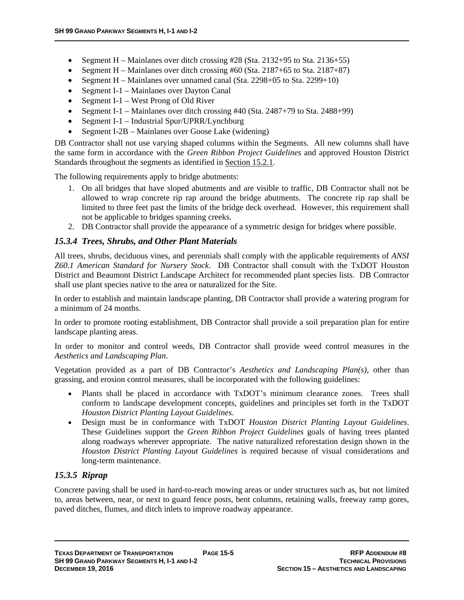- Segment H Mainlanes over ditch crossing  $\#28$  (Sta. 2132+95 to Sta. 2136+55)
- Segment H Mainlanes over ditch crossing #60 (Sta. 2187+65 to Sta. 2187+87)
- Segment H Mainlanes over unnamed canal (Sta.  $2298+05$  to Sta.  $2299+10$ )
- Segment I-1 Mainlanes over Dayton Canal
- Segment I-1 West Prong of Old River
- Segment I-1 Mainlanes over ditch crossing  $\#40$  (Sta. 2487+79 to Sta. 2488+99)
- Segment I-1 Industrial Spur/UPRR/Lynchburg
- Segment I-2B Mainlanes over Goose Lake (widening)

DB Contractor shall not use varying shaped columns within the Segments. All new columns shall have the same form in accordance with the *Green Ribbon Project Guidelines* and approved Houston District Standards throughout the segments as identified in Section 15.2.1.

The following requirements apply to bridge abutments:

- 1. On all bridges that have sloped abutments and are visible to traffic, DB Contractor shall not be allowed to wrap concrete rip rap around the bridge abutments. The concrete rip rap shall be limited to three feet past the limits of the bridge deck overhead. However, this requirement shall not be applicable to bridges spanning creeks.
- 2. DB Contractor shall provide the appearance of a symmetric design for bridges where possible.

### *15.3.4 Trees, Shrubs, and Other Plant Materials*

All trees, shrubs, deciduous vines, and perennials shall comply with the applicable requirements of *ANSI Z60.1 American Standard for Nursery Stock*. DB Contractor shall consult with the TxDOT Houston District and Beaumont District Landscape Architect for recommended plant species lists. DB Contractor shall use plant species native to the area or naturalized for the Site.

In order to establish and maintain landscape planting, DB Contractor shall provide a watering program for a minimum of 24 months.

In order to promote rooting establishment, DB Contractor shall provide a soil preparation plan for entire landscape planting areas.

In order to monitor and control weeds, DB Contractor shall provide weed control measures in the *Aesthetics and Landscaping Plan*.

Vegetation provided as a part of DB Contractor's *Aesthetics and Landscaping Plan(s)*, other than grassing, and erosion control measures, shall be incorporated with the following guidelines:

- Plants shall be placed in accordance with TxDOT's minimum clearance zones. Trees shall conform to landscape development concepts, guidelines and principles set forth in the TxDOT *Houston District Planting Layout Guidelines*.
- Design must be in conformance with TxDOT *Houston District Planting Layout Guidelines*. These Guidelines support the *Green Ribbon Project Guidelines* goals of having trees planted along roadways wherever appropriate. The native naturalized reforestation design shown in the *Houston District Planting Layout Guidelines* is required because of visual considerations and long-term maintenance.

### *15.3.5 Riprap*

Concrete paving shall be used in hard-to-reach mowing areas or under structures such as, but not limited to, areas between, near, or next to guard fence posts, bent columns, retaining walls, freeway ramp gores, paved ditches, flumes, and ditch inlets to improve roadway appearance.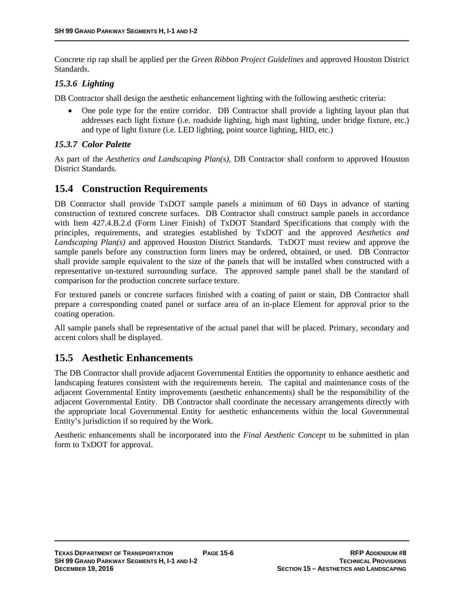Concrete rip rap shall be applied per the *Green Ribbon Project Guidelines* and approved Houston District Standards.

#### *15.3.6 Lighting*

DB Contractor shall design the aesthetic enhancement lighting with the following aesthetic criteria:

 One pole type for the entire corridor. DB Contractor shall provide a lighting layout plan that addresses each light fixture (i.e. roadside lighting, high mast lighting, under bridge fixture, etc.) and type of light fixture (i.e. LED lighting, point source lighting, HID, etc.)

#### *15.3.7 Color Palette*

As part of the *Aesthetics and Landscaping Plan(s)*, DB Contractor shall conform to approved Houston District Standards.

### **15.4 Construction Requirements**

DB Contractor shall provide TxDOT sample panels a minimum of 60 Days in advance of starting construction of textured concrete surfaces. DB Contractor shall construct sample panels in accordance with Item 427.4.B.2.d (Form Liner Finish) of TxDOT Standard Specifications that comply with the principles, requirements, and strategies established by TxDOT and the approved *Aesthetics and Landscaping Plan(s)* and approved Houston District Standards. TxDOT must review and approve the sample panels before any construction form liners may be ordered, obtained, or used. DB Contractor shall provide sample equivalent to the size of the panels that will be installed when constructed with a representative un-textured surrounding surface. The approved sample panel shall be the standard of comparison for the production concrete surface texture.

For textured panels or concrete surfaces finished with a coating of paint or stain, DB Contractor shall prepare a corresponding coated panel or surface area of an in-place Element for approval prior to the coating operation.

All sample panels shall be representative of the actual panel that will be placed. Primary, secondary and accent colors shall be displayed.

### **15.5 Aesthetic Enhancements**

The DB Contractor shall provide adjacent Governmental Entities the opportunity to enhance aesthetic and landscaping features consistent with the requirements herein. The capital and maintenance costs of the adjacent Governmental Entity improvements (aesthetic enhancements) shall be the responsibility of the adjacent Governmental Entity. DB Contractor shall coordinate the necessary arrangements directly with the appropriate local Governmental Entity for aesthetic enhancements within the local Governmental Entity's jurisdiction if so required by the Work.

Aesthetic enhancements shall be incorporated into the *Final Aesthetic Concept* to be submitted in plan form to TxDOT for approval.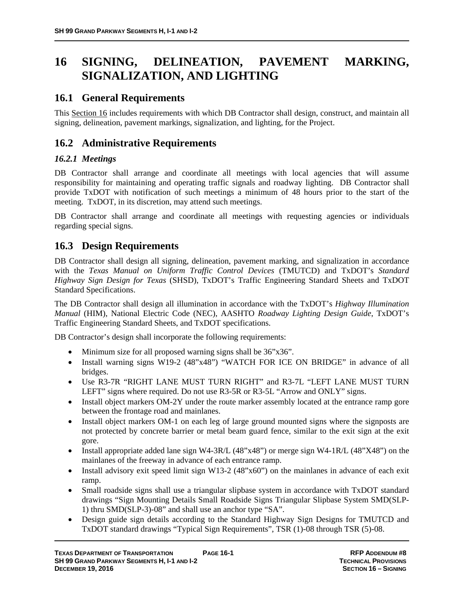# **16 SIGNING, DELINEATION, PAVEMENT MARKING, SIGNALIZATION, AND LIGHTING**

# **16.1 General Requirements**

This Section 16 includes requirements with which DB Contractor shall design, construct, and maintain all signing, delineation, pavement markings, signalization, and lighting, for the Project.

# **16.2 Administrative Requirements**

### *16.2.1 Meetings*

DB Contractor shall arrange and coordinate all meetings with local agencies that will assume responsibility for maintaining and operating traffic signals and roadway lighting. DB Contractor shall provide TxDOT with notification of such meetings a minimum of 48 hours prior to the start of the meeting. TxDOT, in its discretion, may attend such meetings.

DB Contractor shall arrange and coordinate all meetings with requesting agencies or individuals regarding special signs.

## **16.3 Design Requirements**

DB Contractor shall design all signing, delineation, pavement marking, and signalization in accordance with the *Texas Manual on Uniform Traffic Control Devices* (TMUTCD) and TxDOT's *Standard Highway Sign Design for Texas* (SHSD), TxDOT's Traffic Engineering Standard Sheets and TxDOT Standard Specifications.

The DB Contractor shall design all illumination in accordance with the TxDOT's *Highway Illumination Manual* (HIM), National Electric Code (NEC), AASHTO *Roadway Lighting Design Guide*, TxDOT's Traffic Engineering Standard Sheets, and TxDOT specifications.

DB Contractor's design shall incorporate the following requirements:

- Minimum size for all proposed warning signs shall be  $36"x36"$ .
- Install warning signs W19-2 (48"x48") "WATCH FOR ICE ON BRIDGE" in advance of all bridges.
- Use R3-7R "RIGHT LANE MUST TURN RIGHT" and R3-7L "LEFT LANE MUST TURN LEFT" signs where required. Do not use R3-5R or R3-5L "Arrow and ONLY" signs.
- Install object markers OM-2Y under the route marker assembly located at the entrance ramp gore between the frontage road and mainlanes.
- Install object markers OM-1 on each leg of large ground mounted signs where the signposts are not protected by concrete barrier or metal beam guard fence, similar to the exit sign at the exit gore.
- Install appropriate added lane sign W4-3R/L  $(48"x48")$  or merge sign W4-1R/L  $(48"X48")$  on the mainlanes of the freeway in advance of each entrance ramp.
- Install advisory exit speed limit sign W13-2  $(48"x60")$  on the mainlanes in advance of each exit ramp.
- Small roadside signs shall use a triangular slipbase system in accordance with TxDOT standard drawings "Sign Mounting Details Small Roadside Signs Triangular Slipbase System SMD(SLP-1) thru SMD(SLP-3)-08" and shall use an anchor type "SA".
- Design guide sign details according to the Standard Highway Sign Designs for TMUTCD and TxDOT standard drawings "Typical Sign Requirements", TSR (1)-08 through TSR (5)-08.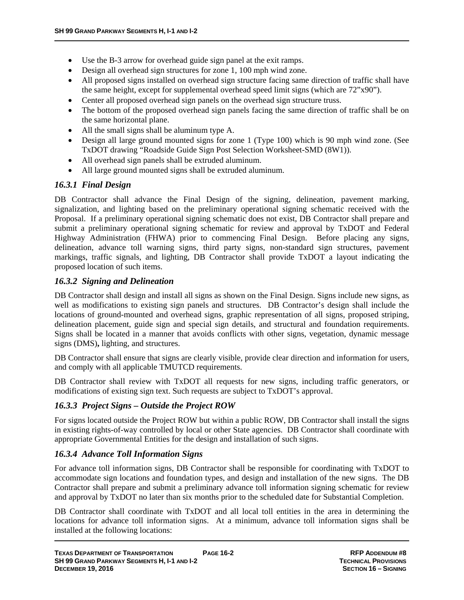- Use the B-3 arrow for overhead guide sign panel at the exit ramps.
- Design all overhead sign structures for zone 1, 100 mph wind zone.
- All proposed signs installed on overhead sign structure facing same direction of traffic shall have the same height, except for supplemental overhead speed limit signs (which are 72"x90").
- Center all proposed overhead sign panels on the overhead sign structure truss.
- The bottom of the proposed overhead sign panels facing the same direction of traffic shall be on the same horizontal plane.
- All the small signs shall be aluminum type A.
- Design all large ground mounted signs for zone 1 (Type 100) which is 90 mph wind zone. (See TxDOT drawing "Roadside Guide Sign Post Selection Worksheet-SMD (8W1)).
- All overhead sign panels shall be extruded aluminum.
- All large ground mounted signs shall be extruded aluminum.

#### *16.3.1 Final Design*

DB Contractor shall advance the Final Design of the signing, delineation, pavement marking, signalization, and lighting based on the preliminary operational signing schematic received with the Proposal. If a preliminary operational signing schematic does not exist, DB Contractor shall prepare and submit a preliminary operational signing schematic for review and approval by TxDOT and Federal Highway Administration (FHWA) prior to commencing Final Design. Before placing any signs, delineation, advance toll warning signs, third party signs, non-standard sign structures, pavement markings, traffic signals, and lighting, DB Contractor shall provide TxDOT a layout indicating the proposed location of such items.

#### *16.3.2 Signing and Delineation*

DB Contractor shall design and install all signs as shown on the Final Design. Signs include new signs, as well as modifications to existing sign panels and structures. DB Contractor's design shall include the locations of ground-mounted and overhead signs, graphic representation of all signs, proposed striping, delineation placement, guide sign and special sign details, and structural and foundation requirements. Signs shall be located in a manner that avoids conflicts with other signs, vegetation, dynamic message signs (DMS)**,** lighting, and structures.

DB Contractor shall ensure that signs are clearly visible, provide clear direction and information for users, and comply with all applicable TMUTCD requirements.

DB Contractor shall review with TxDOT all requests for new signs, including traffic generators, or modifications of existing sign text. Such requests are subject to TxDOT's approval.

#### *16.3.3 Project Signs – Outside the Project ROW*

For signs located outside the Project ROW but within a public ROW, DB Contractor shall install the signs in existing rights-of-way controlled by local or other State agencies. DB Contractor shall coordinate with appropriate Governmental Entities for the design and installation of such signs.

#### *16.3.4 Advance Toll Information Signs*

For advance toll information signs, DB Contractor shall be responsible for coordinating with TxDOT to accommodate sign locations and foundation types, and design and installation of the new signs. The DB Contractor shall prepare and submit a preliminary advance toll information signing schematic for review and approval by TxDOT no later than six months prior to the scheduled date for Substantial Completion.

DB Contractor shall coordinate with TxDOT and all local toll entities in the area in determining the locations for advance toll information signs. At a minimum, advance toll information signs shall be installed at the following locations: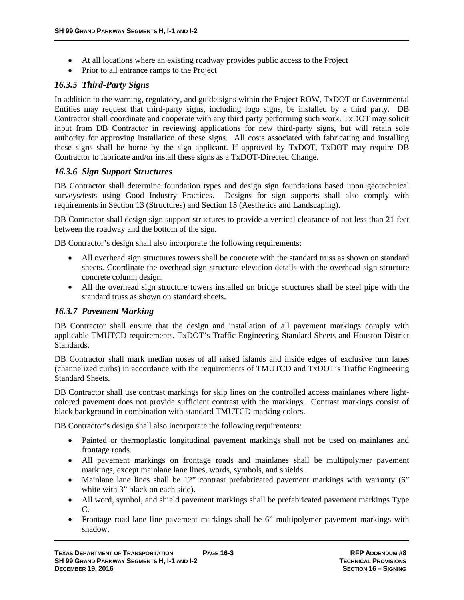- At all locations where an existing roadway provides public access to the Project
- Prior to all entrance ramps to the Project

#### *16.3.5 Third-Party Signs*

In addition to the warning, regulatory, and guide signs within the Project ROW, TxDOT or Governmental Entities may request that third-party signs, including logo signs, be installed by a third party. DB Contractor shall coordinate and cooperate with any third party performing such work. TxDOT may solicit input from DB Contractor in reviewing applications for new third-party signs, but will retain sole authority for approving installation of these signs. All costs associated with fabricating and installing these signs shall be borne by the sign applicant. If approved by TxDOT, TxDOT may require DB Contractor to fabricate and/or install these signs as a TxDOT-Directed Change.

#### *16.3.6 Sign Support Structures*

DB Contractor shall determine foundation types and design sign foundations based upon geotechnical surveys/tests using Good Industry Practices. Designs for sign supports shall also comply with requirements in Section 13 (Structures) and Section 15 (Aesthetics and Landscaping).

DB Contractor shall design sign support structures to provide a vertical clearance of not less than 21 feet between the roadway and the bottom of the sign.

DB Contractor's design shall also incorporate the following requirements:

- All overhead sign structures towers shall be concrete with the standard truss as shown on standard sheets. Coordinate the overhead sign structure elevation details with the overhead sign structure concrete column design.
- All the overhead sign structure towers installed on bridge structures shall be steel pipe with the standard truss as shown on standard sheets.

#### *16.3.7 Pavement Marking*

DB Contractor shall ensure that the design and installation of all pavement markings comply with applicable TMUTCD requirements, TxDOT's Traffic Engineering Standard Sheets and Houston District Standards.

DB Contractor shall mark median noses of all raised islands and inside edges of exclusive turn lanes (channelized curbs) in accordance with the requirements of TMUTCD and TxDOT's Traffic Engineering Standard Sheets.

DB Contractor shall use contrast markings for skip lines on the controlled access mainlanes where lightcolored pavement does not provide sufficient contrast with the markings. Contrast markings consist of black background in combination with standard TMUTCD marking colors.

DB Contractor's design shall also incorporate the following requirements:

- Painted or thermoplastic longitudinal pavement markings shall not be used on mainlanes and frontage roads.
- All pavement markings on frontage roads and mainlanes shall be multipolymer pavement markings, except mainlane lane lines, words, symbols, and shields.
- Mainlane lane lines shall be 12" contrast prefabricated pavement markings with warranty (6" white with 3" black on each side).
- All word, symbol, and shield pavement markings shall be prefabricated pavement markings Type C.
- Frontage road lane line pavement markings shall be 6" multipolymer pavement markings with shadow.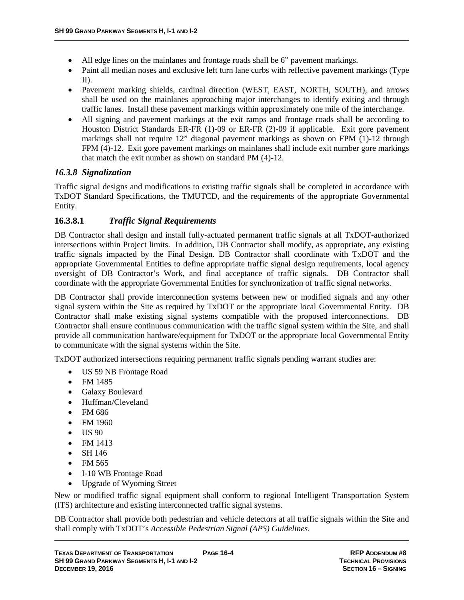- All edge lines on the mainlanes and frontage roads shall be 6" pavement markings.
- Paint all median noses and exclusive left turn lane curbs with reflective pavement markings (Type II).
- Pavement marking shields, cardinal direction (WEST, EAST, NORTH, SOUTH), and arrows shall be used on the mainlanes approaching major interchanges to identify exiting and through traffic lanes. Install these pavement markings within approximately one mile of the interchange.
- All signing and pavement markings at the exit ramps and frontage roads shall be according to Houston District Standards ER-FR (1)-09 or ER-FR (2)-09 if applicable. Exit gore pavement markings shall not require 12" diagonal pavement markings as shown on FPM (1)-12 through FPM (4)-12. Exit gore pavement markings on mainlanes shall include exit number gore markings that match the exit number as shown on standard PM (4)-12.

#### *16.3.8 Signalization*

Traffic signal designs and modifications to existing traffic signals shall be completed in accordance with TxDOT Standard Specifications, the TMUTCD, and the requirements of the appropriate Governmental Entity.

### **16.3.8.1** *Traffic Signal Requirements*

DB Contractor shall design and install fully-actuated permanent traffic signals at all TxDOT-authorized intersections within Project limits. In addition, DB Contractor shall modify, as appropriate, any existing traffic signals impacted by the Final Design. DB Contractor shall coordinate with TxDOT and the appropriate Governmental Entities to define appropriate traffic signal design requirements, local agency oversight of DB Contractor's Work, and final acceptance of traffic signals. DB Contractor shall coordinate with the appropriate Governmental Entities for synchronization of traffic signal networks.

DB Contractor shall provide interconnection systems between new or modified signals and any other signal system within the Site as required by TxDOT or the appropriate local Governmental Entity. DB Contractor shall make existing signal systems compatible with the proposed interconnections. DB Contractor shall ensure continuous communication with the traffic signal system within the Site, and shall provide all communication hardware/equipment for TxDOT or the appropriate local Governmental Entity to communicate with the signal systems within the Site.

TxDOT authorized intersections requiring permanent traffic signals pending warrant studies are:

- US 59 NB Frontage Road
- FM 1485
- Galaxy Boulevard
- Huffman/Cleveland
- FM 686
- FM 1960
- $\bullet$  US 90
- $•$  FM 1413
- $\bullet$  SH 146
- $\bullet$  FM 565
- I-10 WB Frontage Road
- Upgrade of Wyoming Street

New or modified traffic signal equipment shall conform to regional Intelligent Transportation System (ITS) architecture and existing interconnected traffic signal systems.

DB Contractor shall provide both pedestrian and vehicle detectors at all traffic signals within the Site and shall comply with TxDOT's *Accessible Pedestrian Signal (APS) Guidelines*.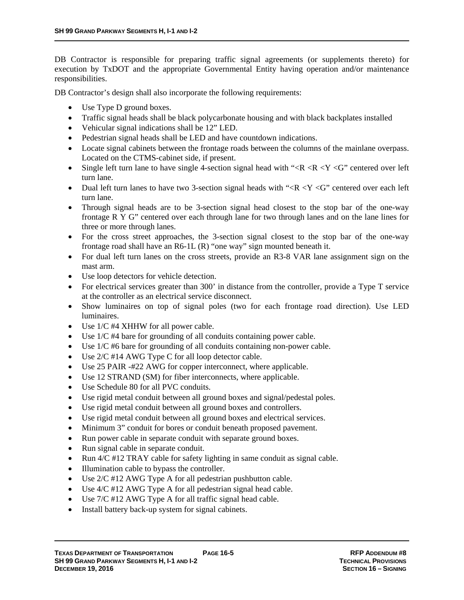DB Contractor is responsible for preparing traffic signal agreements (or supplements thereto) for execution by TxDOT and the appropriate Governmental Entity having operation and/or maintenance responsibilities.

DB Contractor's design shall also incorporate the following requirements:

- Use Type D ground boxes.
- Traffic signal heads shall be black polycarbonate housing and with black backplates installed
- Vehicular signal indications shall be 12" LED.
- Pedestrian signal heads shall be LED and have countdown indications.
- Locate signal cabinets between the frontage roads between the columns of the mainlane overpass. Located on the CTMS-cabinet side, if present.
- Single left turn lane to have single 4-section signal head with " $\langle R \times R \times Y \times G$ " centered over left turn lane.
- Dual left turn lanes to have two 3-section signal heads with " $\langle R \langle Y \rangle$ " centered over each left turn lane.
- Through signal heads are to be 3-section signal head closest to the stop bar of the one-way frontage R Y G" centered over each through lane for two through lanes and on the lane lines for three or more through lanes.
- For the cross street approaches, the 3-section signal closest to the stop bar of the one-way frontage road shall have an R6-1L (R) "one way" sign mounted beneath it.
- For dual left turn lanes on the cross streets, provide an R3-8 VAR lane assignment sign on the mast arm.
- Use loop detectors for vehicle detection.
- For electrical services greater than 300' in distance from the controller, provide a Type T service at the controller as an electrical service disconnect.
- Show luminaires on top of signal poles (two for each frontage road direction). Use LED luminaires.
- Use 1/C #4 XHHW for all power cable.
- Use 1/C #4 bare for grounding of all conduits containing power cable.
- Use 1/C #6 bare for grounding of all conduits containing non-power cable.
- $\bullet$  Use 2/C #14 AWG Type C for all loop detector cable.
- Use 25 PAIR -#22 AWG for copper interconnect, where applicable.
- Use 12 STRAND (SM) for fiber interconnects, where applicable.
- Use Schedule 80 for all PVC conduits.
- Use rigid metal conduit between all ground boxes and signal/pedestal poles.
- Use rigid metal conduit between all ground boxes and controllers.
- Use rigid metal conduit between all ground boxes and electrical services.
- Minimum 3" conduit for bores or conduit beneath proposed pavement.
- Run power cable in separate conduit with separate ground boxes.
- Run signal cable in separate conduit.
- Run  $4/C$  #12 TRAY cable for safety lighting in same conduit as signal cable.
- Illumination cable to bypass the controller.
- Use 2/C #12 AWG Type A for all pedestrian pushbutton cable.
- $\bullet$  Use 4/C #12 AWG Type A for all pedestrian signal head cable.
- $\bullet$  Use 7/C #12 AWG Type A for all traffic signal head cable.
- Install battery back-up system for signal cabinets.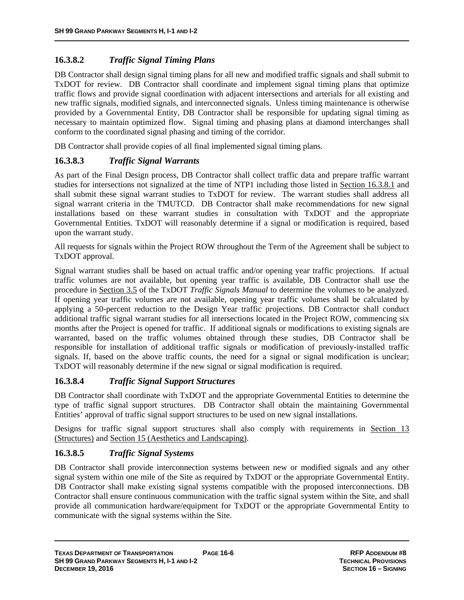## **16.3.8.2** *Traffic Signal Timing Plans*

DB Contractor shall design signal timing plans for all new and modified traffic signals and shall submit to TxDOT for review. DB Contractor shall coordinate and implement signal timing plans that optimize traffic flows and provide signal coordination with adjacent intersections and arterials for all existing and new traffic signals, modified signals, and interconnected signals. Unless timing maintenance is otherwise provided by a Governmental Entity, DB Contractor shall be responsible for updating signal timing as necessary to maintain optimized flow. Signal timing and phasing plans at diamond interchanges shall conform to the coordinated signal phasing and timing of the corridor.

DB Contractor shall provide copies of all final implemented signal timing plans.

### **16.3.8.3** *Traffic Signal Warrants*

As part of the Final Design process, DB Contractor shall collect traffic data and prepare traffic warrant studies for intersections not signalized at the time of NTP1 including those listed in Section 16.3.8.1 and shall submit these signal warrant studies to TxDOT for review. The warrant studies shall address all signal warrant criteria in the TMUTCD. DB Contractor shall make recommendations for new signal installations based on these warrant studies in consultation with TxDOT and the appropriate Governmental Entities. TxDOT will reasonably determine if a signal or modification is required, based upon the warrant study.

All requests for signals within the Project ROW throughout the Term of the Agreement shall be subject to TxDOT approval.

Signal warrant studies shall be based on actual traffic and/or opening year traffic projections. If actual traffic volumes are not available, but opening year traffic is available, DB Contractor shall use the procedure in Section 3.5 of the TxDOT *Traffic Signals Manual* to determine the volumes to be analyzed. If opening year traffic volumes are not available, opening year traffic volumes shall be calculated by applying a 50-percent reduction to the Design Year traffic projections. DB Contractor shall conduct additional traffic signal warrant studies for all intersections located in the Project ROW, commencing six months after the Project is opened for traffic. If additional signals or modifications to existing signals are warranted, based on the traffic volumes obtained through these studies, DB Contractor shall be responsible for installation of additional traffic signals or modification of previously-installed traffic signals. If, based on the above traffic counts, the need for a signal or signal modification is unclear; TxDOT will reasonably determine if the new signal or signal modification is required.

#### **16.3.8.4** *Traffic Signal Support Structures*

DB Contractor shall coordinate with TxDOT and the appropriate Governmental Entities to determine the type of traffic signal support structures. DB Contractor shall obtain the maintaining Governmental Entities' approval of traffic signal support structures to be used on new signal installations.

Designs for traffic signal support structures shall also comply with requirements in Section 13 (Structures) and Section 15 (Aesthetics and Landscaping).

### **16.3.8.5** *Traffic Signal Systems*

DB Contractor shall provide interconnection systems between new or modified signals and any other signal system within one mile of the Site as required by TxDOT or the appropriate Governmental Entity. DB Contractor shall make existing signal systems compatible with the proposed interconnections. DB Contractor shall ensure continuous communication with the traffic signal system within the Site, and shall provide all communication hardware/equipment for TxDOT or the appropriate Governmental Entity to communicate with the signal systems within the Site.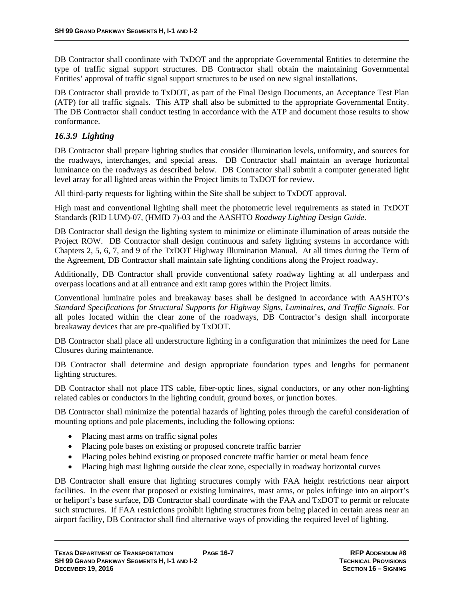DB Contractor shall coordinate with TxDOT and the appropriate Governmental Entities to determine the type of traffic signal support structures. DB Contractor shall obtain the maintaining Governmental Entities' approval of traffic signal support structures to be used on new signal installations.

DB Contractor shall provide to TxDOT, as part of the Final Design Documents, an Acceptance Test Plan (ATP) for all traffic signals. This ATP shall also be submitted to the appropriate Governmental Entity. The DB Contractor shall conduct testing in accordance with the ATP and document those results to show conformance.

### *16.3.9 Lighting*

DB Contractor shall prepare lighting studies that consider illumination levels, uniformity, and sources for the roadways, interchanges, and special areas. DB Contractor shall maintain an average horizontal luminance on the roadways as described below. DB Contractor shall submit a computer generated light level array for all lighted areas within the Project limits to TxDOT for review.

All third-party requests for lighting within the Site shall be subject to TxDOT approval.

High mast and conventional lighting shall meet the photometric level requirements as stated in TxDOT Standards (RID LUM)-07, (HMID 7)-03 and the AASHTO *Roadway Lighting Design Guide*.

DB Contractor shall design the lighting system to minimize or eliminate illumination of areas outside the Project ROW. DB Contractor shall design continuous and safety lighting systems in accordance with Chapters 2, 5, 6, 7, and 9 of the TxDOT Highway Illumination Manual. At all times during the Term of the Agreement, DB Contractor shall maintain safe lighting conditions along the Project roadway.

Additionally, DB Contractor shall provide conventional safety roadway lighting at all underpass and overpass locations and at all entrance and exit ramp gores within the Project limits.

Conventional luminaire poles and breakaway bases shall be designed in accordance with AASHTO's *Standard Specifications for Structural Supports for Highway Signs, Luminaires, and Traffic Signals*. For all poles located within the clear zone of the roadways, DB Contractor's design shall incorporate breakaway devices that are pre-qualified by TxDOT.

DB Contractor shall place all understructure lighting in a configuration that minimizes the need for Lane Closures during maintenance.

DB Contractor shall determine and design appropriate foundation types and lengths for permanent lighting structures.

DB Contractor shall not place ITS cable, fiber-optic lines, signal conductors, or any other non-lighting related cables or conductors in the lighting conduit, ground boxes, or junction boxes.

DB Contractor shall minimize the potential hazards of lighting poles through the careful consideration of mounting options and pole placements, including the following options:

- Placing mast arms on traffic signal poles
- Placing pole bases on existing or proposed concrete traffic barrier
- Placing poles behind existing or proposed concrete traffic barrier or metal beam fence
- Placing high mast lighting outside the clear zone, especially in roadway horizontal curves

DB Contractor shall ensure that lighting structures comply with FAA height restrictions near airport facilities. In the event that proposed or existing luminaires, mast arms, or poles infringe into an airport's or heliport's base surface, DB Contractor shall coordinate with the FAA and TxDOT to permit or relocate such structures. If FAA restrictions prohibit lighting structures from being placed in certain areas near an airport facility, DB Contractor shall find alternative ways of providing the required level of lighting.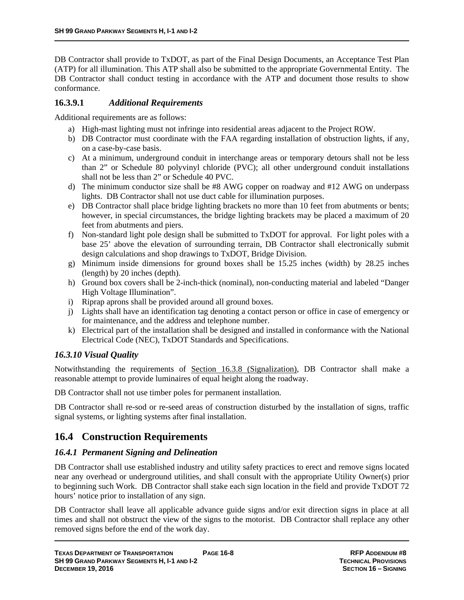DB Contractor shall provide to TxDOT, as part of the Final Design Documents, an Acceptance Test Plan (ATP) for all illumination. This ATP shall also be submitted to the appropriate Governmental Entity. The DB Contractor shall conduct testing in accordance with the ATP and document those results to show conformance.

#### **16.3.9.1** *Additional Requirements*

Additional requirements are as follows:

- a) High-mast lighting must not infringe into residential areas adjacent to the Project ROW.
- b) DB Contractor must coordinate with the FAA regarding installation of obstruction lights, if any, on a case-by-case basis.
- c) At a minimum, underground conduit in interchange areas or temporary detours shall not be less than 2" or Schedule 80 polyvinyl chloride (PVC); all other underground conduit installations shall not be less than 2" or Schedule 40 PVC.
- d) The minimum conductor size shall be #8 AWG copper on roadway and #12 AWG on underpass lights. DB Contractor shall not use duct cable for illumination purposes.
- e) DB Contractor shall place bridge lighting brackets no more than 10 feet from abutments or bents; however, in special circumstances, the bridge lighting brackets may be placed a maximum of 20 feet from abutments and piers.
- f) Non-standard light pole design shall be submitted to TxDOT for approval. For light poles with a base 25' above the elevation of surrounding terrain, DB Contractor shall electronically submit design calculations and shop drawings to TxDOT, Bridge Division.
- g) Minimum inside dimensions for ground boxes shall be 15.25 inches (width) by 28.25 inches (length) by 20 inches (depth).
- h) Ground box covers shall be 2-inch-thick (nominal), non-conducting material and labeled "Danger High Voltage Illumination".
- i) Riprap aprons shall be provided around all ground boxes.
- j) Lights shall have an identification tag denoting a contact person or office in case of emergency or for maintenance, and the address and telephone number.
- k) Electrical part of the installation shall be designed and installed in conformance with the National Electrical Code (NEC), TxDOT Standards and Specifications.

### *16.3.10 Visual Quality*

Notwithstanding the requirements of Section 16.3.8 (Signalization), DB Contractor shall make a reasonable attempt to provide luminaires of equal height along the roadway.

DB Contractor shall not use timber poles for permanent installation.

DB Contractor shall re-sod or re-seed areas of construction disturbed by the installation of signs, traffic signal systems, or lighting systems after final installation.

## **16.4 Construction Requirements**

#### *16.4.1 Permanent Signing and Delineation*

DB Contractor shall use established industry and utility safety practices to erect and remove signs located near any overhead or underground utilities, and shall consult with the appropriate Utility Owner(s) prior to beginning such Work. DB Contractor shall stake each sign location in the field and provide TxDOT 72 hours' notice prior to installation of any sign.

DB Contractor shall leave all applicable advance guide signs and/or exit direction signs in place at all times and shall not obstruct the view of the signs to the motorist. DB Contractor shall replace any other removed signs before the end of the work day.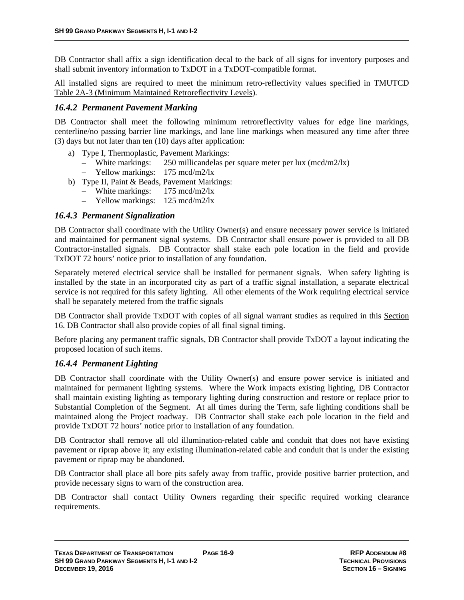DB Contractor shall affix a sign identification decal to the back of all signs for inventory purposes and shall submit inventory information to TxDOT in a TxDOT-compatible format.

All installed signs are required to meet the minimum retro-reflectivity values specified in TMUTCD Table 2A-3 (Minimum Maintained Retroreflectivity Levels).

#### *16.4.2 Permanent Pavement Marking*

DB Contractor shall meet the following minimum retroreflectivity values for edge line markings, centerline/no passing barrier line markings, and lane line markings when measured any time after three (3) days but not later than ten (10) days after application:

- a) Type I, Thermoplastic, Pavement Markings:
	- White markings: 250 millicandelas per square meter per lux (mcd/m2/lx)
	- Yellow markings: 175 mcd/m2/lx
- b) Type II, Paint & Beads, Pavement Markings:
	- White markings: 175 mcd/m2/lx
	- Yellow markings: 125 mcd/m2/lx

#### *16.4.3 Permanent Signalization*

DB Contractor shall coordinate with the Utility Owner(s) and ensure necessary power service is initiated and maintained for permanent signal systems. DB Contractor shall ensure power is provided to all DB Contractor-installed signals. DB Contractor shall stake each pole location in the field and provide TxDOT 72 hours' notice prior to installation of any foundation.

Separately metered electrical service shall be installed for permanent signals. When safety lighting is installed by the state in an incorporated city as part of a traffic signal installation, a separate electrical service is not required for this safety lighting. All other elements of the Work requiring electrical service shall be separately metered from the traffic signals

DB Contractor shall provide TxDOT with copies of all signal warrant studies as required in this Section 16. DB Contractor shall also provide copies of all final signal timing.

Before placing any permanent traffic signals, DB Contractor shall provide TxDOT a layout indicating the proposed location of such items.

#### *16.4.4 Permanent Lighting*

DB Contractor shall coordinate with the Utility Owner(s) and ensure power service is initiated and maintained for permanent lighting systems. Where the Work impacts existing lighting, DB Contractor shall maintain existing lighting as temporary lighting during construction and restore or replace prior to Substantial Completion of the Segment. At all times during the Term, safe lighting conditions shall be maintained along the Project roadway. DB Contractor shall stake each pole location in the field and provide TxDOT 72 hours' notice prior to installation of any foundation.

DB Contractor shall remove all old illumination-related cable and conduit that does not have existing pavement or riprap above it; any existing illumination-related cable and conduit that is under the existing pavement or riprap may be abandoned.

DB Contractor shall place all bore pits safely away from traffic, provide positive barrier protection, and provide necessary signs to warn of the construction area.

DB Contractor shall contact Utility Owners regarding their specific required working clearance requirements.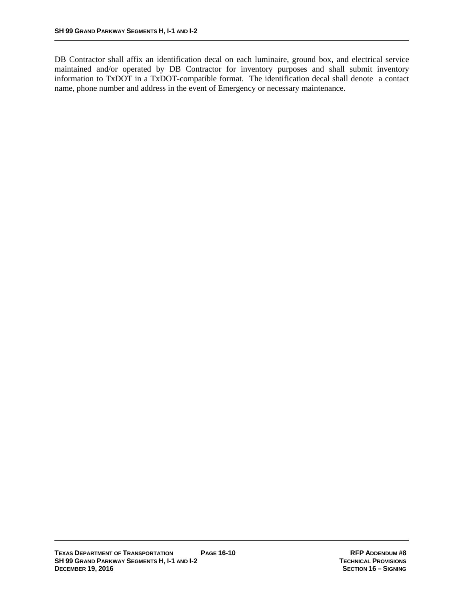DB Contractor shall affix an identification decal on each luminaire, ground box, and electrical service maintained and/or operated by DB Contractor for inventory purposes and shall submit inventory information to TxDOT in a TxDOT-compatible format. The identification decal shall denote a contact name, phone number and address in the event of Emergency or necessary maintenance.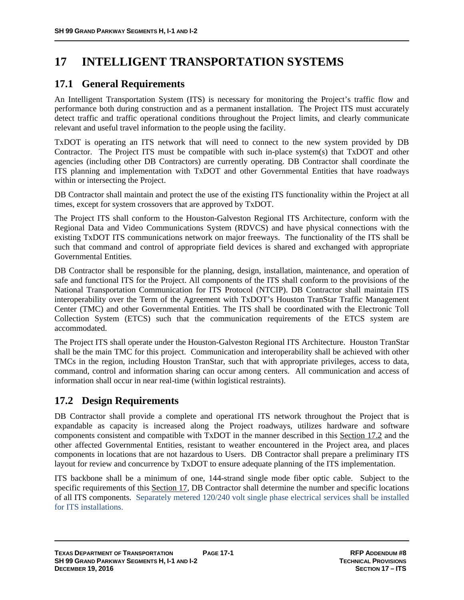# **17 INTELLIGENT TRANSPORTATION SYSTEMS**

## **17.1 General Requirements**

An Intelligent Transportation System (ITS) is necessary for monitoring the Project's traffic flow and performance both during construction and as a permanent installation. The Project ITS must accurately detect traffic and traffic operational conditions throughout the Project limits, and clearly communicate relevant and useful travel information to the people using the facility.

TxDOT is operating an ITS network that will need to connect to the new system provided by DB Contractor. The Project ITS must be compatible with such in-place system(s) that TxDOT and other agencies (including other DB Contractors) are currently operating. DB Contractor shall coordinate the ITS planning and implementation with TxDOT and other Governmental Entities that have roadways within or intersecting the Project.

DB Contractor shall maintain and protect the use of the existing ITS functionality within the Project at all times, except for system crossovers that are approved by TxDOT.

The Project ITS shall conform to the Houston-Galveston Regional ITS Architecture, conform with the Regional Data and Video Communications System (RDVCS) and have physical connections with the existing TxDOT ITS communications network on major freeways. The functionality of the ITS shall be such that command and control of appropriate field devices is shared and exchanged with appropriate Governmental Entities.

DB Contractor shall be responsible for the planning, design, installation, maintenance, and operation of safe and functional ITS for the Project. All components of the ITS shall conform to the provisions of the National Transportation Communication for ITS Protocol (NTCIP). DB Contractor shall maintain ITS interoperability over the Term of the Agreement with TxDOT's Houston TranStar Traffic Management Center (TMC) and other Governmental Entities. The ITS shall be coordinated with the Electronic Toll Collection System (ETCS) such that the communication requirements of the ETCS system are accommodated.

The Project ITS shall operate under the Houston-Galveston Regional ITS Architecture. Houston TranStar shall be the main TMC for this project. Communication and interoperability shall be achieved with other TMCs in the region, including Houston TranStar, such that with appropriate privileges, access to data, command, control and information sharing can occur among centers. All communication and access of information shall occur in near real-time (within logistical restraints).

## **17.2 Design Requirements**

DB Contractor shall provide a complete and operational ITS network throughout the Project that is expandable as capacity is increased along the Project roadways, utilizes hardware and software components consistent and compatible with TxDOT in the manner described in this Section 17.2 and the other affected Governmental Entities, resistant to weather encountered in the Project area, and places components in locations that are not hazardous to Users. DB Contractor shall prepare a preliminary ITS layout for review and concurrence by TxDOT to ensure adequate planning of the ITS implementation.

ITS backbone shall be a minimum of one, 144-strand single mode fiber optic cable. Subject to the specific requirements of this Section 17, DB Contractor shall determine the number and specific locations of all ITS components. Separately metered 120/240 volt single phase electrical services shall be installed for ITS installations.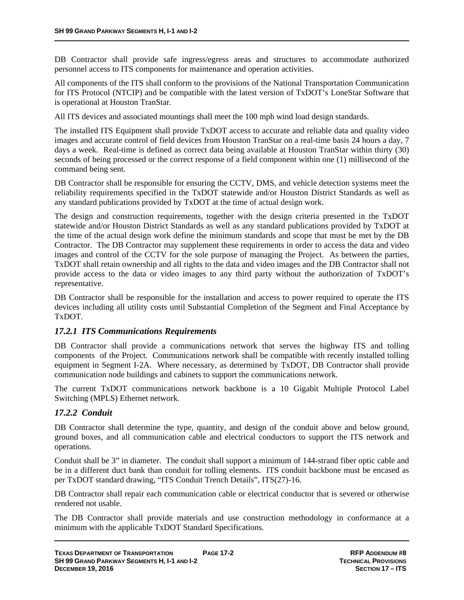DB Contractor shall provide safe ingress/egress areas and structures to accommodate authorized personnel access to ITS components for maintenance and operation activities.

All components of the ITS shall conform to the provisions of the National Transportation Communication for ITS Protocol (NTCIP) and be compatible with the latest version of TxDOT's LoneStar Software that is operational at Houston TranStar.

All ITS devices and associated mountings shall meet the 100 mph wind load design standards.

The installed ITS Equipment shall provide TxDOT access to accurate and reliable data and quality video images and accurate control of field devices from Houston TranStar on a real-time basis 24 hours a day, 7 days a week. Real-time is defined as correct data being available at Houston TranStar within thirty (30) seconds of being processed or the correct response of a field component within one (1) millisecond of the command being sent.

DB Contractor shall be responsible for ensuring the CCTV, DMS, and vehicle detection systems meet the reliability requirements specified in the TxDOT statewide and/or Houston District Standards as well as any standard publications provided by TxDOT at the time of actual design work.

The design and construction requirements, together with the design criteria presented in the TxDOT statewide and/or Houston District Standards as well as any standard publications provided by TxDOT at the time of the actual design work define the minimum standards and scope that must be met by the DB Contractor. The DB Contractor may supplement these requirements in order to access the data and video images and control of the CCTV for the sole purpose of managing the Project. As between the parties, TxDOT shall retain ownership and all rights to the data and video images and the DB Contractor shall not provide access to the data or video images to any third party without the authorization of TxDOT's representative.

DB Contractor shall be responsible for the installation and access to power required to operate the ITS devices including all utility costs until Substantial Completion of the Segment and Final Acceptance by TxDOT.

#### *17.2.1 ITS Communications Requirements*

DB Contractor shall provide a communications network that serves the highway ITS and tolling components of the Project. Communications network shall be compatible with recently installed tolling equipment in Segment I-2A. Where necessary, as determined by TxDOT, DB Contractor shall provide communication node buildings and cabinets to support the communications network.

The current TxDOT communications network backbone is a 10 Gigabit Multiple Protocol Label Switching (MPLS) Ethernet network.

#### *17.2.2 Conduit*

DB Contractor shall determine the type, quantity, and design of the conduit above and below ground, ground boxes, and all communication cable and electrical conductors to support the ITS network and operations.

Conduit shall be 3" in diameter. The conduit shall support a minimum of 144-strand fiber optic cable and be in a different duct bank than conduit for tolling elements. ITS conduit backbone must be encased as per TxDOT standard drawing, "ITS Conduit Trench Details", ITS(27)-16.

DB Contractor shall repair each communication cable or electrical conductor that is severed or otherwise rendered not usable.

The DB Contractor shall provide materials and use construction methodology in conformance at a minimum with the applicable TxDOT Standard Specifications.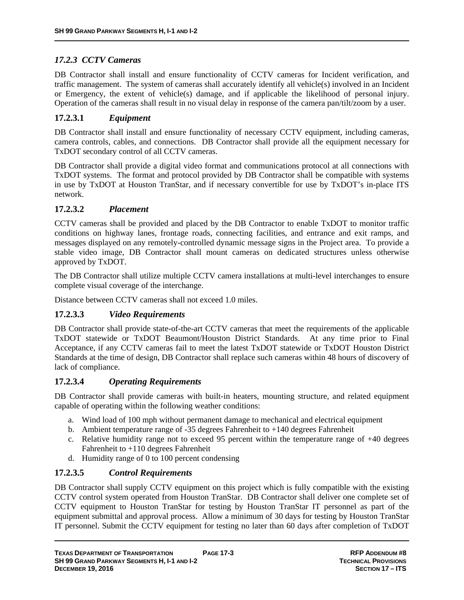### *17.2.3 CCTV Cameras*

DB Contractor shall install and ensure functionality of CCTV cameras for Incident verification, and traffic management. The system of cameras shall accurately identify all vehicle(s) involved in an Incident or Emergency, the extent of vehicle(s) damage, and if applicable the likelihood of personal injury. Operation of the cameras shall result in no visual delay in response of the camera pan/tilt/zoom by a user.

### **17.2.3.1** *Equipment*

DB Contractor shall install and ensure functionality of necessary CCTV equipment, including cameras, camera controls, cables, and connections. DB Contractor shall provide all the equipment necessary for TxDOT secondary control of all CCTV cameras.

DB Contractor shall provide a digital video format and communications protocol at all connections with TxDOT systems. The format and protocol provided by DB Contractor shall be compatible with systems in use by TxDOT at Houston TranStar, and if necessary convertible for use by TxDOT's in-place ITS network.

#### **17.2.3.2** *Placement*

CCTV cameras shall be provided and placed by the DB Contractor to enable TxDOT to monitor traffic conditions on highway lanes, frontage roads, connecting facilities, and entrance and exit ramps, and messages displayed on any remotely-controlled dynamic message signs in the Project area. To provide a stable video image, DB Contractor shall mount cameras on dedicated structures unless otherwise approved by TxDOT.

The DB Contractor shall utilize multiple CCTV camera installations at multi-level interchanges to ensure complete visual coverage of the interchange.

Distance between CCTV cameras shall not exceed 1.0 miles.

#### **17.2.3.3** *Video Requirements*

DB Contractor shall provide state-of-the-art CCTV cameras that meet the requirements of the applicable TxDOT statewide or TxDOT Beaumont/Houston District Standards. At any time prior to Final Acceptance, if any CCTV cameras fail to meet the latest TxDOT statewide or TxDOT Houston District Standards at the time of design, DB Contractor shall replace such cameras within 48 hours of discovery of lack of compliance.

#### **17.2.3.4** *Operating Requirements*

DB Contractor shall provide cameras with built-in heaters, mounting structure, and related equipment capable of operating within the following weather conditions:

- a. Wind load of 100 mph without permanent damage to mechanical and electrical equipment
- b. Ambient temperature range of  $-35$  degrees Fahrenheit to  $+140$  degrees Fahrenheit
- c. Relative humidity range not to exceed 95 percent within the temperature range of  $+40$  degrees Fahrenheit to +110 degrees Fahrenheit
- d. Humidity range of 0 to 100 percent condensing

#### **17.2.3.5** *Control Requirements*

DB Contractor shall supply CCTV equipment on this project which is fully compatible with the existing CCTV control system operated from Houston TranStar. DB Contractor shall deliver one complete set of CCTV equipment to Houston TranStar for testing by Houston TranStar IT personnel as part of the equipment submittal and approval process. Allow a minimum of 30 days for testing by Houston TranStar IT personnel. Submit the CCTV equipment for testing no later than 60 days after completion of TxDOT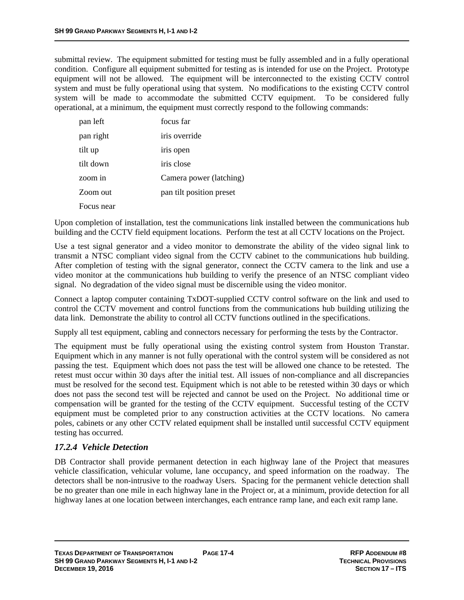submittal review. The equipment submitted for testing must be fully assembled and in a fully operational condition. Configure all equipment submitted for testing as is intended for use on the Project. Prototype equipment will not be allowed. The equipment will be interconnected to the existing CCTV control system and must be fully operational using that system. No modifications to the existing CCTV control system will be made to accommodate the submitted CCTV equipment. To be considered fully operational, at a minimum, the equipment must correctly respond to the following commands:

| pan left   | focus far                |
|------------|--------------------------|
| pan right  | iris override            |
| tilt up    | iris open                |
| tilt down  | iris close               |
| zoom in    | Camera power (latching)  |
| Zoom out   | pan tilt position preset |
| Focus near |                          |

Upon completion of installation, test the communications link installed between the communications hub building and the CCTV field equipment locations. Perform the test at all CCTV locations on the Project.

Use a test signal generator and a video monitor to demonstrate the ability of the video signal link to transmit a NTSC compliant video signal from the CCTV cabinet to the communications hub building. After completion of testing with the signal generator, connect the CCTV camera to the link and use a video monitor at the communications hub building to verify the presence of an NTSC compliant video signal. No degradation of the video signal must be discernible using the video monitor.

Connect a laptop computer containing TxDOT-supplied CCTV control software on the link and used to control the CCTV movement and control functions from the communications hub building utilizing the data link. Demonstrate the ability to control all CCTV functions outlined in the specifications.

Supply all test equipment, cabling and connectors necessary for performing the tests by the Contractor.

The equipment must be fully operational using the existing control system from Houston Transtar. Equipment which in any manner is not fully operational with the control system will be considered as not passing the test. Equipment which does not pass the test will be allowed one chance to be retested. The retest must occur within 30 days after the initial test. All issues of non-compliance and all discrepancies must be resolved for the second test. Equipment which is not able to be retested within 30 days or which does not pass the second test will be rejected and cannot be used on the Project. No additional time or compensation will be granted for the testing of the CCTV equipment. Successful testing of the CCTV equipment must be completed prior to any construction activities at the CCTV locations. No camera poles, cabinets or any other CCTV related equipment shall be installed until successful CCTV equipment testing has occurred.

#### *17.2.4 Vehicle Detection*

DB Contractor shall provide permanent detection in each highway lane of the Project that measures vehicle classification, vehicular volume, lane occupancy, and speed information on the roadway. The detectors shall be non-intrusive to the roadway Users. Spacing for the permanent vehicle detection shall be no greater than one mile in each highway lane in the Project or, at a minimum, provide detection for all highway lanes at one location between interchanges, each entrance ramp lane, and each exit ramp lane.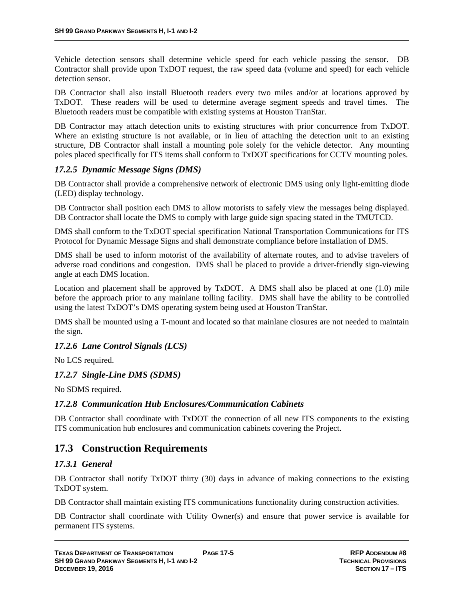Vehicle detection sensors shall determine vehicle speed for each vehicle passing the sensor. DB Contractor shall provide upon TxDOT request, the raw speed data (volume and speed) for each vehicle detection sensor.

DB Contractor shall also install Bluetooth readers every two miles and/or at locations approved by TxDOT. These readers will be used to determine average segment speeds and travel times. The Bluetooth readers must be compatible with existing systems at Houston TranStar.

DB Contractor may attach detection units to existing structures with prior concurrence from TxDOT. Where an existing structure is not available, or in lieu of attaching the detection unit to an existing structure, DB Contractor shall install a mounting pole solely for the vehicle detector. Any mounting poles placed specifically for ITS items shall conform to TxDOT specifications for CCTV mounting poles.

#### *17.2.5 Dynamic Message Signs (DMS)*

DB Contractor shall provide a comprehensive network of electronic DMS using only light-emitting diode (LED) display technology.

DB Contractor shall position each DMS to allow motorists to safely view the messages being displayed. DB Contractor shall locate the DMS to comply with large guide sign spacing stated in the TMUTCD.

DMS shall conform to the TxDOT special specification National Transportation Communications for ITS Protocol for Dynamic Message Signs and shall demonstrate compliance before installation of DMS.

DMS shall be used to inform motorist of the availability of alternate routes, and to advise travelers of adverse road conditions and congestion. DMS shall be placed to provide a driver-friendly sign-viewing angle at each DMS location.

Location and placement shall be approved by TxDOT. A DMS shall also be placed at one (1.0) mile before the approach prior to any mainlane tolling facility.DMS shall have the ability to be controlled using the latest TxDOT's DMS operating system being used at Houston TranStar.

DMS shall be mounted using a T-mount and located so that mainlane closures are not needed to maintain the sign.

#### *17.2.6 Lane Control Signals (LCS)*

No LCS required.

#### *17.2.7 Single-Line DMS (SDMS)*

No SDMS required.

#### *17.2.8 Communication Hub Enclosures/Communication Cabinets*

DB Contractor shall coordinate with TxDOT the connection of all new ITS components to the existing ITS communication hub enclosures and communication cabinets covering the Project.

### **17.3 Construction Requirements**

#### *17.3.1 General*

DB Contractor shall notify TxDOT thirty (30) days in advance of making connections to the existing TxDOT system.

DB Contractor shall maintain existing ITS communications functionality during construction activities.

DB Contractor shall coordinate with Utility Owner(s) and ensure that power service is available for permanent ITS systems.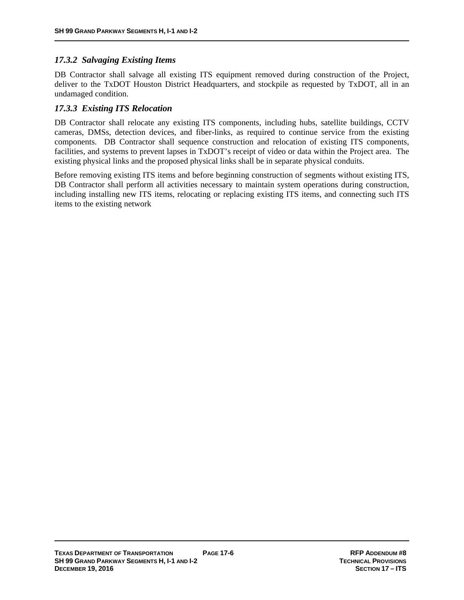### *17.3.2 Salvaging Existing Items*

DB Contractor shall salvage all existing ITS equipment removed during construction of the Project, deliver to the TxDOT Houston District Headquarters, and stockpile as requested by TxDOT, all in an undamaged condition.

#### *17.3.3 Existing ITS Relocation*

DB Contractor shall relocate any existing ITS components, including hubs, satellite buildings, CCTV cameras, DMSs, detection devices, and fiber-links, as required to continue service from the existing components. DB Contractor shall sequence construction and relocation of existing ITS components, facilities, and systems to prevent lapses in TxDOT's receipt of video or data within the Project area. The existing physical links and the proposed physical links shall be in separate physical conduits.

Before removing existing ITS items and before beginning construction of segments without existing ITS, DB Contractor shall perform all activities necessary to maintain system operations during construction, including installing new ITS items, relocating or replacing existing ITS items, and connecting such ITS items to the existing network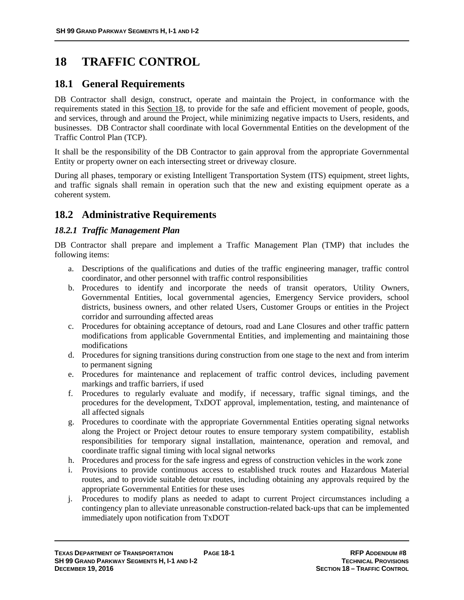# **18 TRAFFIC CONTROL**

## **18.1 General Requirements**

DB Contractor shall design, construct, operate and maintain the Project, in conformance with the requirements stated in this Section 18, to provide for the safe and efficient movement of people, goods, and services, through and around the Project, while minimizing negative impacts to Users, residents, and businesses. DB Contractor shall coordinate with local Governmental Entities on the development of the Traffic Control Plan (TCP).

It shall be the responsibility of the DB Contractor to gain approval from the appropriate Governmental Entity or property owner on each intersecting street or driveway closure.

During all phases, temporary or existing Intelligent Transportation System (ITS) equipment, street lights, and traffic signals shall remain in operation such that the new and existing equipment operate as a coherent system.

## **18.2 Administrative Requirements**

#### *18.2.1 Traffic Management Plan*

DB Contractor shall prepare and implement a Traffic Management Plan (TMP) that includes the following items:

- a. Descriptions of the qualifications and duties of the traffic engineering manager, traffic control coordinator, and other personnel with traffic control responsibilities
- b. Procedures to identify and incorporate the needs of transit operators, Utility Owners, Governmental Entities, local governmental agencies, Emergency Service providers, school districts, business owners, and other related Users, Customer Groups or entities in the Project corridor and surrounding affected areas
- c. Procedures for obtaining acceptance of detours, road and Lane Closures and other traffic pattern modifications from applicable Governmental Entities, and implementing and maintaining those modifications
- d. Procedures for signing transitions during construction from one stage to the next and from interim to permanent signing
- e. Procedures for maintenance and replacement of traffic control devices, including pavement markings and traffic barriers, if used
- f. Procedures to regularly evaluate and modify, if necessary, traffic signal timings, and the procedures for the development, TxDOT approval, implementation, testing, and maintenance of all affected signals
- g. Procedures to coordinate with the appropriate Governmental Entities operating signal networks along the Project or Project detour routes to ensure temporary system compatibility, establish responsibilities for temporary signal installation, maintenance, operation and removal, and coordinate traffic signal timing with local signal networks
- h. Procedures and process for the safe ingress and egress of construction vehicles in the work zone
- i. Provisions to provide continuous access to established truck routes and Hazardous Material routes, and to provide suitable detour routes, including obtaining any approvals required by the appropriate Governmental Entities for these uses
- j. Procedures to modify plans as needed to adapt to current Project circumstances including a contingency plan to alleviate unreasonable construction-related back-ups that can be implemented immediately upon notification from TxDOT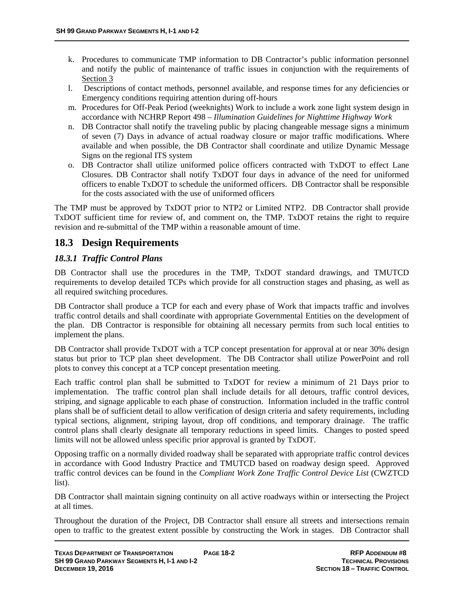- k. Procedures to communicate TMP information to DB Contractor's public information personnel and notify the public of maintenance of traffic issues in conjunction with the requirements of Section 3
- l. Descriptions of contact methods, personnel available, and response times for any deficiencies or Emergency conditions requiring attention during off-hours
- m. Procedures for Off-Peak Period (weeknights) Work to include a work zone light system design in accordance with NCHRP Report 498 – *Illumination Guidelines for Nighttime Highway Work*
- n. DB Contractor shall notify the traveling public by placing changeable message signs a minimum of seven (7) Days in advance of actual roadway closure or major traffic modifications. Where available and when possible, the DB Contractor shall coordinate and utilize Dynamic Message Signs on the regional ITS system
- o. DB Contractor shall utilize uniformed police officers contracted with TxDOT to effect Lane Closures. DB Contractor shall notify TxDOT four days in advance of the need for uniformed officers to enable TxDOT to schedule the uniformed officers. DB Contractor shall be responsible for the costs associated with the use of uniformed officers

The TMP must be approved by TxDOT prior to NTP2 or Limited NTP2. DB Contractor shall provide TxDOT sufficient time for review of, and comment on, the TMP. TxDOT retains the right to require revision and re-submittal of the TMP within a reasonable amount of time.

## **18.3 Design Requirements**

### *18.3.1 Traffic Control Plans*

DB Contractor shall use the procedures in the TMP, TxDOT standard drawings, and TMUTCD requirements to develop detailed TCPs which provide for all construction stages and phasing, as well as all required switching procedures.

DB Contractor shall produce a TCP for each and every phase of Work that impacts traffic and involves traffic control details and shall coordinate with appropriate Governmental Entities on the development of the plan. DB Contractor is responsible for obtaining all necessary permits from such local entities to implement the plans.

DB Contractor shall provide TxDOT with a TCP concept presentation for approval at or near 30% design status but prior to TCP plan sheet development. The DB Contractor shall utilize PowerPoint and roll plots to convey this concept at a TCP concept presentation meeting.

Each traffic control plan shall be submitted to TxDOT for review a minimum of 21 Days prior to implementation. The traffic control plan shall include details for all detours, traffic control devices, striping, and signage applicable to each phase of construction. Information included in the traffic control plans shall be of sufficient detail to allow verification of design criteria and safety requirements, including typical sections, alignment, striping layout, drop off conditions, and temporary drainage. The traffic control plans shall clearly designate all temporary reductions in speed limits. Changes to posted speed limits will not be allowed unless specific prior approval is granted by TxDOT.

Opposing traffic on a normally divided roadway shall be separated with appropriate traffic control devices in accordance with Good Industry Practice and TMUTCD based on roadway design speed. Approved traffic control devices can be found in the *Compliant Work Zone Traffic Control Device List* (CWZTCD list).

DB Contractor shall maintain signing continuity on all active roadways within or intersecting the Project at all times.

Throughout the duration of the Project, DB Contractor shall ensure all streets and intersections remain open to traffic to the greatest extent possible by constructing the Work in stages. DB Contractor shall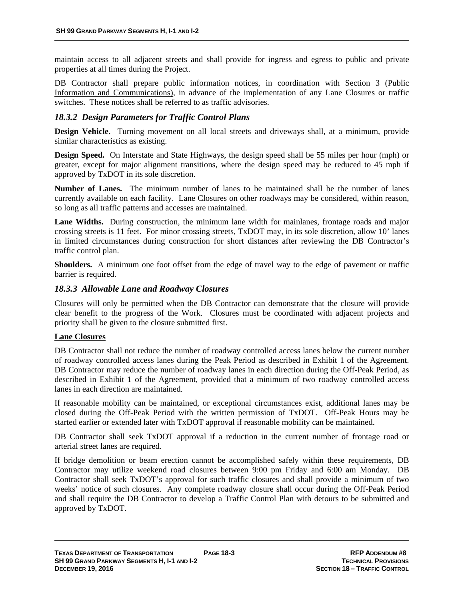maintain access to all adjacent streets and shall provide for ingress and egress to public and private properties at all times during the Project.

DB Contractor shall prepare public information notices, in coordination with Section 3 (Public Information and Communications), in advance of the implementation of any Lane Closures or traffic switches. These notices shall be referred to as traffic advisories.

#### *18.3.2 Design Parameters for Traffic Control Plans*

**Design Vehicle.** Turning movement on all local streets and driveways shall, at a minimum, provide similar characteristics as existing.

**Design Speed.** On Interstate and State Highways, the design speed shall be 55 miles per hour (mph) or greater, except for major alignment transitions, where the design speed may be reduced to 45 mph if approved by TxDOT in its sole discretion.

**Number of Lanes.** The minimum number of lanes to be maintained shall be the number of lanes currently available on each facility. Lane Closures on other roadways may be considered, within reason, so long as all traffic patterns and accesses are maintained.

Lane Widths. During construction, the minimum lane width for mainlanes, frontage roads and major crossing streets is 11 feet. For minor crossing streets, TxDOT may, in its sole discretion, allow 10' lanes in limited circumstances during construction for short distances after reviewing the DB Contractor's traffic control plan.

**Shoulders.** A minimum one foot offset from the edge of travel way to the edge of pavement or traffic barrier is required.

#### *18.3.3 Allowable Lane and Roadway Closures*

Closures will only be permitted when the DB Contractor can demonstrate that the closure will provide clear benefit to the progress of the Work. Closures must be coordinated with adjacent projects and priority shall be given to the closure submitted first.

#### **Lane Closures**

DB Contractor shall not reduce the number of roadway controlled access lanes below the current number of roadway controlled access lanes during the Peak Period as described in Exhibit 1 of the Agreement. DB Contractor may reduce the number of roadway lanes in each direction during the Off-Peak Period, as described in Exhibit 1 of the Agreement, provided that a minimum of two roadway controlled access lanes in each direction are maintained.

If reasonable mobility can be maintained, or exceptional circumstances exist, additional lanes may be closed during the Off-Peak Period with the written permission of TxDOT. Off-Peak Hours may be started earlier or extended later with TxDOT approval if reasonable mobility can be maintained.

DB Contractor shall seek TxDOT approval if a reduction in the current number of frontage road or arterial street lanes are required.

If bridge demolition or beam erection cannot be accomplished safely within these requirements, DB Contractor may utilize weekend road closures between 9:00 pm Friday and 6:00 am Monday. DB Contractor shall seek TxDOT's approval for such traffic closures and shall provide a minimum of two weeks' notice of such closures. Any complete roadway closure shall occur during the Off-Peak Period and shall require the DB Contractor to develop a Traffic Control Plan with detours to be submitted and approved by TxDOT.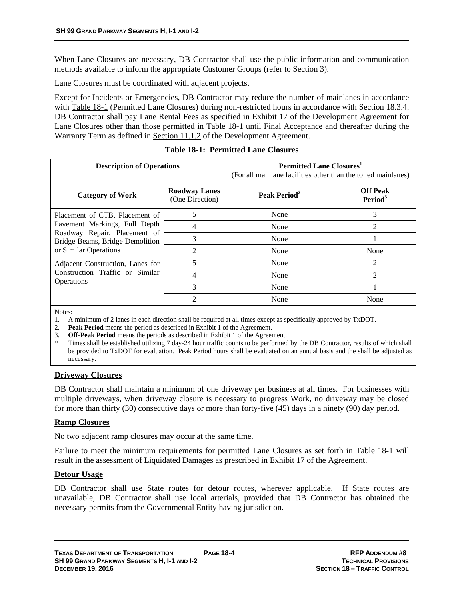When Lane Closures are necessary, DB Contractor shall use the public information and communication methods available to inform the appropriate Customer Groups (refer to Section 3).

Lane Closures must be coordinated with adjacent projects.

Except for Incidents or Emergencies, DB Contractor may reduce the number of mainlanes in accordance with Table 18-1 (Permitted Lane Closures) during non-restricted hours in accordance with Section 18.3.4. DB Contractor shall pay Lane Rental Fees as specified in **Exhibit 17** of the Development Agreement for Lane Closures other than those permitted in Table 18-1 until Final Acceptance and thereafter during the Warranty Term as defined in Section 11.1.2 of the Development Agreement.

| <b>Description of Operations</b>                                                                                                                            |                                         | <b>Permitted Lane Closures</b><br>(For all mainlane facilities other than the tolled mainlanes) |                                        |
|-------------------------------------------------------------------------------------------------------------------------------------------------------------|-----------------------------------------|-------------------------------------------------------------------------------------------------|----------------------------------------|
| <b>Category of Work</b>                                                                                                                                     | <b>Roadway Lanes</b><br>(One Direction) | Peak Period <sup>2</sup>                                                                        | <b>Off Peak</b><br>Period <sup>3</sup> |
| Placement of CTB, Placement of<br>Pavement Markings, Full Depth<br>Roadway Repair, Placement of<br>Bridge Beams, Bridge Demolition<br>or Similar Operations | 5                                       | None                                                                                            | 3                                      |
|                                                                                                                                                             | 4                                       | None                                                                                            | $\mathfrak{D}$                         |
|                                                                                                                                                             | 3                                       | None                                                                                            |                                        |
|                                                                                                                                                             | $\mathfrak{D}$                          | None                                                                                            | None                                   |
| Adjacent Construction, Lanes for<br>Construction Traffic or Similar<br>Operations                                                                           | 5                                       | None                                                                                            | $\mathfrak{D}$                         |
|                                                                                                                                                             | 4                                       | None                                                                                            | $\mathfrak{D}$                         |
|                                                                                                                                                             | 3                                       | None                                                                                            |                                        |
|                                                                                                                                                             | ◠                                       | None                                                                                            | None                                   |

**Table 18-1: Permitted Lane Closures** 

Notes:

1. A minimum of 2 lanes in each direction shall be required at all times except as specifically approved by TxDOT.

- 2. **Peak Period** means the period as described in Exhibit 1 of the Agreement.
- 3. **Off-Peak Period** means the periods as described in Exhibit 1 of the Agreement.

Times shall be established utilizing 7 day-24 hour traffic counts to be performed by the DB Contractor, results of which shall be provided to TxDOT for evaluation. Peak Period hours shall be evaluated on an annual basis and the shall be adjusted as necessary.

#### **Driveway Closures**

DB Contractor shall maintain a minimum of one driveway per business at all times. For businesses with multiple driveways, when driveway closure is necessary to progress Work, no driveway may be closed for more than thirty (30) consecutive days or more than forty-five (45) days in a ninety (90) day period.

#### **Ramp Closures**

No two adjacent ramp closures may occur at the same time.

Failure to meet the minimum requirements for permitted Lane Closures as set forth in Table 18-1 will result in the assessment of Liquidated Damages as prescribed in Exhibit 17 of the Agreement.

#### **Detour Usage**

DB Contractor shall use State routes for detour routes, wherever applicable. If State routes are unavailable, DB Contractor shall use local arterials, provided that DB Contractor has obtained the necessary permits from the Governmental Entity having jurisdiction.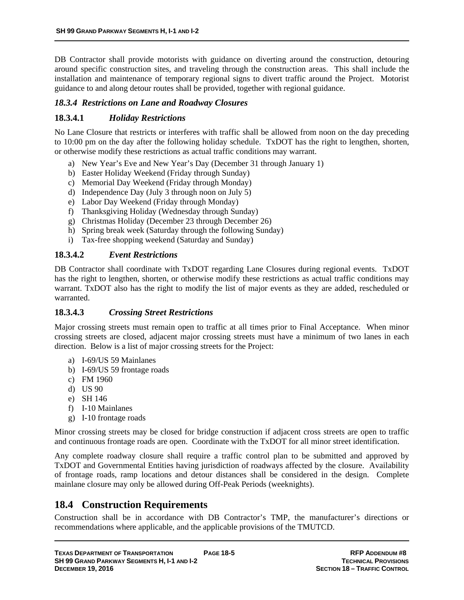DB Contractor shall provide motorists with guidance on diverting around the construction, detouring around specific construction sites, and traveling through the construction areas. This shall include the installation and maintenance of temporary regional signs to divert traffic around the Project. Motorist guidance to and along detour routes shall be provided, together with regional guidance.

#### *18.3.4 Restrictions on Lane and Roadway Closures*

### **18.3.4.1** *Holiday Restrictions*

No Lane Closure that restricts or interferes with traffic shall be allowed from noon on the day preceding to 10:00 pm on the day after the following holiday schedule. TxDOT has the right to lengthen, shorten, or otherwise modify these restrictions as actual traffic conditions may warrant.

- a) New Year's Eve and New Year's Day (December 31 through January 1)
- b) Easter Holiday Weekend (Friday through Sunday)
- c) Memorial Day Weekend (Friday through Monday)
- d) Independence Day (July 3 through noon on July 5)
- e) Labor Day Weekend (Friday through Monday)
- f) Thanksgiving Holiday (Wednesday through Sunday)
- g) Christmas Holiday (December 23 through December 26)
- h) Spring break week (Saturday through the following Sunday)
- i) Tax-free shopping weekend (Saturday and Sunday)

#### **18.3.4.2** *Event Restrictions*

DB Contractor shall coordinate with TxDOT regarding Lane Closures during regional events. TxDOT has the right to lengthen, shorten, or otherwise modify these restrictions as actual traffic conditions may warrant. TxDOT also has the right to modify the list of major events as they are added, rescheduled or warranted.

#### **18.3.4.3** *Crossing Street Restrictions*

Major crossing streets must remain open to traffic at all times prior to Final Acceptance. When minor crossing streets are closed, adjacent major crossing streets must have a minimum of two lanes in each direction. Below is a list of major crossing streets for the Project:

- a) I-69/US 59 Mainlanes
- b) I-69/US 59 frontage roads
- c) FM 1960
- d) US 90
- e) SH 146
- f) I-10 Mainlanes
- g) I-10 frontage roads

Minor crossing streets may be closed for bridge construction if adjacent cross streets are open to traffic and continuous frontage roads are open. Coordinate with the TxDOT for all minor street identification.

Any complete roadway closure shall require a traffic control plan to be submitted and approved by TxDOT and Governmental Entities having jurisdiction of roadways affected by the closure. Availability of frontage roads, ramp locations and detour distances shall be considered in the design. Complete mainlane closure may only be allowed during Off-Peak Periods (weeknights).

## **18.4 Construction Requirements**

Construction shall be in accordance with DB Contractor's TMP, the manufacturer's directions or recommendations where applicable, and the applicable provisions of the TMUTCD.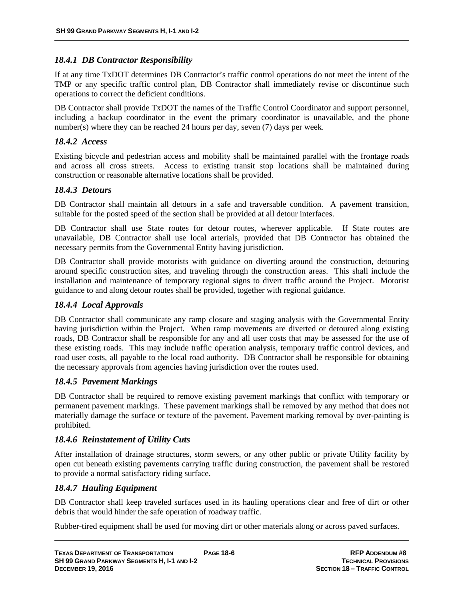#### *18.4.1 DB Contractor Responsibility*

If at any time TxDOT determines DB Contractor's traffic control operations do not meet the intent of the TMP or any specific traffic control plan, DB Contractor shall immediately revise or discontinue such operations to correct the deficient conditions.

DB Contractor shall provide TxDOT the names of the Traffic Control Coordinator and support personnel, including a backup coordinator in the event the primary coordinator is unavailable, and the phone number(s) where they can be reached 24 hours per day, seven (7) days per week.

#### *18.4.2 Access*

Existing bicycle and pedestrian access and mobility shall be maintained parallel with the frontage roads and across all cross streets. Access to existing transit stop locations shall be maintained during construction or reasonable alternative locations shall be provided.

#### *18.4.3 Detours*

DB Contractor shall maintain all detours in a safe and traversable condition. A pavement transition, suitable for the posted speed of the section shall be provided at all detour interfaces.

DB Contractor shall use State routes for detour routes, wherever applicable. If State routes are unavailable, DB Contractor shall use local arterials, provided that DB Contractor has obtained the necessary permits from the Governmental Entity having jurisdiction.

DB Contractor shall provide motorists with guidance on diverting around the construction, detouring around specific construction sites, and traveling through the construction areas. This shall include the installation and maintenance of temporary regional signs to divert traffic around the Project. Motorist guidance to and along detour routes shall be provided, together with regional guidance.

#### *18.4.4 Local Approvals*

DB Contractor shall communicate any ramp closure and staging analysis with the Governmental Entity having jurisdiction within the Project. When ramp movements are diverted or detoured along existing roads, DB Contractor shall be responsible for any and all user costs that may be assessed for the use of these existing roads. This may include traffic operation analysis, temporary traffic control devices, and road user costs, all payable to the local road authority. DB Contractor shall be responsible for obtaining the necessary approvals from agencies having jurisdiction over the routes used.

#### *18.4.5 Pavement Markings*

DB Contractor shall be required to remove existing pavement markings that conflict with temporary or permanent pavement markings. These pavement markings shall be removed by any method that does not materially damage the surface or texture of the pavement. Pavement marking removal by over-painting is prohibited.

#### *18.4.6 Reinstatement of Utility Cuts*

After installation of drainage structures, storm sewers, or any other public or private Utility facility by open cut beneath existing pavements carrying traffic during construction, the pavement shall be restored to provide a normal satisfactory riding surface.

#### *18.4.7 Hauling Equipment*

DB Contractor shall keep traveled surfaces used in its hauling operations clear and free of dirt or other debris that would hinder the safe operation of roadway traffic.

Rubber-tired equipment shall be used for moving dirt or other materials along or across paved surfaces.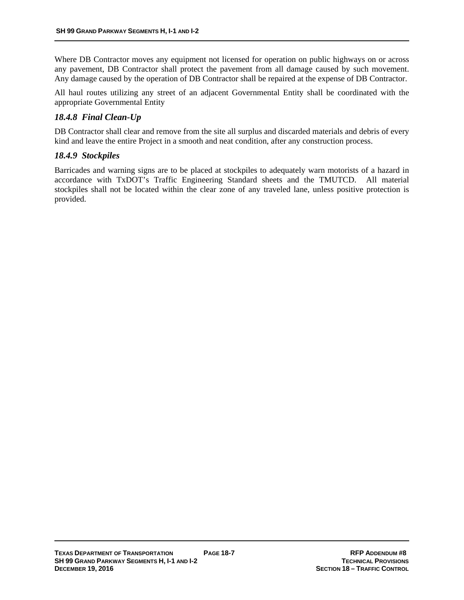Where DB Contractor moves any equipment not licensed for operation on public highways on or across any pavement, DB Contractor shall protect the pavement from all damage caused by such movement. Any damage caused by the operation of DB Contractor shall be repaired at the expense of DB Contractor.

All haul routes utilizing any street of an adjacent Governmental Entity shall be coordinated with the appropriate Governmental Entity

### *18.4.8 Final Clean-Up*

DB Contractor shall clear and remove from the site all surplus and discarded materials and debris of every kind and leave the entire Project in a smooth and neat condition, after any construction process.

#### *18.4.9 Stockpiles*

Barricades and warning signs are to be placed at stockpiles to adequately warn motorists of a hazard in accordance with TxDOT's Traffic Engineering Standard sheets and the TMUTCD. All material stockpiles shall not be located within the clear zone of any traveled lane, unless positive protection is provided.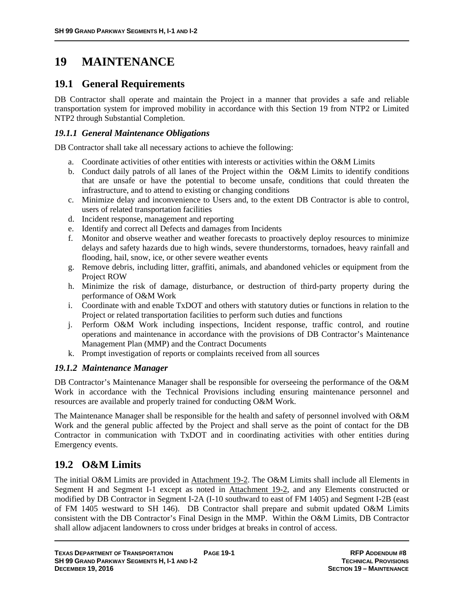# **19 MAINTENANCE**

## **19.1 General Requirements**

DB Contractor shall operate and maintain the Project in a manner that provides a safe and reliable transportation system for improved mobility in accordance with this Section 19 from NTP2 or Limited NTP2 through Substantial Completion.

### *19.1.1 General Maintenance Obligations*

DB Contractor shall take all necessary actions to achieve the following:

- a. Coordinate activities of other entities with interests or activities within the O&M Limits
- b. Conduct daily patrols of all lanes of the Project within the O&M Limits to identify conditions that are unsafe or have the potential to become unsafe, conditions that could threaten the infrastructure, and to attend to existing or changing conditions
- c. Minimize delay and inconvenience to Users and, to the extent DB Contractor is able to control, users of related transportation facilities
- d. Incident response, management and reporting
- e. Identify and correct all Defects and damages from Incidents
- f. Monitor and observe weather and weather forecasts to proactively deploy resources to minimize delays and safety hazards due to high winds, severe thunderstorms, tornadoes, heavy rainfall and flooding, hail, snow, ice, or other severe weather events
- g. Remove debris, including litter, graffiti, animals, and abandoned vehicles or equipment from the Project ROW
- h. Minimize the risk of damage, disturbance, or destruction of third-party property during the performance of O&M Work
- i. Coordinate with and enable TxDOT and others with statutory duties or functions in relation to the Project or related transportation facilities to perform such duties and functions
- j. Perform O&M Work including inspections, Incident response, traffic control, and routine operations and maintenance in accordance with the provisions of DB Contractor's Maintenance Management Plan (MMP) and the Contract Documents
- k. Prompt investigation of reports or complaints received from all sources

#### *19.1.2 Maintenance Manager*

DB Contractor's Maintenance Manager shall be responsible for overseeing the performance of the O&M Work in accordance with the Technical Provisions including ensuring maintenance personnel and resources are available and properly trained for conducting O&M Work.

The Maintenance Manager shall be responsible for the health and safety of personnel involved with O&M Work and the general public affected by the Project and shall serve as the point of contact for the DB Contractor in communication with TxDOT and in coordinating activities with other entities during Emergency events.

## **19.2 O&M Limits**

The initial O&M Limits are provided in Attachment 19-2. The O&M Limits shall include all Elements in Segment H and Segment I-1 except as noted in Attachment 19-2, and any Elements constructed or modified by DB Contractor in Segment I-2A (I-10 southward to east of FM 1405) and Segment I-2B (east of FM 1405 westward to SH 146). DB Contractor shall prepare and submit updated O&M Limits consistent with the DB Contractor's Final Design in the MMP. Within the O&M Limits, DB Contractor shall allow adjacent landowners to cross under bridges at breaks in control of access.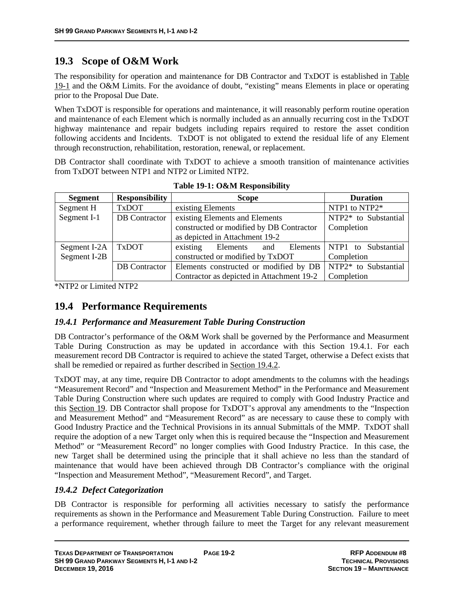## **19.3 Scope of O&M Work**

The responsibility for operation and maintenance for DB Contractor and TxDOT is established in Table 19-1 and the O&M Limits. For the avoidance of doubt, "existing" means Elements in place or operating prior to the Proposal Due Date.

When TxDOT is responsible for operations and maintenance, it will reasonably perform routine operation and maintenance of each Element which is normally included as an annually recurring cost in the TxDOT highway maintenance and repair budgets including repairs required to restore the asset condition following accidents and Incidents. TxDOT is not obligated to extend the residual life of any Element through reconstruction, rehabilitation, restoration, renewal, or replacement.

DB Contractor shall coordinate with TxDOT to achieve a smooth transition of maintenance activities from TxDOT between NTP1 and NTP2 or Limited NTP2.

| <b>Segment</b> | <b>Responsibility</b> | <b>Duration</b><br><b>Scope</b>                                 |
|----------------|-----------------------|-----------------------------------------------------------------|
| Segment H      | <b>TxDOT</b>          | NTP1 to NTP2*<br>existing Elements                              |
| Segment I-1    | <b>DB</b> Contractor  | existing Elements and Elements<br>NTP2* to Substantial          |
|                |                       | constructed or modified by DB Contractor<br>Completion          |
|                |                       | as depicted in Attachment 19-2                                  |
| Segment I-2A   | <b>TxDOT</b>          | existing<br>Elements   NTP1 to Substantial<br>Elements and      |
| Segment I-2B   |                       | constructed or modified by TxDOT<br>Completion                  |
|                | <b>DB</b> Contractor  | Elements constructed or modified by DB   $NTP2*$ to Substantial |
|                |                       | Contractor as depicted in Attachment 19-2<br>Completion         |

**Table 19-1: O&M Responsibility** 

\*NTP2 or Limited NTP2

## **19.4 Performance Requirements**

#### *19.4.1 Performance and Measurement Table During Construction*

DB Contractor's performance of the O&M Work shall be governed by the Performance and Measurment Table During Construction as may be updated in accordance with this Section 19.4.1. For each measurement record DB Contractor is required to achieve the stated Target, otherwise a Defect exists that shall be remedied or repaired as further described in Section 19.4.2.

TxDOT may, at any time, require DB Contractor to adopt amendments to the columns with the headings "Measurement Record" and "Inspection and Measurement Method" in the Performance and Measurement Table During Construction where such updates are required to comply with Good Industry Practice and this Section 19. DB Contractor shall propose for TxDOT's approval any amendments to the "Inspection and Measurement Method" and "Measurement Record" as are necessary to cause these to comply with Good Industry Practice and the Technical Provisions in its annual Submittals of the MMP. TxDOT shall require the adoption of a new Target only when this is required because the "Inspection and Measurement Method" or "Measurement Record" no longer complies with Good Industry Practice. In this case, the new Target shall be determined using the principle that it shall achieve no less than the standard of maintenance that would have been achieved through DB Contractor's compliance with the original "Inspection and Measurement Method", "Measurement Record", and Target.

### *19.4.2 Defect Categorization*

DB Contractor is responsible for performing all activities necessary to satisfy the performance requirements as shown in the Performance and Measurement Table During Construction. Failure to meet a performance requirement, whether through failure to meet the Target for any relevant measurement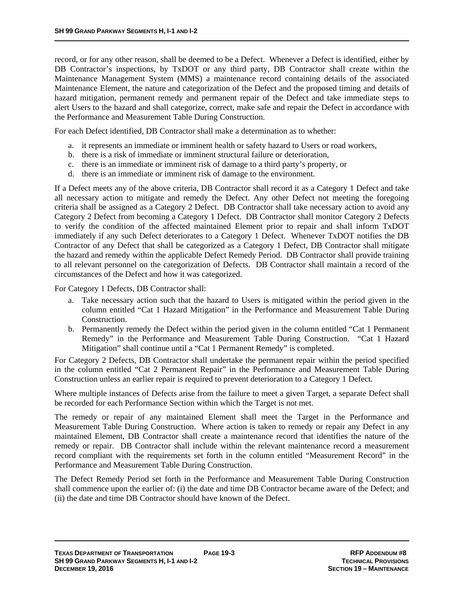record, or for any other reason, shall be deemed to be a Defect. Whenever a Defect is identified, either by DB Contractor's inspections, by TxDOT or any third party, DB Contractor shall create within the Maintenance Management System (MMS) a maintenance record containing details of the associated Maintenance Element, the nature and categorization of the Defect and the proposed timing and details of hazard mitigation, permanent remedy and permanent repair of the Defect and take immediate steps to alert Users to the hazard and shall categorize, correct, make safe and repair the Defect in accordance with the Performance and Measurement Table During Construction.

For each Defect identified, DB Contractor shall make a determination as to whether:

- a. it represents an immediate or imminent health or safety hazard to Users or road workers,
- b. there is a risk of immediate or imminent structural failure or deterioration,
- c. there is an immediate or imminent risk of damage to a third party's property, or
- d. there is an immediate or imminent risk of damage to the environment.

If a Defect meets any of the above criteria, DB Contractor shall record it as a Category 1 Defect and take all necessary action to mitigate and remedy the Defect. Any other Defect not meeting the foregoing criteria shall be assigned as a Category 2 Defect. DB Contractor shall take necessary action to avoid any Category 2 Defect from becoming a Category 1 Defect. DB Contractor shall monitor Category 2 Defects to verify the condition of the affected maintained Element prior to repair and shall inform TxDOT immediately if any such Defect deteriorates to a Category 1 Defect. Whenever TxDOT notifies the DB Contractor of any Defect that shall be categorized as a Category 1 Defect, DB Contractor shall mitigate the hazard and remedy within the applicable Defect Remedy Period. DB Contractor shall provide training to all relevant personnel on the categorization of Defects. DB Contractor shall maintain a record of the circumstances of the Defect and how it was categorized.

For Category 1 Defects, DB Contractor shall:

- a. Take necessary action such that the hazard to Users is mitigated within the period given in the column entitled "Cat 1 Hazard Mitigation" in the Performance and Measurement Table During Construction.
- b. Permanently remedy the Defect within the period given in the column entitled "Cat 1 Permanent Remedy" in the Performance and Measurement Table During Construction. "Cat 1 Hazard Mitigation" shall continue until a "Cat 1 Permanent Remedy" is completed.

For Category 2 Defects, DB Contractor shall undertake the permanent repair within the period specified in the column entitled "Cat 2 Permanent Repair" in the Performance and Measurement Table During Construction unless an earlier repair is required to prevent deterioration to a Category 1 Defect.

Where multiple instances of Defects arise from the failure to meet a given Target, a separate Defect shall be recorded for each Performance Section within which the Target is not met.

The remedy or repair of any maintained Element shall meet the Target in the Performance and Measurement Table During Construction. Where action is taken to remedy or repair any Defect in any maintained Element, DB Contractor shall create a maintenance record that identifies the nature of the remedy or repair. DB Contractor shall include within the relevant maintenance record a measurement record compliant with the requirements set forth in the column entitled "Measurement Record" in the Performance and Measurement Table During Construction.

The Defect Remedy Period set forth in the Performance and Measurement Table During Construction shall commence upon the earlier of: (i) the date and time DB Contractor became aware of the Defect; and (ii) the date and time DB Contractor should have known of the Defect.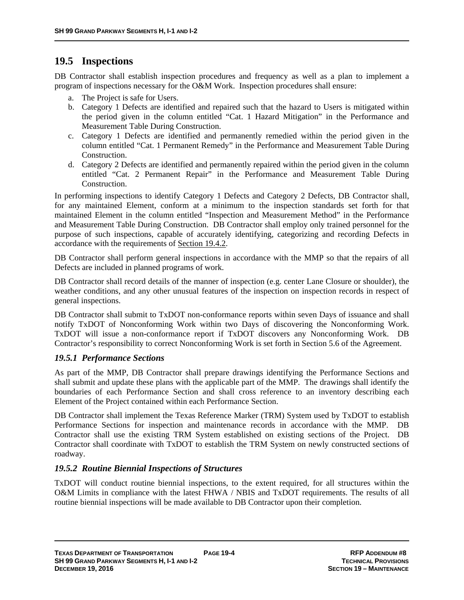## **19.5 Inspections**

DB Contractor shall establish inspection procedures and frequency as well as a plan to implement a program of inspections necessary for the O&M Work. Inspection procedures shall ensure:

- a. The Project is safe for Users.
- b. Category 1 Defects are identified and repaired such that the hazard to Users is mitigated within the period given in the column entitled "Cat. 1 Hazard Mitigation" in the Performance and Measurement Table During Construction.
- c. Category 1 Defects are identified and permanently remedied within the period given in the column entitled "Cat. 1 Permanent Remedy" in the Performance and Measurement Table During Construction.
- d. Category 2 Defects are identified and permanently repaired within the period given in the column entitled "Cat. 2 Permanent Repair" in the Performance and Measurement Table During Construction.

In performing inspections to identify Category 1 Defects and Category 2 Defects, DB Contractor shall, for any maintained Element, conform at a minimum to the inspection standards set forth for that maintained Element in the column entitled "Inspection and Measurement Method" in the Performance and Measurement Table During Construction. DB Contractor shall employ only trained personnel for the purpose of such inspections, capable of accurately identifying, categorizing and recording Defects in accordance with the requirements of Section 19.4.2.

DB Contractor shall perform general inspections in accordance with the MMP so that the repairs of all Defects are included in planned programs of work.

DB Contractor shall record details of the manner of inspection (e.g. center Lane Closure or shoulder), the weather conditions, and any other unusual features of the inspection on inspection records in respect of general inspections.

DB Contractor shall submit to TxDOT non-conformance reports within seven Days of issuance and shall notify TxDOT of Nonconforming Work within two Days of discovering the Nonconforming Work. TxDOT will issue a non-conformance report if TxDOT discovers any Nonconforming Work. DB Contractor's responsibility to correct Nonconforming Work is set forth in Section 5.6 of the Agreement.

#### *19.5.1 Performance Sections*

As part of the MMP, DB Contractor shall prepare drawings identifying the Performance Sections and shall submit and update these plans with the applicable part of the MMP. The drawings shall identify the boundaries of each Performance Section and shall cross reference to an inventory describing each Element of the Project contained within each Performance Section.

DB Contractor shall implement the Texas Reference Marker (TRM) System used by TxDOT to establish Performance Sections for inspection and maintenance records in accordance with the MMP. DB Contractor shall use the existing TRM System established on existing sections of the Project. DB Contractor shall coordinate with TxDOT to establish the TRM System on newly constructed sections of roadway.

#### *19.5.2 Routine Biennial Inspections of Structures*

TxDOT will conduct routine biennial inspections, to the extent required, for all structures within the O&M Limits in compliance with the latest FHWA / NBIS and TxDOT requirements. The results of all routine biennial inspections will be made available to DB Contractor upon their completion.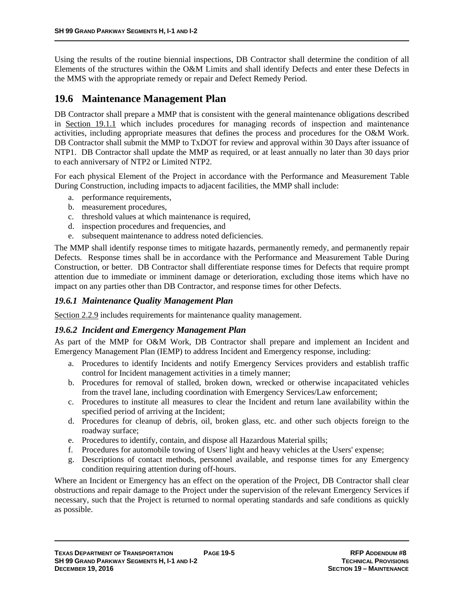Using the results of the routine biennial inspections, DB Contractor shall determine the condition of all Elements of the structures within the O&M Limits and shall identify Defects and enter these Defects in the MMS with the appropriate remedy or repair and Defect Remedy Period.

## **19.6 Maintenance Management Plan**

DB Contractor shall prepare a MMP that is consistent with the general maintenance obligations described in Section 19.1.1 which includes procedures for managing records of inspection and maintenance activities, including appropriate measures that defines the process and procedures for the O&M Work. DB Contractor shall submit the MMP to TxDOT for review and approval within 30 Days after issuance of NTP1. DB Contractor shall update the MMP as required, or at least annually no later than 30 days prior to each anniversary of NTP2 or Limited NTP2.

For each physical Element of the Project in accordance with the Performance and Measurement Table During Construction, including impacts to adjacent facilities, the MMP shall include:

- a. performance requirements,
- b. measurement procedures,
- c. threshold values at which maintenance is required,
- d. inspection procedures and frequencies, and
- e. subsequent maintenance to address noted deficiencies.

The MMP shall identify response times to mitigate hazards, permanently remedy, and permanently repair Defects. Response times shall be in accordance with the Performance and Measurement Table During Construction, or better. DB Contractor shall differentiate response times for Defects that require prompt attention due to immediate or imminent damage or deterioration, excluding those items which have no impact on any parties other than DB Contractor, and response times for other Defects.

#### *19.6.1 Maintenance Quality Management Plan*

Section 2.2.9 includes requirements for maintenance quality management.

#### *19.6.2 Incident and Emergency Management Plan*

As part of the MMP for O&M Work, DB Contractor shall prepare and implement an Incident and Emergency Management Plan (IEMP) to address Incident and Emergency response, including:

- a. Procedures to identify Incidents and notify Emergency Services providers and establish traffic control for Incident management activities in a timely manner;
- b. Procedures for removal of stalled, broken down, wrecked or otherwise incapacitated vehicles from the travel lane, including coordination with Emergency Services/Law enforcement;
- c. Procedures to institute all measures to clear the Incident and return lane availability within the specified period of arriving at the Incident;
- d. Procedures for cleanup of debris, oil, broken glass, etc. and other such objects foreign to the roadway surface;
- e. Procedures to identify, contain, and dispose all Hazardous Material spills;
- f. Procedures for automobile towing of Users' light and heavy vehicles at the Users' expense;
- g. Descriptions of contact methods, personnel available, and response times for any Emergency condition requiring attention during off-hours.

Where an Incident or Emergency has an effect on the operation of the Project, DB Contractor shall clear obstructions and repair damage to the Project under the supervision of the relevant Emergency Services if necessary, such that the Project is returned to normal operating standards and safe conditions as quickly as possible.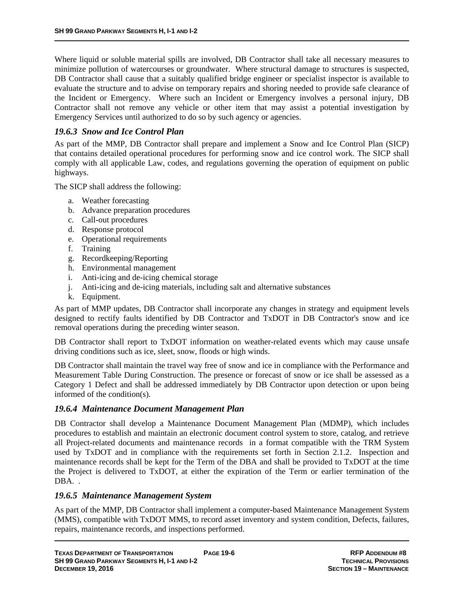Where liquid or soluble material spills are involved, DB Contractor shall take all necessary measures to minimize pollution of watercourses or groundwater. Where structural damage to structures is suspected, DB Contractor shall cause that a suitably qualified bridge engineer or specialist inspector is available to evaluate the structure and to advise on temporary repairs and shoring needed to provide safe clearance of the Incident or Emergency. Where such an Incident or Emergency involves a personal injury, DB Contractor shall not remove any vehicle or other item that may assist a potential investigation by Emergency Services until authorized to do so by such agency or agencies.

#### *19.6.3 Snow and Ice Control Plan*

As part of the MMP, DB Contractor shall prepare and implement a Snow and Ice Control Plan (SICP) that contains detailed operational procedures for performing snow and ice control work. The SICP shall comply with all applicable Law, codes, and regulations governing the operation of equipment on public highways.

The SICP shall address the following:

- a. Weather forecasting
- b. Advance preparation procedures
- c. Call-out procedures
- d. Response protocol
- e. Operational requirements
- f. Training
- g. Recordkeeping/Reporting
- h. Environmental management
- i. Anti-icing and de-icing chemical storage
- j. Anti-icing and de-icing materials, including salt and alternative substances
- k. Equipment.

As part of MMP updates, DB Contractor shall incorporate any changes in strategy and equipment levels designed to rectify faults identified by DB Contractor and TxDOT in DB Contractor's snow and ice removal operations during the preceding winter season.

DB Contractor shall report to TxDOT information on weather-related events which may cause unsafe driving conditions such as ice, sleet, snow, floods or high winds.

DB Contractor shall maintain the travel way free of snow and ice in compliance with the Performance and Measurement Table During Construction. The presence or forecast of snow or ice shall be assessed as a Category 1 Defect and shall be addressed immediately by DB Contractor upon detection or upon being informed of the condition(s).

#### *19.6.4 Maintenance Document Management Plan*

DB Contractor shall develop a Maintenance Document Management Plan (MDMP), which includes procedures to establish and maintain an electronic document control system to store, catalog, and retrieve all Project-related documents and maintenance records in a format compatible with the TRM System used by TxDOT and in compliance with the requirements set forth in Section 2.1.2. Inspection and maintenance records shall be kept for the Term of the DBA and shall be provided to TxDOT at the time the Project is delivered to TxDOT, at either the expiration of the Term or earlier termination of the DBA. .

#### *19.6.5 Maintenance Management System*

As part of the MMP, DB Contractor shall implement a computer-based Maintenance Management System (MMS), compatible with TxDOT MMS, to record asset inventory and system condition, Defects, failures, repairs, maintenance records, and inspections performed.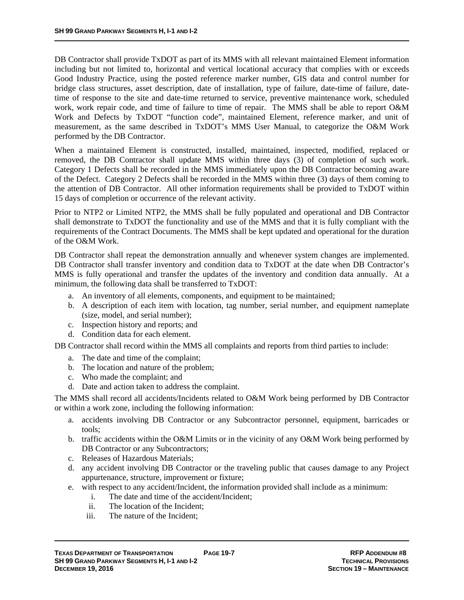DB Contractor shall provide TxDOT as part of its MMS with all relevant maintained Element information including but not limited to, horizontal and vertical locational accuracy that complies with or exceeds Good Industry Practice, using the posted reference marker number, GIS data and control number for bridge class structures, asset description, date of installation, type of failure, date-time of failure, datetime of response to the site and date-time returned to service, preventive maintenance work, scheduled work, work repair code, and time of failure to time of repair. The MMS shall be able to report O&M Work and Defects by TxDOT "function code", maintained Element, reference marker, and unit of measurement, as the same described in TxDOT's MMS User Manual, to categorize the O&M Work performed by the DB Contractor.

When a maintained Element is constructed, installed, maintained, inspected, modified, replaced or removed, the DB Contractor shall update MMS within three days (3) of completion of such work. Category 1 Defects shall be recorded in the MMS immediately upon the DB Contractor becoming aware of the Defect. Category 2 Defects shall be recorded in the MMS within three (3) days of them coming to the attention of DB Contractor. All other information requirements shall be provided to TxDOT within 15 days of completion or occurrence of the relevant activity.

Prior to NTP2 or Limited NTP2, the MMS shall be fully populated and operational and DB Contractor shall demonstrate to TxDOT the functionality and use of the MMS and that it is fully compliant with the requirements of the Contract Documents. The MMS shall be kept updated and operational for the duration of the O&M Work.

DB Contractor shall repeat the demonstration annually and whenever system changes are implemented. DB Contractor shall transfer inventory and condition data to TxDOT at the date when DB Contractor's MMS is fully operational and transfer the updates of the inventory and condition data annually. At a minimum, the following data shall be transferred to TxDOT:

- a. An inventory of all elements, components, and equipment to be maintained;
- b. A description of each item with location, tag number, serial number, and equipment nameplate (size, model, and serial number);
- c. Inspection history and reports; and
- d. Condition data for each element.

DB Contractor shall record within the MMS all complaints and reports from third parties to include:

- a. The date and time of the complaint;
- b. The location and nature of the problem;
- c. Who made the complaint; and
- d. Date and action taken to address the complaint.

The MMS shall record all accidents/Incidents related to O&M Work being performed by DB Contractor or within a work zone, including the following information:

- a. accidents involving DB Contractor or any Subcontractor personnel, equipment, barricades or tools;
- b. traffic accidents within the O&M Limits or in the vicinity of any O&M Work being performed by DB Contractor or any Subcontractors;
- c. Releases of Hazardous Materials;
- d. any accident involving DB Contractor or the traveling public that causes damage to any Project appurtenance, structure, improvement or fixture;
- e. with respect to any accident/Incident, the information provided shall include as a minimum:
	- i. The date and time of the accident/Incident;
	- ii. The location of the Incident;
	- iii. The nature of the Incident;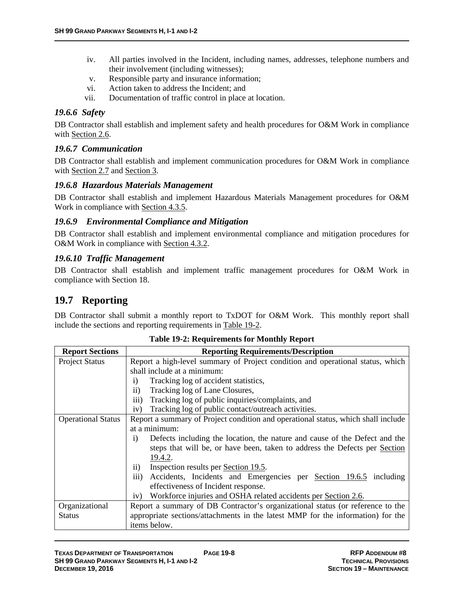- iv. All parties involved in the Incident, including names, addresses, telephone numbers and their involvement (including witnesses);
- v. Responsible party and insurance information;
- vi. Action taken to address the Incident; and
- vii. Documentation of traffic control in place at location.

#### *19.6.6 Safety*

DB Contractor shall establish and implement safety and health procedures for O&M Work in compliance with Section 2.6.

### *19.6.7 Communication*

DB Contractor shall establish and implement communication procedures for O&M Work in compliance with Section 2.7 and Section 3.

#### *19.6.8 Hazardous Materials Management*

DB Contractor shall establish and implement Hazardous Materials Management procedures for O&M Work in compliance with Section 4.3.5.

#### *19.6.9 Environmental Compliance and Mitigation*

DB Contractor shall establish and implement environmental compliance and mitigation procedures for O&M Work in compliance with Section 4.3.2.

#### *19.6.10 Traffic Management*

DB Contractor shall establish and implement traffic management procedures for O&M Work in compliance with Section 18.

## **19.7 Reporting**

DB Contractor shall submit a monthly report to TxDOT for O&M Work. This monthly report shall include the sections and reporting requirements in Table 19-2.

| <b>Report Sections</b>    | <b>Reporting Requirements/Description</b>                                                    |  |
|---------------------------|----------------------------------------------------------------------------------------------|--|
| <b>Project Status</b>     | Report a high-level summary of Project condition and operational status, which               |  |
|                           | shall include at a minimum:                                                                  |  |
|                           | Tracking log of accident statistics,<br>$\mathbf{i}$                                         |  |
|                           | $\mathbf{ii}$<br>Tracking log of Lane Closures,                                              |  |
|                           | Tracking log of public inquiries/complaints, and<br>iii)                                     |  |
|                           | Tracking log of public contact/outreach activities.<br>iv)                                   |  |
| <b>Operational Status</b> | Report a summary of Project condition and operational status, which shall include            |  |
|                           | at a minimum:                                                                                |  |
|                           | Defects including the location, the nature and cause of the Defect and the<br>$\overline{1}$ |  |
|                           | steps that will be, or have been, taken to address the Defects per Section                   |  |
|                           | 19.4.2.                                                                                      |  |
|                           | Inspection results per Section 19.5.<br>$\overline{11}$ )                                    |  |
|                           | Accidents, Incidents and Emergencies per Section 19.6.5 including<br>$\overline{111}$ )      |  |
|                           | effectiveness of Incident response.                                                          |  |
|                           | Workforce injuries and OSHA related accidents per Section 2.6.<br>iv)                        |  |
| Organizational            | Report a summary of DB Contractor's organizational status (or reference to the               |  |
| <b>Status</b>             | appropriate sections/attachments in the latest MMP for the information) for the              |  |
|                           | items below.                                                                                 |  |

**Table 19-2: Requirements for Monthly Report**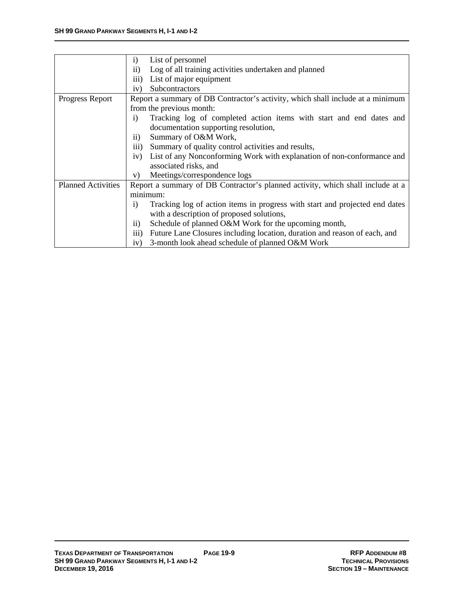|                           | List of personnel<br>$\mathbf{i}$                                                               |  |
|---------------------------|-------------------------------------------------------------------------------------------------|--|
|                           | Log of all training activities undertaken and planned<br>$\rm ii)$                              |  |
|                           | List of major equipment<br>$\overline{\text{iii}}$                                              |  |
|                           |                                                                                                 |  |
|                           | Subcontractors<br>iv)                                                                           |  |
| Progress Report           | Report a summary of DB Contractor's activity, which shall include at a minimum                  |  |
|                           | from the previous month:                                                                        |  |
|                           | Tracking log of completed action items with start and end dates and<br>$\overline{1}$           |  |
|                           | documentation supporting resolution,                                                            |  |
|                           | Summary of O&M Work,<br>$\overline{11}$ )                                                       |  |
|                           | Summary of quality control activities and results,<br>$\overline{\text{iii}}$                   |  |
|                           | List of any Nonconforming Work with explanation of non-conformance and<br>iv)                   |  |
|                           | associated risks, and                                                                           |  |
|                           | Meetings/correspondence logs<br>V)                                                              |  |
| <b>Planned Activities</b> | Report a summary of DB Contractor's planned activity, which shall include at a                  |  |
|                           | minimum:                                                                                        |  |
|                           | Tracking log of action items in progress with start and projected end dates<br>1)               |  |
|                           | with a description of proposed solutions,                                                       |  |
|                           | Schedule of planned O&M Work for the upcoming month,<br>$\rm ii)$                               |  |
|                           | Future Lane Closures including location, duration and reason of each, and<br>$\overline{111}$ ) |  |
|                           | 3-month look ahead schedule of planned O&M Work<br>iv)                                          |  |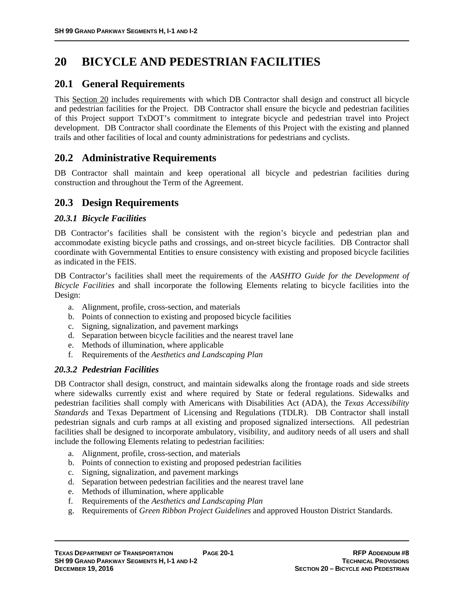# **20 BICYCLE AND PEDESTRIAN FACILITIES**

## **20.1 General Requirements**

This Section 20 includes requirements with which DB Contractor shall design and construct all bicycle and pedestrian facilities for the Project. DB Contractor shall ensure the bicycle and pedestrian facilities of this Project support TxDOT's commitment to integrate bicycle and pedestrian travel into Project development. DB Contractor shall coordinate the Elements of this Project with the existing and planned trails and other facilities of local and county administrations for pedestrians and cyclists.

## **20.2 Administrative Requirements**

DB Contractor shall maintain and keep operational all bicycle and pedestrian facilities during construction and throughout the Term of the Agreement.

## **20.3 Design Requirements**

#### *20.3.1 Bicycle Facilities*

DB Contractor's facilities shall be consistent with the region's bicycle and pedestrian plan and accommodate existing bicycle paths and crossings, and on-street bicycle facilities. DB Contractor shall coordinate with Governmental Entities to ensure consistency with existing and proposed bicycle facilities as indicated in the FEIS.

DB Contractor's facilities shall meet the requirements of the *AASHTO Guide for the Development of Bicycle Facilities* and shall incorporate the following Elements relating to bicycle facilities into the Design:

- a. Alignment, profile, cross-section, and materials
- b. Points of connection to existing and proposed bicycle facilities
- c. Signing, signalization, and pavement markings
- d. Separation between bicycle facilities and the nearest travel lane
- e. Methods of illumination, where applicable
- f. Requirements of the *Aesthetics and Landscaping Plan*

#### *20.3.2 Pedestrian Facilities*

DB Contractor shall design, construct, and maintain sidewalks along the frontage roads and side streets where sidewalks currently exist and where required by State or federal regulations. Sidewalks and pedestrian facilities shall comply with Americans with Disabilities Act (ADA), the *Texas Accessibility Standards* and Texas Department of Licensing and Regulations (TDLR). DB Contractor shall install pedestrian signals and curb ramps at all existing and proposed signalized intersections. All pedestrian facilities shall be designed to incorporate ambulatory, visibility, and auditory needs of all users and shall include the following Elements relating to pedestrian facilities:

- a. Alignment, profile, cross-section, and materials
- b. Points of connection to existing and proposed pedestrian facilities
- c. Signing, signalization, and pavement markings
- d. Separation between pedestrian facilities and the nearest travel lane
- e. Methods of illumination, where applicable
- f. Requirements of the *Aesthetics and Landscaping Plan*
- g. Requirements of *Green Ribbon Project Guidelines* and approved Houston District Standards.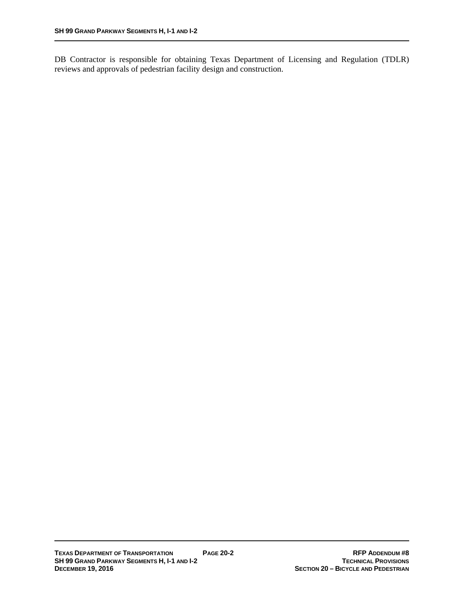DB Contractor is responsible for obtaining Texas Department of Licensing and Regulation (TDLR) reviews and approvals of pedestrian facility design and construction.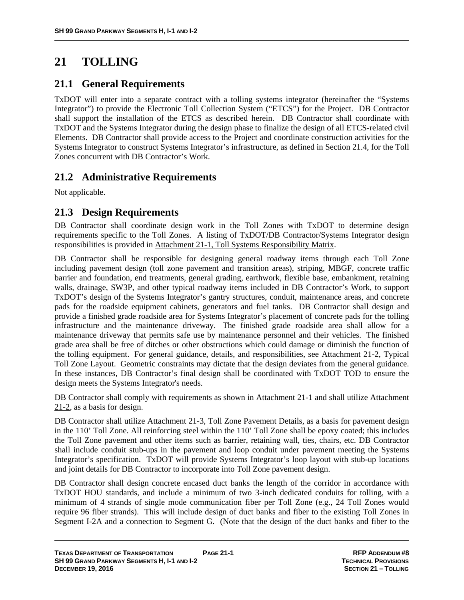# **21 TOLLING**

## **21.1 General Requirements**

TxDOT will enter into a separate contract with a tolling systems integrator (hereinafter the "Systems Integrator") to provide the Electronic Toll Collection System ("ETCS") for the Project. DB Contractor shall support the installation of the ETCS as described herein. DB Contractor shall coordinate with TxDOT and the Systems Integrator during the design phase to finalize the design of all ETCS-related civil Elements. DB Contractor shall provide access to the Project and coordinate construction activities for the Systems Integrator to construct Systems Integrator's infrastructure, as defined in Section 21.4, for the Toll Zones concurrent with DB Contractor's Work.

## **21.2 Administrative Requirements**

Not applicable.

## **21.3 Design Requirements**

DB Contractor shall coordinate design work in the Toll Zones with TxDOT to determine design requirements specific to the Toll Zones. A listing of TxDOT/DB Contractor/Systems Integrator design responsibilities is provided in Attachment 21-1, Toll Systems Responsibility Matrix.

DB Contractor shall be responsible for designing general roadway items through each Toll Zone including pavement design (toll zone pavement and transition areas), striping, MBGF, concrete traffic barrier and foundation, end treatments, general grading, earthwork, flexible base, embankment, retaining walls, drainage, SW3P, and other typical roadway items included in DB Contractor's Work, to support TxDOT's design of the Systems Integrator's gantry structures, conduit, maintenance areas, and concrete pads for the roadside equipment cabinets, generators and fuel tanks. DB Contractor shall design and provide a finished grade roadside area for Systems Integrator's placement of concrete pads for the tolling infrastructure and the maintenance driveway. The finished grade roadside area shall allow for a maintenance driveway that permits safe use by maintenance personnel and their vehicles. The finished grade area shall be free of ditches or other obstructions which could damage or diminish the function of the tolling equipment. For general guidance, details, and responsibilities, see Attachment 21-2, Typical Toll Zone Layout. Geometric constraints may dictate that the design deviates from the general guidance. In these instances, DB Contractor's final design shall be coordinated with TxDOT TOD to ensure the design meets the Systems Integrator's needs.

DB Contractor shall comply with requirements as shown in Attachment 21-1 and shall utilize Attachment 21-2, as a basis for design.

DB Contractor shall utilize Attachment 21-3, Toll Zone Pavement Details, as a basis for pavement design in the 110' Toll Zone. All reinforcing steel within the 110' Toll Zone shall be epoxy coated; this includes the Toll Zone pavement and other items such as barrier, retaining wall, ties, chairs, etc. DB Contractor shall include conduit stub-ups in the pavement and loop conduit under pavement meeting the Systems Integrator's specification. TxDOT will provide Systems Integrator's loop layout with stub-up locations and joint details for DB Contractor to incorporate into Toll Zone pavement design.

DB Contractor shall design concrete encased duct banks the length of the corridor in accordance with TxDOT HOU standards, and include a minimum of two 3-inch dedicated conduits for tolling, with a minimum of 4 strands of single mode communication fiber per Toll Zone (e.g., 24 Toll Zones would require 96 fiber strands). This will include design of duct banks and fiber to the existing Toll Zones in Segment I-2A and a connection to Segment G. (Note that the design of the duct banks and fiber to the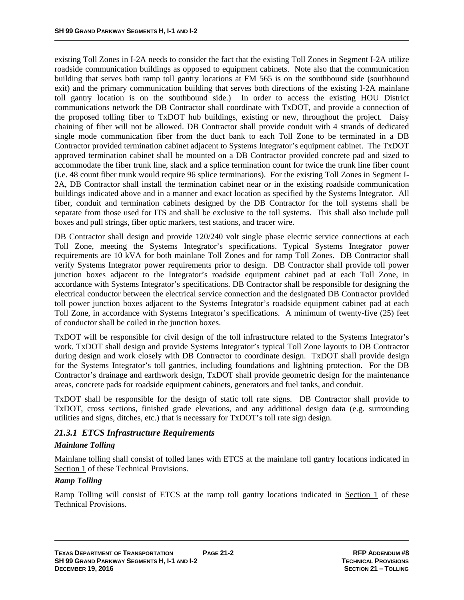existing Toll Zones in I-2A needs to consider the fact that the existing Toll Zones in Segment I-2A utilize roadside communication buildings as opposed to equipment cabinets. Note also that the communication building that serves both ramp toll gantry locations at FM 565 is on the southbound side (southbound exit) and the primary communication building that serves both directions of the existing I-2A mainlane toll gantry location is on the southbound side.) In order to access the existing HOU District communications network the DB Contractor shall coordinate with TxDOT, and provide a connection of the proposed tolling fiber to TxDOT hub buildings, existing or new, throughout the project. Daisy chaining of fiber will not be allowed. DB Contractor shall provide conduit with 4 strands of dedicated single mode communication fiber from the duct bank to each Toll Zone to be terminated in a DB Contractor provided termination cabinet adjacent to Systems Integrator's equipment cabinet. The TxDOT approved termination cabinet shall be mounted on a DB Contractor provided concrete pad and sized to accommodate the fiber trunk line, slack and a splice termination count for twice the trunk line fiber count (i.e. 48 count fiber trunk would require 96 splice terminations). For the existing Toll Zones in Segment I-2A, DB Contractor shall install the termination cabinet near or in the existing roadside communication buildings indicated above and in a manner and exact location as specified by the Systems Integrator. All fiber, conduit and termination cabinets designed by the DB Contractor for the toll systems shall be separate from those used for ITS and shall be exclusive to the toll systems. This shall also include pull boxes and pull strings, fiber optic markers, test stations, and tracer wire.

DB Contractor shall design and provide 120/240 volt single phase electric service connections at each Toll Zone, meeting the Systems Integrator's specifications. Typical Systems Integrator power requirements are 10 kVA for both mainlane Toll Zones and for ramp Toll Zones. DB Contractor shall verify Systems Integrator power requirements prior to design. DB Contractor shall provide toll power junction boxes adjacent to the Integrator's roadside equipment cabinet pad at each Toll Zone, in accordance with Systems Integrator's specifications. DB Contractor shall be responsible for designing the electrical conductor between the electrical service connection and the designated DB Contractor provided toll power junction boxes adjacent to the Systems Integrator's roadside equipment cabinet pad at each Toll Zone, in accordance with Systems Integrator's specifications. A minimum of twenty-five (25) feet of conductor shall be coiled in the junction boxes.

TxDOT will be responsible for civil design of the toll infrastructure related to the Systems Integrator's work. TxDOT shall design and provide Systems Integrator's typical Toll Zone layouts to DB Contractor during design and work closely with DB Contractor to coordinate design. TxDOT shall provide design for the Systems Integrator's toll gantries, including foundations and lightning protection. For the DB Contractor's drainage and earthwork design, TxDOT shall provide geometric design for the maintenance areas, concrete pads for roadside equipment cabinets, generators and fuel tanks, and conduit.

TxDOT shall be responsible for the design of static toll rate signs. DB Contractor shall provide to TxDOT, cross sections, finished grade elevations, and any additional design data (e.g. surrounding utilities and signs, ditches, etc.) that is necessary for TxDOT's toll rate sign design.

#### *21.3.1 ETCS Infrastructure Requirements*

#### *Mainlane Tolling*

Mainlane tolling shall consist of tolled lanes with ETCS at the mainlane toll gantry locations indicated in Section 1 of these Technical Provisions.

#### *Ramp Tolling*

Ramp Tolling will consist of ETCS at the ramp toll gantry locations indicated in Section 1 of these Technical Provisions.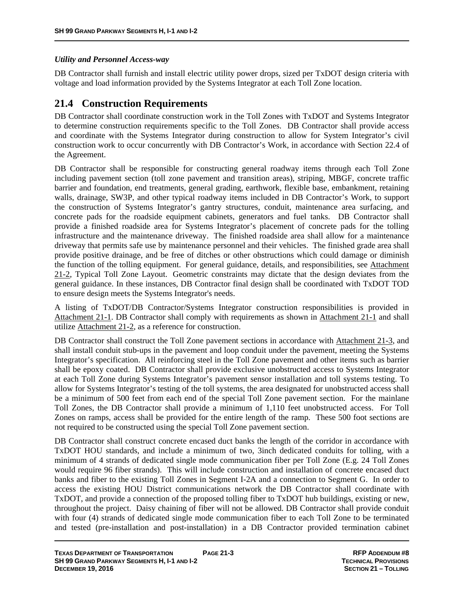#### *Utility and Personnel Access-way*

DB Contractor shall furnish and install electric utility power drops, sized per TxDOT design criteria with voltage and load information provided by the Systems Integrator at each Toll Zone location.

## **21.4 Construction Requirements**

DB Contractor shall coordinate construction work in the Toll Zones with TxDOT and Systems Integrator to determine construction requirements specific to the Toll Zones. DB Contractor shall provide access and coordinate with the Systems Integrator during construction to allow for System Integrator's civil construction work to occur concurrently with DB Contractor's Work, in accordance with Section 22.4 of the Agreement.

DB Contractor shall be responsible for constructing general roadway items through each Toll Zone including pavement section (toll zone pavement and transition areas), striping, MBGF, concrete traffic barrier and foundation, end treatments, general grading, earthwork, flexible base, embankment, retaining walls, drainage, SW3P, and other typical roadway items included in DB Contractor's Work, to support the construction of Systems Integrator's gantry structures, conduit, maintenance area surfacing, and concrete pads for the roadside equipment cabinets, generators and fuel tanks. DB Contractor shall provide a finished roadside area for Systems Integrator's placement of concrete pads for the tolling infrastructure and the maintenance driveway. The finished roadside area shall allow for a maintenance driveway that permits safe use by maintenance personnel and their vehicles. The finished grade area shall provide positive drainage, and be free of ditches or other obstructions which could damage or diminish the function of the tolling equipment. For general guidance, details, and responsibilities, see Attachment 21-2, Typical Toll Zone Layout. Geometric constraints may dictate that the design deviates from the general guidance. In these instances, DB Contractor final design shall be coordinated with TxDOT TOD to ensure design meets the Systems Integrator's needs.

A listing of TxDOT/DB Contractor/Systems Integrator construction responsibilities is provided in Attachment 21-1. DB Contractor shall comply with requirements as shown in Attachment 21-1 and shall utilize Attachment 21-2, as a reference for construction.

DB Contractor shall construct the Toll Zone pavement sections in accordance with Attachment 21-3, and shall install conduit stub-ups in the pavement and loop conduit under the pavement, meeting the Systems Integrator's specification. All reinforcing steel in the Toll Zone pavement and other items such as barrier shall be epoxy coated. DB Contractor shall provide exclusive unobstructed access to Systems Integrator at each Toll Zone during Systems Integrator's pavement sensor installation and toll systems testing. To allow for Systems Integrator's testing of the toll systems, the area designated for unobstructed access shall be a minimum of 500 feet from each end of the special Toll Zone pavement section. For the mainlane Toll Zones, the DB Contractor shall provide a minimum of 1,110 feet unobstructed access. For Toll Zones on ramps, access shall be provided for the entire length of the ramp. These 500 foot sections are not required to be constructed using the special Toll Zone pavement section.

DB Contractor shall construct concrete encased duct banks the length of the corridor in accordance with TxDOT HOU standards, and include a minimum of two, 3inch dedicated conduits for tolling, with a minimum of 4 strands of dedicated single mode communication fiber per Toll Zone (E.g. 24 Toll Zones would require 96 fiber strands). This will include construction and installation of concrete encased duct banks and fiber to the existing Toll Zones in Segment I-2A and a connection to Segment G. In order to access the existing HOU District communications network the DB Contractor shall coordinate with TxDOT, and provide a connection of the proposed tolling fiber to TxDOT hub buildings, existing or new, throughout the project. Daisy chaining of fiber will not be allowed. DB Contractor shall provide conduit with four (4) strands of dedicated single mode communication fiber to each Toll Zone to be terminated and tested (pre-installation and post-installation) in a DB Contractor provided termination cabinet